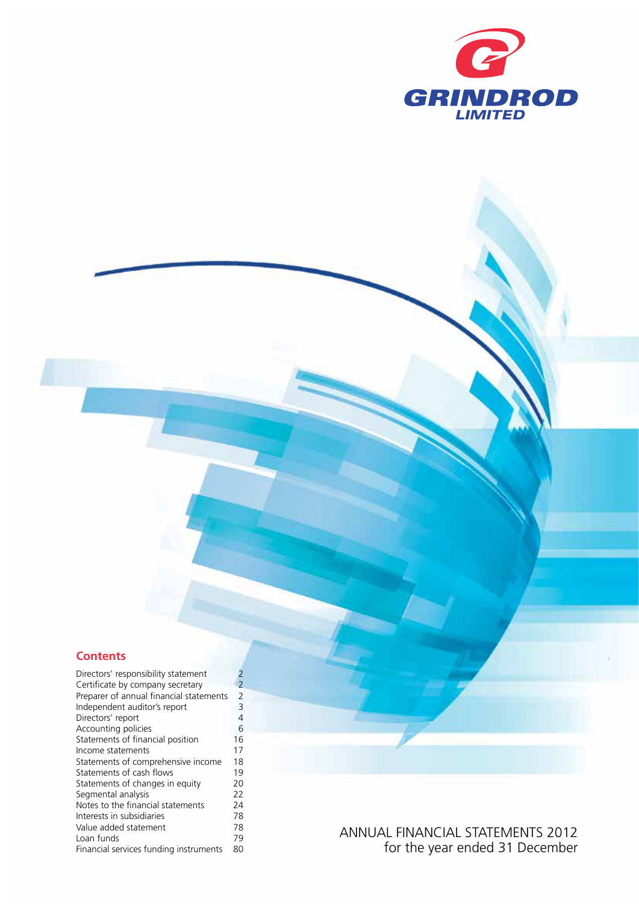

## **Contents**

| Certificate by company secretary<br>Preparer of annual financial statements<br>Independent auditor's report<br>Directors' report<br>Accounting policies<br>Statements of financial position<br>Income statements<br>Statements of comprehensive income<br>Statements of cash flows<br>Statements of changes in equity<br>Segmental analysis<br>Notes to the financial statements<br>Interests in subsidiaries<br>Value added statement<br>Loan funds<br>Financial services funding instruments | Directors' responsibility statement | 2              |
|------------------------------------------------------------------------------------------------------------------------------------------------------------------------------------------------------------------------------------------------------------------------------------------------------------------------------------------------------------------------------------------------------------------------------------------------------------------------------------------------|-------------------------------------|----------------|
|                                                                                                                                                                                                                                                                                                                                                                                                                                                                                                |                                     | 2              |
|                                                                                                                                                                                                                                                                                                                                                                                                                                                                                                |                                     | $\overline{2}$ |
|                                                                                                                                                                                                                                                                                                                                                                                                                                                                                                |                                     | 3              |
|                                                                                                                                                                                                                                                                                                                                                                                                                                                                                                |                                     | 4              |
|                                                                                                                                                                                                                                                                                                                                                                                                                                                                                                |                                     | 6              |
|                                                                                                                                                                                                                                                                                                                                                                                                                                                                                                |                                     | 16             |
|                                                                                                                                                                                                                                                                                                                                                                                                                                                                                                |                                     | 17             |
|                                                                                                                                                                                                                                                                                                                                                                                                                                                                                                |                                     | 18             |
|                                                                                                                                                                                                                                                                                                                                                                                                                                                                                                |                                     | 19             |
|                                                                                                                                                                                                                                                                                                                                                                                                                                                                                                |                                     | 20             |
|                                                                                                                                                                                                                                                                                                                                                                                                                                                                                                |                                     | 22             |
|                                                                                                                                                                                                                                                                                                                                                                                                                                                                                                |                                     | 24             |
|                                                                                                                                                                                                                                                                                                                                                                                                                                                                                                |                                     | 78             |
|                                                                                                                                                                                                                                                                                                                                                                                                                                                                                                |                                     | 78             |
|                                                                                                                                                                                                                                                                                                                                                                                                                                                                                                |                                     | 79             |
|                                                                                                                                                                                                                                                                                                                                                                                                                                                                                                |                                     | 80             |

Annual FINANCIAL STATEMENTS 2012 for the year ended 31 December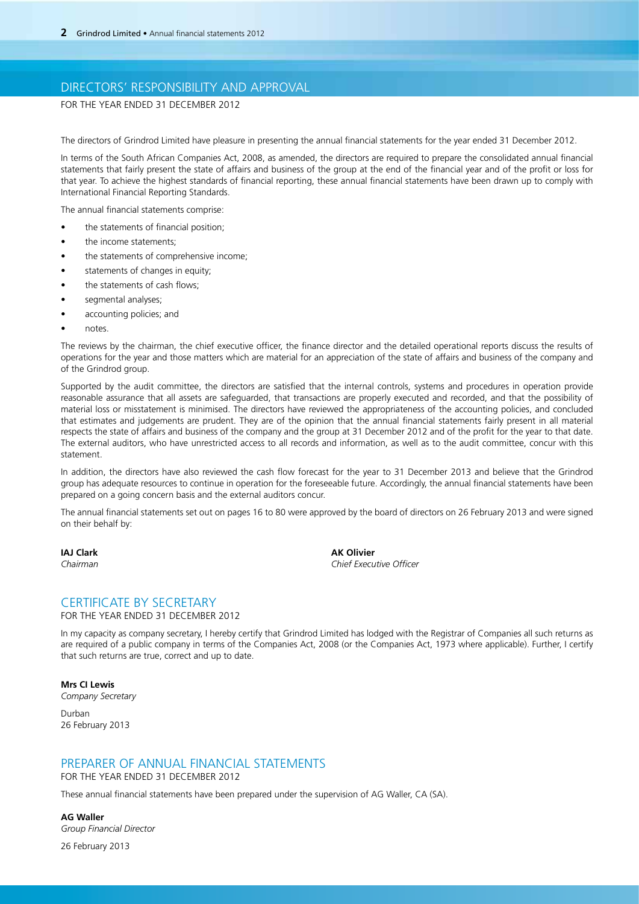## DIRECTORS' RESPONSIBILITY AND APPROVAL

FOR THE YEAR ENDED 31 DECEMBER 2012

The directors of Grindrod Limited have pleasure in presenting the annual financial statements for the year ended 31 December 2012.

In terms of the South African Companies Act, 2008, as amended, the directors are required to prepare the consolidated annual financial statements that fairly present the state of affairs and business of the group at the end of the financial year and of the profit or loss for that year. To achieve the highest standards of financial reporting, these annual financial statements have been drawn up to comply with International Financial Reporting Standards.

The annual financial statements comprise:

- the statements of financial position;
- the income statements:
- the statements of comprehensive income;
- statements of changes in equity;
- the statements of cash flows;
- segmental analyses;
- accounting policies; and
- notes.

The reviews by the chairman, the chief executive officer, the finance director and the detailed operational reports discuss the results of operations for the year and those matters which are material for an appreciation of the state of affairs and business of the company and of the Grindrod group.

Supported by the audit committee, the directors are satisfied that the internal controls, systems and procedures in operation provide reasonable assurance that all assets are safeguarded, that transactions are properly executed and recorded, and that the possibility of material loss or misstatement is minimised. The directors have reviewed the appropriateness of the accounting policies, and concluded that estimates and judgements are prudent. They are of the opinion that the annual financial statements fairly present in all material respects the state of affairs and business of the company and the group at 31 December 2012 and of the profit for the year to that date. The external auditors, who have unrestricted access to all records and information, as well as to the audit committee, concur with this statement.

In addition, the directors have also reviewed the cash flow forecast for the year to 31 December 2013 and believe that the Grindrod group has adequate resources to continue in operation for the foreseeable future. Accordingly, the annual financial statements have been prepared on a going concern basis and the external auditors concur.

The annual financial statements set out on pages 16 to 80 were approved by the board of directors on 26 February 2013 and were signed on their behalf by:

**IAJ Clark AK Olivier** *Chairman Chief Executive Officer*

## CERTIFICATE BY SECRETARY

## for the year ended 31 December 2012

In my capacity as company secretary, I hereby certify that Grindrod Limited has lodged with the Registrar of Companies all such returns as are required of a public company in terms of the Companies Act, 2008 (or the Companies Act, 1973 where applicable). Further, I certify that such returns are true, correct and up to date.

**Mrs CI Lewis** *Company Secretary*

Durban 26 February 2013

## PREPARER OF ANNUAL FINANCIAL STATEMENTS

for the year ended 31 December 2012

These annual financial statements have been prepared under the supervision of AG Waller, CA (SA).

**AG Waller**  *Group Financial Director* 26 February 2013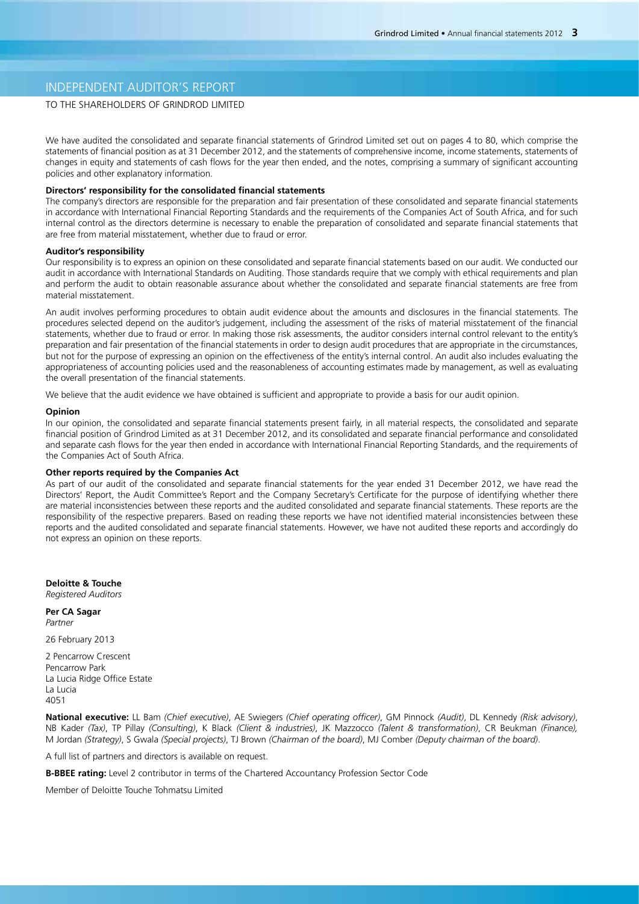## INDEPENDENT AUDITOR'S REPORT

## TO THE SHAREHOLDERS OF GRINDROD LIMITED

We have audited the consolidated and separate financial statements of Grindrod Limited set out on pages 4 to 80, which comprise the statements of financial position as at 31 December 2012, and the statements of comprehensive income, income statements, statements of changes in equity and statements of cash flows for the year then ended, and the notes, comprising a summary of significant accounting policies and other explanatory information.

## **Directors' responsibility for the consolidated financial statements**

The company's directors are responsible for the preparation and fair presentation of these consolidated and separate financial statements in accordance with International Financial Reporting Standards and the requirements of the Companies Act of South Africa, and for such internal control as the directors determine is necessary to enable the preparation of consolidated and separate financial statements that are free from material misstatement, whether due to fraud or error.

### **Auditor's responsibility**

Our responsibility is to express an opinion on these consolidated and separate financial statements based on our audit. We conducted our audit in accordance with International Standards on Auditing. Those standards require that we comply with ethical requirements and plan and perform the audit to obtain reasonable assurance about whether the consolidated and separate financial statements are free from material misstatement.

An audit involves performing procedures to obtain audit evidence about the amounts and disclosures in the financial statements. The procedures selected depend on the auditor's judgement, including the assessment of the risks of material misstatement of the financial statements, whether due to fraud or error. In making those risk assessments, the auditor considers internal control relevant to the entity's preparation and fair presentation of the financial statements in order to design audit procedures that are appropriate in the circumstances, but not for the purpose of expressing an opinion on the effectiveness of the entity's internal control. An audit also includes evaluating the appropriateness of accounting policies used and the reasonableness of accounting estimates made by management, as well as evaluating the overall presentation of the financial statements.

We believe that the audit evidence we have obtained is sufficient and appropriate to provide a basis for our audit opinion.

#### **Opinion**

In our opinion, the consolidated and separate financial statements present fairly, in all material respects, the consolidated and separate financial position of Grindrod Limited as at 31 December 2012, and its consolidated and separate financial performance and consolidated and separate cash flows for the year then ended in accordance with International Financial Reporting Standards, and the requirements of the Companies Act of South Africa.

#### **Other reports required by the Companies Act**

As part of our audit of the consolidated and separate financial statements for the year ended 31 December 2012, we have read the Directors' Report, the Audit Committee's Report and the Company Secretary's Certificate for the purpose of identifying whether there are material inconsistencies between these reports and the audited consolidated and separate financial statements. These reports are the responsibility of the respective preparers. Based on reading these reports we have not identified material inconsistencies between these reports and the audited consolidated and separate financial statements. However, we have not audited these reports and accordingly do not express an opinion on these reports.

**Deloitte & Touche** *Registered Auditors*

**Per CA Sagar** *Partner*

26 February 2013

2 Pencarrow Crescent Pencarrow Park La Lucia Ridge Office Estate La Lucia 4051

**National executive:** LL Bam *(Chief executive)*, AE Swiegers *(Chief operating officer)*, GM Pinnock *(Audit)*, DL Kennedy *(Risk advisory)*, NB Kader *(Tax)*, TP Pillay *(Consulting)*, K Black *(Client & industries)*, JK Mazzocco *(Talent & transformation)*, CR Beukman *(Finance),* M Jordan *(Strategy)*, S Gwala *(Special projects)*, TJ Brown *(Chairman of the board)*, MJ Comber *(Deputy chairman of the board)*.

A full list of partners and directors is available on request.

**B-BBEE rating:** Level 2 contributor in terms of the Chartered Accountancy Profession Sector Code

Member of Deloitte Touche Tohmatsu Limited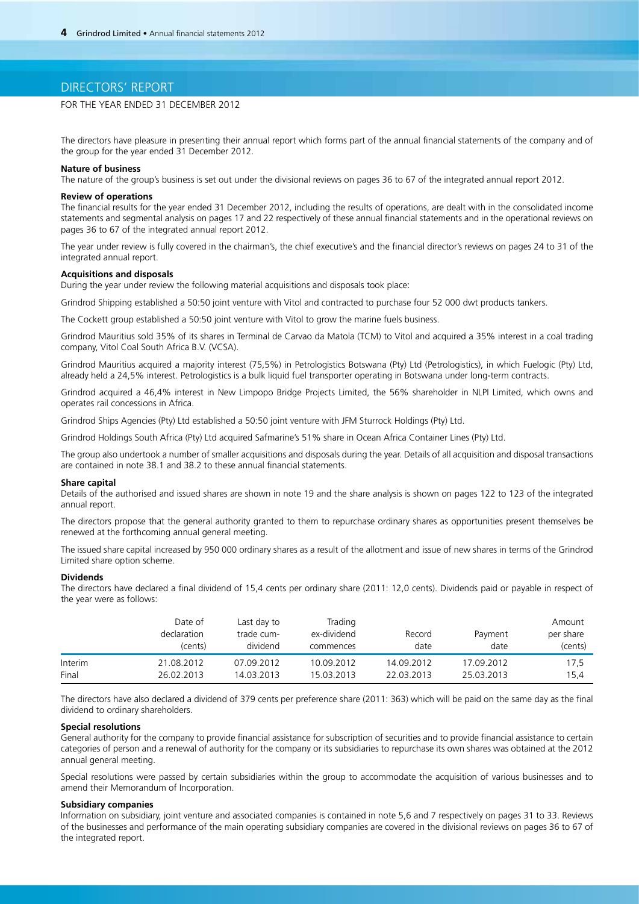## DIRECTORS' REPORT

## FOR THE YEAR ENDED 31 DECEMBER 2012

The directors have pleasure in presenting their annual report which forms part of the annual financial statements of the company and of the group for the year ended 31 December 2012.

### **Nature of business**

The nature of the group's business is set out under the divisional reviews on pages 36 to 67 of the integrated annual report 2012.

### **Review of operations**

The financial results for the year ended 31 December 2012, including the results of operations, are dealt with in the consolidated income statements and segmental analysis on pages 17 and 22 respectively of these annual financial statements and in the operational reviews on pages 36 to 67 of the integrated annual report 2012.

The year under review is fully covered in the chairman's, the chief executive's and the financial director's reviews on pages 24 to 31 of the integrated annual report.

### **Acquisitions and disposals**

During the year under review the following material acquisitions and disposals took place:

Grindrod Shipping established a 50:50 joint venture with Vitol and contracted to purchase four 52 000 dwt products tankers.

The Cockett group established a 50:50 joint venture with Vitol to grow the marine fuels business.

Grindrod Mauritius sold 35% of its shares in Terminal de Carvao da Matola (TCM) to Vitol and acquired a 35% interest in a coal trading company, Vitol Coal South Africa B.V. (VCSA).

Grindrod Mauritius acquired a majority interest (75,5%) in Petrologistics Botswana (Pty) Ltd (Petrologistics), in which Fuelogic (Pty) Ltd, already held a 24,5% interest. Petrologistics is a bulk liquid fuel transporter operating in Botswana under long-term contracts.

Grindrod acquired a 46,4% interest in New Limpopo Bridge Projects Limited, the 56% shareholder in NLPI Limited, which owns and operates rail concessions in Africa.

Grindrod Ships Agencies (Pty) Ltd established a 50:50 joint venture with JFM Sturrock Holdings (Pty) Ltd.

Grindrod Holdings South Africa (Pty) Ltd acquired Safmarine's 51% share in Ocean Africa Container Lines (Pty) Ltd.

The group also undertook a number of smaller acquisitions and disposals during the year. Details of all acquisition and disposal transactions are contained in note 38.1 and 38.2 to these annual financial statements.

#### **Share capital**

Details of the authorised and issued shares are shown in note 19 and the share analysis is shown on pages 122 to 123 of the integrated annual report.

The directors propose that the general authority granted to them to repurchase ordinary shares as opportunities present themselves be renewed at the forthcoming annual general meeting.

The issued share capital increased by 950 000 ordinary shares as a result of the allotment and issue of new shares in terms of the Grindrod Limited share option scheme.

#### **Dividends**

The directors have declared a final dividend of 15,4 cents per ordinary share (2011: 12,0 cents). Dividends paid or payable in respect of the year were as follows:

|         | Date of<br>declaration<br>(cents) | Last day to<br>trade cum-<br>dividend | Trading<br>ex-dividend<br>commences | Record<br>date | Payment<br>date | Amount<br>per share<br>(cents) |
|---------|-----------------------------------|---------------------------------------|-------------------------------------|----------------|-----------------|--------------------------------|
| Interim | 21.08.2012                        | 07.09.2012                            | 10.09.2012                          | 14.09.2012     | 17.09.2012      | 17,5                           |
| Final   | 26.02.2013                        | 14.03.2013                            | 15.03.2013                          | 22.03.2013     | 25.03.2013      | 15.4                           |

The directors have also declared a dividend of 379 cents per preference share (2011: 363) which will be paid on the same day as the final dividend to ordinary shareholders.

## **Special resolutions**

General authority for the company to provide financial assistance for subscription of securities and to provide financial assistance to certain categories of person and a renewal of authority for the company or its subsidiaries to repurchase its own shares was obtained at the 2012 annual general meeting.

Special resolutions were passed by certain subsidiaries within the group to accommodate the acquisition of various businesses and to amend their Memorandum of Incorporation.

## **Subsidiary companies**

Information on subsidiary, joint venture and associated companies is contained in note 5,6 and 7 respectively on pages 31 to 33. Reviews of the businesses and performance of the main operating subsidiary companies are covered in the divisional reviews on pages 36 to 67 of the integrated report.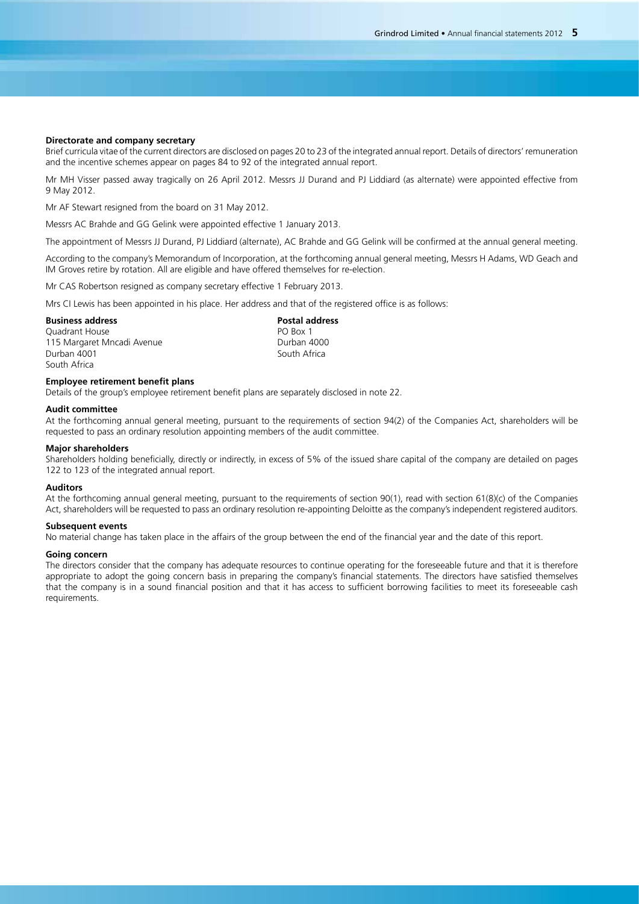### **Directorate and company secretary**

Brief curricula vitae of the current directors are disclosed on pages 20 to 23 of the integrated annual report. Details of directors' remuneration and the incentive schemes appear on pages 84 to 92 of the integrated annual report.

Mr MH Visser passed away tragically on 26 April 2012. Messrs JJ Durand and PJ Liddiard (as alternate) were appointed effective from 9 May 2012.

Mr AF Stewart resigned from the board on 31 May 2012.

Messrs AC Brahde and GG Gelink were appointed effective 1 January 2013.

The appointment of Messrs JJ Durand, PJ Liddiard (alternate), AC Brahde and GG Gelink will be confirmed at the annual general meeting.

According to the company's Memorandum of Incorporation, at the forthcoming annual general meeting, Messrs H Adams, WD Geach and IM Groves retire by rotation. All are eligible and have offered themselves for re-election.

Mr CAS Robertson resigned as company secretary effective 1 February 2013.

Mrs CI Lewis has been appointed in his place. Her address and that of the registered office is as follows:

## **Business address Business address Business Business Business Business Business Business Business Business Business Business Business Business Business Business Business B**

Quadrant House **PO Box 1** 115 Margaret Mncadi Avenue **Durban 4000**<br>Durban 4001 Durban 4000 Durban 4001 South Africa

### **Employee retirement benefit plans**

Details of the group's employee retirement benefit plans are separately disclosed in note 22.

### **Audit committee**

At the forthcoming annual general meeting, pursuant to the requirements of section 94(2) of the Companies Act, shareholders will be requested to pass an ordinary resolution appointing members of the audit committee.

#### **Major shareholders**

Shareholders holding beneficially, directly or indirectly, in excess of 5% of the issued share capital of the company are detailed on pages 122 to 123 of the integrated annual report.

### **Auditors**

At the forthcoming annual general meeting, pursuant to the requirements of section 90(1), read with section 61(8)(c) of the Companies Act, shareholders will be requested to pass an ordinary resolution re-appointing Deloitte as the company's independent registered auditors.

### **Subsequent events**

No material change has taken place in the affairs of the group between the end of the financial year and the date of this report.

#### **Going concern**

The directors consider that the company has adequate resources to continue operating for the foreseeable future and that it is therefore appropriate to adopt the going concern basis in preparing the company's financial statements. The directors have satisfied themselves that the company is in a sound financial position and that it has access to sufficient borrowing facilities to meet its foreseeable cash requirements.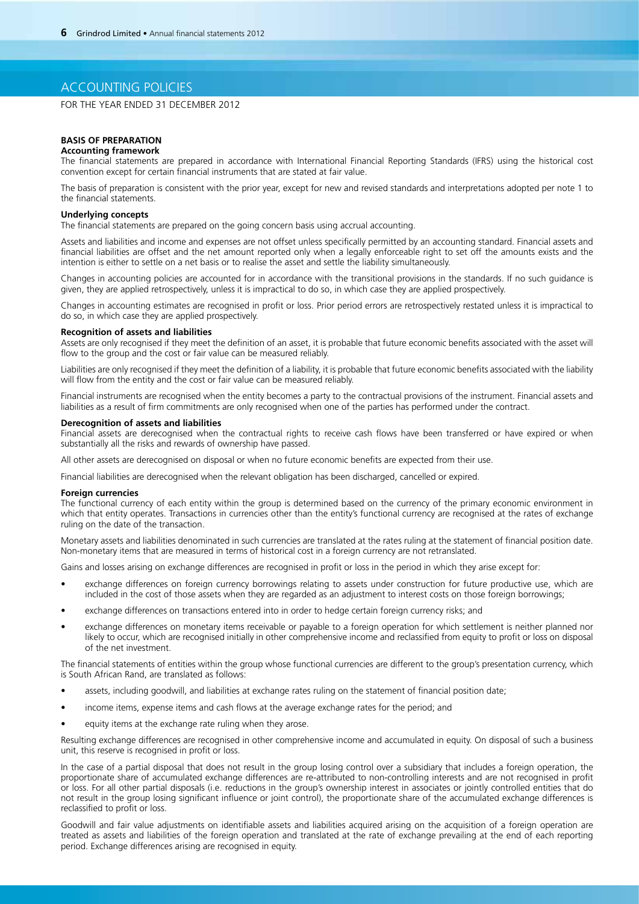## ACCOUNTING POLICIES

FOR THE YEAR ENDED 31 DECEMBER 2012

### **BASIS OF PREPARATION**

### **Accounting framework**

The financial statements are prepared in accordance with International Financial Reporting Standards (IFRS) using the historical cost convention except for certain financial instruments that are stated at fair value.

The basis of preparation is consistent with the prior year, except for new and revised standards and interpretations adopted per note 1 to the financial statements.

### **Underlying concepts**

The financial statements are prepared on the going concern basis using accrual accounting.

Assets and liabilities and income and expenses are not offset unless specifically permitted by an accounting standard. Financial assets and financial liabilities are offset and the net amount reported only when a legally enforceable right to set off the amounts exists and the intention is either to settle on a net basis or to realise the asset and settle the liability simultaneously.

Changes in accounting policies are accounted for in accordance with the transitional provisions in the standards. If no such guidance is given, they are applied retrospectively, unless it is impractical to do so, in which case they are applied prospectively.

Changes in accounting estimates are recognised in profit or loss. Prior period errors are retrospectively restated unless it is impractical to do so, in which case they are applied prospectively.

## **Recognition of assets and liabilities**

Assets are only recognised if they meet the definition of an asset, it is probable that future economic benefits associated with the asset will flow to the group and the cost or fair value can be measured reliably.

Liabilities are only recognised if they meet the definition of a liability, it is probable that future economic benefits associated with the liability will flow from the entity and the cost or fair value can be measured reliably.

Financial instruments are recognised when the entity becomes a party to the contractual provisions of the instrument. Financial assets and liabilities as a result of firm commitments are only recognised when one of the parties has performed under the contract.

#### **Derecognition of assets and liabilities**

Financial assets are derecognised when the contractual rights to receive cash flows have been transferred or have expired or when substantially all the risks and rewards of ownership have passed.

All other assets are derecognised on disposal or when no future economic benefits are expected from their use.

Financial liabilities are derecognised when the relevant obligation has been discharged, cancelled or expired.

#### **Foreign currencies**

The functional currency of each entity within the group is determined based on the currency of the primary economic environment in which that entity operates. Transactions in currencies other than the entity's functional currency are recognised at the rates of exchange ruling on the date of the transaction.

Monetary assets and liabilities denominated in such currencies are translated at the rates ruling at the statement of financial position date. Non-monetary items that are measured in terms of historical cost in a foreign currency are not retranslated.

Gains and losses arising on exchange differences are recognised in profit or loss in the period in which they arise except for:

- exchange differences on foreign currency borrowings relating to assets under construction for future productive use, which are included in the cost of those assets when they are regarded as an adjustment to interest costs on those foreign borrowings;
- exchange differences on transactions entered into in order to hedge certain foreign currency risks; and
- exchange differences on monetary items receivable or payable to a foreign operation for which settlement is neither planned nor likely to occur, which are recognised initially in other comprehensive income and reclassified from equity to profit or loss on disposal of the net investment.

The financial statements of entities within the group whose functional currencies are different to the group's presentation currency, which is South African Rand, are translated as follows:

- assets, including goodwill, and liabilities at exchange rates ruling on the statement of financial position date;
- income items, expense items and cash flows at the average exchange rates for the period; and
- equity items at the exchange rate ruling when they arose.

Resulting exchange differences are recognised in other comprehensive income and accumulated in equity. On disposal of such a business unit, this reserve is recognised in profit or loss.

In the case of a partial disposal that does not result in the group losing control over a subsidiary that includes a foreign operation, the proportionate share of accumulated exchange differences are re-attributed to non-controlling interests and are not recognised in profit or loss. For all other partial disposals (i.e. reductions in the group's ownership interest in associates or jointly controlled entities that do not result in the group losing significant influence or joint control), the proportionate share of the accumulated exchange differences is reclassified to profit or loss.

Goodwill and fair value adjustments on identifiable assets and liabilities acquired arising on the acquisition of a foreign operation are treated as assets and liabilities of the foreign operation and translated at the rate of exchange prevailing at the end of each reporting period. Exchange differences arising are recognised in equity.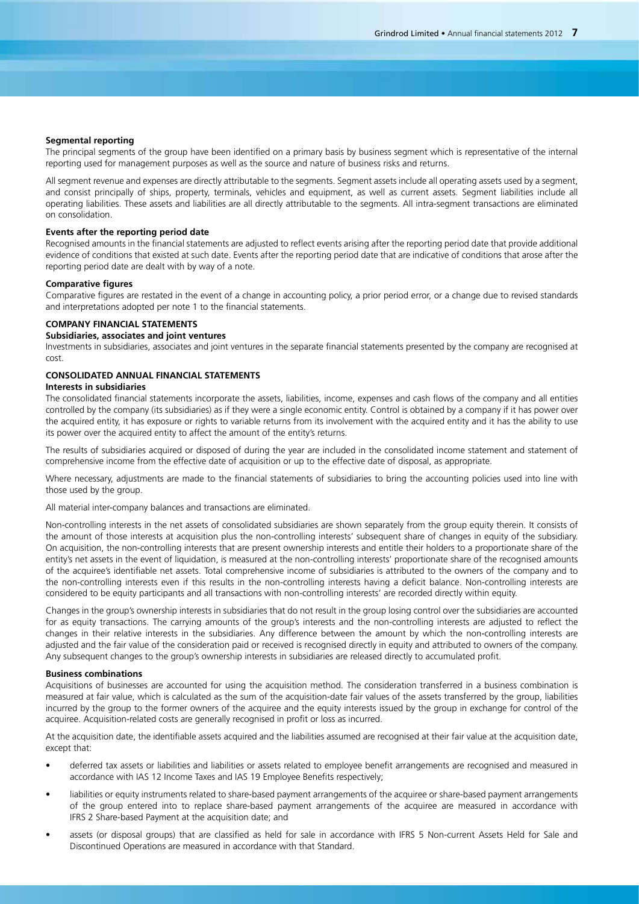### **Segmental reporting**

The principal segments of the group have been identified on a primary basis by business segment which is representative of the internal reporting used for management purposes as well as the source and nature of business risks and returns.

All segment revenue and expenses are directly attributable to the segments. Segment assets include all operating assets used by a segment, and consist principally of ships, property, terminals, vehicles and equipment, as well as current assets. Segment liabilities include all operating liabilities. These assets and liabilities are all directly attributable to the segments. All intra-segment transactions are eliminated on consolidation.

### **Events after the reporting period date**

Recognised amounts in the financial statements are adjusted to reflect events arising after the reporting period date that provide additional evidence of conditions that existed at such date. Events after the reporting period date that are indicative of conditions that arose after the reporting period date are dealt with by way of a note.

### **Comparative figures**

Comparative figures are restated in the event of a change in accounting policy, a prior period error, or a change due to revised standards and interpretations adopted per note 1 to the financial statements.

## **COMPANY FINANCIAL STATEMENTS**

## **Subsidiaries, associates and joint ventures**

Investments in subsidiaries, associates and joint ventures in the separate financial statements presented by the company are recognised at cost.

## **CONSOLIDATED ANNUAL FINANCIAL STATEMENTS**

## **Interests in subsidiaries**

The consolidated financial statements incorporate the assets, liabilities, income, expenses and cash flows of the company and all entities controlled by the company (its subsidiaries) as if they were a single economic entity. Control is obtained by a company if it has power over the acquired entity, it has exposure or rights to variable returns from its involvement with the acquired entity and it has the ability to use its power over the acquired entity to affect the amount of the entity's returns.

The results of subsidiaries acquired or disposed of during the year are included in the consolidated income statement and statement of comprehensive income from the effective date of acquisition or up to the effective date of disposal, as appropriate.

Where necessary, adjustments are made to the financial statements of subsidiaries to bring the accounting policies used into line with those used by the group.

All material inter-company balances and transactions are eliminated.

Non-controlling interests in the net assets of consolidated subsidiaries are shown separately from the group equity therein. It consists of the amount of those interests at acquisition plus the non-controlling interests' subsequent share of changes in equity of the subsidiary. On acquisition, the non-controlling interests that are present ownership interests and entitle their holders to a proportionate share of the entity's net assets in the event of liquidation, is measured at the non-controlling interests' proportionate share of the recognised amounts of the acquiree's identifiable net assets. Total comprehensive income of subsidiaries is attributed to the owners of the company and to the non-controlling interests even if this results in the non-controlling interests having a deficit balance. Non-controlling interests are considered to be equity participants and all transactions with non-controlling interests' are recorded directly within equity.

Changes in the group's ownership interests in subsidiaries that do not result in the group losing control over the subsidiaries are accounted for as equity transactions. The carrying amounts of the group's interests and the non-controlling interests are adjusted to reflect the changes in their relative interests in the subsidiaries. Any difference between the amount by which the non-controlling interests are adjusted and the fair value of the consideration paid or received is recognised directly in equity and attributed to owners of the company. Any subsequent changes to the group's ownership interests in subsidiaries are released directly to accumulated profit.

#### **Business combinations**

Acquisitions of businesses are accounted for using the acquisition method. The consideration transferred in a business combination is measured at fair value, which is calculated as the sum of the acquisition-date fair values of the assets transferred by the group, liabilities incurred by the group to the former owners of the acquiree and the equity interests issued by the group in exchange for control of the acquiree. Acquisition-related costs are generally recognised in profit or loss as incurred.

At the acquisition date, the identifiable assets acquired and the liabilities assumed are recognised at their fair value at the acquisition date, except that:

- deferred tax assets or liabilities and liabilities or assets related to employee benefit arrangements are recognised and measured in accordance with IAS 12 Income Taxes and IAS 19 Employee Benefits respectively;
- liabilities or equity instruments related to share-based payment arrangements of the acquiree or share-based payment arrangements of the group entered into to replace share-based payment arrangements of the acquiree are measured in accordance with IFRS 2 Share-based Payment at the acquisition date; and
- assets (or disposal groups) that are classified as held for sale in accordance with IFRS 5 Non-current Assets Held for Sale and Discontinued Operations are measured in accordance with that Standard.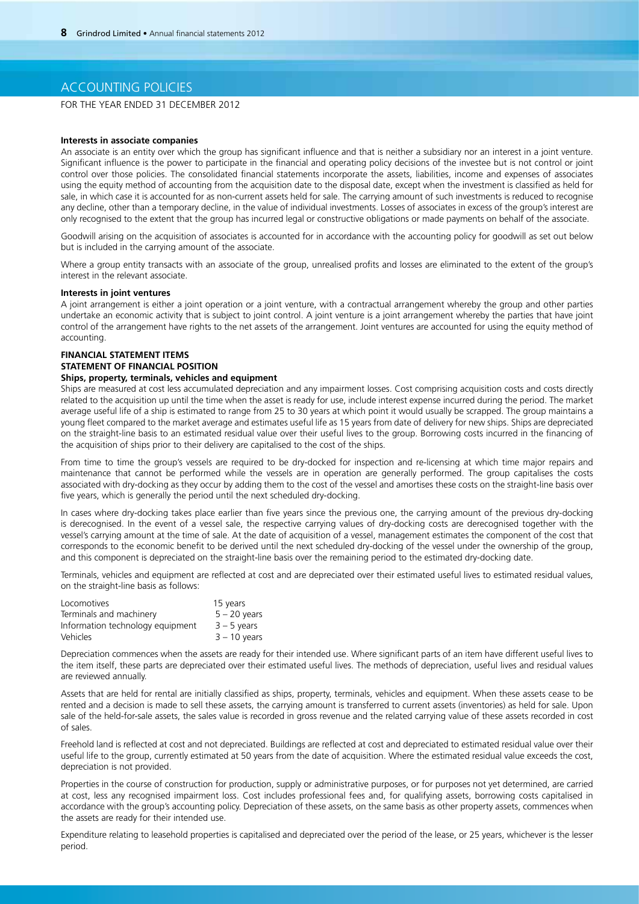## ACCOUNTING POLICIES

FOR THE YEAR ENDED 31 DECEMBER 2012

#### **Interests in associate companies**

An associate is an entity over which the group has significant influence and that is neither a subsidiary nor an interest in a joint venture. Significant influence is the power to participate in the financial and operating policy decisions of the investee but is not control or joint control over those policies. The consolidated financial statements incorporate the assets, liabilities, income and expenses of associates using the equity method of accounting from the acquisition date to the disposal date, except when the investment is classified as held for sale, in which case it is accounted for as non-current assets held for sale. The carrying amount of such investments is reduced to recognise any decline, other than a temporary decline, in the value of individual investments. Losses of associates in excess of the group's interest are only recognised to the extent that the group has incurred legal or constructive obligations or made payments on behalf of the associate.

Goodwill arising on the acquisition of associates is accounted for in accordance with the accounting policy for goodwill as set out below but is included in the carrying amount of the associate.

Where a group entity transacts with an associate of the group, unrealised profits and losses are eliminated to the extent of the group's interest in the relevant associate.

### **Interests in joint ventures**

A joint arrangement is either a joint operation or a joint venture, with a contractual arrangement whereby the group and other parties undertake an economic activity that is subject to joint control. A joint venture is a joint arrangement whereby the parties that have joint control of the arrangement have rights to the net assets of the arrangement. Joint ventures are accounted for using the equity method of accounting.

## **FINANCIAL STATEMENT ITEMS STATEMENT OF FINANCIAL POSITION**

## **Ships, property, terminals, vehicles and equipment**

Ships are measured at cost less accumulated depreciation and any impairment losses. Cost comprising acquisition costs and costs directly related to the acquisition up until the time when the asset is ready for use, include interest expense incurred during the period. The market average useful life of a ship is estimated to range from 25 to 30 years at which point it would usually be scrapped. The group maintains a young fleet compared to the market average and estimates useful life as 15 years from date of delivery for new ships. Ships are depreciated on the straight-line basis to an estimated residual value over their useful lives to the group. Borrowing costs incurred in the financing of the acquisition of ships prior to their delivery are capitalised to the cost of the ships.

From time to time the group's vessels are required to be dry-docked for inspection and re-licensing at which time major repairs and maintenance that cannot be performed while the vessels are in operation are generally performed. The group capitalises the costs associated with dry-docking as they occur by adding them to the cost of the vessel and amortises these costs on the straight-line basis over five years, which is generally the period until the next scheduled dry-docking.

In cases where dry-docking takes place earlier than five years since the previous one, the carrying amount of the previous dry-docking is derecognised. In the event of a vessel sale, the respective carrying values of dry-docking costs are derecognised together with the vessel's carrying amount at the time of sale. At the date of acquisition of a vessel, management estimates the component of the cost that corresponds to the economic benefit to be derived until the next scheduled dry-docking of the vessel under the ownership of the group, and this component is depreciated on the straight-line basis over the remaining period to the estimated dry-docking date.

Terminals, vehicles and equipment are reflected at cost and are depreciated over their estimated useful lives to estimated residual values, on the straight-line basis as follows:

| Locomotives                      | 15 years       |
|----------------------------------|----------------|
| Terminals and machinery          | $5 - 20$ years |
| Information technology equipment | $3 - 5$ years  |
| Vehicles                         | $3 - 10$ years |

Depreciation commences when the assets are ready for their intended use. Where significant parts of an item have different useful lives to the item itself, these parts are depreciated over their estimated useful lives. The methods of depreciation, useful lives and residual values are reviewed annually.

Assets that are held for rental are initially classified as ships, property, terminals, vehicles and equipment. When these assets cease to be rented and a decision is made to sell these assets, the carrying amount is transferred to current assets (inventories) as held for sale. Upon sale of the held-for-sale assets, the sales value is recorded in gross revenue and the related carrying value of these assets recorded in cost of sales.

Freehold land is reflected at cost and not depreciated. Buildings are reflected at cost and depreciated to estimated residual value over their useful life to the group, currently estimated at 50 years from the date of acquisition. Where the estimated residual value exceeds the cost, depreciation is not provided.

Properties in the course of construction for production, supply or administrative purposes, or for purposes not yet determined, are carried at cost, less any recognised impairment loss. Cost includes professional fees and, for qualifying assets, borrowing costs capitalised in accordance with the group's accounting policy. Depreciation of these assets, on the same basis as other property assets, commences when the assets are ready for their intended use.

Expenditure relating to leasehold properties is capitalised and depreciated over the period of the lease, or 25 years, whichever is the lesser period.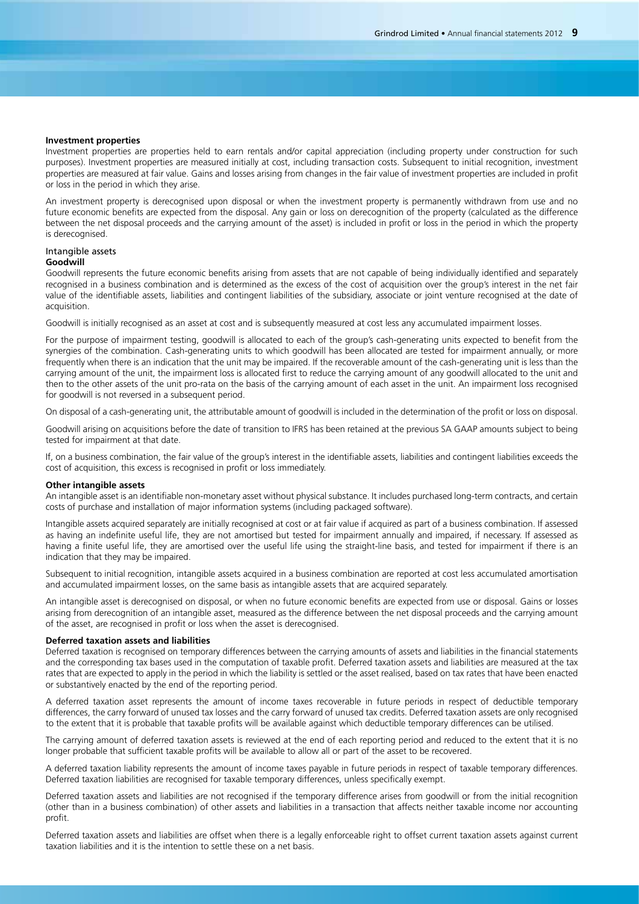#### **Investment properties**

Investment properties are properties held to earn rentals and/or capital appreciation (including property under construction for such purposes). Investment properties are measured initially at cost, including transaction costs. Subsequent to initial recognition, investment properties are measured at fair value. Gains and losses arising from changes in the fair value of investment properties are included in profit or loss in the period in which they arise.

An investment property is derecognised upon disposal or when the investment property is permanently withdrawn from use and no future economic benefits are expected from the disposal. Any gain or loss on derecognition of the property (calculated as the difference between the net disposal proceeds and the carrying amount of the asset) is included in profit or loss in the period in which the property is derecognised.

## Intangible assets

## **Goodwill**

Goodwill represents the future economic benefits arising from assets that are not capable of being individually identified and separately recognised in a business combination and is determined as the excess of the cost of acquisition over the group's interest in the net fair value of the identifiable assets, liabilities and contingent liabilities of the subsidiary, associate or joint venture recognised at the date of acquisition.

Goodwill is initially recognised as an asset at cost and is subsequently measured at cost less any accumulated impairment losses.

For the purpose of impairment testing, goodwill is allocated to each of the group's cash-generating units expected to benefit from the synergies of the combination. Cash-generating units to which goodwill has been allocated are tested for impairment annually, or more frequently when there is an indication that the unit may be impaired. If the recoverable amount of the cash-generating unit is less than the carrying amount of the unit, the impairment loss is allocated first to reduce the carrying amount of any goodwill allocated to the unit and then to the other assets of the unit pro-rata on the basis of the carrying amount of each asset in the unit. An impairment loss recognised for goodwill is not reversed in a subsequent period.

On disposal of a cash-generating unit, the attributable amount of goodwill is included in the determination of the profit or loss on disposal.

Goodwill arising on acquisitions before the date of transition to IFRS has been retained at the previous SA GAAP amounts subject to being tested for impairment at that date.

If, on a business combination, the fair value of the group's interest in the identifiable assets, liabilities and contingent liabilities exceeds the cost of acquisition, this excess is recognised in profit or loss immediately.

## **Other intangible assets**

An intangible asset is an identifiable non-monetary asset without physical substance. It includes purchased long-term contracts, and certain costs of purchase and installation of major information systems (including packaged software).

Intangible assets acquired separately are initially recognised at cost or at fair value if acquired as part of a business combination. If assessed as having an indefinite useful life, they are not amortised but tested for impairment annually and impaired, if necessary. If assessed as having a finite useful life, they are amortised over the useful life using the straight-line basis, and tested for impairment if there is an indication that they may be impaired.

Subsequent to initial recognition, intangible assets acquired in a business combination are reported at cost less accumulated amortisation and accumulated impairment losses, on the same basis as intangible assets that are acquired separately.

An intangible asset is derecognised on disposal, or when no future economic benefits are expected from use or disposal. Gains or losses arising from derecognition of an intangible asset, measured as the difference between the net disposal proceeds and the carrying amount of the asset, are recognised in profit or loss when the asset is derecognised.

### **Deferred taxation assets and liabilities**

Deferred taxation is recognised on temporary differences between the carrying amounts of assets and liabilities in the financial statements and the corresponding tax bases used in the computation of taxable profit. Deferred taxation assets and liabilities are measured at the tax rates that are expected to apply in the period in which the liability is settled or the asset realised, based on tax rates that have been enacted or substantively enacted by the end of the reporting period.

A deferred taxation asset represents the amount of income taxes recoverable in future periods in respect of deductible temporary differences, the carry forward of unused tax losses and the carry forward of unused tax credits. Deferred taxation assets are only recognised to the extent that it is probable that taxable profits will be available against which deductible temporary differences can be utilised.

The carrying amount of deferred taxation assets is reviewed at the end of each reporting period and reduced to the extent that it is no longer probable that sufficient taxable profits will be available to allow all or part of the asset to be recovered.

A deferred taxation liability represents the amount of income taxes payable in future periods in respect of taxable temporary differences. Deferred taxation liabilities are recognised for taxable temporary differences, unless specifically exempt.

Deferred taxation assets and liabilities are not recognised if the temporary difference arises from goodwill or from the initial recognition (other than in a business combination) of other assets and liabilities in a transaction that affects neither taxable income nor accounting profit.

Deferred taxation assets and liabilities are offset when there is a legally enforceable right to offset current taxation assets against current taxation liabilities and it is the intention to settle these on a net basis.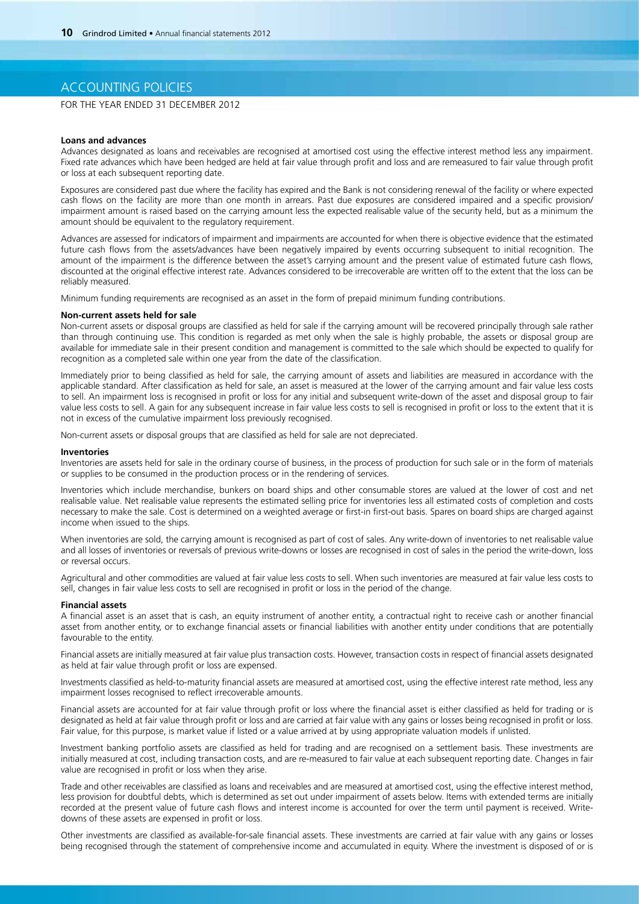## ACCOUNTING POLICIES

FOR THE YEAR ENDED 31 DECEMBER 2012

#### **Loans and advances**

Advances designated as loans and receivables are recognised at amortised cost using the effective interest method less any impairment. Fixed rate advances which have been hedged are held at fair value through profit and loss and are remeasured to fair value through profit or loss at each subsequent reporting date.

Exposures are considered past due where the facility has expired and the Bank is not considering renewal of the facility or where expected cash flows on the facility are more than one month in arrears. Past due exposures are considered impaired and a specific provision/ impairment amount is raised based on the carrying amount less the expected realisable value of the security held, but as a minimum the amount should be equivalent to the regulatory requirement.

Advances are assessed for indicators of impairment and impairments are accounted for when there is objective evidence that the estimated future cash flows from the assets/advances have been negatively impaired by events occurring subsequent to initial recognition. The amount of the impairment is the difference between the asset's carrying amount and the present value of estimated future cash flows, discounted at the original effective interest rate. Advances considered to be irrecoverable are written off to the extent that the loss can be reliably measured.

Minimum funding requirements are recognised as an asset in the form of prepaid minimum funding contributions.

### **Non-current assets held for sale**

Non-current assets or disposal groups are classified as held for sale if the carrying amount will be recovered principally through sale rather than through continuing use. This condition is regarded as met only when the sale is highly probable, the assets or disposal group are available for immediate sale in their present condition and management is committed to the sale which should be expected to qualify for recognition as a completed sale within one year from the date of the classification.

Immediately prior to being classified as held for sale, the carrying amount of assets and liabilities are measured in accordance with the applicable standard. After classification as held for sale, an asset is measured at the lower of the carrying amount and fair value less costs to sell. An impairment loss is recognised in profit or loss for any initial and subsequent write-down of the asset and disposal group to fair value less costs to sell. A gain for any subsequent increase in fair value less costs to sell is recognised in profit or loss to the extent that it is not in excess of the cumulative impairment loss previously recognised.

Non-current assets or disposal groups that are classified as held for sale are not depreciated.

#### **Inventories**

Inventories are assets held for sale in the ordinary course of business, in the process of production for such sale or in the form of materials or supplies to be consumed in the production process or in the rendering of services.

Inventories which include merchandise, bunkers on board ships and other consumable stores are valued at the lower of cost and net realisable value. Net realisable value represents the estimated selling price for inventories less all estimated costs of completion and costs necessary to make the sale. Cost is determined on a weighted average or first-in first-out basis. Spares on board ships are charged against income when issued to the ships.

When inventories are sold, the carrying amount is recognised as part of cost of sales. Any write-down of inventories to net realisable value and all losses of inventories or reversals of previous write-downs or losses are recognised in cost of sales in the period the write-down, loss or reversal occurs.

Agricultural and other commodities are valued at fair value less costs to sell. When such inventories are measured at fair value less costs to sell, changes in fair value less costs to sell are recognised in profit or loss in the period of the change.

#### **Financial assets**

A financial asset is an asset that is cash, an equity instrument of another entity, a contractual right to receive cash or another financial asset from another entity, or to exchange financial assets or financial liabilities with another entity under conditions that are potentially favourable to the entity.

Financial assets are initially measured at fair value plus transaction costs. However, transaction costs in respect of financial assets designated as held at fair value through profit or loss are expensed.

Investments classified as held-to-maturity financial assets are measured at amortised cost, using the effective interest rate method, less any impairment losses recognised to reflect irrecoverable amounts.

Financial assets are accounted for at fair value through profit or loss where the financial asset is either classified as held for trading or is designated as held at fair value through profit or loss and are carried at fair value with any gains or losses being recognised in profit or loss. Fair value, for this purpose, is market value if listed or a value arrived at by using appropriate valuation models if unlisted.

Investment banking portfolio assets are classified as held for trading and are recognised on a settlement basis. These investments are initially measured at cost, including transaction costs, and are re-measured to fair value at each subsequent reporting date. Changes in fair value are recognised in profit or loss when they arise.

Trade and other receivables are classified as loans and receivables and are measured at amortised cost, using the effective interest method, less provision for doubtful debts, which is determined as set out under impairment of assets below. Items with extended terms are initially recorded at the present value of future cash flows and interest income is accounted for over the term until payment is received. Writedowns of these assets are expensed in profit or loss.

Other investments are classified as available-for-sale financial assets. These investments are carried at fair value with any gains or losses being recognised through the statement of comprehensive income and accumulated in equity. Where the investment is disposed of or is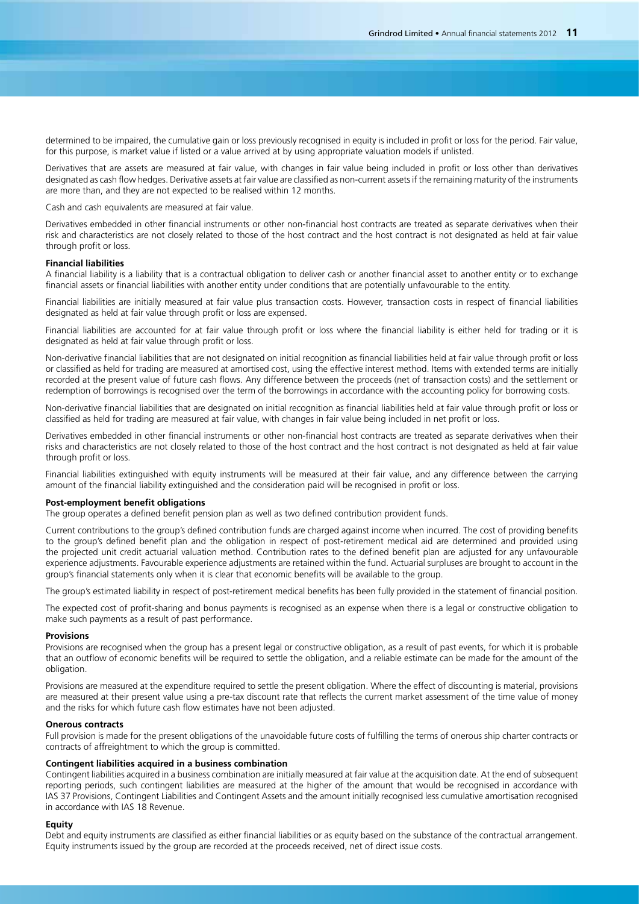determined to be impaired, the cumulative gain or loss previously recognised in equity is included in profit or loss for the period. Fair value, for this purpose, is market value if listed or a value arrived at by using appropriate valuation models if unlisted.

Derivatives that are assets are measured at fair value, with changes in fair value being included in profit or loss other than derivatives designated as cash flow hedges. Derivative assets at fair value are classified as non-current assets if the remaining maturity of the instruments are more than, and they are not expected to be realised within 12 months.

Cash and cash equivalents are measured at fair value.

Derivatives embedded in other financial instruments or other non-financial host contracts are treated as separate derivatives when their risk and characteristics are not closely related to those of the host contract and the host contract is not designated as held at fair value through profit or loss.

### **Financial liabilities**

A financial liability is a liability that is a contractual obligation to deliver cash or another financial asset to another entity or to exchange financial assets or financial liabilities with another entity under conditions that are potentially unfavourable to the entity.

Financial liabilities are initially measured at fair value plus transaction costs. However, transaction costs in respect of financial liabilities designated as held at fair value through profit or loss are expensed.

Financial liabilities are accounted for at fair value through profit or loss where the financial liability is either held for trading or it is designated as held at fair value through profit or loss.

Non-derivative financial liabilities that are not designated on initial recognition as financial liabilities held at fair value through profit or loss or classified as held for trading are measured at amortised cost, using the effective interest method. Items with extended terms are initially recorded at the present value of future cash flows. Any difference between the proceeds (net of transaction costs) and the settlement or redemption of borrowings is recognised over the term of the borrowings in accordance with the accounting policy for borrowing costs.

Non-derivative financial liabilities that are designated on initial recognition as financial liabilities held at fair value through profit or loss or classified as held for trading are measured at fair value, with changes in fair value being included in net profit or loss.

Derivatives embedded in other financial instruments or other non-financial host contracts are treated as separate derivatives when their risks and characteristics are not closely related to those of the host contract and the host contract is not designated as held at fair value through profit or loss.

Financial liabilities extinguished with equity instruments will be measured at their fair value, and any difference between the carrying amount of the financial liability extinguished and the consideration paid will be recognised in profit or loss.

### **Post-employment benefit obligations**

The group operates a defined benefit pension plan as well as two defined contribution provident funds.

Current contributions to the group's defined contribution funds are charged against income when incurred. The cost of providing benefits to the group's defined benefit plan and the obligation in respect of post-retirement medical aid are determined and provided using the projected unit credit actuarial valuation method. Contribution rates to the defined benefit plan are adjusted for any unfavourable experience adjustments. Favourable experience adjustments are retained within the fund. Actuarial surpluses are brought to account in the group's financial statements only when it is clear that economic benefits will be available to the group.

The group's estimated liability in respect of post-retirement medical benefits has been fully provided in the statement of financial position.

The expected cost of profit-sharing and bonus payments is recognised as an expense when there is a legal or constructive obligation to make such payments as a result of past performance.

#### **Provisions**

Provisions are recognised when the group has a present legal or constructive obligation, as a result of past events, for which it is probable that an outflow of economic benefits will be required to settle the obligation, and a reliable estimate can be made for the amount of the obligation.

Provisions are measured at the expenditure required to settle the present obligation. Where the effect of discounting is material, provisions are measured at their present value using a pre-tax discount rate that reflects the current market assessment of the time value of money and the risks for which future cash flow estimates have not been adjusted.

### **Onerous contracts**

Full provision is made for the present obligations of the unavoidable future costs of fulfilling the terms of onerous ship charter contracts or contracts of affreightment to which the group is committed.

## **Contingent liabilities acquired in a business combination**

Contingent liabilities acquired in a business combination are initially measured at fair value at the acquisition date. At the end of subsequent reporting periods, such contingent liabilities are measured at the higher of the amount that would be recognised in accordance with IAS 37 Provisions, Contingent Liabilities and Contingent Assets and the amount initially recognised less cumulative amortisation recognised in accordance with IAS 18 Revenue.

### **Equity**

Debt and equity instruments are classified as either financial liabilities or as equity based on the substance of the contractual arrangement. Equity instruments issued by the group are recorded at the proceeds received, net of direct issue costs.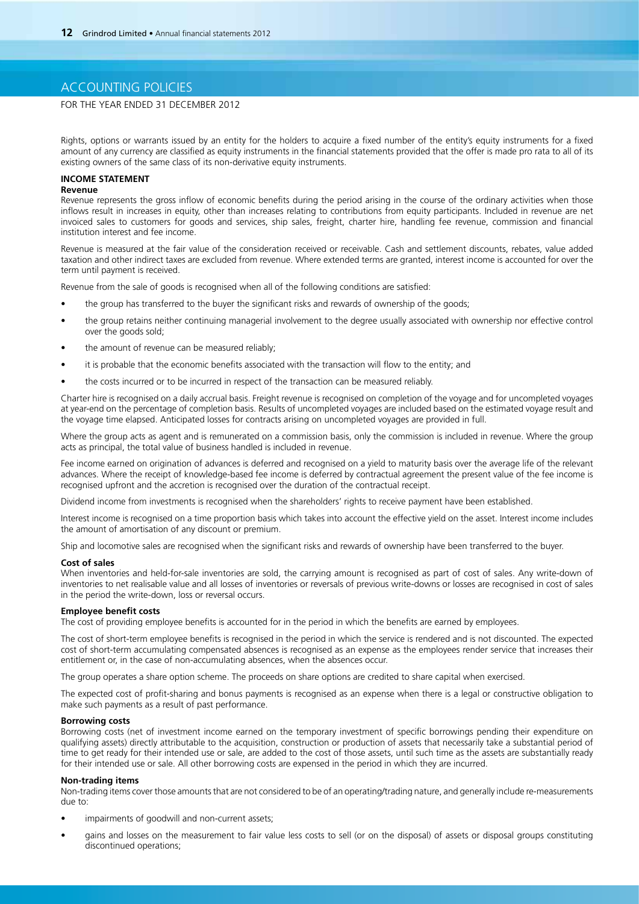## ACCOUNTING POLICIES

## FOR THE YEAR ENDED 31 DECEMBER 2012

Rights, options or warrants issued by an entity for the holders to acquire a fixed number of the entity's equity instruments for a fixed amount of any currency are classified as equity instruments in the financial statements provided that the offer is made pro rata to all of its existing owners of the same class of its non-derivative equity instruments.

## **INCOME STATEMENT**

### **Revenue**

Revenue represents the gross inflow of economic benefits during the period arising in the course of the ordinary activities when those inflows result in increases in equity, other than increases relating to contributions from equity participants. Included in revenue are net invoiced sales to customers for goods and services, ship sales, freight, charter hire, handling fee revenue, commission and financial institution interest and fee income.

Revenue is measured at the fair value of the consideration received or receivable. Cash and settlement discounts, rebates, value added taxation and other indirect taxes are excluded from revenue. Where extended terms are granted, interest income is accounted for over the term until payment is received.

Revenue from the sale of goods is recognised when all of the following conditions are satisfied:

- the group has transferred to the buyer the significant risks and rewards of ownership of the goods;
- the group retains neither continuing managerial involvement to the degree usually associated with ownership nor effective control over the goods sold;
- the amount of revenue can be measured reliably:
- it is probable that the economic benefits associated with the transaction will flow to the entity; and
- the costs incurred or to be incurred in respect of the transaction can be measured reliably.

Charter hire is recognised on a daily accrual basis. Freight revenue is recognised on completion of the voyage and for uncompleted voyages at year-end on the percentage of completion basis. Results of uncompleted voyages are included based on the estimated voyage result and the voyage time elapsed. Anticipated losses for contracts arising on uncompleted voyages are provided in full.

Where the group acts as agent and is remunerated on a commission basis, only the commission is included in revenue. Where the group acts as principal, the total value of business handled is included in revenue.

Fee income earned on origination of advances is deferred and recognised on a yield to maturity basis over the average life of the relevant advances. Where the receipt of knowledge-based fee income is deferred by contractual agreement the present value of the fee income is recognised upfront and the accretion is recognised over the duration of the contractual receipt.

Dividend income from investments is recognised when the shareholders' rights to receive payment have been established.

Interest income is recognised on a time proportion basis which takes into account the effective yield on the asset. Interest income includes the amount of amortisation of any discount or premium.

Ship and locomotive sales are recognised when the significant risks and rewards of ownership have been transferred to the buyer.

#### **Cost of sales**

When inventories and held-for-sale inventories are sold, the carrying amount is recognised as part of cost of sales. Any write-down of inventories to net realisable value and all losses of inventories or reversals of previous write-downs or losses are recognised in cost of sales in the period the write-down, loss or reversal occurs.

### **Employee benefit costs**

The cost of providing employee benefits is accounted for in the period in which the benefits are earned by employees.

The cost of short-term employee benefits is recognised in the period in which the service is rendered and is not discounted. The expected cost of short-term accumulating compensated absences is recognised as an expense as the employees render service that increases their entitlement or, in the case of non-accumulating absences, when the absences occur.

The group operates a share option scheme. The proceeds on share options are credited to share capital when exercised.

The expected cost of profit-sharing and bonus payments is recognised as an expense when there is a legal or constructive obligation to make such payments as a result of past performance.

### **Borrowing costs**

Borrowing costs (net of investment income earned on the temporary investment of specific borrowings pending their expenditure on qualifying assets) directly attributable to the acquisition, construction or production of assets that necessarily take a substantial period of time to get ready for their intended use or sale, are added to the cost of those assets, until such time as the assets are substantially ready for their intended use or sale. All other borrowing costs are expensed in the period in which they are incurred.

### **Non-trading items**

Non-trading items cover those amounts that are not considered to be of an operating/trading nature, and generally include re-measurements due to:

- impairments of goodwill and non-current assets;
- gains and losses on the measurement to fair value less costs to sell (or on the disposal) of assets or disposal groups constituting discontinued operations;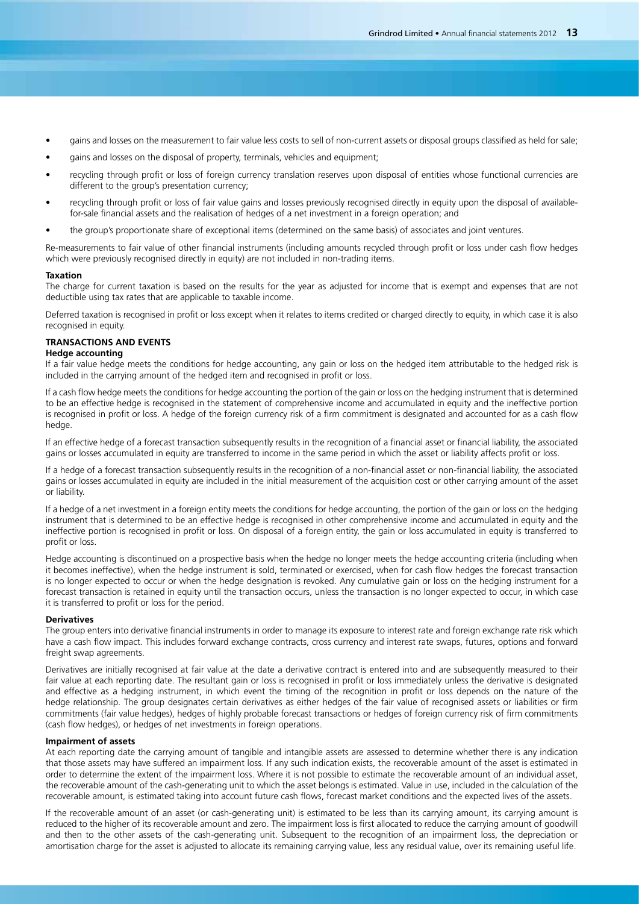- gains and losses on the measurement to fair value less costs to sell of non-current assets or disposal groups classified as held for sale;
- gains and losses on the disposal of property, terminals, vehicles and equipment;
- recycling through profit or loss of foreign currency translation reserves upon disposal of entities whose functional currencies are different to the group's presentation currency;
- recycling through profit or loss of fair value gains and losses previously recognised directly in equity upon the disposal of availablefor-sale financial assets and the realisation of hedges of a net investment in a foreign operation; and
- the group's proportionate share of exceptional items (determined on the same basis) of associates and joint ventures.

Re-measurements to fair value of other financial instruments (including amounts recycled through profit or loss under cash flow hedges which were previously recognised directly in equity) are not included in non-trading items.

### **Taxation**

The charge for current taxation is based on the results for the year as adjusted for income that is exempt and expenses that are not deductible using tax rates that are applicable to taxable income.

Deferred taxation is recognised in profit or loss except when it relates to items credited or charged directly to equity, in which case it is also recognised in equity.

## **TRANSACTIONS AND EVENTS**

### **Hedge accounting**

If a fair value hedge meets the conditions for hedge accounting, any gain or loss on the hedged item attributable to the hedged risk is included in the carrying amount of the hedged item and recognised in profit or loss.

If a cash flow hedge meets the conditions for hedge accounting the portion of the gain or loss on the hedging instrument that is determined to be an effective hedge is recognised in the statement of comprehensive income and accumulated in equity and the ineffective portion is recognised in profit or loss. A hedge of the foreign currency risk of a firm commitment is designated and accounted for as a cash flow hedge.

If an effective hedge of a forecast transaction subsequently results in the recognition of a financial asset or financial liability, the associated gains or losses accumulated in equity are transferred to income in the same period in which the asset or liability affects profit or loss.

If a hedge of a forecast transaction subsequently results in the recognition of a non-financial asset or non-financial liability, the associated gains or losses accumulated in equity are included in the initial measurement of the acquisition cost or other carrying amount of the asset or liability.

If a hedge of a net investment in a foreign entity meets the conditions for hedge accounting, the portion of the gain or loss on the hedging instrument that is determined to be an effective hedge is recognised in other comprehensive income and accumulated in equity and the ineffective portion is recognised in profit or loss. On disposal of a foreign entity, the gain or loss accumulated in equity is transferred to profit or loss.

Hedge accounting is discontinued on a prospective basis when the hedge no longer meets the hedge accounting criteria (including when it becomes ineffective), when the hedge instrument is sold, terminated or exercised, when for cash flow hedges the forecast transaction is no longer expected to occur or when the hedge designation is revoked. Any cumulative gain or loss on the hedging instrument for a forecast transaction is retained in equity until the transaction occurs, unless the transaction is no longer expected to occur, in which case it is transferred to profit or loss for the period.

### **Derivatives**

The group enters into derivative financial instruments in order to manage its exposure to interest rate and foreign exchange rate risk which have a cash flow impact. This includes forward exchange contracts, cross currency and interest rate swaps, futures, options and forward freight swap agreements.

Derivatives are initially recognised at fair value at the date a derivative contract is entered into and are subsequently measured to their fair value at each reporting date. The resultant gain or loss is recognised in profit or loss immediately unless the derivative is designated and effective as a hedging instrument, in which event the timing of the recognition in profit or loss depends on the nature of the hedge relationship. The group designates certain derivatives as either hedges of the fair value of recognised assets or liabilities or firm commitments (fair value hedges), hedges of highly probable forecast transactions or hedges of foreign currency risk of firm commitments (cash flow hedges), or hedges of net investments in foreign operations.

#### **Impairment of assets**

At each reporting date the carrying amount of tangible and intangible assets are assessed to determine whether there is any indication that those assets may have suffered an impairment loss. If any such indication exists, the recoverable amount of the asset is estimated in order to determine the extent of the impairment loss. Where it is not possible to estimate the recoverable amount of an individual asset, the recoverable amount of the cash-generating unit to which the asset belongs is estimated. Value in use, included in the calculation of the recoverable amount, is estimated taking into account future cash flows, forecast market conditions and the expected lives of the assets.

If the recoverable amount of an asset (or cash-generating unit) is estimated to be less than its carrying amount, its carrying amount is reduced to the higher of its recoverable amount and zero. The impairment loss is first allocated to reduce the carrying amount of goodwill and then to the other assets of the cash-generating unit. Subsequent to the recognition of an impairment loss, the depreciation or amortisation charge for the asset is adjusted to allocate its remaining carrying value, less any residual value, over its remaining useful life.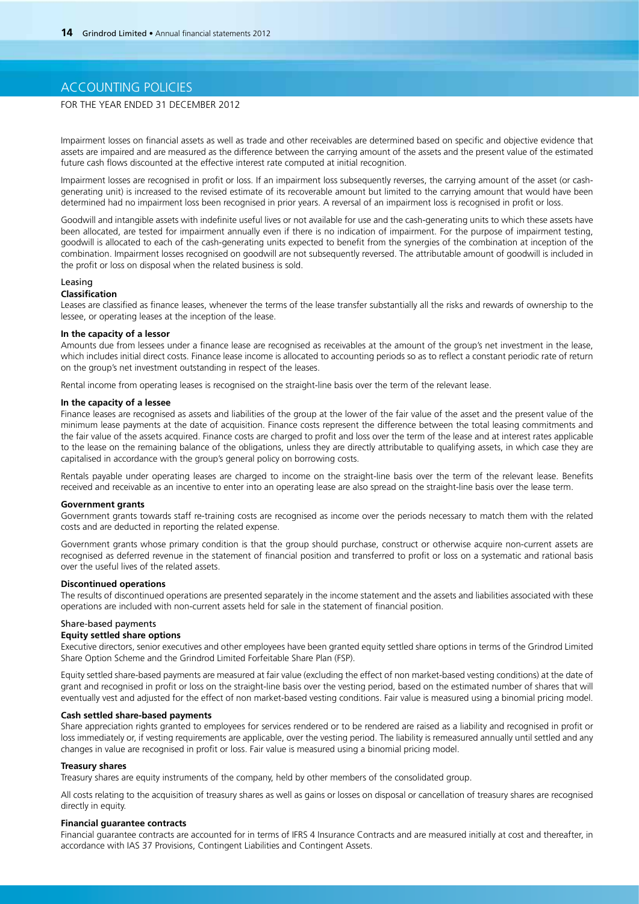## ACCOUNTING POLICIES

## FOR THE YEAR ENDED 31 DECEMBER 2012

Impairment losses on financial assets as well as trade and other receivables are determined based on specific and objective evidence that assets are impaired and are measured as the difference between the carrying amount of the assets and the present value of the estimated future cash flows discounted at the effective interest rate computed at initial recognition.

Impairment losses are recognised in profit or loss. If an impairment loss subsequently reverses, the carrying amount of the asset (or cashgenerating unit) is increased to the revised estimate of its recoverable amount but limited to the carrying amount that would have been determined had no impairment loss been recognised in prior years. A reversal of an impairment loss is recognised in profit or loss.

Goodwill and intangible assets with indefinite useful lives or not available for use and the cash-generating units to which these assets have been allocated, are tested for impairment annually even if there is no indication of impairment. For the purpose of impairment testing, goodwill is allocated to each of the cash-generating units expected to benefit from the synergies of the combination at inception of the combination. Impairment losses recognised on goodwill are not subsequently reversed. The attributable amount of goodwill is included in the profit or loss on disposal when the related business is sold.

## Leasing

## **Classification**

Leases are classified as finance leases, whenever the terms of the lease transfer substantially all the risks and rewards of ownership to the lessee, or operating leases at the inception of the lease.

### **In the capacity of a lessor**

Amounts due from lessees under a finance lease are recognised as receivables at the amount of the group's net investment in the lease, which includes initial direct costs. Finance lease income is allocated to accounting periods so as to reflect a constant periodic rate of return on the group's net investment outstanding in respect of the leases.

Rental income from operating leases is recognised on the straight-line basis over the term of the relevant lease.

### **In the capacity of a lessee**

Finance leases are recognised as assets and liabilities of the group at the lower of the fair value of the asset and the present value of the minimum lease payments at the date of acquisition. Finance costs represent the difference between the total leasing commitments and the fair value of the assets acquired. Finance costs are charged to profit and loss over the term of the lease and at interest rates applicable to the lease on the remaining balance of the obligations, unless they are directly attributable to qualifying assets, in which case they are capitalised in accordance with the group's general policy on borrowing costs.

Rentals payable under operating leases are charged to income on the straight-line basis over the term of the relevant lease. Benefits received and receivable as an incentive to enter into an operating lease are also spread on the straight-line basis over the lease term.

## **Government grants**

Government grants towards staff re-training costs are recognised as income over the periods necessary to match them with the related costs and are deducted in reporting the related expense.

Government grants whose primary condition is that the group should purchase, construct or otherwise acquire non-current assets are recognised as deferred revenue in the statement of financial position and transferred to profit or loss on a systematic and rational basis over the useful lives of the related assets.

## **Discontinued operations**

The results of discontinued operations are presented separately in the income statement and the assets and liabilities associated with these operations are included with non-current assets held for sale in the statement of financial position.

### Share-based payments

### **Equity settled share options**

Executive directors, senior executives and other employees have been granted equity settled share options in terms of the Grindrod Limited Share Option Scheme and the Grindrod Limited Forfeitable Share Plan (FSP).

Equity settled share-based payments are measured at fair value (excluding the effect of non market-based vesting conditions) at the date of grant and recognised in profit or loss on the straight-line basis over the vesting period, based on the estimated number of shares that will eventually vest and adjusted for the effect of non market-based vesting conditions. Fair value is measured using a binomial pricing model.

### **Cash settled share-based payments**

Share appreciation rights granted to employees for services rendered or to be rendered are raised as a liability and recognised in profit or loss immediately or, if vesting requirements are applicable, over the vesting period. The liability is remeasured annually until settled and any changes in value are recognised in profit or loss. Fair value is measured using a binomial pricing model.

### **Treasury shares**

Treasury shares are equity instruments of the company, held by other members of the consolidated group.

All costs relating to the acquisition of treasury shares as well as gains or losses on disposal or cancellation of treasury shares are recognised directly in equity.

### **Financial guarantee contracts**

Financial guarantee contracts are accounted for in terms of IFRS 4 Insurance Contracts and are measured initially at cost and thereafter, in accordance with IAS 37 Provisions, Contingent Liabilities and Contingent Assets.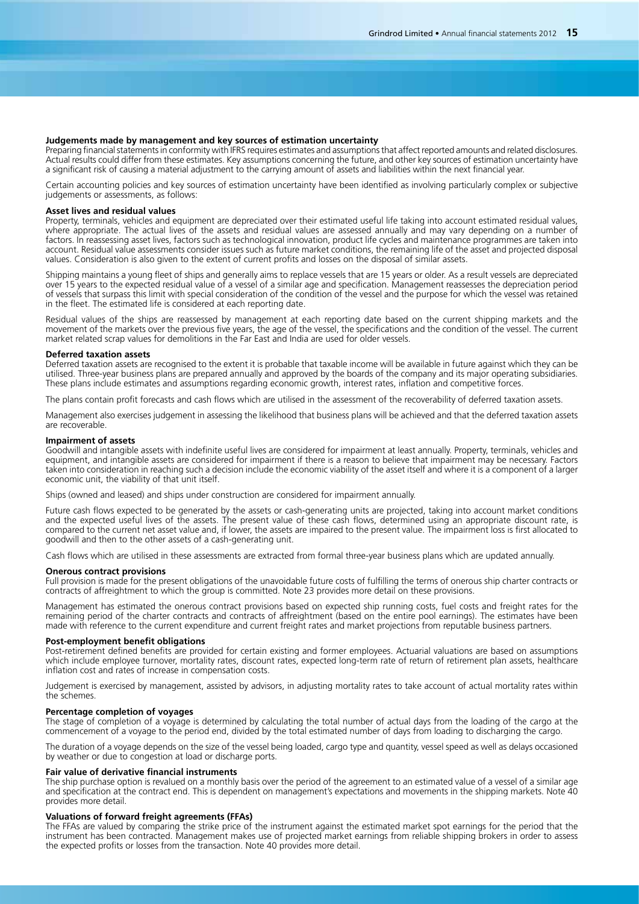### **Judgements made by management and key sources of estimation uncertainty**

Preparing financial statements in conformity with IFRS requires estimates and assumptions that affect reported amounts and related disclosures. Actual results could differ from these estimates. Key assumptions concerning the future, and other key sources of estimation uncertainty have a significant risk of causing a material adjustment to the carrying amount of assets and liabilities within the next financial year.

Certain accounting policies and key sources of estimation uncertainty have been identified as involving particularly complex or subjective judgements or assessments, as follows:

### **Asset lives and residual values**

Property, terminals, vehicles and equipment are depreciated over their estimated useful life taking into account estimated residual values, where appropriate. The actual lives of the assets and residual values are assessed annually and may vary depending on a number of factors. In reassessing asset lives, factors such as technological innovation, product life cycles and maintenance programmes are taken into account. Residual value assessments consider issues such as future market conditions, the remaining life of the asset and projected disposal values. Consideration is also given to the extent of current profits and losses on the disposal of similar assets.

Shipping maintains a young fleet of ships and generally aims to replace vessels that are 15 years or older. As a result vessels are depreciated over 15 years to the expected residual value of a vessel of a similar age and specification. Management reassesses the depreciation period of vessels that surpass this limit with special consideration of the condition of the vessel and the purpose for which the vessel was retained in the fleet. The estimated life is considered at each reporting date.

Residual values of the ships are reassessed by management at each reporting date based on the current shipping markets and the movement of the markets over the previous five years, the age of the vessel, the specifications and the condition of the vessel. The current market related scrap values for demolitions in the Far East and India are used for older vessels.

#### **Deferred taxation assets**

Deferred taxation assets are recognised to the extent it is probable that taxable income will be available in future against which they can be utilised. Three-year business plans are prepared annually and approved by the boards of the company and its major operating subsidiaries. These plans include estimates and assumptions regarding economic growth, interest rates, inflation and competitive forces.

The plans contain profit forecasts and cash flows which are utilised in the assessment of the recoverability of deferred taxation assets.

Management also exercises judgement in assessing the likelihood that business plans will be achieved and that the deferred taxation assets are recoverable.

### **Impairment of assets**

Goodwill and intangible assets with indefinite useful lives are considered for impairment at least annually. Property, terminals, vehicles and equipment, and intangible assets are considered for impairment if there is a reason to believe that impairment may be necessary. Factors taken into consideration in reaching such a decision include the economic viability of the asset itself and where it is a component of a larger economic unit, the viability of that unit itself.

Ships (owned and leased) and ships under construction are considered for impairment annually.

Future cash flows expected to be generated by the assets or cash-generating units are projected, taking into account market conditions and the expected useful lives of the assets. The present value of these cash flows, determined using an appropriate discount rate, is compared to the current net asset value and, if lower, the assets are impaired to the present value. The impairment loss is first allocated to goodwill and then to the other assets of a cash-generating unit.

Cash flows which are utilised in these assessments are extracted from formal three-year business plans which are updated annually.

#### **Onerous contract provisions**

Full provision is made for the present obligations of the unavoidable future costs of fulfilling the terms of onerous ship charter contracts or contracts of affreightment to which the group is committed. Note 23 provides more detail on these provisions.

Management has estimated the onerous contract provisions based on expected ship running costs, fuel costs and freight rates for the remaining period of the charter contracts and contracts of affreightment (based on the entire pool earnings). The estimates have been made with reference to the current expenditure and current freight rates and market projections from reputable business partners.

### **Post-employment benefit obligations**

Post-retirement defined benefits are provided for certain existing and former employees. Actuarial valuations are based on assumptions which include employee turnover, mortality rates, discount rates, expected long-term rate of return of retirement plan assets, healthcare inflation cost and rates of increase in compensation costs.

Judgement is exercised by management, assisted by advisors, in adjusting mortality rates to take account of actual mortality rates within the schemes.

### **Percentage completion of voyages**

The stage of completion of a voyage is determined by calculating the total number of actual days from the loading of the cargo at the commencement of a voyage to the period end, divided by the total estimated number of days from loading to discharging the cargo.

The duration of a voyage depends on the size of the vessel being loaded, cargo type and quantity, vessel speed as well as delays occasioned by weather or due to congestion at load or discharge ports.

#### **Fair value of derivative financial instruments**

The ship purchase option is revalued on a monthly basis over the period of the agreement to an estimated value of a vessel of a similar age and specification at the contract end. This is dependent on management's expectations and movements in the shipping markets. Note 40 provides more detail.

### **Valuations of forward freight agreements (FFAs)**

The FFAs are valued by comparing the strike price of the instrument against the estimated market spot earnings for the period that the instrument has been contracted. Management makes use of projected market earnings from reliable shipping brokers in order to assess the expected profits or losses from the transaction. Note 40 provides more detail.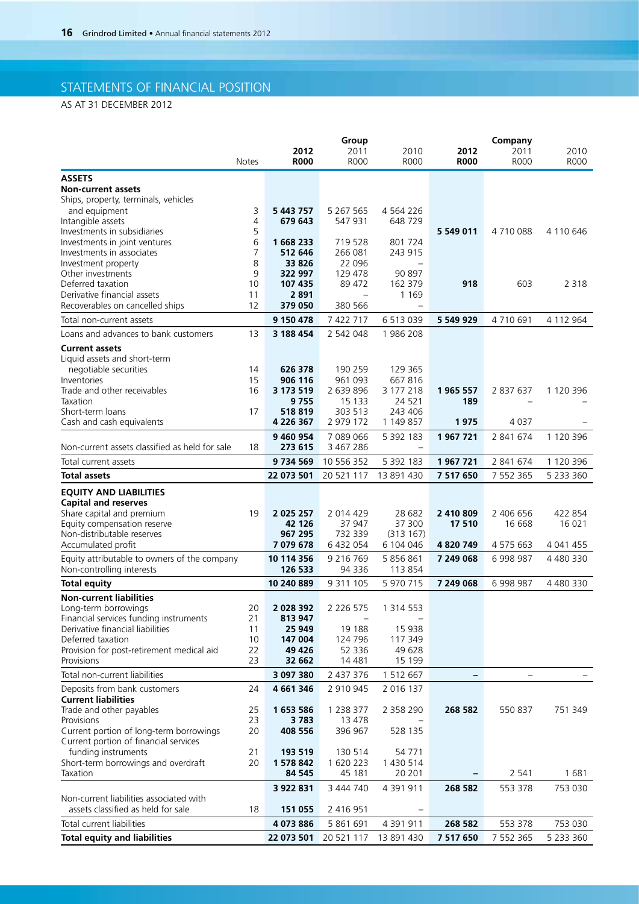# STATEMENTS OF FINANCIAL POSITION

AS AT 31 DECEMBER 2012

| 2011<br>2010<br><b>R000</b><br><b>R000</b><br><b>R000</b><br><b>R000</b><br><b>R000</b><br>R000<br><b>Notes</b><br><b>ASSETS</b><br><b>Non-current assets</b><br>Ships, property, terminals, vehicles<br>5 267 565<br>and equipment<br>3<br>5 443 757<br>4 5 6 4 2 2 6<br>Intangible assets<br>4<br>679 643<br>547 931<br>648 729<br>5<br>Investments in subsidiaries<br>5 549 011<br>4710088<br>4 110 646<br>6<br>1 668 233<br>719 528<br>801 724<br>Investments in joint ventures<br>7<br>266 081<br>243 915<br>Investments in associates<br>512 646<br>8<br>33 826<br>22 096<br>Investment property<br>9<br>129 478<br>Other investments<br>322 997<br>90 897<br>Deferred taxation<br>10<br>89 472<br>918<br>107 435<br>162 379<br>603<br>2 3 1 8<br>2891<br>Derivative financial assets<br>11<br>1 1 6 9<br>$\overline{\phantom{0}}$<br>12<br>379 050<br>380 566<br>Recoverables on cancelled ships<br>-<br>7 422 717<br>6 513 039<br>4710691<br>9 150 478<br>5 549 929<br>4 112 964<br>Total non-current assets<br>Loans and advances to bank customers<br>13<br>3 188 454<br>2 542 048<br>1986 208<br><b>Current assets</b><br>Liquid assets and short-term<br>626 378<br>190 259<br>129 365<br>negotiable securities<br>14<br>15<br>906 116<br>961 093<br>667816<br>Inventories<br>16<br>3 173 519<br>2 639 896<br>1 965 557<br>Trade and other receivables<br>3 177 218<br>2 837 637<br>1 120 396<br>15 133<br>24 5 21<br>189<br>Taxation<br>9755<br>Short-term loans<br>518 819<br>303 513<br>17<br>243 406<br>Cash and cash equivalents<br>4 226 367<br>2 979 172<br>1 149 857<br>1975<br>4 0 3 7<br>9 460 954<br>7 089 066<br>5 392 183<br>1967721<br>2 841 674<br>1 120 396<br>3 467 286<br>Non-current assets classified as held for sale<br>273 615<br>18<br>$\overline{\phantom{0}}$<br>9734569<br>10 556 352<br>5 392 183<br>1967721<br>2 841 674<br>1 120 396<br>Total current assets<br>20 521 117<br>13 891 430<br>7 517 650<br>7 552 365<br><b>Total assets</b><br>22 073 501<br>5 233 360<br><b>EQUITY AND LIABILITIES</b><br><b>Capital and reserves</b><br>2 014 429<br>2 406 656<br>2 0 2 5 2 5 7<br>28 682<br>2 410 809<br>422 854<br>Share capital and premium<br>19<br>Equity compensation reserve<br>42 126<br>37 300<br>16 0 21<br>37 947<br>17 510<br>16 668<br>Non-distributable reserves<br>967 295<br>732 339<br>(313167)<br>7 079 678<br>6 432 054<br>6 104 046<br>4 820 749<br>4 575 663<br>Accumulated profit<br>4 041 455<br>Equity attributable to owners of the company<br>10 114 356<br>9 2 1 6 7 6 9<br>5 856 861<br>7 249 068<br>6 998 987<br>4 480 330<br>Non-controlling interests<br>126 533<br>94 336<br>113 854<br>9 311 105<br>5 970 715<br>10 240 889<br>7 249 068<br>6 998 987<br>4 480 330<br><b>Total equity</b><br><b>Non-current liabilities</b><br>Long-term borrowings<br>20<br>2 028 392<br>2 2 2 6 5 7 5<br>1 3 1 4 5 5 3<br>21<br>Financial services funding instruments<br>813 947<br>Derivative financial liabilities<br>25 949<br>19 188<br>15 938<br>11<br>Deferred taxation<br>147 004<br>124 796<br>10<br>117 349<br>Provision for post-retirement medical aid<br>22<br>49 4 26<br>52 336<br>49 628<br>23<br>Provisions<br>32 662<br>14 4 81<br>15 199<br>Total non-current liabilities<br>3 097 380<br>2 437 376<br>1 512 667<br>24<br>4 661 346<br>2 910 945<br>2 016 137<br>Deposits from bank customers<br><b>Current liabilities</b><br>Trade and other payables<br>1 2 3 8 3 7 7<br>268 582<br>550 837<br>25<br>1653586<br>2 358 290<br>751 349<br>23<br>3783<br>13 478<br>Provisions<br>Current portion of long-term borrowings<br>408 556<br>396 967<br>20<br>528 135<br>Current portion of financial services<br>funding instruments<br>21<br>193 519<br>130 514<br>54 771<br>20<br>1 578 842<br>1 620 223<br>1 430 514<br>Short-term borrowings and overdraft<br>Taxation<br>2 5 4 1<br>1681<br>84 545<br>45 181<br>20 201<br>3 444 740<br>3 922 831<br>4 391 911<br>268 582<br>553 378<br>753 030<br>Non-current liabilities associated with<br>assets classified as held for sale<br>2 416 951<br>18<br>151 055<br>Total current liabilities<br>5 861 691<br>268 582<br>753 030<br>4 073 886<br>4 391 911<br>553 378<br><b>Total equity and liabilities</b><br>20 521 117<br>5 2 3 3 3 6 0<br>22 073 501<br>13 891 430<br>7 517 650<br>7 552 365 |  |      | Group |      |      | Company |  |
|-------------------------------------------------------------------------------------------------------------------------------------------------------------------------------------------------------------------------------------------------------------------------------------------------------------------------------------------------------------------------------------------------------------------------------------------------------------------------------------------------------------------------------------------------------------------------------------------------------------------------------------------------------------------------------------------------------------------------------------------------------------------------------------------------------------------------------------------------------------------------------------------------------------------------------------------------------------------------------------------------------------------------------------------------------------------------------------------------------------------------------------------------------------------------------------------------------------------------------------------------------------------------------------------------------------------------------------------------------------------------------------------------------------------------------------------------------------------------------------------------------------------------------------------------------------------------------------------------------------------------------------------------------------------------------------------------------------------------------------------------------------------------------------------------------------------------------------------------------------------------------------------------------------------------------------------------------------------------------------------------------------------------------------------------------------------------------------------------------------------------------------------------------------------------------------------------------------------------------------------------------------------------------------------------------------------------------------------------------------------------------------------------------------------------------------------------------------------------------------------------------------------------------------------------------------------------------------------------------------------------------------------------------------------------------------------------------------------------------------------------------------------------------------------------------------------------------------------------------------------------------------------------------------------------------------------------------------------------------------------------------------------------------------------------------------------------------------------------------------------------------------------------------------------------------------------------------------------------------------------------------------------------------------------------------------------------------------------------------------------------------------------------------------------------------------------------------------------------------------------------------------------------------------------------------------------------------------------------------------------------------------------------------------------------------------------------------------------------------------------------------------------------------------------------------------------------------------------------------------------------------------------------------------------------------------------------------------------------------------------------------------------------------------------------------------------------------------------------------------------------------------------------------------------------------------------------------------------------------------------------------------------------------------------------------------------------------|--|------|-------|------|------|---------|--|
|                                                                                                                                                                                                                                                                                                                                                                                                                                                                                                                                                                                                                                                                                                                                                                                                                                                                                                                                                                                                                                                                                                                                                                                                                                                                                                                                                                                                                                                                                                                                                                                                                                                                                                                                                                                                                                                                                                                                                                                                                                                                                                                                                                                                                                                                                                                                                                                                                                                                                                                                                                                                                                                                                                                                                                                                                                                                                                                                                                                                                                                                                                                                                                                                                                                                                                                                                                                                                                                                                                                                                                                                                                                                                                                                                                                                                                                                                                                                                                                                                                                                                                                                                                                                                                                                                                                               |  | 2012 | 2011  | 2010 | 2012 |         |  |
|                                                                                                                                                                                                                                                                                                                                                                                                                                                                                                                                                                                                                                                                                                                                                                                                                                                                                                                                                                                                                                                                                                                                                                                                                                                                                                                                                                                                                                                                                                                                                                                                                                                                                                                                                                                                                                                                                                                                                                                                                                                                                                                                                                                                                                                                                                                                                                                                                                                                                                                                                                                                                                                                                                                                                                                                                                                                                                                                                                                                                                                                                                                                                                                                                                                                                                                                                                                                                                                                                                                                                                                                                                                                                                                                                                                                                                                                                                                                                                                                                                                                                                                                                                                                                                                                                                                               |  |      |       |      |      |         |  |
|                                                                                                                                                                                                                                                                                                                                                                                                                                                                                                                                                                                                                                                                                                                                                                                                                                                                                                                                                                                                                                                                                                                                                                                                                                                                                                                                                                                                                                                                                                                                                                                                                                                                                                                                                                                                                                                                                                                                                                                                                                                                                                                                                                                                                                                                                                                                                                                                                                                                                                                                                                                                                                                                                                                                                                                                                                                                                                                                                                                                                                                                                                                                                                                                                                                                                                                                                                                                                                                                                                                                                                                                                                                                                                                                                                                                                                                                                                                                                                                                                                                                                                                                                                                                                                                                                                                               |  |      |       |      |      |         |  |
|                                                                                                                                                                                                                                                                                                                                                                                                                                                                                                                                                                                                                                                                                                                                                                                                                                                                                                                                                                                                                                                                                                                                                                                                                                                                                                                                                                                                                                                                                                                                                                                                                                                                                                                                                                                                                                                                                                                                                                                                                                                                                                                                                                                                                                                                                                                                                                                                                                                                                                                                                                                                                                                                                                                                                                                                                                                                                                                                                                                                                                                                                                                                                                                                                                                                                                                                                                                                                                                                                                                                                                                                                                                                                                                                                                                                                                                                                                                                                                                                                                                                                                                                                                                                                                                                                                                               |  |      |       |      |      |         |  |
|                                                                                                                                                                                                                                                                                                                                                                                                                                                                                                                                                                                                                                                                                                                                                                                                                                                                                                                                                                                                                                                                                                                                                                                                                                                                                                                                                                                                                                                                                                                                                                                                                                                                                                                                                                                                                                                                                                                                                                                                                                                                                                                                                                                                                                                                                                                                                                                                                                                                                                                                                                                                                                                                                                                                                                                                                                                                                                                                                                                                                                                                                                                                                                                                                                                                                                                                                                                                                                                                                                                                                                                                                                                                                                                                                                                                                                                                                                                                                                                                                                                                                                                                                                                                                                                                                                                               |  |      |       |      |      |         |  |
|                                                                                                                                                                                                                                                                                                                                                                                                                                                                                                                                                                                                                                                                                                                                                                                                                                                                                                                                                                                                                                                                                                                                                                                                                                                                                                                                                                                                                                                                                                                                                                                                                                                                                                                                                                                                                                                                                                                                                                                                                                                                                                                                                                                                                                                                                                                                                                                                                                                                                                                                                                                                                                                                                                                                                                                                                                                                                                                                                                                                                                                                                                                                                                                                                                                                                                                                                                                                                                                                                                                                                                                                                                                                                                                                                                                                                                                                                                                                                                                                                                                                                                                                                                                                                                                                                                                               |  |      |       |      |      |         |  |
|                                                                                                                                                                                                                                                                                                                                                                                                                                                                                                                                                                                                                                                                                                                                                                                                                                                                                                                                                                                                                                                                                                                                                                                                                                                                                                                                                                                                                                                                                                                                                                                                                                                                                                                                                                                                                                                                                                                                                                                                                                                                                                                                                                                                                                                                                                                                                                                                                                                                                                                                                                                                                                                                                                                                                                                                                                                                                                                                                                                                                                                                                                                                                                                                                                                                                                                                                                                                                                                                                                                                                                                                                                                                                                                                                                                                                                                                                                                                                                                                                                                                                                                                                                                                                                                                                                                               |  |      |       |      |      |         |  |
|                                                                                                                                                                                                                                                                                                                                                                                                                                                                                                                                                                                                                                                                                                                                                                                                                                                                                                                                                                                                                                                                                                                                                                                                                                                                                                                                                                                                                                                                                                                                                                                                                                                                                                                                                                                                                                                                                                                                                                                                                                                                                                                                                                                                                                                                                                                                                                                                                                                                                                                                                                                                                                                                                                                                                                                                                                                                                                                                                                                                                                                                                                                                                                                                                                                                                                                                                                                                                                                                                                                                                                                                                                                                                                                                                                                                                                                                                                                                                                                                                                                                                                                                                                                                                                                                                                                               |  |      |       |      |      |         |  |
|                                                                                                                                                                                                                                                                                                                                                                                                                                                                                                                                                                                                                                                                                                                                                                                                                                                                                                                                                                                                                                                                                                                                                                                                                                                                                                                                                                                                                                                                                                                                                                                                                                                                                                                                                                                                                                                                                                                                                                                                                                                                                                                                                                                                                                                                                                                                                                                                                                                                                                                                                                                                                                                                                                                                                                                                                                                                                                                                                                                                                                                                                                                                                                                                                                                                                                                                                                                                                                                                                                                                                                                                                                                                                                                                                                                                                                                                                                                                                                                                                                                                                                                                                                                                                                                                                                                               |  |      |       |      |      |         |  |
|                                                                                                                                                                                                                                                                                                                                                                                                                                                                                                                                                                                                                                                                                                                                                                                                                                                                                                                                                                                                                                                                                                                                                                                                                                                                                                                                                                                                                                                                                                                                                                                                                                                                                                                                                                                                                                                                                                                                                                                                                                                                                                                                                                                                                                                                                                                                                                                                                                                                                                                                                                                                                                                                                                                                                                                                                                                                                                                                                                                                                                                                                                                                                                                                                                                                                                                                                                                                                                                                                                                                                                                                                                                                                                                                                                                                                                                                                                                                                                                                                                                                                                                                                                                                                                                                                                                               |  |      |       |      |      |         |  |
|                                                                                                                                                                                                                                                                                                                                                                                                                                                                                                                                                                                                                                                                                                                                                                                                                                                                                                                                                                                                                                                                                                                                                                                                                                                                                                                                                                                                                                                                                                                                                                                                                                                                                                                                                                                                                                                                                                                                                                                                                                                                                                                                                                                                                                                                                                                                                                                                                                                                                                                                                                                                                                                                                                                                                                                                                                                                                                                                                                                                                                                                                                                                                                                                                                                                                                                                                                                                                                                                                                                                                                                                                                                                                                                                                                                                                                                                                                                                                                                                                                                                                                                                                                                                                                                                                                                               |  |      |       |      |      |         |  |
|                                                                                                                                                                                                                                                                                                                                                                                                                                                                                                                                                                                                                                                                                                                                                                                                                                                                                                                                                                                                                                                                                                                                                                                                                                                                                                                                                                                                                                                                                                                                                                                                                                                                                                                                                                                                                                                                                                                                                                                                                                                                                                                                                                                                                                                                                                                                                                                                                                                                                                                                                                                                                                                                                                                                                                                                                                                                                                                                                                                                                                                                                                                                                                                                                                                                                                                                                                                                                                                                                                                                                                                                                                                                                                                                                                                                                                                                                                                                                                                                                                                                                                                                                                                                                                                                                                                               |  |      |       |      |      |         |  |
|                                                                                                                                                                                                                                                                                                                                                                                                                                                                                                                                                                                                                                                                                                                                                                                                                                                                                                                                                                                                                                                                                                                                                                                                                                                                                                                                                                                                                                                                                                                                                                                                                                                                                                                                                                                                                                                                                                                                                                                                                                                                                                                                                                                                                                                                                                                                                                                                                                                                                                                                                                                                                                                                                                                                                                                                                                                                                                                                                                                                                                                                                                                                                                                                                                                                                                                                                                                                                                                                                                                                                                                                                                                                                                                                                                                                                                                                                                                                                                                                                                                                                                                                                                                                                                                                                                                               |  |      |       |      |      |         |  |
|                                                                                                                                                                                                                                                                                                                                                                                                                                                                                                                                                                                                                                                                                                                                                                                                                                                                                                                                                                                                                                                                                                                                                                                                                                                                                                                                                                                                                                                                                                                                                                                                                                                                                                                                                                                                                                                                                                                                                                                                                                                                                                                                                                                                                                                                                                                                                                                                                                                                                                                                                                                                                                                                                                                                                                                                                                                                                                                                                                                                                                                                                                                                                                                                                                                                                                                                                                                                                                                                                                                                                                                                                                                                                                                                                                                                                                                                                                                                                                                                                                                                                                                                                                                                                                                                                                                               |  |      |       |      |      |         |  |
|                                                                                                                                                                                                                                                                                                                                                                                                                                                                                                                                                                                                                                                                                                                                                                                                                                                                                                                                                                                                                                                                                                                                                                                                                                                                                                                                                                                                                                                                                                                                                                                                                                                                                                                                                                                                                                                                                                                                                                                                                                                                                                                                                                                                                                                                                                                                                                                                                                                                                                                                                                                                                                                                                                                                                                                                                                                                                                                                                                                                                                                                                                                                                                                                                                                                                                                                                                                                                                                                                                                                                                                                                                                                                                                                                                                                                                                                                                                                                                                                                                                                                                                                                                                                                                                                                                                               |  |      |       |      |      |         |  |
|                                                                                                                                                                                                                                                                                                                                                                                                                                                                                                                                                                                                                                                                                                                                                                                                                                                                                                                                                                                                                                                                                                                                                                                                                                                                                                                                                                                                                                                                                                                                                                                                                                                                                                                                                                                                                                                                                                                                                                                                                                                                                                                                                                                                                                                                                                                                                                                                                                                                                                                                                                                                                                                                                                                                                                                                                                                                                                                                                                                                                                                                                                                                                                                                                                                                                                                                                                                                                                                                                                                                                                                                                                                                                                                                                                                                                                                                                                                                                                                                                                                                                                                                                                                                                                                                                                                               |  |      |       |      |      |         |  |
|                                                                                                                                                                                                                                                                                                                                                                                                                                                                                                                                                                                                                                                                                                                                                                                                                                                                                                                                                                                                                                                                                                                                                                                                                                                                                                                                                                                                                                                                                                                                                                                                                                                                                                                                                                                                                                                                                                                                                                                                                                                                                                                                                                                                                                                                                                                                                                                                                                                                                                                                                                                                                                                                                                                                                                                                                                                                                                                                                                                                                                                                                                                                                                                                                                                                                                                                                                                                                                                                                                                                                                                                                                                                                                                                                                                                                                                                                                                                                                                                                                                                                                                                                                                                                                                                                                                               |  |      |       |      |      |         |  |
|                                                                                                                                                                                                                                                                                                                                                                                                                                                                                                                                                                                                                                                                                                                                                                                                                                                                                                                                                                                                                                                                                                                                                                                                                                                                                                                                                                                                                                                                                                                                                                                                                                                                                                                                                                                                                                                                                                                                                                                                                                                                                                                                                                                                                                                                                                                                                                                                                                                                                                                                                                                                                                                                                                                                                                                                                                                                                                                                                                                                                                                                                                                                                                                                                                                                                                                                                                                                                                                                                                                                                                                                                                                                                                                                                                                                                                                                                                                                                                                                                                                                                                                                                                                                                                                                                                                               |  |      |       |      |      |         |  |
|                                                                                                                                                                                                                                                                                                                                                                                                                                                                                                                                                                                                                                                                                                                                                                                                                                                                                                                                                                                                                                                                                                                                                                                                                                                                                                                                                                                                                                                                                                                                                                                                                                                                                                                                                                                                                                                                                                                                                                                                                                                                                                                                                                                                                                                                                                                                                                                                                                                                                                                                                                                                                                                                                                                                                                                                                                                                                                                                                                                                                                                                                                                                                                                                                                                                                                                                                                                                                                                                                                                                                                                                                                                                                                                                                                                                                                                                                                                                                                                                                                                                                                                                                                                                                                                                                                                               |  |      |       |      |      |         |  |
|                                                                                                                                                                                                                                                                                                                                                                                                                                                                                                                                                                                                                                                                                                                                                                                                                                                                                                                                                                                                                                                                                                                                                                                                                                                                                                                                                                                                                                                                                                                                                                                                                                                                                                                                                                                                                                                                                                                                                                                                                                                                                                                                                                                                                                                                                                                                                                                                                                                                                                                                                                                                                                                                                                                                                                                                                                                                                                                                                                                                                                                                                                                                                                                                                                                                                                                                                                                                                                                                                                                                                                                                                                                                                                                                                                                                                                                                                                                                                                                                                                                                                                                                                                                                                                                                                                                               |  |      |       |      |      |         |  |
|                                                                                                                                                                                                                                                                                                                                                                                                                                                                                                                                                                                                                                                                                                                                                                                                                                                                                                                                                                                                                                                                                                                                                                                                                                                                                                                                                                                                                                                                                                                                                                                                                                                                                                                                                                                                                                                                                                                                                                                                                                                                                                                                                                                                                                                                                                                                                                                                                                                                                                                                                                                                                                                                                                                                                                                                                                                                                                                                                                                                                                                                                                                                                                                                                                                                                                                                                                                                                                                                                                                                                                                                                                                                                                                                                                                                                                                                                                                                                                                                                                                                                                                                                                                                                                                                                                                               |  |      |       |      |      |         |  |
|                                                                                                                                                                                                                                                                                                                                                                                                                                                                                                                                                                                                                                                                                                                                                                                                                                                                                                                                                                                                                                                                                                                                                                                                                                                                                                                                                                                                                                                                                                                                                                                                                                                                                                                                                                                                                                                                                                                                                                                                                                                                                                                                                                                                                                                                                                                                                                                                                                                                                                                                                                                                                                                                                                                                                                                                                                                                                                                                                                                                                                                                                                                                                                                                                                                                                                                                                                                                                                                                                                                                                                                                                                                                                                                                                                                                                                                                                                                                                                                                                                                                                                                                                                                                                                                                                                                               |  |      |       |      |      |         |  |
|                                                                                                                                                                                                                                                                                                                                                                                                                                                                                                                                                                                                                                                                                                                                                                                                                                                                                                                                                                                                                                                                                                                                                                                                                                                                                                                                                                                                                                                                                                                                                                                                                                                                                                                                                                                                                                                                                                                                                                                                                                                                                                                                                                                                                                                                                                                                                                                                                                                                                                                                                                                                                                                                                                                                                                                                                                                                                                                                                                                                                                                                                                                                                                                                                                                                                                                                                                                                                                                                                                                                                                                                                                                                                                                                                                                                                                                                                                                                                                                                                                                                                                                                                                                                                                                                                                                               |  |      |       |      |      |         |  |
|                                                                                                                                                                                                                                                                                                                                                                                                                                                                                                                                                                                                                                                                                                                                                                                                                                                                                                                                                                                                                                                                                                                                                                                                                                                                                                                                                                                                                                                                                                                                                                                                                                                                                                                                                                                                                                                                                                                                                                                                                                                                                                                                                                                                                                                                                                                                                                                                                                                                                                                                                                                                                                                                                                                                                                                                                                                                                                                                                                                                                                                                                                                                                                                                                                                                                                                                                                                                                                                                                                                                                                                                                                                                                                                                                                                                                                                                                                                                                                                                                                                                                                                                                                                                                                                                                                                               |  |      |       |      |      |         |  |
|                                                                                                                                                                                                                                                                                                                                                                                                                                                                                                                                                                                                                                                                                                                                                                                                                                                                                                                                                                                                                                                                                                                                                                                                                                                                                                                                                                                                                                                                                                                                                                                                                                                                                                                                                                                                                                                                                                                                                                                                                                                                                                                                                                                                                                                                                                                                                                                                                                                                                                                                                                                                                                                                                                                                                                                                                                                                                                                                                                                                                                                                                                                                                                                                                                                                                                                                                                                                                                                                                                                                                                                                                                                                                                                                                                                                                                                                                                                                                                                                                                                                                                                                                                                                                                                                                                                               |  |      |       |      |      |         |  |
|                                                                                                                                                                                                                                                                                                                                                                                                                                                                                                                                                                                                                                                                                                                                                                                                                                                                                                                                                                                                                                                                                                                                                                                                                                                                                                                                                                                                                                                                                                                                                                                                                                                                                                                                                                                                                                                                                                                                                                                                                                                                                                                                                                                                                                                                                                                                                                                                                                                                                                                                                                                                                                                                                                                                                                                                                                                                                                                                                                                                                                                                                                                                                                                                                                                                                                                                                                                                                                                                                                                                                                                                                                                                                                                                                                                                                                                                                                                                                                                                                                                                                                                                                                                                                                                                                                                               |  |      |       |      |      |         |  |
|                                                                                                                                                                                                                                                                                                                                                                                                                                                                                                                                                                                                                                                                                                                                                                                                                                                                                                                                                                                                                                                                                                                                                                                                                                                                                                                                                                                                                                                                                                                                                                                                                                                                                                                                                                                                                                                                                                                                                                                                                                                                                                                                                                                                                                                                                                                                                                                                                                                                                                                                                                                                                                                                                                                                                                                                                                                                                                                                                                                                                                                                                                                                                                                                                                                                                                                                                                                                                                                                                                                                                                                                                                                                                                                                                                                                                                                                                                                                                                                                                                                                                                                                                                                                                                                                                                                               |  |      |       |      |      |         |  |
|                                                                                                                                                                                                                                                                                                                                                                                                                                                                                                                                                                                                                                                                                                                                                                                                                                                                                                                                                                                                                                                                                                                                                                                                                                                                                                                                                                                                                                                                                                                                                                                                                                                                                                                                                                                                                                                                                                                                                                                                                                                                                                                                                                                                                                                                                                                                                                                                                                                                                                                                                                                                                                                                                                                                                                                                                                                                                                                                                                                                                                                                                                                                                                                                                                                                                                                                                                                                                                                                                                                                                                                                                                                                                                                                                                                                                                                                                                                                                                                                                                                                                                                                                                                                                                                                                                                               |  |      |       |      |      |         |  |
|                                                                                                                                                                                                                                                                                                                                                                                                                                                                                                                                                                                                                                                                                                                                                                                                                                                                                                                                                                                                                                                                                                                                                                                                                                                                                                                                                                                                                                                                                                                                                                                                                                                                                                                                                                                                                                                                                                                                                                                                                                                                                                                                                                                                                                                                                                                                                                                                                                                                                                                                                                                                                                                                                                                                                                                                                                                                                                                                                                                                                                                                                                                                                                                                                                                                                                                                                                                                                                                                                                                                                                                                                                                                                                                                                                                                                                                                                                                                                                                                                                                                                                                                                                                                                                                                                                                               |  |      |       |      |      |         |  |
|                                                                                                                                                                                                                                                                                                                                                                                                                                                                                                                                                                                                                                                                                                                                                                                                                                                                                                                                                                                                                                                                                                                                                                                                                                                                                                                                                                                                                                                                                                                                                                                                                                                                                                                                                                                                                                                                                                                                                                                                                                                                                                                                                                                                                                                                                                                                                                                                                                                                                                                                                                                                                                                                                                                                                                                                                                                                                                                                                                                                                                                                                                                                                                                                                                                                                                                                                                                                                                                                                                                                                                                                                                                                                                                                                                                                                                                                                                                                                                                                                                                                                                                                                                                                                                                                                                                               |  |      |       |      |      |         |  |
|                                                                                                                                                                                                                                                                                                                                                                                                                                                                                                                                                                                                                                                                                                                                                                                                                                                                                                                                                                                                                                                                                                                                                                                                                                                                                                                                                                                                                                                                                                                                                                                                                                                                                                                                                                                                                                                                                                                                                                                                                                                                                                                                                                                                                                                                                                                                                                                                                                                                                                                                                                                                                                                                                                                                                                                                                                                                                                                                                                                                                                                                                                                                                                                                                                                                                                                                                                                                                                                                                                                                                                                                                                                                                                                                                                                                                                                                                                                                                                                                                                                                                                                                                                                                                                                                                                                               |  |      |       |      |      |         |  |
|                                                                                                                                                                                                                                                                                                                                                                                                                                                                                                                                                                                                                                                                                                                                                                                                                                                                                                                                                                                                                                                                                                                                                                                                                                                                                                                                                                                                                                                                                                                                                                                                                                                                                                                                                                                                                                                                                                                                                                                                                                                                                                                                                                                                                                                                                                                                                                                                                                                                                                                                                                                                                                                                                                                                                                                                                                                                                                                                                                                                                                                                                                                                                                                                                                                                                                                                                                                                                                                                                                                                                                                                                                                                                                                                                                                                                                                                                                                                                                                                                                                                                                                                                                                                                                                                                                                               |  |      |       |      |      |         |  |
|                                                                                                                                                                                                                                                                                                                                                                                                                                                                                                                                                                                                                                                                                                                                                                                                                                                                                                                                                                                                                                                                                                                                                                                                                                                                                                                                                                                                                                                                                                                                                                                                                                                                                                                                                                                                                                                                                                                                                                                                                                                                                                                                                                                                                                                                                                                                                                                                                                                                                                                                                                                                                                                                                                                                                                                                                                                                                                                                                                                                                                                                                                                                                                                                                                                                                                                                                                                                                                                                                                                                                                                                                                                                                                                                                                                                                                                                                                                                                                                                                                                                                                                                                                                                                                                                                                                               |  |      |       |      |      |         |  |
|                                                                                                                                                                                                                                                                                                                                                                                                                                                                                                                                                                                                                                                                                                                                                                                                                                                                                                                                                                                                                                                                                                                                                                                                                                                                                                                                                                                                                                                                                                                                                                                                                                                                                                                                                                                                                                                                                                                                                                                                                                                                                                                                                                                                                                                                                                                                                                                                                                                                                                                                                                                                                                                                                                                                                                                                                                                                                                                                                                                                                                                                                                                                                                                                                                                                                                                                                                                                                                                                                                                                                                                                                                                                                                                                                                                                                                                                                                                                                                                                                                                                                                                                                                                                                                                                                                                               |  |      |       |      |      |         |  |
|                                                                                                                                                                                                                                                                                                                                                                                                                                                                                                                                                                                                                                                                                                                                                                                                                                                                                                                                                                                                                                                                                                                                                                                                                                                                                                                                                                                                                                                                                                                                                                                                                                                                                                                                                                                                                                                                                                                                                                                                                                                                                                                                                                                                                                                                                                                                                                                                                                                                                                                                                                                                                                                                                                                                                                                                                                                                                                                                                                                                                                                                                                                                                                                                                                                                                                                                                                                                                                                                                                                                                                                                                                                                                                                                                                                                                                                                                                                                                                                                                                                                                                                                                                                                                                                                                                                               |  |      |       |      |      |         |  |
|                                                                                                                                                                                                                                                                                                                                                                                                                                                                                                                                                                                                                                                                                                                                                                                                                                                                                                                                                                                                                                                                                                                                                                                                                                                                                                                                                                                                                                                                                                                                                                                                                                                                                                                                                                                                                                                                                                                                                                                                                                                                                                                                                                                                                                                                                                                                                                                                                                                                                                                                                                                                                                                                                                                                                                                                                                                                                                                                                                                                                                                                                                                                                                                                                                                                                                                                                                                                                                                                                                                                                                                                                                                                                                                                                                                                                                                                                                                                                                                                                                                                                                                                                                                                                                                                                                                               |  |      |       |      |      |         |  |
|                                                                                                                                                                                                                                                                                                                                                                                                                                                                                                                                                                                                                                                                                                                                                                                                                                                                                                                                                                                                                                                                                                                                                                                                                                                                                                                                                                                                                                                                                                                                                                                                                                                                                                                                                                                                                                                                                                                                                                                                                                                                                                                                                                                                                                                                                                                                                                                                                                                                                                                                                                                                                                                                                                                                                                                                                                                                                                                                                                                                                                                                                                                                                                                                                                                                                                                                                                                                                                                                                                                                                                                                                                                                                                                                                                                                                                                                                                                                                                                                                                                                                                                                                                                                                                                                                                                               |  |      |       |      |      |         |  |
|                                                                                                                                                                                                                                                                                                                                                                                                                                                                                                                                                                                                                                                                                                                                                                                                                                                                                                                                                                                                                                                                                                                                                                                                                                                                                                                                                                                                                                                                                                                                                                                                                                                                                                                                                                                                                                                                                                                                                                                                                                                                                                                                                                                                                                                                                                                                                                                                                                                                                                                                                                                                                                                                                                                                                                                                                                                                                                                                                                                                                                                                                                                                                                                                                                                                                                                                                                                                                                                                                                                                                                                                                                                                                                                                                                                                                                                                                                                                                                                                                                                                                                                                                                                                                                                                                                                               |  |      |       |      |      |         |  |
|                                                                                                                                                                                                                                                                                                                                                                                                                                                                                                                                                                                                                                                                                                                                                                                                                                                                                                                                                                                                                                                                                                                                                                                                                                                                                                                                                                                                                                                                                                                                                                                                                                                                                                                                                                                                                                                                                                                                                                                                                                                                                                                                                                                                                                                                                                                                                                                                                                                                                                                                                                                                                                                                                                                                                                                                                                                                                                                                                                                                                                                                                                                                                                                                                                                                                                                                                                                                                                                                                                                                                                                                                                                                                                                                                                                                                                                                                                                                                                                                                                                                                                                                                                                                                                                                                                                               |  |      |       |      |      |         |  |
|                                                                                                                                                                                                                                                                                                                                                                                                                                                                                                                                                                                                                                                                                                                                                                                                                                                                                                                                                                                                                                                                                                                                                                                                                                                                                                                                                                                                                                                                                                                                                                                                                                                                                                                                                                                                                                                                                                                                                                                                                                                                                                                                                                                                                                                                                                                                                                                                                                                                                                                                                                                                                                                                                                                                                                                                                                                                                                                                                                                                                                                                                                                                                                                                                                                                                                                                                                                                                                                                                                                                                                                                                                                                                                                                                                                                                                                                                                                                                                                                                                                                                                                                                                                                                                                                                                                               |  |      |       |      |      |         |  |
|                                                                                                                                                                                                                                                                                                                                                                                                                                                                                                                                                                                                                                                                                                                                                                                                                                                                                                                                                                                                                                                                                                                                                                                                                                                                                                                                                                                                                                                                                                                                                                                                                                                                                                                                                                                                                                                                                                                                                                                                                                                                                                                                                                                                                                                                                                                                                                                                                                                                                                                                                                                                                                                                                                                                                                                                                                                                                                                                                                                                                                                                                                                                                                                                                                                                                                                                                                                                                                                                                                                                                                                                                                                                                                                                                                                                                                                                                                                                                                                                                                                                                                                                                                                                                                                                                                                               |  |      |       |      |      |         |  |
|                                                                                                                                                                                                                                                                                                                                                                                                                                                                                                                                                                                                                                                                                                                                                                                                                                                                                                                                                                                                                                                                                                                                                                                                                                                                                                                                                                                                                                                                                                                                                                                                                                                                                                                                                                                                                                                                                                                                                                                                                                                                                                                                                                                                                                                                                                                                                                                                                                                                                                                                                                                                                                                                                                                                                                                                                                                                                                                                                                                                                                                                                                                                                                                                                                                                                                                                                                                                                                                                                                                                                                                                                                                                                                                                                                                                                                                                                                                                                                                                                                                                                                                                                                                                                                                                                                                               |  |      |       |      |      |         |  |
|                                                                                                                                                                                                                                                                                                                                                                                                                                                                                                                                                                                                                                                                                                                                                                                                                                                                                                                                                                                                                                                                                                                                                                                                                                                                                                                                                                                                                                                                                                                                                                                                                                                                                                                                                                                                                                                                                                                                                                                                                                                                                                                                                                                                                                                                                                                                                                                                                                                                                                                                                                                                                                                                                                                                                                                                                                                                                                                                                                                                                                                                                                                                                                                                                                                                                                                                                                                                                                                                                                                                                                                                                                                                                                                                                                                                                                                                                                                                                                                                                                                                                                                                                                                                                                                                                                                               |  |      |       |      |      |         |  |
|                                                                                                                                                                                                                                                                                                                                                                                                                                                                                                                                                                                                                                                                                                                                                                                                                                                                                                                                                                                                                                                                                                                                                                                                                                                                                                                                                                                                                                                                                                                                                                                                                                                                                                                                                                                                                                                                                                                                                                                                                                                                                                                                                                                                                                                                                                                                                                                                                                                                                                                                                                                                                                                                                                                                                                                                                                                                                                                                                                                                                                                                                                                                                                                                                                                                                                                                                                                                                                                                                                                                                                                                                                                                                                                                                                                                                                                                                                                                                                                                                                                                                                                                                                                                                                                                                                                               |  |      |       |      |      |         |  |
|                                                                                                                                                                                                                                                                                                                                                                                                                                                                                                                                                                                                                                                                                                                                                                                                                                                                                                                                                                                                                                                                                                                                                                                                                                                                                                                                                                                                                                                                                                                                                                                                                                                                                                                                                                                                                                                                                                                                                                                                                                                                                                                                                                                                                                                                                                                                                                                                                                                                                                                                                                                                                                                                                                                                                                                                                                                                                                                                                                                                                                                                                                                                                                                                                                                                                                                                                                                                                                                                                                                                                                                                                                                                                                                                                                                                                                                                                                                                                                                                                                                                                                                                                                                                                                                                                                                               |  |      |       |      |      |         |  |
|                                                                                                                                                                                                                                                                                                                                                                                                                                                                                                                                                                                                                                                                                                                                                                                                                                                                                                                                                                                                                                                                                                                                                                                                                                                                                                                                                                                                                                                                                                                                                                                                                                                                                                                                                                                                                                                                                                                                                                                                                                                                                                                                                                                                                                                                                                                                                                                                                                                                                                                                                                                                                                                                                                                                                                                                                                                                                                                                                                                                                                                                                                                                                                                                                                                                                                                                                                                                                                                                                                                                                                                                                                                                                                                                                                                                                                                                                                                                                                                                                                                                                                                                                                                                                                                                                                                               |  |      |       |      |      |         |  |
|                                                                                                                                                                                                                                                                                                                                                                                                                                                                                                                                                                                                                                                                                                                                                                                                                                                                                                                                                                                                                                                                                                                                                                                                                                                                                                                                                                                                                                                                                                                                                                                                                                                                                                                                                                                                                                                                                                                                                                                                                                                                                                                                                                                                                                                                                                                                                                                                                                                                                                                                                                                                                                                                                                                                                                                                                                                                                                                                                                                                                                                                                                                                                                                                                                                                                                                                                                                                                                                                                                                                                                                                                                                                                                                                                                                                                                                                                                                                                                                                                                                                                                                                                                                                                                                                                                                               |  |      |       |      |      |         |  |
|                                                                                                                                                                                                                                                                                                                                                                                                                                                                                                                                                                                                                                                                                                                                                                                                                                                                                                                                                                                                                                                                                                                                                                                                                                                                                                                                                                                                                                                                                                                                                                                                                                                                                                                                                                                                                                                                                                                                                                                                                                                                                                                                                                                                                                                                                                                                                                                                                                                                                                                                                                                                                                                                                                                                                                                                                                                                                                                                                                                                                                                                                                                                                                                                                                                                                                                                                                                                                                                                                                                                                                                                                                                                                                                                                                                                                                                                                                                                                                                                                                                                                                                                                                                                                                                                                                                               |  |      |       |      |      |         |  |
|                                                                                                                                                                                                                                                                                                                                                                                                                                                                                                                                                                                                                                                                                                                                                                                                                                                                                                                                                                                                                                                                                                                                                                                                                                                                                                                                                                                                                                                                                                                                                                                                                                                                                                                                                                                                                                                                                                                                                                                                                                                                                                                                                                                                                                                                                                                                                                                                                                                                                                                                                                                                                                                                                                                                                                                                                                                                                                                                                                                                                                                                                                                                                                                                                                                                                                                                                                                                                                                                                                                                                                                                                                                                                                                                                                                                                                                                                                                                                                                                                                                                                                                                                                                                                                                                                                                               |  |      |       |      |      |         |  |
|                                                                                                                                                                                                                                                                                                                                                                                                                                                                                                                                                                                                                                                                                                                                                                                                                                                                                                                                                                                                                                                                                                                                                                                                                                                                                                                                                                                                                                                                                                                                                                                                                                                                                                                                                                                                                                                                                                                                                                                                                                                                                                                                                                                                                                                                                                                                                                                                                                                                                                                                                                                                                                                                                                                                                                                                                                                                                                                                                                                                                                                                                                                                                                                                                                                                                                                                                                                                                                                                                                                                                                                                                                                                                                                                                                                                                                                                                                                                                                                                                                                                                                                                                                                                                                                                                                                               |  |      |       |      |      |         |  |
|                                                                                                                                                                                                                                                                                                                                                                                                                                                                                                                                                                                                                                                                                                                                                                                                                                                                                                                                                                                                                                                                                                                                                                                                                                                                                                                                                                                                                                                                                                                                                                                                                                                                                                                                                                                                                                                                                                                                                                                                                                                                                                                                                                                                                                                                                                                                                                                                                                                                                                                                                                                                                                                                                                                                                                                                                                                                                                                                                                                                                                                                                                                                                                                                                                                                                                                                                                                                                                                                                                                                                                                                                                                                                                                                                                                                                                                                                                                                                                                                                                                                                                                                                                                                                                                                                                                               |  |      |       |      |      |         |  |
|                                                                                                                                                                                                                                                                                                                                                                                                                                                                                                                                                                                                                                                                                                                                                                                                                                                                                                                                                                                                                                                                                                                                                                                                                                                                                                                                                                                                                                                                                                                                                                                                                                                                                                                                                                                                                                                                                                                                                                                                                                                                                                                                                                                                                                                                                                                                                                                                                                                                                                                                                                                                                                                                                                                                                                                                                                                                                                                                                                                                                                                                                                                                                                                                                                                                                                                                                                                                                                                                                                                                                                                                                                                                                                                                                                                                                                                                                                                                                                                                                                                                                                                                                                                                                                                                                                                               |  |      |       |      |      |         |  |
|                                                                                                                                                                                                                                                                                                                                                                                                                                                                                                                                                                                                                                                                                                                                                                                                                                                                                                                                                                                                                                                                                                                                                                                                                                                                                                                                                                                                                                                                                                                                                                                                                                                                                                                                                                                                                                                                                                                                                                                                                                                                                                                                                                                                                                                                                                                                                                                                                                                                                                                                                                                                                                                                                                                                                                                                                                                                                                                                                                                                                                                                                                                                                                                                                                                                                                                                                                                                                                                                                                                                                                                                                                                                                                                                                                                                                                                                                                                                                                                                                                                                                                                                                                                                                                                                                                                               |  |      |       |      |      |         |  |
|                                                                                                                                                                                                                                                                                                                                                                                                                                                                                                                                                                                                                                                                                                                                                                                                                                                                                                                                                                                                                                                                                                                                                                                                                                                                                                                                                                                                                                                                                                                                                                                                                                                                                                                                                                                                                                                                                                                                                                                                                                                                                                                                                                                                                                                                                                                                                                                                                                                                                                                                                                                                                                                                                                                                                                                                                                                                                                                                                                                                                                                                                                                                                                                                                                                                                                                                                                                                                                                                                                                                                                                                                                                                                                                                                                                                                                                                                                                                                                                                                                                                                                                                                                                                                                                                                                                               |  |      |       |      |      |         |  |
|                                                                                                                                                                                                                                                                                                                                                                                                                                                                                                                                                                                                                                                                                                                                                                                                                                                                                                                                                                                                                                                                                                                                                                                                                                                                                                                                                                                                                                                                                                                                                                                                                                                                                                                                                                                                                                                                                                                                                                                                                                                                                                                                                                                                                                                                                                                                                                                                                                                                                                                                                                                                                                                                                                                                                                                                                                                                                                                                                                                                                                                                                                                                                                                                                                                                                                                                                                                                                                                                                                                                                                                                                                                                                                                                                                                                                                                                                                                                                                                                                                                                                                                                                                                                                                                                                                                               |  |      |       |      |      |         |  |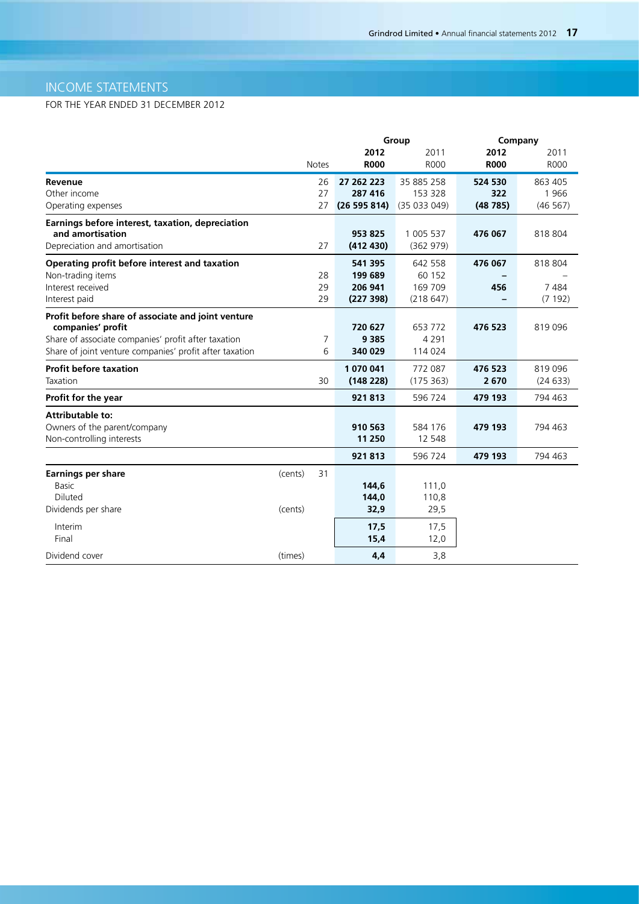# INCOME STATEMENTS

|                                                         |              |    |             | Group       | Company     |             |  |  |
|---------------------------------------------------------|--------------|----|-------------|-------------|-------------|-------------|--|--|
|                                                         |              |    | 2012        | 2011        | 2012        | 2011        |  |  |
|                                                         | <b>Notes</b> |    | <b>R000</b> | <b>R000</b> | <b>R000</b> | <b>ROOO</b> |  |  |
| Revenue                                                 |              | 26 | 27 262 223  | 35 885 258  | 524 530     | 863 405     |  |  |
| Other income                                            |              | 27 | 287 416     | 153 328     | 322         | 1966        |  |  |
| Operating expenses                                      |              | 27 | (26595814)  | (35033049)  | (48785)     | (46 567)    |  |  |
| Earnings before interest, taxation, depreciation        |              |    |             |             |             |             |  |  |
| and amortisation                                        |              |    | 953 825     | 1 005 537   | 476 067     | 818 804     |  |  |
| Depreciation and amortisation                           |              | 27 | (412 430)   | (362979)    |             |             |  |  |
| Operating profit before interest and taxation           |              |    | 541 395     | 642 558     | 476 067     | 818 804     |  |  |
| Non-trading items                                       |              | 28 | 199 689     | 60 152      |             |             |  |  |
| Interest received                                       |              | 29 | 206 941     | 169 709     | 456         | 7484        |  |  |
| Interest paid                                           |              | 29 | (227 398)   | (218647)    |             | (7192)      |  |  |
| Profit before share of associate and joint venture      |              |    |             |             |             |             |  |  |
| companies' profit                                       |              |    | 720 627     | 653 772     | 476 523     | 819 096     |  |  |
| Share of associate companies' profit after taxation     |              | 7  | 9 3 8 5     | 4 2 9 1     |             |             |  |  |
| Share of joint venture companies' profit after taxation |              | 6  | 340 029     | 114 024     |             |             |  |  |
| <b>Profit before taxation</b>                           |              |    | 1 070 041   | 772 087     | 476 523     | 819 096     |  |  |
| Taxation                                                |              | 30 | (148 228)   | (175 363)   | 2670        | (24633)     |  |  |
| Profit for the year                                     |              |    | 921813      | 596 724     | 479 193     | 794 463     |  |  |
| <b>Attributable to:</b>                                 |              |    |             |             |             |             |  |  |
| Owners of the parent/company                            |              |    | 910 563     | 584 176     | 479 193     | 794 463     |  |  |
| Non-controlling interests                               |              |    | 11 250      | 12 548      |             |             |  |  |
|                                                         |              |    | 921813      | 596 724     | 479 193     | 794 463     |  |  |
| <b>Earnings per share</b>                               | (cents)      | 31 |             |             |             |             |  |  |
| <b>Basic</b>                                            |              |    | 144,6       | 111,0       |             |             |  |  |
| Diluted                                                 |              |    | 144,0       | 110,8       |             |             |  |  |
| Dividends per share                                     | (cents)      |    | 32,9        | 29,5        |             |             |  |  |
| Interim                                                 |              |    | 17,5        | 17,5        |             |             |  |  |
| Final                                                   |              |    | 15,4        | 12,0        |             |             |  |  |
| Dividend cover                                          | (times)      |    | 4,4         | 3,8         |             |             |  |  |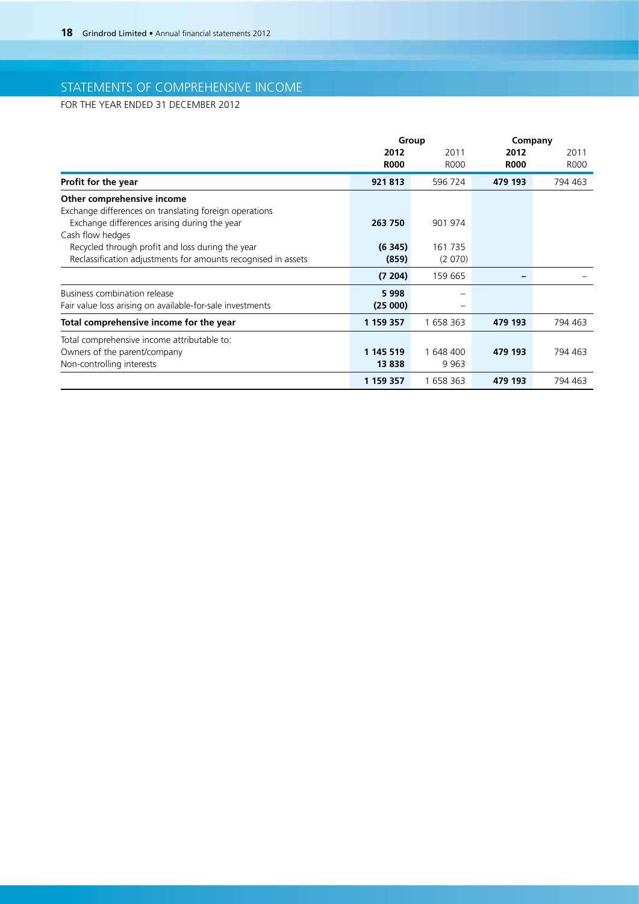# STATEMENTS OF COMPREHENSIVE INCOME

|                                                               | Group       |           | Company     |         |  |  |
|---------------------------------------------------------------|-------------|-----------|-------------|---------|--|--|
|                                                               | 2012        | 2011      | 2012        | 2011    |  |  |
|                                                               | <b>R000</b> | R000      | <b>R000</b> | R000    |  |  |
| Profit for the year                                           | 921813      | 596 724   | 479 193     | 794 463 |  |  |
| Other comprehensive income                                    |             |           |             |         |  |  |
| Exchange differences on translating foreign operations        |             |           |             |         |  |  |
| Exchange differences arising during the year                  | 263 750     | 901 974   |             |         |  |  |
| Cash flow hedges                                              |             |           |             |         |  |  |
| Recycled through profit and loss during the year              | (6345)      | 161 735   |             |         |  |  |
| Reclassification adjustments for amounts recognised in assets | (859)       | (2070)    |             |         |  |  |
|                                                               | (7, 204)    | 159 665   |             |         |  |  |
| Business combination release                                  | 5998        |           |             |         |  |  |
| Fair value loss arising on available-for-sale investments     | (25000)     | -         |             |         |  |  |
| Total comprehensive income for the year                       | 1 159 357   | 1 658 363 | 479 193     | 794 463 |  |  |
| Total comprehensive income attributable to:                   |             |           |             |         |  |  |
| Owners of the parent/company                                  | 1 145 519   | 1 648 400 | 479 193     | 794 463 |  |  |
| Non-controlling interests                                     | 13838       | 9963      |             |         |  |  |
|                                                               | 1 159 357   | 1 658 363 | 479 193     | 794 463 |  |  |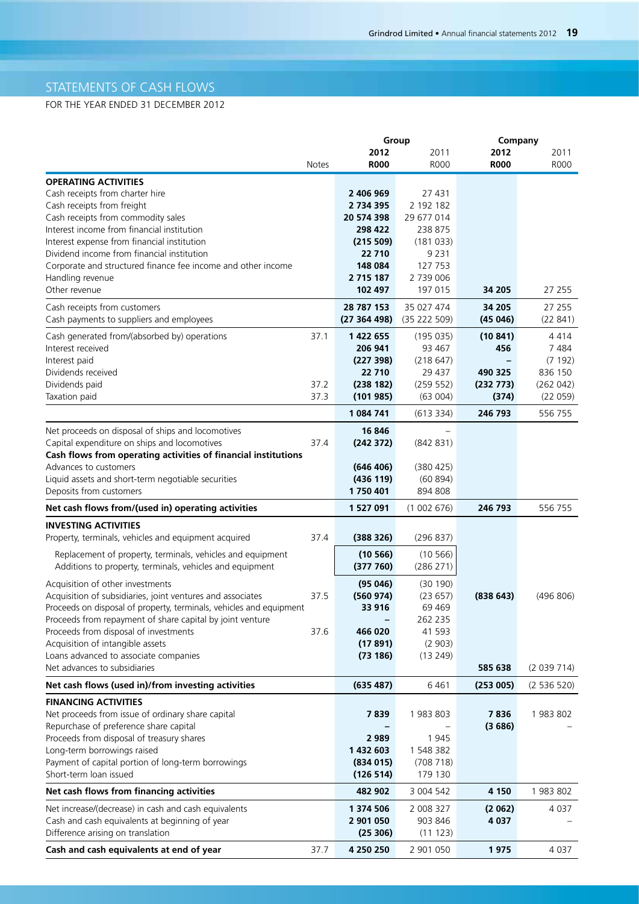# STATEMENTS OF CASH FLOWS

|                                                                                           |       |                          | Group                      | Company           |                   |
|-------------------------------------------------------------------------------------------|-------|--------------------------|----------------------------|-------------------|-------------------|
|                                                                                           |       | 2012                     | 2011                       | 2012              | 2011              |
|                                                                                           | Notes | <b>R000</b>              | R000                       | <b>R000</b>       | <b>R000</b>       |
| <b>OPERATING ACTIVITIES</b>                                                               |       |                          |                            |                   |                   |
| Cash receipts from charter hire                                                           |       | 2 406 969                | 27 431                     |                   |                   |
| Cash receipts from freight                                                                |       | 2 734 395                | 2 192 182                  |                   |                   |
| Cash receipts from commodity sales                                                        |       | 20 574 398               | 29 677 014                 |                   |                   |
| Interest income from financial institution                                                |       | 298 422                  | 238 875                    |                   |                   |
| Interest expense from financial institution<br>Dividend income from financial institution |       | (215 509)<br>22 710      | (181033)<br>9 2 3 1        |                   |                   |
| Corporate and structured finance fee income and other income                              |       | 148 084                  | 127 753                    |                   |                   |
| Handling revenue                                                                          |       | 2 715 187                | 2 739 006                  |                   |                   |
| Other revenue                                                                             |       | 102 497                  | 197 015                    | 34 205            | 27 255            |
|                                                                                           |       |                          |                            |                   |                   |
| Cash receipts from customers<br>Cash payments to suppliers and employees                  |       | 28 787 153<br>(27364498) | 35 027 474<br>(35 222 509) | 34 205<br>(45046) | 27 255<br>(22841) |
| Cash generated from/(absorbed by) operations                                              | 37.1  | 1 422 655                | (195035)                   | (10841)           | 4414              |
| Interest received                                                                         |       | 206 941                  | 93 467                     | 456               | 7484              |
| Interest paid                                                                             |       | (227 398)                | (218647)                   |                   | (7192)            |
| Dividends received                                                                        |       | 22 710                   | 29 437                     | 490 325           | 836 150           |
| Dividends paid                                                                            | 37.2  | (238 182)                | (259 552)                  | (232 773)         | (262 042)         |
| Taxation paid                                                                             | 37.3  | (101985)                 | (63004)                    | (374)             | (22 059)          |
|                                                                                           |       | 1 084 741                | (613334)                   | 246 793           | 556 755           |
| Net proceeds on disposal of ships and locomotives                                         |       | 16 846                   | $\overline{\phantom{0}}$   |                   |                   |
| Capital expenditure on ships and locomotives                                              | 37.4  | (242 372)                | (842 831)                  |                   |                   |
| Cash flows from operating activities of financial institutions                            |       |                          |                            |                   |                   |
| Advances to customers                                                                     |       | (646 406)                | (380 425)                  |                   |                   |
| Liquid assets and short-term negotiable securities                                        |       | (436 119)                | (60894)                    |                   |                   |
| Deposits from customers                                                                   |       | 1750 401                 | 894 808                    |                   |                   |
| Net cash flows from/(used in) operating activities                                        |       | 1 527 091                | (1002676)                  | 246 793           | 556 755           |
| <b>INVESTING ACTIVITIES</b>                                                               |       |                          |                            |                   |                   |
| Property, terminals, vehicles and equipment acquired                                      | 37.4  | (388 326)                | (296 837)                  |                   |                   |
| Replacement of property, terminals, vehicles and equipment                                |       | (10 566)                 | (10 566)                   |                   |                   |
| Additions to property, terminals, vehicles and equipment                                  |       | (377760)                 | (286 271)                  |                   |                   |
| Acquisition of other investments                                                          |       | (95046)                  | (30190)                    |                   |                   |
| Acquisition of subsidiaries, joint ventures and associates                                | 37.5  | (560974)                 | (23657)                    | (838643)          | (496 806)         |
| Proceeds on disposal of property, terminals, vehicles and equipment                       |       | 33 916                   | 69 469                     |                   |                   |
| Proceeds from repayment of share capital by joint venture                                 |       |                          | 262 235                    |                   |                   |
| Proceeds from disposal of investments                                                     | 37.6  | 466 020                  | 41 593                     |                   |                   |
| Acquisition of intangible assets                                                          |       | (17891)                  | (2903)                     |                   |                   |
| Loans advanced to associate companies                                                     |       | (73186)                  | (13249)                    |                   |                   |
| Net advances to subsidiaries                                                              |       |                          |                            | 585 638           | (2 039 714)       |
| Net cash flows (used in)/from investing activities                                        |       | (635 487)                | 6461                       | (253005)          | (2536520)         |
| <b>FINANCING ACTIVITIES</b>                                                               |       |                          |                            |                   |                   |
| Net proceeds from issue of ordinary share capital                                         |       | 7839                     | 1983803                    | 7836              | 1983802           |
| Repurchase of preference share capital                                                    |       |                          |                            | (3686)            |                   |
| Proceeds from disposal of treasury shares                                                 |       | 2 9 8 9                  | 1 9 4 5                    |                   |                   |
| Long-term borrowings raised                                                               |       | 1 432 603                | 1 548 382                  |                   |                   |
| Payment of capital portion of long-term borrowings                                        |       | (834015)                 | (708718)                   |                   |                   |
| Short-term loan issued                                                                    |       | (126 514)                | 179 130                    |                   |                   |
| Net cash flows from financing activities                                                  |       | 482 902                  | 3 004 542                  | 4 1 5 0           | 1983802           |
| Net increase/(decrease) in cash and cash equivalents                                      |       | 1 374 506                | 2 008 327                  | (2062)            | 4 0 3 7           |
| Cash and cash equivalents at beginning of year                                            |       | 2 901 050                | 903 846                    | 4 0 3 7           |                   |
| Difference arising on translation                                                         |       | (25306)                  | (11 123)                   |                   |                   |
| Cash and cash equivalents at end of year                                                  | 37.7  | 4 250 250                | 2 901 050                  | 1975              | 4 0 3 7           |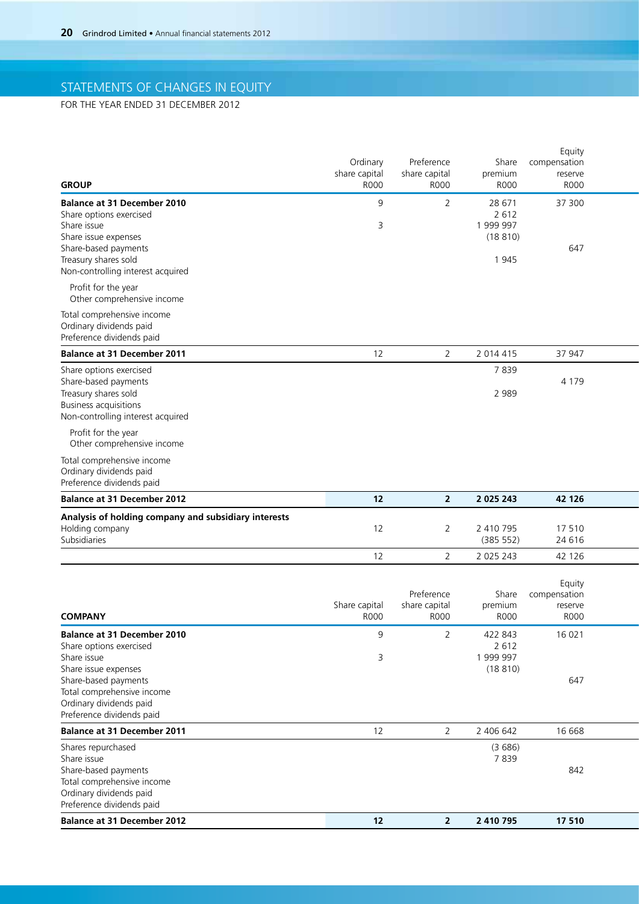# STATEMENTS OF CHANGES IN EQUITY

| <b>GROUP</b>                                                      | Ordinary<br>share capital<br><b>R000</b> | Preference<br>share capital<br>R000 | premium<br>R000 | Equity<br>Share compensation<br>reserve<br><b>R000</b> |  |
|-------------------------------------------------------------------|------------------------------------------|-------------------------------------|-----------------|--------------------------------------------------------|--|
| <b>Balance at 31 December 2010</b>                                | 9                                        | $\overline{2}$                      | 28 671          | 37 300                                                 |  |
| Share options exercised                                           |                                          |                                     | 2 6 1 2         |                                                        |  |
| Share issue                                                       | $\overline{3}$                           |                                     | 1 999 997       |                                                        |  |
| Share issue expenses                                              |                                          |                                     | (18810)         |                                                        |  |
| Share-based payments<br>Treasury shares sold                      |                                          |                                     | 1945            | 647                                                    |  |
| Non-controlling interest acquired                                 |                                          |                                     |                 |                                                        |  |
|                                                                   |                                          |                                     |                 |                                                        |  |
| Profit for the year<br>Other comprehensive income                 |                                          |                                     |                 |                                                        |  |
|                                                                   |                                          |                                     |                 |                                                        |  |
| Total comprehensive income                                        |                                          |                                     |                 |                                                        |  |
| Ordinary dividends paid<br>Preference dividends paid              |                                          |                                     |                 |                                                        |  |
|                                                                   |                                          |                                     |                 |                                                        |  |
| <b>Balance at 31 December 2011</b>                                | 12                                       | $\overline{2}$                      | 2 0 1 4 4 1 5   | 37 947                                                 |  |
| Share options exercised                                           |                                          |                                     | 7839            |                                                        |  |
| Share-based payments                                              |                                          |                                     |                 | 4 1 7 9                                                |  |
| Treasury shares sold                                              |                                          |                                     | 2 9 8 9         |                                                        |  |
| <b>Business acquisitions</b><br>Non-controlling interest acquired |                                          |                                     |                 |                                                        |  |
|                                                                   |                                          |                                     |                 |                                                        |  |
| Profit for the year<br>Other comprehensive income                 |                                          |                                     |                 |                                                        |  |
|                                                                   |                                          |                                     |                 |                                                        |  |
| Total comprehensive income                                        |                                          |                                     |                 |                                                        |  |
| Ordinary dividends paid<br>Preference dividends paid              |                                          |                                     |                 |                                                        |  |
|                                                                   |                                          |                                     |                 |                                                        |  |
| <b>Balance at 31 December 2012</b>                                | 12                                       | $\overline{2}$                      | 2 0 2 5 2 4 3   | 42 126                                                 |  |
| Analysis of holding company and subsidiary interests              |                                          |                                     |                 |                                                        |  |
| Holding company                                                   | 12                                       | $\overline{2}$                      | 2 410 795       | 17510                                                  |  |
| Subsidiaries                                                      |                                          |                                     | (385 552)       | 24 6 16                                                |  |
|                                                                   | 12                                       | 2                                   | 2 0 2 5 2 4 3   | 42 126                                                 |  |
|                                                                   |                                          |                                     |                 |                                                        |  |
|                                                                   |                                          |                                     |                 | Equity                                                 |  |
|                                                                   |                                          | Preference                          |                 | Share compensation                                     |  |
|                                                                   | Share capital                            | share capital                       | premium         | reserve                                                |  |
| <b>COMPANY</b>                                                    | <b>R000</b>                              | R000                                | R000            | <b>R000</b>                                            |  |
| <b>Balance at 31 December 2010</b>                                | 9                                        | $\overline{2}$                      | 422 843         | 16 0 21                                                |  |
| Share options exercised                                           |                                          |                                     | 2 6 1 2         |                                                        |  |
| Share issue                                                       | $\overline{3}$                           |                                     | 1 999 997       |                                                        |  |
| Share issue expenses                                              |                                          |                                     | (18810)         |                                                        |  |
| Share-based payments<br>Total comprehensive income                |                                          |                                     |                 | 647                                                    |  |
| Ordinary dividends paid                                           |                                          |                                     |                 |                                                        |  |
| Preference dividends paid                                         |                                          |                                     |                 |                                                        |  |
| <b>Balance at 31 December 2011</b>                                | 12                                       | $\overline{2}$                      | 2 406 642       | 16 668                                                 |  |
|                                                                   |                                          |                                     |                 |                                                        |  |
| Shares repurchased                                                |                                          |                                     | (3686)<br>7839  |                                                        |  |
| Share issue<br>Share-based payments                               |                                          |                                     |                 | 842                                                    |  |
|                                                                   |                                          |                                     |                 |                                                        |  |
|                                                                   |                                          |                                     |                 |                                                        |  |
| Total comprehensive income<br>Ordinary dividends paid             |                                          |                                     |                 |                                                        |  |
| Preference dividends paid                                         |                                          |                                     |                 |                                                        |  |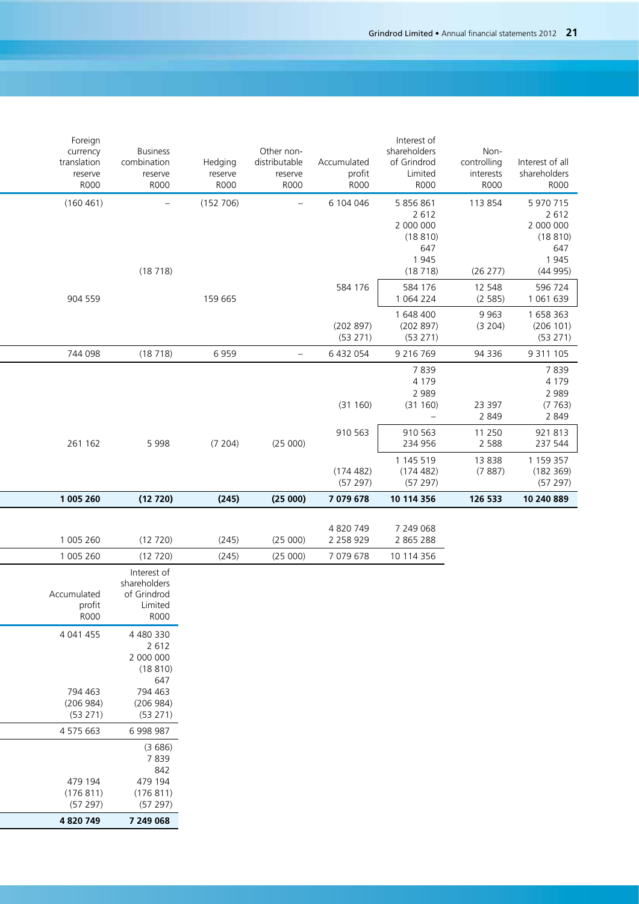| Foreign                 |                                |             |                             |               | Interest of                                 |                     |                       |
|-------------------------|--------------------------------|-------------|-----------------------------|---------------|---------------------------------------------|---------------------|-----------------------|
| currency<br>translation | <b>Business</b><br>combination | Hedging     | Other non-<br>distributable | Accumulated   | shareholders<br>of Grindrod                 | Non-<br>controlling | Interest of all       |
| reserve                 | reserve                        | reserve     | reserve                     | profit        | Limited                                     | interests           | shareholders          |
| <b>R000</b>             | <b>R000</b>                    | <b>R000</b> | <b>R000</b>                 | <b>R000</b>   | <b>R000</b>                                 | <b>R000</b>         | R000                  |
| (160 461)               | $ \,$                          | (152 706)   | $\sim$                      | 6 104 046     | 5 856 861                                   | 113 854             | 5 970 715             |
|                         |                                |             |                             |               | 2 6 1 2                                     |                     | 2 6 1 2               |
|                         |                                |             |                             |               | 2 000 000<br>(18810)                        |                     | 2 000 000<br>(18810)  |
|                         |                                |             |                             |               | 647                                         |                     | 647                   |
|                         |                                |             |                             |               | 1945                                        |                     | 1945                  |
|                         | (18718)                        |             |                             |               | (18718)                                     | (26 277)            | (44995)               |
| 904 559                 |                                | 159 665     |                             | 584 176       | 584 176<br>1 064 224                        | 12 548<br>(2585)    | 596 724<br>1 061 639  |
|                         |                                |             |                             |               | 1 648 400                                   | 9 9 6 3             | 1 658 363             |
|                         |                                |             |                             | (202897)      | (202897)                                    | (3 204)             | (206 101)             |
| 744 098                 |                                | 6959        |                             | (53 271)      | (53 271)                                    |                     | (53 271)              |
|                         | (18718)                        |             | $\overline{\phantom{m}}$    | 6 432 054     | 9 2 1 6 7 6 9<br>7839                       | 94 336              | 9 3 1 1 1 0 5<br>7839 |
|                         |                                |             |                             |               | 4 1 7 9                                     |                     | 4 1 7 9               |
|                         |                                |             |                             |               | 2 9 8 9                                     |                     | 2 9 8 9               |
|                         |                                |             |                             | (31 160)      | (31 160)<br>$\hspace{0.1mm}-\hspace{0.1mm}$ | 23 397<br>2 8 4 9   | (7763)<br>2 8 4 9     |
|                         |                                |             |                             | 910 563       | 910 563                                     | 11 250              | 921 813               |
| 261 162                 | 5998                           | (7 204)     | (25000)                     |               | 234 956                                     | 2 5 8 8             | 237 544               |
|                         |                                |             |                             |               | 1 145 519                                   | 13838               | 1 159 357             |
|                         |                                |             |                             | (174 482)     | (174 482)                                   | (7887)              | (182 369)             |
| 1 005 260               |                                |             |                             | (57297)       | (57 297)                                    | 126 533             | (57 297)              |
|                         | (12720)                        | (245)       | (25000)                     | 7 079 678     | 10 114 356                                  |                     | 10 240 889            |
|                         |                                |             |                             | 4 820 749     | 7 249 068                                   |                     |                       |
| 1 005 260               | (12 720)                       | (245)       | (25000)                     | 2 2 5 8 9 2 9 | 2 865 288                                   |                     |                       |
| 1 005 260               | (12 720)                       | (245)       | (25000)                     | 7 079 678     | 10 114 356                                  |                     |                       |
|                         | Interest of                    |             |                             |               |                                             |                     |                       |
| Accumulated             | shareholders<br>of Grindrod    |             |                             |               |                                             |                     |                       |
| profit                  | Limited                        |             |                             |               |                                             |                     |                       |
| <b>R000</b>             | <b>R000</b>                    |             |                             |               |                                             |                     |                       |
| 4 041 455               | 4 480 330                      |             |                             |               |                                             |                     |                       |
|                         | 2 6 1 2                        |             |                             |               |                                             |                     |                       |
|                         | 2 000 000                      |             |                             |               |                                             |                     |                       |
|                         | (18810)<br>647                 |             |                             |               |                                             |                     |                       |
| 794 463                 | 794 463                        |             |                             |               |                                             |                     |                       |
| (206984)                | (206984)                       |             |                             |               |                                             |                     |                       |
| (53 271)                | (53 271)                       |             |                             |               |                                             |                     |                       |
|                         |                                |             |                             |               |                                             |                     |                       |
| 4 575 663               | 6 998 987                      |             |                             |               |                                             |                     |                       |
|                         | (3686)                         |             |                             |               |                                             |                     |                       |
|                         | 7839                           |             |                             |               |                                             |                     |                       |
|                         | 842                            |             |                             |               |                                             |                     |                       |
| 479 194                 | 479 194                        |             |                             |               |                                             |                     |                       |
| (176811)<br>(57297)     | (176811)<br>(57 297)           |             |                             |               |                                             |                     |                       |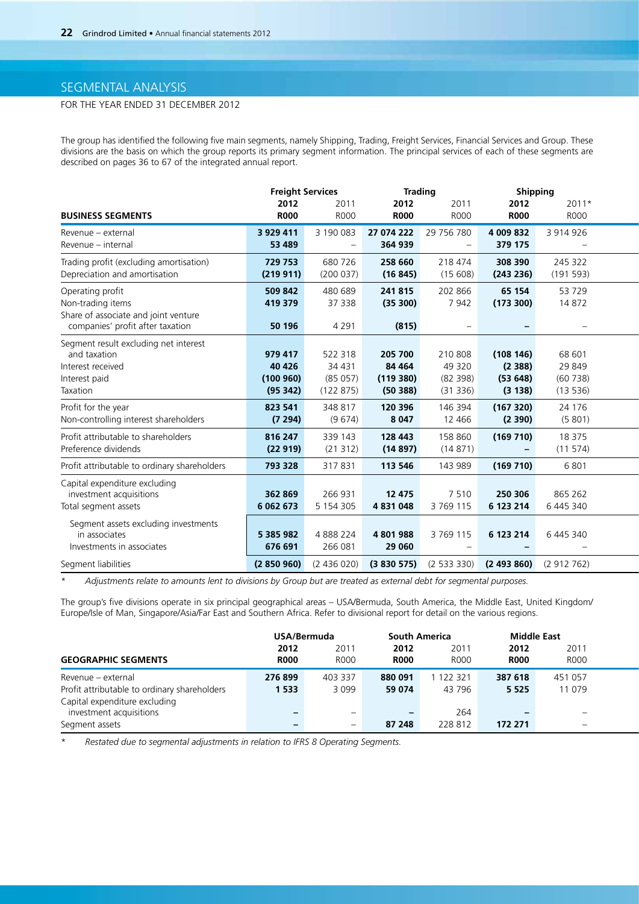## SEGMENTAL ANALYSIS

## FOR THE YEAR ENDED 31 DECEMBER 2012

The group has identified the following five main segments, namely Shipping, Trading, Freight Services, Financial Services and Group. These divisions are the basis on which the group reports its primary segment information. The principal services of each of these segments are described on pages 36 to 67 of the integrated annual report.

|                                              | <b>Freight Services</b> |                          | <b>Trading</b>     |                          | <b>Shipping</b>          |                          |
|----------------------------------------------|-------------------------|--------------------------|--------------------|--------------------------|--------------------------|--------------------------|
|                                              | 2012                    | 2011                     | 2012               | 2011                     | 2012                     | 2011*                    |
| <b>BUSINESS SEGMENTS</b>                     | <b>R000</b>             | <b>R000</b>              | <b>R000</b>        | <b>ROOO</b>              | <b>R000</b>              | R000                     |
| Revenue – external                           | 3 9 29 4 11             | 3 190 083                | 27 074 222         | 29 756 780               | 4 009 832                | 3 914 926                |
| Revenue - internal                           | 53 489                  | $\overline{\phantom{0}}$ | 364 939            | $\overline{\phantom{m}}$ | 379 175                  | $\overline{\phantom{m}}$ |
| Trading profit (excluding amortisation)      | 729 753                 | 680 726                  | 258 660            | 218 474                  | 308 390                  | 245 322                  |
| Depreciation and amortisation                | (219911)                | (200037)                 | (16845)            | (15608)                  | (243 236)                | (191593)                 |
| Operating profit                             | 509 842                 | 480 689                  | 241815             | 202 866                  | 65 154                   | 53729                    |
| Non-trading items                            | 419 379                 | 37 338                   | (35300)            | 7942                     | (173 300)                | 14872                    |
| Share of associate and joint venture         |                         |                          |                    |                          |                          |                          |
| companies' profit after taxation             | 50 196                  | 4 2 9 1                  | (815)              | $\overline{\phantom{a}}$ | $\sim$                   | $\overline{\phantom{m}}$ |
| Segment result excluding net interest        |                         |                          |                    |                          |                          |                          |
| and taxation<br>Interest received            | 979 417<br>40 4 26      | 522 318<br>34 4 31       | 205 700<br>84 4 64 | 210 808<br>49 3 20       | (108146)<br>(2388)       | 68 601<br>29 849         |
| Interest paid                                | (100960)                | (85057)                  | (119380)           | (82 398)                 | (53648)                  | (60738)                  |
| Taxation                                     | (95342)                 | (122 875)                | (50388)            | (31336)                  | (3138)                   | (13536)                  |
| Profit for the year                          | 823 541                 | 348 817                  | 120 396            | 146 394                  | (167320)                 | 24 176                   |
| Non-controlling interest shareholders        | (7294)                  | (9674)                   | 8 0 4 7            | 12 4 6 6                 | (2390)                   | (5801)                   |
|                                              |                         |                          |                    |                          |                          |                          |
| Profit attributable to shareholders          | 816 247                 | 339 143                  | 128 443            | 158 860                  | (169710)                 | 18 375                   |
| Preference dividends                         | (22919)                 | (21312)                  | (14897)            | (14871)                  | $\sim$                   | (11574)                  |
| Profit attributable to ordinary shareholders | 793 328                 | 317831                   | 113 546            | 143 989                  | (169710)                 | 6801                     |
| Capital expenditure excluding                |                         |                          |                    |                          |                          |                          |
| investment acquisitions                      | 362 869                 | 266 931                  | 12 475             | 7510                     | 250 306                  | 865 262                  |
| Total segment assets                         | 6 062 673               | 5 154 305                | 4 831 048          | 3 769 115                | 6 123 214                | 6 445 340                |
| Segment assets excluding investments         |                         |                          |                    |                          |                          |                          |
| in associates                                | 5 385 982               | 4888224                  | 4801988            | 3 769 115                | 6 123 214                | 6 445 340                |
| Investments in associates                    | 676 691                 | 266 081                  | 29 060             | $\overline{\phantom{m}}$ | $\overline{\phantom{0}}$ | $\overline{\phantom{a}}$ |
| Segment liabilities                          | (2850960)               | (2436020)                | (3830575)          | (2533330)                | $(2493860)$ $(2912762)$  |                          |

\* *Adjustments relate to amounts lent to divisions by Group but are treated as external debt for segmental purposes.*

The group's five divisions operate in six principal geographical areas – USA/Bermuda, South America, the Middle East, United Kingdom/ Europe/Isle of Man, Singapore/Asia/Far East and Southern Africa. Refer to divisional report for detail on the various regions.

|                                              | USA/Bermuda |             | <b>South America</b> |             | Middle East |             |
|----------------------------------------------|-------------|-------------|----------------------|-------------|-------------|-------------|
|                                              | 2012        | 2011        | 2012                 | 201'        | 2012        | 2011        |
| <b>GEOGRAPHIC SEGMENTS</b>                   | <b>R000</b> | <b>R000</b> | <b>R000</b>          | <b>R000</b> | <b>R000</b> | <b>R000</b> |
| Revenue - external                           | 276899      | 403 337     | 880 091              | 122 321     | 387 618     | 451 057     |
| Profit attributable to ordinary shareholders | 1 5 3 3     | 3 0 9 9     | 59 074               | 43 796      | 5 5 2 5     | 11 079      |
| Capital expenditure excluding                |             |             |                      |             |             |             |
| investment acquisitions                      |             |             |                      | 264         |             |             |
| Segment assets                               |             |             | 87 248               | 228 812     | 172 271     |             |

\* *Restated due to segmental adjustments in relation to IFRS 8 Operating Segments.*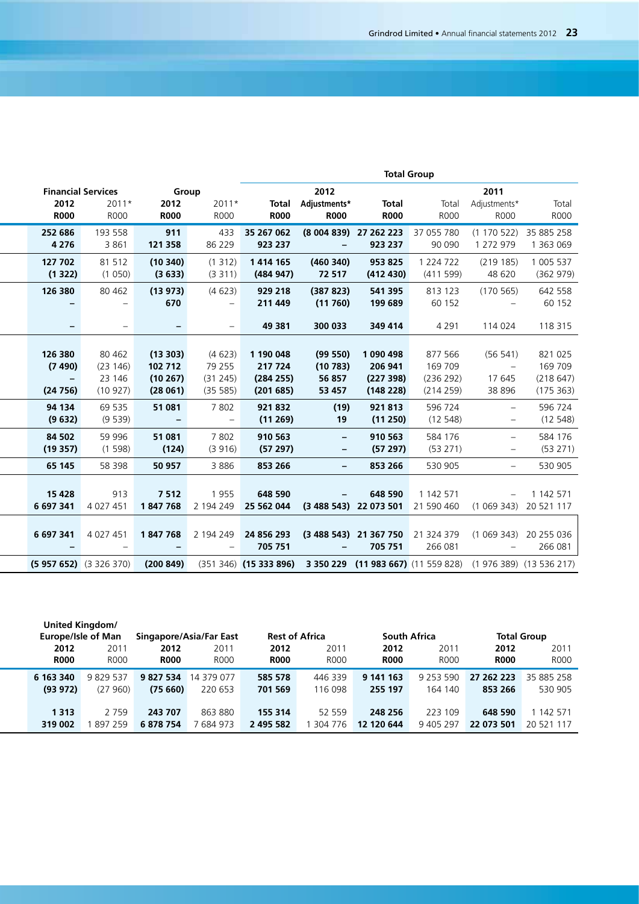|                           |                          |                    |                                    |                       |                          |                                              | <b>Total Group</b>                                                                              |                                 |                     |
|---------------------------|--------------------------|--------------------|------------------------------------|-----------------------|--------------------------|----------------------------------------------|-------------------------------------------------------------------------------------------------|---------------------------------|---------------------|
| <b>Financial Services</b> |                          |                    | Group                              |                       | 2012                     |                                              |                                                                                                 | 2011                            |                     |
| 2012                      | 2011*                    | 2012               | 2011*                              |                       | Total Adjustments*       | <b>Total</b>                                 | Total                                                                                           | Adjustments*                    | Total               |
| <b>R000</b>               | R000                     | <b>R000</b>        | R000                               | <b>R000</b>           | <b>R000</b>              | <b>R000</b>                                  | R000                                                                                            | R000                            | <b>R000</b>         |
| 252 686                   | 193 558                  | 911                |                                    | 433 35 267 062        |                          | (8 004 839) 27 262 223 37 055 780            |                                                                                                 | $(1170522)$ 35 885 258          |                     |
| 4 2 7 6                   | 3861                     | 121 358            | 86 229                             | 923 237               |                          | 923 237                                      | 90 090                                                                                          | 1 272 979                       | 1 363 069           |
| 127 702                   | 81 512                   | (10340)            | (1312)                             | 1414 165              | (460340)                 | 953 825                                      | 1 224 722                                                                                       | (219185)                        | 1 005 537           |
| (1322)                    | (1050)                   | (3633)             | (3311)                             | (484947)              | 72 517                   | (412 430)                                    | (411599)                                                                                        | 48 620                          | (362979)            |
| 126 380                   | 80 4 62                  | (13973)            | (4623)<br>$\overline{\phantom{a}}$ | 929 218               | (387 823)                | 541 395                                      | 813 123                                                                                         | (170565)                        | 642 558<br>60 152   |
|                           | $\overline{\phantom{a}}$ | 670                |                                    | 211 449               | (11760)                  | 199 689                                      | 60 152                                                                                          | $\hspace{0.1mm}-\hspace{0.1mm}$ |                     |
|                           | $\qquad \qquad -$        |                    | $\overline{\phantom{m}}$           | 49 381                | 300 033                  | 349 414                                      | 4 2 9 1                                                                                         | 114 024                         | 118 315             |
|                           |                          |                    |                                    |                       |                          |                                              |                                                                                                 |                                 |                     |
| 126 380                   | 80 4 62                  | (13303)            | (4623)                             | 1 190 048             | (99 550)                 | 1 090 498                                    | 877 566                                                                                         | (56 541)                        | 821 025             |
| (7490)                    | (23146)                  | 102 712            | 79 255                             | 217 724               | (10783)                  | 206 941                                      | 169 709                                                                                         | $\hspace{0.1cm} -$              | 169 709             |
| $\sim$                    | 23 146                   | (10267)            | (31245)                            | (284 255)             | 56 857                   | (227 398)                                    | (236 292)                                                                                       | 17645                           | (218647)            |
| (24756)                   | (10927)                  | (28061)            | (35 585)                           | (201685)              | 53 457                   | (148 228)                                    | (214 259)                                                                                       | 38 896                          | (175 363)           |
| 94 134<br>(9632)          | 69 535<br>(9539)         | 51 081             | 7802                               | 921832<br>(11269)     | (19)                     | 921813                                       | 596 724<br>(12548)                                                                              | $\overline{\phantom{a}}$        | 596 724<br>(12548)  |
|                           |                          | $\sim$             | $\overline{\phantom{a}}$           |                       | 19                       | (11 250)                                     |                                                                                                 | $-$                             |                     |
| 84 502<br>(19357)         | 59 996<br>(1598)         | 51 081<br>(124)    | 7802<br>(3916)                     | 910 563<br>(57297)    | $\overline{\phantom{a}}$ | 910 563<br>(57297)                           | 584 176<br>(53 271)                                                                             | $\overline{\phantom{a}}$        | 584 176<br>(53 271) |
|                           |                          |                    |                                    |                       | $\overline{\phantom{a}}$ |                                              |                                                                                                 | $ \,$                           |                     |
| 65 145                    | 58 398                   | 50 957             | 3886                               | 853 266               | $\overline{\phantom{a}}$ | 853 266                                      | 530 905                                                                                         | $\sim$                          | 530 905             |
|                           |                          |                    |                                    |                       |                          |                                              |                                                                                                 |                                 |                     |
| 15 4 28<br>6 697 341      | 913<br>4 0 2 7 4 5 1     | 7 5 1 2<br>1847768 | 1955<br>2 194 249                  | 648 590<br>25 562 044 |                          | 648 590<br>(3 488 543) 22 073 501 21 590 460 | 1 142 571                                                                                       | $(1069343)$ 20521117            | $- 1142571$         |
|                           |                          |                    |                                    |                       |                          |                                              |                                                                                                 |                                 |                     |
| 6 697 341 4 027 451       |                          | 1847768            | 2 194 249                          | 24 856 293            |                          | (3 488 543) 21 367 750 21 324 379            |                                                                                                 | (1 069 343) 20 255 036          |                     |
|                           |                          | $ \,$              | $ \,$                              | 705 751               | $\sim$                   | 705 751                                      | 266 081                                                                                         | $\sim$                          | 266 081             |
| $(5957652)$ $(3326370)$   |                          |                    |                                    |                       |                          |                                              | $(200849)$ $(351346)$ $(15333896)$ 3 350 229 $(11983667)$ $(11559828)$ $(1976389)$ $(13536217)$ |                                 |                     |
|                           |                          |                    |                                    |                       |                          |                                              |                                                                                                 |                                 |                     |

|             |             |                                                                            |                     |             |                         |                       |               |              | <b>Total Group</b>                             |
|-------------|-------------|----------------------------------------------------------------------------|---------------------|-------------|-------------------------|-----------------------|---------------|--------------|------------------------------------------------|
| 2012        | 201         | 2012                                                                       | 2011                | 2012        | 2011                    | 2012                  | 2011          | 2012         | 2011                                           |
| <b>R000</b> | <b>R000</b> | <b>R000</b>                                                                | <b>R000</b>         | <b>R000</b> | <b>R000</b>             | <b>R000</b>           | <b>R000</b>   | <b>R000</b>  | <b>R000</b>                                    |
| 6 163 340   | 9829537     | 9 827 534                                                                  | 14 379 077          | 585 578     | 446 339                 | 9 141 163             | 9 2 5 3 5 9 0 |              |                                                |
|             |             |                                                                            | 220 653             | 701 569     | 116 098                 | 255 197               | 164 140       | 853 266      | 530 905                                        |
|             |             |                                                                            |                     |             |                         |                       |               |              |                                                |
| 1 3 1 3     | 2 7 5 9     | 243 707                                                                    | 863 880             | 155 314     | 52 559                  | 248 256               | 223 109       | 648 590      | 1 142 571                                      |
|             |             | 6878754                                                                    | 7 684 97.           | 2 495 582   | 304 776                 | 12 120 644            | 9 405 297     |              |                                                |
|             |             | <b>United Kingdom/</b><br><b>Europe/Isle of Man</b><br>(93 972)<br>319 002 | (27 960)<br>1897259 | (75660)     | Singapore/Asia/Far East | <b>Rest of Africa</b> |               | South Africa | 27 262 223 35 885 258<br>22 073 501 20 521 117 |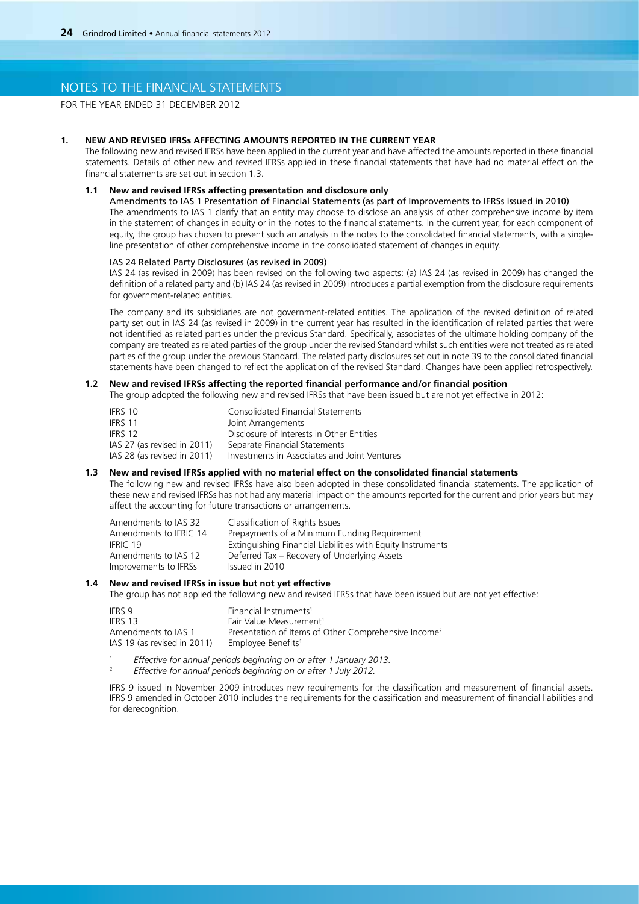FOR THE YEAR ENDED 31 DECEMBER 2012

### **1. New and revised IFRSs affecting amounts reported in the current year**

The following new and revised IFRSs have been applied in the current year and have affected the amounts reported in these financial statements. Details of other new and revised IFRSs applied in these financial statements that have had no material effect on the financial statements are set out in section 1.3.

### **1.1 New and revised IFRSs affecting presentation and disclosure only**

 Amendments to IAS 1 Presentation of Financial Statements (as part of Improvements to IFRSs issued in 2010) The amendments to IAS 1 clarify that an entity may choose to disclose an analysis of other comprehensive income by item in the statement of changes in equity or in the notes to the financial statements. In the current year, for each component of equity, the group has chosen to present such an analysis in the notes to the consolidated financial statements, with a singleline presentation of other comprehensive income in the consolidated statement of changes in equity.

### IAS 24 Related Party Disclosures (as revised in 2009)

IAS 24 (as revised in 2009) has been revised on the following two aspects: (a) IAS 24 (as revised in 2009) has changed the definition of a related party and (b) IAS 24 (as revised in 2009) introduces a partial exemption from the disclosure requirements for government-related entities.

The company and its subsidiaries are not government-related entities. The application of the revised definition of related party set out in IAS 24 (as revised in 2009) in the current year has resulted in the identification of related parties that were not identified as related parties under the previous Standard. Specifically, associates of the ultimate holding company of the company are treated as related parties of the group under the revised Standard whilst such entities were not treated as related parties of the group under the previous Standard. The related party disclosures set out in note 39 to the consolidated financial statements have been changed to reflect the application of the revised Standard. Changes have been applied retrospectively.

## **1.2 New and revised IFRSs affecting the reported financial performance and/or financial position**

The group adopted the following new and revised IFRSs that have been issued but are not yet effective in 2012:

| <b>Consolidated Financial Statements</b>     |
|----------------------------------------------|
| Joint Arrangements                           |
| Disclosure of Interests in Other Entities    |
| Separate Financial Statements                |
| Investments in Associates and Joint Ventures |
|                                              |

#### **1.3 New and revised IFRSs applied with no material effect on the consolidated financial statements**

The following new and revised IFRSs have also been adopted in these consolidated financial statements. The application of these new and revised IFRSs has not had any material impact on the amounts reported for the current and prior years but may affect the accounting for future transactions or arrangements.

| Amendments to IAS 32   | Classification of Rights Issues                             |
|------------------------|-------------------------------------------------------------|
| Amendments to IFRIC 14 | Prepayments of a Minimum Funding Requirement                |
| IFRIC 19               | Extinguishing Financial Liabilities with Equity Instruments |
| Amendments to IAS 12   | Deferred Tax – Recovery of Underlying Assets                |
| Improvements to IFRSs  | Issued in 2010                                              |

### **1.4 New and revised IFRSs in issue but not yet effective**

The group has not applied the following new and revised IFRSs that have been issued but are not yet effective:

| IFRS 9                      | Financial Instruments <sup>1</sup>                               |
|-----------------------------|------------------------------------------------------------------|
| IFRS 13                     | Fair Value Measurement <sup>1</sup>                              |
| Amendments to IAS 1         | Presentation of Items of Other Comprehensive Income <sup>2</sup> |
| IAS 19 (as revised in 2011) | Employee Benefits <sup>1</sup>                                   |

<sup>1</sup> *Effective for annual periods beginning on or after 1 January 2013.*

<sup>2</sup> *Effective for annual periods beginning on or after 1 July 2012.*

IFRS 9 issued in November 2009 introduces new requirements for the classification and measurement of financial assets. IFRS 9 amended in October 2010 includes the requirements for the classification and measurement of financial liabilities and for derecognition.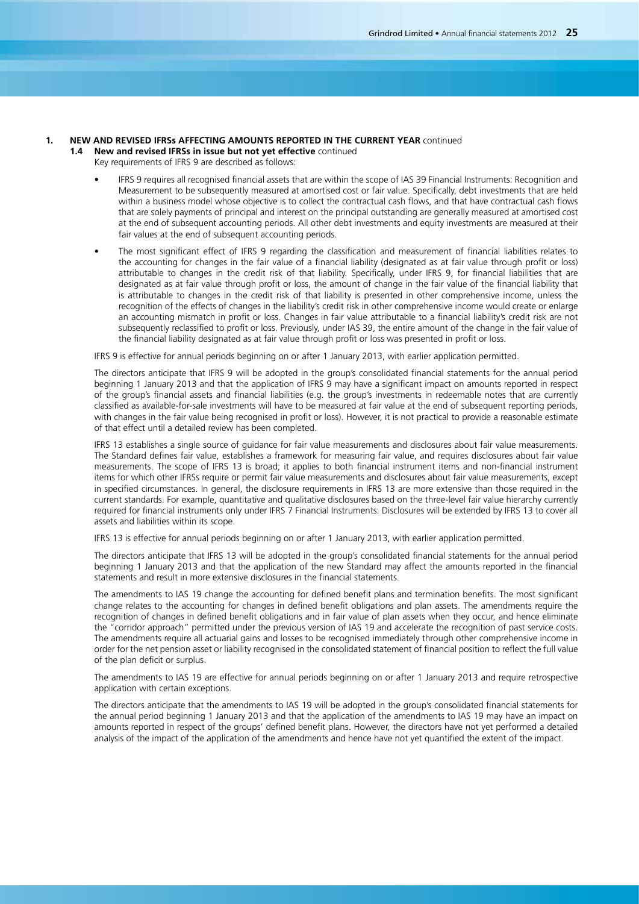### **1. New and revised IFRSs affecting amounts reported in the current year** continued

**1.4 New and revised IFRSs in issue but not yet effective** continued

- Key requirements of IFRS 9 are described as follows:
	- IFRS 9 requires all recognised financial assets that are within the scope of IAS 39 Financial Instruments: Recognition and Measurement to be subsequently measured at amortised cost or fair value. Specifically, debt investments that are held within a business model whose objective is to collect the contractual cash flows, and that have contractual cash flows that are solely payments of principal and interest on the principal outstanding are generally measured at amortised cost at the end of subsequent accounting periods. All other debt investments and equity investments are measured at their fair values at the end of subsequent accounting periods.
	- The most significant effect of IFRS 9 regarding the classification and measurement of financial liabilities relates to the accounting for changes in the fair value of a financial liability (designated as at fair value through profit or loss) attributable to changes in the credit risk of that liability. Specifically, under IFRS 9, for financial liabilities that are designated as at fair value through profit or loss, the amount of change in the fair value of the financial liability that is attributable to changes in the credit risk of that liability is presented in other comprehensive income, unless the recognition of the effects of changes in the liability's credit risk in other comprehensive income would create or enlarge an accounting mismatch in profit or loss. Changes in fair value attributable to a financial liability's credit risk are not subsequently reclassified to profit or loss. Previously, under IAS 39, the entire amount of the change in the fair value of the financial liability designated as at fair value through profit or loss was presented in profit or loss.

IFRS 9 is effective for annual periods beginning on or after 1 January 2013, with earlier application permitted.

The directors anticipate that IFRS 9 will be adopted in the group's consolidated financial statements for the annual period beginning 1 January 2013 and that the application of IFRS 9 may have a significant impact on amounts reported in respect of the group's financial assets and financial liabilities (e.g. the group's investments in redeemable notes that are currently classified as available-for-sale investments will have to be measured at fair value at the end of subsequent reporting periods, with changes in the fair value being recognised in profit or loss). However, it is not practical to provide a reasonable estimate of that effect until a detailed review has been completed.

IFRS 13 establishes a single source of guidance for fair value measurements and disclosures about fair value measurements. The Standard defines fair value, establishes a framework for measuring fair value, and requires disclosures about fair value measurements. The scope of IFRS 13 is broad; it applies to both financial instrument items and non-financial instrument items for which other IFRSs require or permit fair value measurements and disclosures about fair value measurements, except in specified circumstances. In general, the disclosure requirements in IFRS 13 are more extensive than those required in the current standards. For example, quantitative and qualitative disclosures based on the three-level fair value hierarchy currently required for financial instruments only under IFRS 7 Financial Instruments: Disclosures will be extended by IFRS 13 to cover all assets and liabilities within its scope.

IFRS 13 is effective for annual periods beginning on or after 1 January 2013, with earlier application permitted.

The directors anticipate that IFRS 13 will be adopted in the group's consolidated financial statements for the annual period beginning 1 January 2013 and that the application of the new Standard may affect the amounts reported in the financial statements and result in more extensive disclosures in the financial statements.

The amendments to IAS 19 change the accounting for defined benefit plans and termination benefits. The most significant change relates to the accounting for changes in defined benefit obligations and plan assets. The amendments require the recognition of changes in defined benefit obligations and in fair value of plan assets when they occur, and hence eliminate the "corridor approach" permitted under the previous version of IAS 19 and accelerate the recognition of past service costs. The amendments require all actuarial gains and losses to be recognised immediately through other comprehensive income in order for the net pension asset or liability recognised in the consolidated statement of financial position to reflect the full value of the plan deficit or surplus.

The amendments to IAS 19 are effective for annual periods beginning on or after 1 January 2013 and require retrospective application with certain exceptions.

The directors anticipate that the amendments to IAS 19 will be adopted in the group's consolidated financial statements for the annual period beginning 1 January 2013 and that the application of the amendments to IAS 19 may have an impact on amounts reported in respect of the groups' defined benefit plans. However, the directors have not yet performed a detailed analysis of the impact of the application of the amendments and hence have not yet quantified the extent of the impact.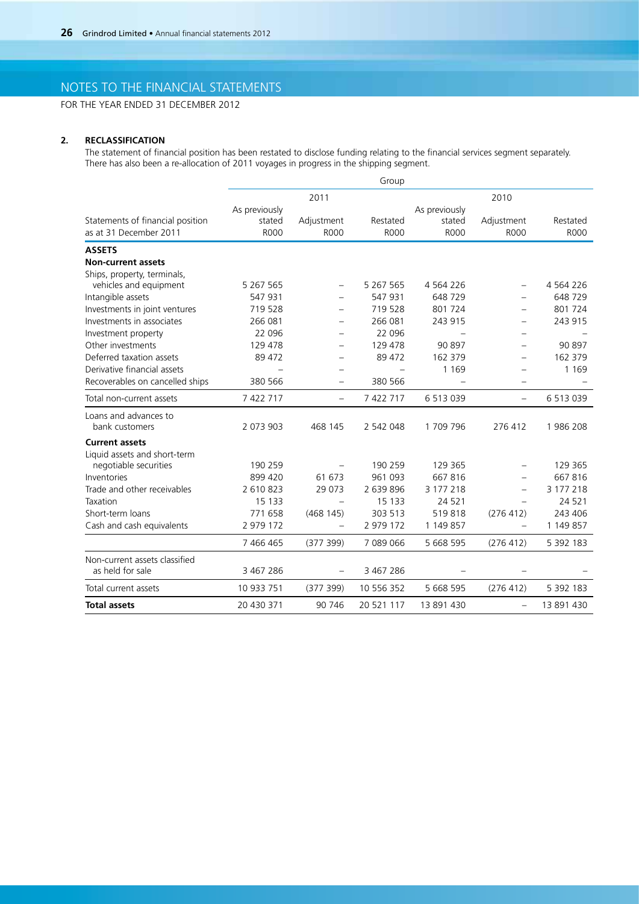FOR THE YEAR ENDED 31 DECEMBER 2012

## **2. RECLASSIFICATION**

The statement of financial position has been restated to disclose funding relating to the financial services segment separately. There has also been a re-allocation of 2011 voyages in progress in the shipping segment.

|                                  |               |                          | Group       |               |                          |               |
|----------------------------------|---------------|--------------------------|-------------|---------------|--------------------------|---------------|
|                                  |               | 2011                     |             |               | 2010                     |               |
|                                  | As previously |                          |             | As previously |                          |               |
| Statements of financial position | stated        | Adjustment               | Restated    | stated        | Adjustment               | Restated      |
| as at 31 December 2011           | <b>ROOO</b>   | <b>ROOO</b>              | <b>ROOO</b> | <b>R000</b>   | <b>R000</b>              | <b>ROOO</b>   |
| <b>ASSETS</b>                    |               |                          |             |               |                          |               |
| <b>Non-current assets</b>        |               |                          |             |               |                          |               |
| Ships, property, terminals,      |               |                          |             |               |                          |               |
| vehicles and equipment           | 5 267 565     | $\overline{\phantom{0}}$ | 5 267 565   | 4 5 6 4 2 2 6 | $\overline{\phantom{0}}$ | 4 5 6 4 2 2 6 |
| Intangible assets                | 547 931       |                          | 547 931     | 648729        |                          | 648729        |
| Investments in joint ventures    | 719 528       |                          | 719 528     | 801 724       |                          | 801 724       |
| Investments in associates        | 266 081       |                          | 266 081     | 243 915       |                          | 243 915       |
| Investment property              | 22 096        |                          | 22 096      |               |                          |               |
| Other investments                | 129 478       |                          | 129 478     | 90 897        |                          | 90 897        |
| Deferred taxation assets         | 89 472        |                          | 89 472      | 162 379       |                          | 162 379       |
| Derivative financial assets      |               |                          |             | 1 1 6 9       |                          | 1 1 6 9       |
| Recoverables on cancelled ships  | 380 566       |                          | 380 566     |               |                          |               |
| Total non-current assets         | 7 422 717     | $\overline{\phantom{0}}$ | 7 422 717   | 6 5 1 3 0 3 9 | $\overline{\phantom{0}}$ | 6513039       |
| Loans and advances to            |               |                          |             |               |                          |               |
| bank customers                   | 2 073 903     | 468 145                  | 2 542 048   | 1709796       | 276 412                  | 1986 208      |
| <b>Current assets</b>            |               |                          |             |               |                          |               |
| Liquid assets and short-term     |               |                          |             |               |                          |               |
| negotiable securities            | 190 259       |                          | 190 259     | 129 365       |                          | 129 365       |
| Inventories                      | 899 420       | 61 673                   | 961 093     | 667816        |                          | 667816        |
| Trade and other receivables      | 2 610 823     | 29 0 73                  | 2 639 896   | 3 177 218     |                          | 3 177 218     |
| Taxation                         | 15 133        |                          | 15 133      | 24 5 21       |                          | 24 5 21       |
| Short-term loans                 | 771 658       | (468145)                 | 303 513     | 519818        | (276 412)                | 243 406       |
| Cash and cash equivalents        | 2 979 172     | $\overline{\phantom{0}}$ | 2 979 172   | 1 149 857     |                          | 1 149 857     |
|                                  | 7 466 465     | (377 399)                | 7 089 066   | 5 668 595     | (276 412)                | 5 392 183     |
| Non-current assets classified    |               |                          |             |               |                          |               |
| as held for sale                 | 3 467 286     |                          | 3 467 286   |               |                          |               |
| Total current assets             | 10 933 751    | (377 399)                | 10 556 352  | 5 668 595     | (276 412)                | 5 392 183     |
| <b>Total assets</b>              | 20 430 371    | 90 746                   | 20 521 117  | 13 891 430    | $\qquad \qquad -$        | 13 891 430    |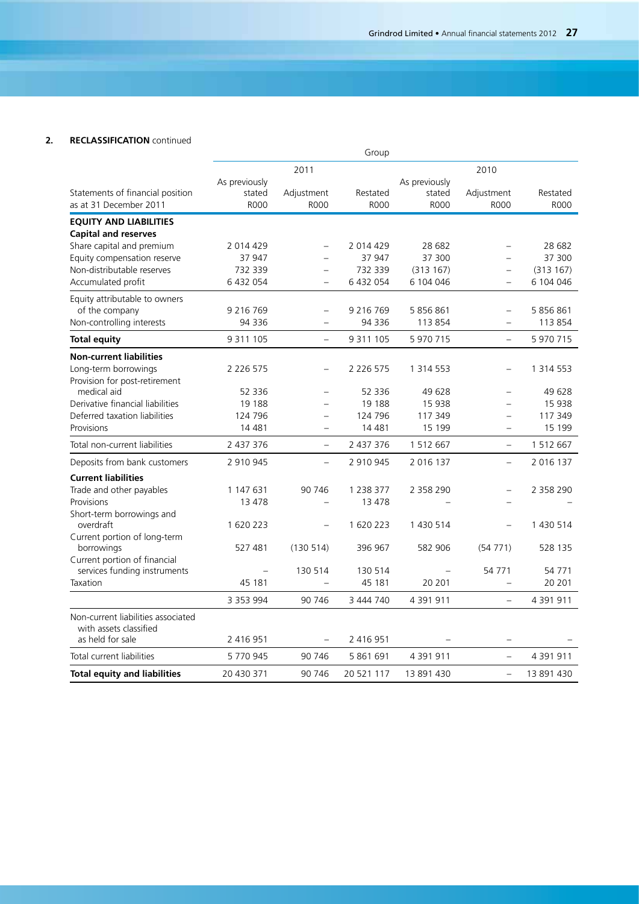## **2. RECLASSIFICATION** continued

|                                                              |                   |                          | Group         |                          |                          |               |
|--------------------------------------------------------------|-------------------|--------------------------|---------------|--------------------------|--------------------------|---------------|
|                                                              |                   | 2011                     |               |                          | 2010                     |               |
|                                                              | As previously     |                          |               | As previously            |                          |               |
| Statements of financial position                             | stated            | Adjustment               | Restated      | stated                   | Adjustment               | Restated      |
| as at 31 December 2011                                       | <b>ROOO</b>       | <b>ROOO</b>              | <b>R000</b>   | <b>R000</b>              | <b>ROOO</b>              | <b>ROOO</b>   |
| <b>EQUITY AND LIABILITIES</b>                                |                   |                          |               |                          |                          |               |
| <b>Capital and reserves</b>                                  |                   |                          |               |                          |                          |               |
| Share capital and premium                                    | 2 014 429         |                          | 2 014 429     | 28 682                   |                          | 28 682        |
| Equity compensation reserve                                  | 37 947            |                          | 37 947        | 37 300                   | $\overline{a}$           | 37 300        |
| Non-distributable reserves                                   | 732 339           | $=$                      | 732 339       | (313167)                 | $\equiv$                 | (313167)      |
| Accumulated profit                                           | 6 432 054         | $\equiv$                 | 6 432 054     | 6 104 046                | $\overline{\phantom{0}}$ | 6 104 046     |
| Equity attributable to owners                                |                   |                          |               |                          |                          |               |
| of the company                                               | 9 2 1 6 7 6 9     | $\overline{\phantom{0}}$ | 9 2 1 6 7 6 9 | 5 856 861                |                          | 5 856 861     |
| Non-controlling interests                                    | 94 336            | $\overline{\phantom{0}}$ | 94 336        | 113 854                  | $\overline{\phantom{0}}$ | 113 854       |
| <b>Total equity</b>                                          | 9 3 1 1 1 0 5     | $\equiv$                 | 9 3 1 1 1 0 5 | 5 970 715                | $\equiv$                 | 5 970 715     |
| <b>Non-current liabilities</b>                               |                   |                          |               |                          |                          |               |
| Long-term borrowings                                         | 2 2 2 6 5 7 5     |                          | 2 2 2 6 5 7 5 | 1 3 1 4 5 5 3            |                          | 1 3 1 4 5 5 3 |
| Provision for post-retirement                                |                   |                          |               |                          |                          |               |
| medical aid                                                  | 52 336            | $\overline{a}$           | 52 336        | 49 628                   |                          | 49 628        |
| Derivative financial liabilities                             | 19 188            | $\overline{a}$           | 19 188        | 15 938                   |                          | 15 938        |
| Deferred taxation liabilities                                | 124 796           | $\overline{\phantom{0}}$ | 124 796       | 117 349                  | $\overline{\phantom{0}}$ | 117 349       |
| Provisions                                                   | 14 4 81           | $\overline{\phantom{0}}$ | 14 4 81       | 15 199                   | $\overline{\phantom{0}}$ | 15 199        |
| Total non-current liabilities                                | 2 437 376         | $\equiv$                 | 2 437 376     | 1 512 667                | $\overline{\phantom{0}}$ | 1 512 667     |
| Deposits from bank customers                                 | 2 910 945         | $\equiv$                 | 2 910 945     | 2 016 137                |                          | 2 016 137     |
| <b>Current liabilities</b>                                   |                   |                          |               |                          |                          |               |
| Trade and other payables                                     | 1 147 631         | 90 746                   | 1 238 377     | 2 358 290                |                          | 2 358 290     |
| Provisions                                                   | 13 478            |                          | 13 478        |                          |                          |               |
| Short-term borrowings and                                    |                   |                          |               |                          |                          |               |
| overdraft<br>Current portion of long-term                    | 1620223           | $\equiv$                 | 1 620 223     | 1 430 514                |                          | 1 430 514     |
| borrowings                                                   | 527 481           | (130514)                 | 396 967       | 582 906                  | (54771)                  | 528 135       |
| Current portion of financial<br>services funding instruments | $\qquad \qquad -$ | 130 514                  | 130 514       | $\overline{\phantom{0}}$ | 54 771                   | 54 771        |
| Taxation                                                     | 45 181            | $\overline{\phantom{0}}$ | 45 181        | 20 201                   | $\overline{\phantom{0}}$ | 20 201        |
|                                                              |                   |                          |               |                          |                          |               |
|                                                              | 3 3 5 3 9 9 4     | 90 746                   | 3 444 740     | 4 391 911                | $\overline{\phantom{0}}$ | 4 391 911     |
| Non-current liabilities associated<br>with assets classified |                   |                          |               |                          |                          |               |
| as held for sale                                             | 2 416 951         |                          | 2 416 951     |                          |                          |               |
| Total current liabilities                                    | 5770945           | 90 746                   | 5 861 691     | 4 391 911                | $\qquad \qquad -$        | 4 391 911     |
| <b>Total equity and liabilities</b>                          | 20 430 371        | 90 746                   | 20 521 117    | 13 891 430               | $\overline{\phantom{m}}$ | 13 891 430    |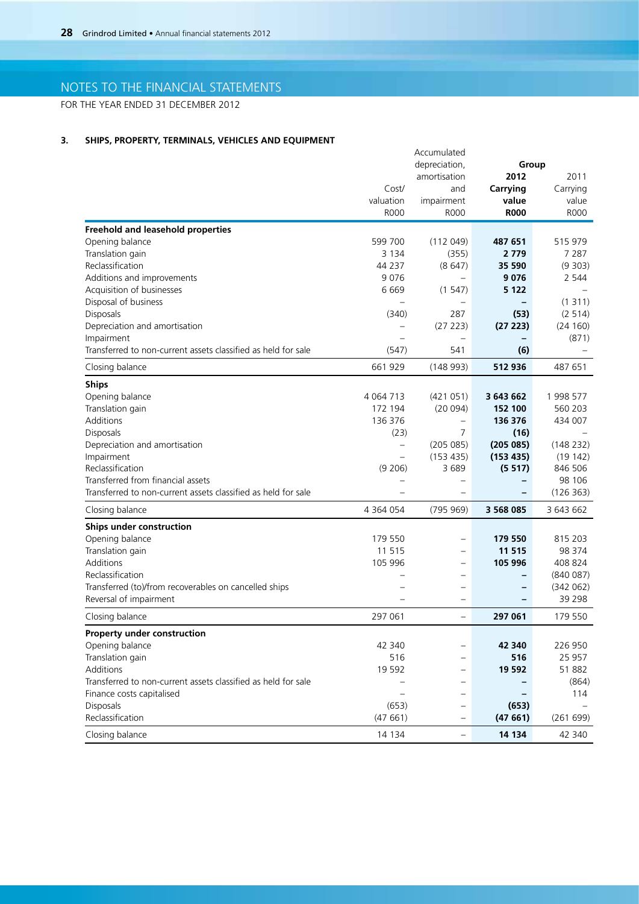FOR THE YEAR ENDED 31 DECEMBER 2012

## **3. SHIPS, PROPERTY, TERMINALS, VEHICLES AND EQUIPMENT**

|                                                               |                          | Accumulated               |             |           |
|---------------------------------------------------------------|--------------------------|---------------------------|-------------|-----------|
|                                                               |                          | depreciation,             | Group       |           |
|                                                               |                          | amortisation              | 2012        | 2011      |
|                                                               | Cost/                    | and                       | Carrying    | Carrying  |
|                                                               | valuation                |                           | value       | value     |
|                                                               | <b>R000</b>              | impairment<br><b>R000</b> | <b>R000</b> | R000      |
|                                                               |                          |                           |             |           |
| <b>Freehold and leasehold properties</b>                      |                          |                           |             |           |
| Opening balance                                               | 599 700                  | (112049)                  | 487 651     | 515 979   |
| Translation gain                                              | 3 1 3 4                  | (355)                     | 2 7 7 9     | 7 2 8 7   |
| Reclassification                                              | 44 237                   | (8647)                    | 35 590      | (9303)    |
| Additions and improvements                                    | 9076                     | $\overline{\phantom{m}}$  | 9076        | 2 5 4 4   |
| Acquisition of businesses                                     | 6669                     | (1547)                    | 5 1 2 2     |           |
| Disposal of business                                          |                          | $\qquad \qquad -$         |             | (1311)    |
| Disposals                                                     | (340)                    | 287                       | (53)        | (2 514)   |
| Depreciation and amortisation                                 | $\overline{\phantom{0}}$ | (27 223)                  | (27 223)    | (24 160)  |
| Impairment                                                    |                          |                           |             | (871)     |
| Transferred to non-current assets classified as held for sale |                          | 541                       |             |           |
|                                                               | (547)                    |                           | (6)         |           |
| Closing balance                                               | 661 929                  | (148993)                  | 512 936     | 487 651   |
| <b>Ships</b>                                                  |                          |                           |             |           |
| Opening balance                                               | 4 0 64 7 13              | (421051)                  | 3 643 662   | 1 998 577 |
| Translation gain                                              | 172 194                  | (20094)                   | 152 100     | 560 203   |
| Additions                                                     | 136 376                  |                           | 136 376     | 434 007   |
| Disposals                                                     | (23)                     | $\overline{7}$            | (16)        |           |
| Depreciation and amortisation                                 |                          |                           | (205085)    |           |
|                                                               | $\qquad \qquad -$        | (205 085)                 |             | (148 232) |
| Impairment                                                    |                          | (153 435)                 | (153 435)   | (19142)   |
| Reclassification                                              | (9 206)                  | 3689                      | (5517)      | 846 506   |
| Transferred from financial assets                             |                          |                           | -           | 98 106    |
| Transferred to non-current assets classified as held for sale |                          |                           |             | (126 363) |
| Closing balance                                               | 4 364 054                | (795969)                  | 3 568 085   | 3 643 662 |
| <b>Ships under construction</b>                               |                          |                           |             |           |
| Opening balance                                               | 179 550                  | $\overline{\phantom{0}}$  | 179 550     | 815 203   |
| Translation gain                                              | 11 515                   |                           | 11 515      | 98 374    |
| <b>Additions</b>                                              | 105 996                  | $\overline{\phantom{0}}$  | 105 996     | 408 824   |
| Reclassification                                              |                          | $\overline{\phantom{0}}$  |             | (840087)  |
| Transferred (to)/from recoverables on cancelled ships         |                          | $\overline{\phantom{0}}$  |             | (342 062) |
|                                                               |                          |                           |             |           |
| Reversal of impairment                                        |                          |                           |             | 39 2 9 8  |
| Closing balance                                               | 297 061                  | $\qquad \qquad -$         | 297 061     | 179 550   |
| Property under construction                                   |                          |                           |             |           |
| Opening balance                                               | 42 340                   |                           | 42 340      | 226 950   |
| Translation gain                                              | 516                      | $\overline{\phantom{0}}$  | 516         | 25 957    |
| Additions                                                     | 19 592                   | $\overline{\phantom{0}}$  | 19 592      | 51 882    |
| Transferred to non-current assets classified as held for sale |                          |                           |             | (864)     |
| Finance costs capitalised                                     | $\overline{\phantom{0}}$ | $\overline{\phantom{0}}$  |             | 114       |
| Disposals                                                     | (653)                    | $\overline{\phantom{m}}$  | (653)       |           |
| Reclassification                                              | (47661)                  | $\overline{\phantom{0}}$  | (47661)     | (261699)  |
|                                                               |                          |                           |             |           |
| Closing balance                                               | 14 134                   | $\overline{\phantom{0}}$  | 14 134      | 42 340    |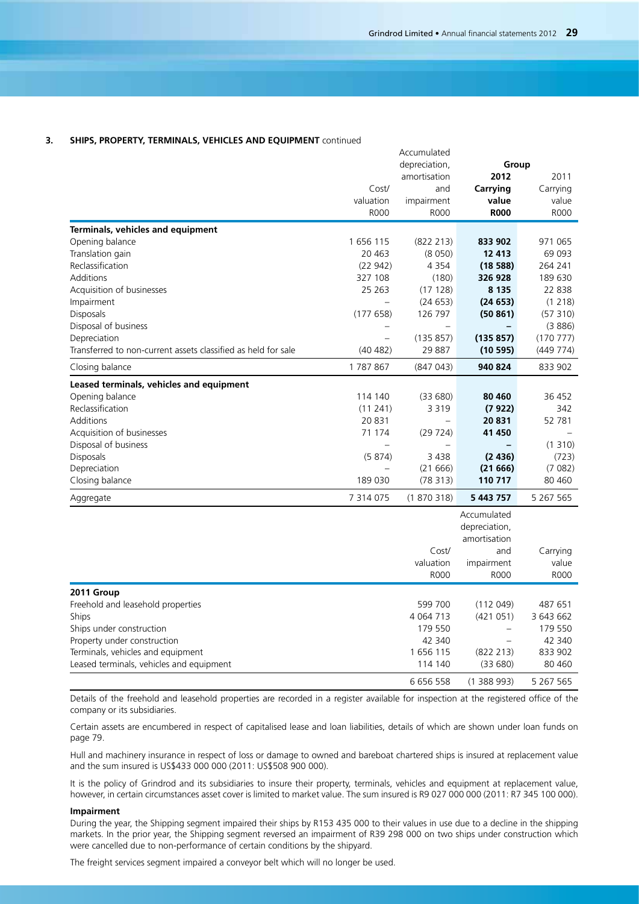Accumulated

## **3. SHIPS, PROPERTY, TERMINALS, VEHICLES AND EQUIPMENT** continued

|                                                               |                          | depreciation,<br>Group |                          |           |  |
|---------------------------------------------------------------|--------------------------|------------------------|--------------------------|-----------|--|
|                                                               |                          | amortisation           | 2012                     | 2011      |  |
|                                                               | Cost/                    | and                    | Carrying                 | Carrying  |  |
|                                                               | valuation                | impairment             | value                    | value     |  |
|                                                               | <b>ROOO</b>              | <b>ROOO</b>            | <b>R000</b>              | R000      |  |
|                                                               |                          |                        |                          |           |  |
| Terminals, vehicles and equipment                             |                          |                        |                          |           |  |
| Opening balance                                               | 1656115                  | (822 213)              | 833 902                  | 971 065   |  |
| Translation gain                                              | 20 4 63                  | (8050)                 | 12 413                   | 69 093    |  |
| Reclassification                                              | (22942)                  | 4 3 5 4                | (1858)                   | 264 241   |  |
| Additions                                                     | 327 108                  | (180)                  | 326 928                  | 189 630   |  |
| Acquisition of businesses                                     | 25 26 3                  | (17128)                | 8 1 3 5                  | 22 838    |  |
| Impairment                                                    | $\overline{\phantom{0}}$ | (24653)                | (24653)                  | (1218)    |  |
| Disposals                                                     | (177658)                 | 126 797                | (50861)                  | (57310)   |  |
| Disposal of business                                          |                          |                        |                          | (3886)    |  |
| Depreciation                                                  |                          | (135 857)              | (135857)                 | (170777)  |  |
| Transferred to non-current assets classified as held for sale | (40 482)                 | 29 887                 | (10 595)                 | (449 774) |  |
| Closing balance                                               | 1787867                  | (847 043)              | 940 824                  | 833 902   |  |
| Leased terminals, vehicles and equipment                      |                          |                        |                          |           |  |
| Opening balance                                               | 114 140                  | (33680)                | 80 460                   | 36 452    |  |
| Reclassification                                              | (11241)                  | 3 3 1 9                | (7922)                   | 342       |  |
| Additions                                                     | 20 831                   |                        | 20831                    | 52 781    |  |
| Acquisition of businesses                                     | 71 174                   | (29724)                | 41 450                   |           |  |
| Disposal of business                                          |                          |                        |                          | (1310)    |  |
| Disposals                                                     | (5874)                   | 3 4 3 8                | (2436)                   | (723)     |  |
| Depreciation                                                  |                          | (21666)                | (21666)                  | (7082)    |  |
| Closing balance                                               | 189 030                  | (78313)                | 110 717                  | 80 460    |  |
| Aggregate                                                     | 7 314 075                | (1870318)              | 5 443 757                | 5 267 565 |  |
|                                                               |                          |                        | Accumulated              |           |  |
|                                                               |                          |                        | depreciation,            |           |  |
|                                                               |                          |                        | amortisation             |           |  |
|                                                               |                          | Cost/                  | and                      | Carrying  |  |
|                                                               |                          | valuation              | impairment               | value     |  |
|                                                               |                          | <b>ROOO</b>            | R000                     | R000      |  |
| 2011 Group                                                    |                          |                        |                          |           |  |
| Freehold and leasehold properties                             |                          | 599 700                | (112049)                 | 487 651   |  |
| Ships                                                         |                          | 4 0 64 7 13            | (421051)                 | 3 643 662 |  |
| Ships under construction                                      |                          | 179 550                | $\overline{\phantom{0}}$ | 179 550   |  |
| Property under construction                                   |                          | 42 340                 |                          | 42 340    |  |
| Terminals, vehicles and equipment                             |                          | 1 656 115              | (822 213)                | 833 902   |  |
| Leased terminals, vehicles and equipment                      |                          | 114 140                | (33680)                  | 80 460    |  |
|                                                               |                          | 6 656 558              | (1388993)                | 5 267 565 |  |

Details of the freehold and leasehold properties are recorded in a register available for inspection at the registered office of the company or its subsidiaries.

Certain assets are encumbered in respect of capitalised lease and loan liabilities, details of which are shown under loan funds on page 79.

Hull and machinery insurance in respect of loss or damage to owned and bareboat chartered ships is insured at replacement value and the sum insured is US\$433 000 000 (2011: US\$508 900 000).

It is the policy of Grindrod and its subsidiaries to insure their property, terminals, vehicles and equipment at replacement value, however, in certain circumstances asset cover is limited to market value. The sum insured is R9 027 000 000 (2011: R7 345 100 000).

### **Impairment**

During the year, the Shipping segment impaired their ships by R153 435 000 to their values in use due to a decline in the shipping markets. In the prior year, the Shipping segment reversed an impairment of R39 298 000 on two ships under construction which were cancelled due to non-performance of certain conditions by the shipyard.

The freight services segment impaired a conveyor belt which will no longer be used.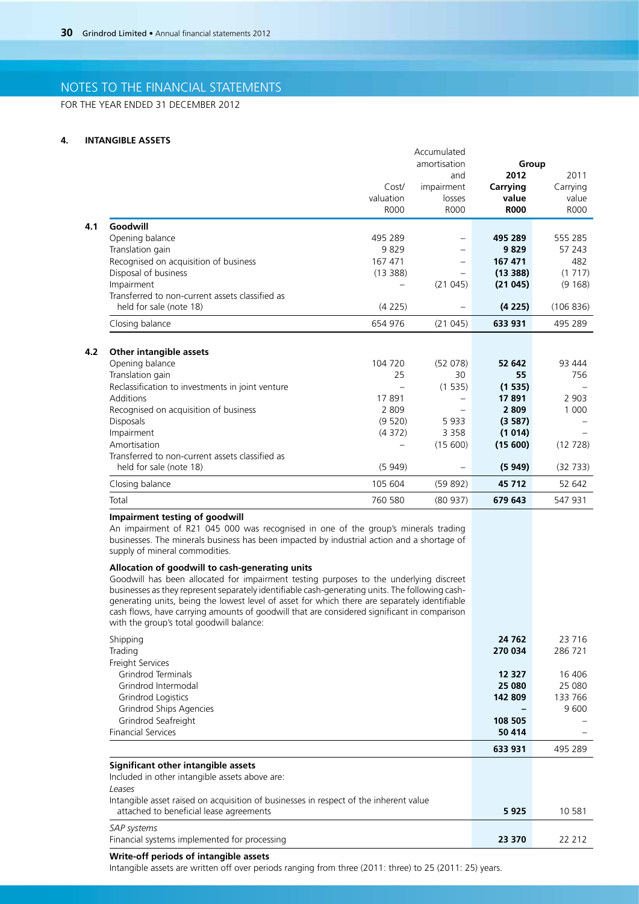FOR THE YEAR ENDED 31 DECEMBER 2012

### **4. INTANGIBLE ASSETS**

|                                                  |             | Accumulated              |             |             |
|--------------------------------------------------|-------------|--------------------------|-------------|-------------|
|                                                  |             | amortisation             | Group       |             |
|                                                  |             | and                      | 2012        | 2011        |
|                                                  | Cost/       | impairment               | Carrying    | Carrying    |
|                                                  | valuation   | losses                   | value       | value       |
|                                                  | <b>ROOO</b> | <b>ROOO</b>              | <b>R000</b> | <b>ROOO</b> |
| Goodwill                                         |             |                          |             |             |
| Opening balance                                  | 495 289     | $\overline{\phantom{0}}$ | 495 289     | 555 285     |
| Translation gain                                 | 9829        |                          | 9829        | 57 243      |
| Recognised on acquisition of business            | 167 471     |                          | 167 471     | 482         |
| Disposal of business                             | (13388)     |                          | (13388)     | (1717)      |
| Impairment                                       |             | (21045)                  | (21045)     | (9168)      |
| Transferred to non-current assets classified as  |             |                          |             |             |
| held for sale (note 18)                          | (4225)      |                          | (4225)      | (106 836)   |
| Closing balance                                  | 654 976     | (21045)                  | 633 931     | 495 289     |
| Other intangible assets<br>Opening balance       | 104 720     | (52 078)                 | 52 642      | 93 444      |
| Translation gain                                 | 25          | 30                       | 55          | 756         |
| Reclassification to investments in joint venture |             | (1535)                   | (1535)      |             |
| <b>Additions</b>                                 | 17891       |                          | 17891       | 2 9 0 3     |
| Recognised on acquisition of business            | 2809        |                          | 2809        | 1 0 0 0     |
| Disposals                                        | (9520)      | 5933                     | (3587)      |             |
| Impairment                                       | (4372)      | 3 3 5 8                  | (1014)      |             |
| Amortisation                                     |             | (15600)                  | (15600)     | (12728)     |
| Transferred to non-current assets classified as  |             |                          |             |             |
| held for sale (note 18)                          | (5949)      | $\overline{\phantom{0}}$ | (5949)      | (32733)     |
| Closing balance                                  | 105 604     | (59892)                  | 45 712      | 52 642      |
| Total                                            | 760 580     | (80937)                  | 679 643     | 547 931     |

## **Impairment testing of goodwill**

An impairment of R21 045 000 was recognised in one of the group's minerals trading businesses. The minerals business has been impacted by industrial action and a shortage of supply of mineral commodities.

## **Allocation of goodwill to cash-generating units**

Goodwill has been allocated for impairment testing purposes to the underlying discreet businesses as they represent separately identifiable cash-generating units. The following cashgenerating units, being the lowest level of asset for which there are separately identifiable cash flows, have carrying amounts of goodwill that are considered significant in comparison with the group's total goodwill balance:

| Shipping<br>Trading                                                                                                              | 24 762<br>270 034 | 23 716<br>286 721 |
|----------------------------------------------------------------------------------------------------------------------------------|-------------------|-------------------|
| Freight Services                                                                                                                 |                   |                   |
| Grindrod Terminals                                                                                                               | 12 3 27           | 16 40 6           |
| Grindrod Intermodal                                                                                                              | 25 080            | 25 080            |
| Grindrod Logistics                                                                                                               | 142 809           | 133 766           |
| Grindrod Ships Agencies                                                                                                          |                   | 9600              |
| Grindrod Seafreight                                                                                                              | 108 505           |                   |
| <b>Financial Services</b>                                                                                                        | 50 414            |                   |
|                                                                                                                                  | 633 931           | 495 289           |
| Significant other intangible assets                                                                                              |                   |                   |
| Included in other intangible assets above are:                                                                                   |                   |                   |
| Leases                                                                                                                           |                   |                   |
| Intangible asset raised on acquisition of businesses in respect of the inherent value<br>attached to beneficial lease agreements | 5925              | 10 581            |
| <b>SAP</b> systems                                                                                                               |                   |                   |

| Financial systems implemented for processing | 23 370 | 22 2 1 2 |
|----------------------------------------------|--------|----------|

## **Write-off periods of intangible assets**

Intangible assets are written off over periods ranging from three (2011: three) to 25 (2011: 25) years.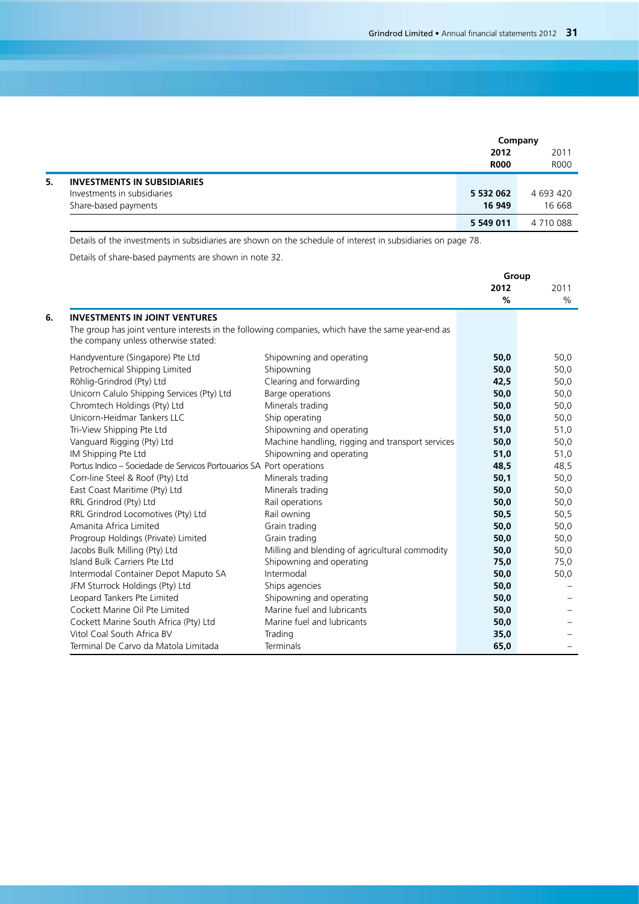|    |                                    |             | Company     |
|----|------------------------------------|-------------|-------------|
|    |                                    | 2012        | 2011        |
|    |                                    | <b>R000</b> | <b>ROOO</b> |
| 5. | <b>INVESTMENTS IN SUBSIDIARIES</b> |             |             |
|    | Investments in subsidiaries        | 5 532 062   | 4 693 420   |
|    | Share-based payments               | 16 949      | 16 668      |
|    |                                    | 5 549 011   | 4 710 088   |

Details of the investments in subsidiaries are shown on the schedule of interest in subsidiaries on page 78.

Details of share-based payments are shown in note 32.

|                                                                                                   |                                                  | Group |      |
|---------------------------------------------------------------------------------------------------|--------------------------------------------------|-------|------|
|                                                                                                   |                                                  | 2012  | 2011 |
|                                                                                                   |                                                  | $\%$  | $\%$ |
| <b>INVESTMENTS IN JOINT VENTURES</b>                                                              |                                                  |       |      |
| The group has joint venture interests in the following companies, which have the same year-end as |                                                  |       |      |
| the company unless otherwise stated:                                                              |                                                  |       |      |
| Handyventure (Singapore) Pte Ltd                                                                  | Shipowning and operating                         | 50,0  | 50,0 |
| Petrochemical Shipping Limited                                                                    | Shipowning                                       | 50,0  | 50,0 |
| Röhlig-Grindrod (Pty) Ltd                                                                         | Clearing and forwarding                          | 42.5  | 50,0 |
| Unicorn Calulo Shipping Services (Pty) Ltd                                                        | Barge operations                                 | 50,0  | 50,0 |
| Chromtech Holdings (Pty) Ltd                                                                      | Minerals trading                                 | 50,0  | 50,0 |
| Unicorn-Heidmar Tankers LLC                                                                       | Ship operating                                   | 50,0  | 50,0 |
| Tri-View Shipping Pte Ltd                                                                         | Shipowning and operating                         | 51,0  | 51,0 |
| Vanguard Rigging (Pty) Ltd                                                                        | Machine handling, rigging and transport services | 50,0  | 50,0 |
| IM Shipping Pte Ltd                                                                               | Shipowning and operating                         | 51,0  | 51,0 |
| Portus Indico - Sociedade de Servicos Portouarios SA Port operations                              |                                                  | 48,5  | 48,5 |
| Corr-line Steel & Roof (Pty) Ltd                                                                  | Minerals trading                                 | 50,1  | 50,0 |
| East Coast Maritime (Pty) Ltd                                                                     | Minerals trading                                 | 50,0  | 50,0 |
| RRL Grindrod (Pty) Ltd                                                                            | Rail operations                                  | 50,0  | 50,0 |
| RRL Grindrod Locomotives (Pty) Ltd                                                                | Rail owning                                      | 50,5  | 50,5 |
| Amanita Africa Limited                                                                            | Grain trading                                    | 50,0  | 50,0 |
| Progroup Holdings (Private) Limited                                                               | Grain trading                                    | 50,0  | 50,0 |
| Jacobs Bulk Milling (Pty) Ltd                                                                     | Milling and blending of agricultural commodity   | 50,0  | 50,0 |
| Island Bulk Carriers Pte Ltd                                                                      | Shipowning and operating                         | 75,0  | 75,0 |
| Intermodal Container Depot Maputo SA                                                              | Intermodal                                       | 50,0  | 50,0 |
| JFM Sturrock Holdings (Pty) Ltd                                                                   | Ships agencies                                   | 50,0  |      |
| Leopard Tankers Pte Limited                                                                       | Shipowning and operating                         | 50,0  |      |
| Cockett Marine Oil Pte Limited                                                                    | Marine fuel and lubricants                       | 50,0  |      |
| Cockett Marine South Africa (Pty) Ltd                                                             | Marine fuel and lubricants                       | 50,0  |      |
| Vitol Coal South Africa BV                                                                        | Trading                                          | 35,0  |      |
| Terminal De Carvo da Matola Limitada                                                              | <b>Terminals</b>                                 | 65,0  |      |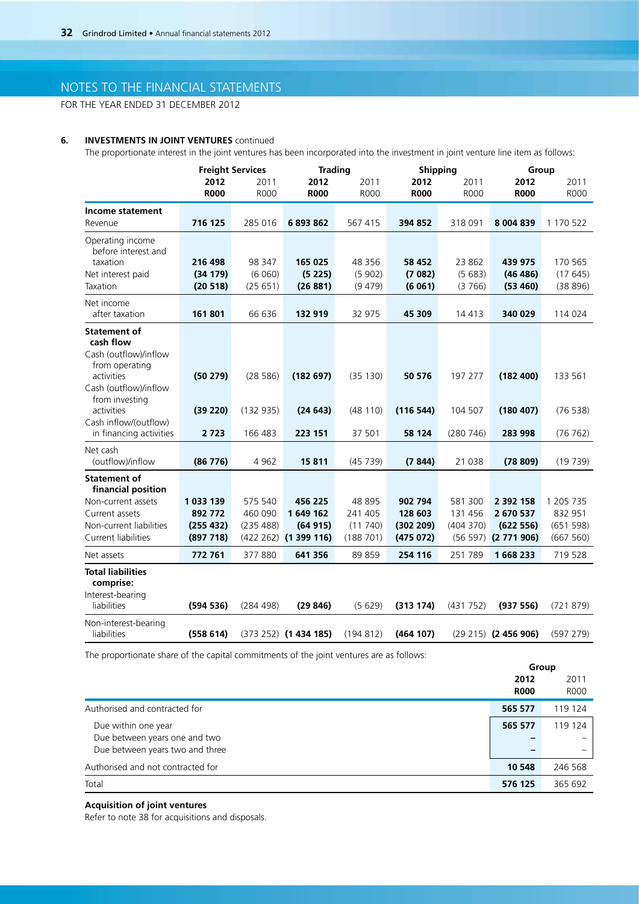FOR THE YEAR ENDED 31 DECEMBER 2012

## **6. INVESTMENTS IN JOINT VENTURES** continued

The proportionate interest in the joint ventures has been incorporated into the investment in joint venture line item as follows:

| 2012<br>2011<br>2012<br>2011<br>2012<br>2011<br>2012<br>2011<br><b>R000</b><br><b>R000</b><br><b>R000</b><br><b>R000</b><br><b>R000</b><br><b>R000</b><br><b>R000</b><br>Income statement<br>716 125<br>285 016<br>6893862<br>567 415<br>394 852<br>318 091<br>8 004 839<br>1 170 522<br>Revenue<br>Operating income<br>before interest and<br>taxation<br>216 498<br>98 347<br>165 025<br>48 356<br>58 452<br>23 862<br>439 975<br>170 565<br>(34179)<br>(6060)<br>(5225)<br>(5902)<br>(7082)<br>(5683)<br>(46 486)<br>(17645)<br>Net interest paid<br>Taxation<br>(20 518)<br>(25651)<br>(26881)<br>(9479)<br>(6061)<br>(3766)<br>(53 460)<br>(38896)<br>Net income<br>after taxation<br>161801<br>66 636<br>132 919<br>32 975<br>45 309<br>14 4 13<br>340 029<br>114 024<br><b>Statement of</b><br>cash flow |                       | <b>Freight Services</b> | <b>Trading</b> | Shipping |  | Group       |
|-----------------------------------------------------------------------------------------------------------------------------------------------------------------------------------------------------------------------------------------------------------------------------------------------------------------------------------------------------------------------------------------------------------------------------------------------------------------------------------------------------------------------------------------------------------------------------------------------------------------------------------------------------------------------------------------------------------------------------------------------------------------------------------------------------------------|-----------------------|-------------------------|----------------|----------|--|-------------|
|                                                                                                                                                                                                                                                                                                                                                                                                                                                                                                                                                                                                                                                                                                                                                                                                                 |                       |                         |                |          |  |             |
|                                                                                                                                                                                                                                                                                                                                                                                                                                                                                                                                                                                                                                                                                                                                                                                                                 |                       |                         |                |          |  | <b>ROOO</b> |
|                                                                                                                                                                                                                                                                                                                                                                                                                                                                                                                                                                                                                                                                                                                                                                                                                 |                       |                         |                |          |  |             |
|                                                                                                                                                                                                                                                                                                                                                                                                                                                                                                                                                                                                                                                                                                                                                                                                                 |                       |                         |                |          |  |             |
|                                                                                                                                                                                                                                                                                                                                                                                                                                                                                                                                                                                                                                                                                                                                                                                                                 |                       |                         |                |          |  |             |
|                                                                                                                                                                                                                                                                                                                                                                                                                                                                                                                                                                                                                                                                                                                                                                                                                 |                       |                         |                |          |  |             |
|                                                                                                                                                                                                                                                                                                                                                                                                                                                                                                                                                                                                                                                                                                                                                                                                                 |                       |                         |                |          |  |             |
|                                                                                                                                                                                                                                                                                                                                                                                                                                                                                                                                                                                                                                                                                                                                                                                                                 |                       |                         |                |          |  |             |
|                                                                                                                                                                                                                                                                                                                                                                                                                                                                                                                                                                                                                                                                                                                                                                                                                 |                       |                         |                |          |  |             |
|                                                                                                                                                                                                                                                                                                                                                                                                                                                                                                                                                                                                                                                                                                                                                                                                                 |                       |                         |                |          |  |             |
|                                                                                                                                                                                                                                                                                                                                                                                                                                                                                                                                                                                                                                                                                                                                                                                                                 |                       |                         |                |          |  |             |
|                                                                                                                                                                                                                                                                                                                                                                                                                                                                                                                                                                                                                                                                                                                                                                                                                 |                       |                         |                |          |  |             |
|                                                                                                                                                                                                                                                                                                                                                                                                                                                                                                                                                                                                                                                                                                                                                                                                                 |                       |                         |                |          |  |             |
|                                                                                                                                                                                                                                                                                                                                                                                                                                                                                                                                                                                                                                                                                                                                                                                                                 | Cash (outflow)/inflow |                         |                |          |  |             |
| from operating                                                                                                                                                                                                                                                                                                                                                                                                                                                                                                                                                                                                                                                                                                                                                                                                  |                       |                         |                |          |  |             |
| activities<br>(50279)<br>(28586)<br>(182697)<br>(35 130)<br>197 277<br>(182 400)<br>133 561<br>50 576                                                                                                                                                                                                                                                                                                                                                                                                                                                                                                                                                                                                                                                                                                           |                       |                         |                |          |  |             |
| Cash (outflow)/inflow                                                                                                                                                                                                                                                                                                                                                                                                                                                                                                                                                                                                                                                                                                                                                                                           |                       |                         |                |          |  |             |
| from investing                                                                                                                                                                                                                                                                                                                                                                                                                                                                                                                                                                                                                                                                                                                                                                                                  |                       |                         |                |          |  |             |
| activities<br>(132935)<br>(48110)<br>(116544)<br>104 507<br>(180 407)<br>(39 220)<br>(24643)                                                                                                                                                                                                                                                                                                                                                                                                                                                                                                                                                                                                                                                                                                                    |                       |                         |                |          |  | (76538)     |
| Cash inflow/(outflow)<br>in financing activities<br>37 501<br>2 7 2 3<br>166 483<br>223 151<br>58 124<br>(280 746)<br>283 998                                                                                                                                                                                                                                                                                                                                                                                                                                                                                                                                                                                                                                                                                   |                       |                         |                |          |  | (76 762)    |
|                                                                                                                                                                                                                                                                                                                                                                                                                                                                                                                                                                                                                                                                                                                                                                                                                 |                       |                         |                |          |  |             |
| Net cash                                                                                                                                                                                                                                                                                                                                                                                                                                                                                                                                                                                                                                                                                                                                                                                                        |                       |                         |                |          |  |             |
| (outflow)/inflow<br>15811<br>(86776)<br>4 9 6 2<br>(45739)<br>(7844)<br>21 038<br>(78809)                                                                                                                                                                                                                                                                                                                                                                                                                                                                                                                                                                                                                                                                                                                       |                       |                         |                |          |  | (19739)     |
| <b>Statement of</b>                                                                                                                                                                                                                                                                                                                                                                                                                                                                                                                                                                                                                                                                                                                                                                                             |                       |                         |                |          |  |             |
| financial position                                                                                                                                                                                                                                                                                                                                                                                                                                                                                                                                                                                                                                                                                                                                                                                              |                       |                         |                |          |  |             |
| 575 540<br>902 794<br>Non-current assets<br>1 033 139<br>456 225<br>48 895<br>581 300<br>2 392 158<br>1 205 7 35                                                                                                                                                                                                                                                                                                                                                                                                                                                                                                                                                                                                                                                                                                |                       |                         |                |          |  |             |
| 460 090<br>1649 162<br>241 405<br>131 456<br>832 951<br>Current assets<br>892 772<br>128 603<br>2 670 537                                                                                                                                                                                                                                                                                                                                                                                                                                                                                                                                                                                                                                                                                                       |                       |                         |                |          |  |             |
| Non-current liabilities<br>(255 432)<br>(235 488)<br>(11740)<br>(302 209)<br>(404370)<br>(622 556)<br>(64915)                                                                                                                                                                                                                                                                                                                                                                                                                                                                                                                                                                                                                                                                                                   |                       |                         |                |          |  | (651598)    |
| <b>Current liabilities</b><br>(897718)<br>(422 262) (1 399 116)<br>(188701)<br>(475072)<br>(56 597) (2 771 906)                                                                                                                                                                                                                                                                                                                                                                                                                                                                                                                                                                                                                                                                                                 |                       |                         |                |          |  | (667 560)   |
| 377880<br>719 528<br>772 761<br>641 356<br>89 859<br>254 116<br>251789<br>1668233<br>Net assets                                                                                                                                                                                                                                                                                                                                                                                                                                                                                                                                                                                                                                                                                                                 |                       |                         |                |          |  |             |
| <b>Total liabilities</b>                                                                                                                                                                                                                                                                                                                                                                                                                                                                                                                                                                                                                                                                                                                                                                                        |                       |                         |                |          |  |             |
| comprise:                                                                                                                                                                                                                                                                                                                                                                                                                                                                                                                                                                                                                                                                                                                                                                                                       |                       |                         |                |          |  |             |
| Interest-bearing                                                                                                                                                                                                                                                                                                                                                                                                                                                                                                                                                                                                                                                                                                                                                                                                |                       |                         |                |          |  |             |
| liabilities<br>(594536)<br>(284 498)<br>(29846)<br>(5629)<br>(313 174)<br>(431 752)<br>(937 556)                                                                                                                                                                                                                                                                                                                                                                                                                                                                                                                                                                                                                                                                                                                |                       |                         |                |          |  | (721879)    |
| Non-interest-bearing                                                                                                                                                                                                                                                                                                                                                                                                                                                                                                                                                                                                                                                                                                                                                                                            |                       |                         |                |          |  |             |
| liabilities<br>(194812)<br>(464 107)<br>(558614)<br>$(373 252)$ (1 434 185)<br>$(29 215)$ (2 456 906)                                                                                                                                                                                                                                                                                                                                                                                                                                                                                                                                                                                                                                                                                                           |                       |                         |                |          |  | (597 279)   |

The proportionate share of the capital commitments of the joint ventures are as follows:

|                                   |             | Group   |
|-----------------------------------|-------------|---------|
|                                   | 2012        | 2011    |
|                                   | <b>R000</b> | R000    |
| Authorised and contracted for     | 565 577     | 119 124 |
| Due within one year               | 565 577     | 119 124 |
| Due between years one and two     |             |         |
| Due between years two and three   | -           |         |
| Authorised and not contracted for | 10 548      | 246 568 |
| Total                             | 576 125     | 365 692 |

## **Acquisition of joint ventures**

Refer to note 38 for acquisitions and disposals.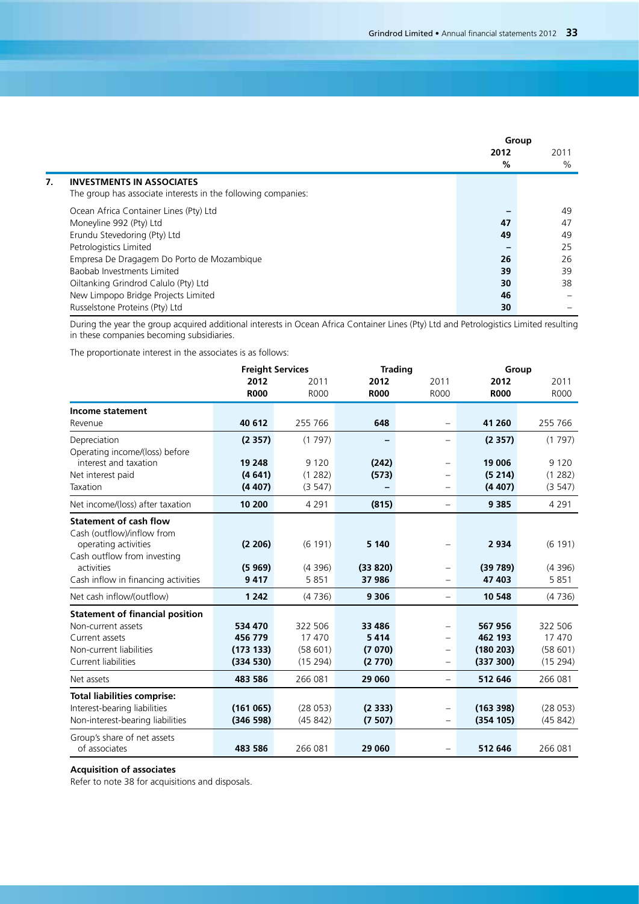|    |                                                               | Group |      |
|----|---------------------------------------------------------------|-------|------|
|    |                                                               | 2012  | 2011 |
|    |                                                               | %     | %    |
| 7. | <b>INVESTMENTS IN ASSOCIATES</b>                              |       |      |
|    | The group has associate interests in the following companies: |       |      |
|    | Ocean Africa Container Lines (Pty) Ltd                        |       | 49   |
|    | Moneyline 992 (Pty) Ltd                                       | 47    | 47   |
|    | Erundu Stevedoring (Pty) Ltd                                  | 49    | 49   |
|    | Petrologistics Limited                                        |       | 25   |
|    | Empresa De Dragagem Do Porto de Mozambique                    | 26    | 26   |
|    | Baobab Investments Limited                                    | 39    | 39   |
|    | Oiltanking Grindrod Calulo (Pty) Ltd                          | 30    | 38   |
|    | New Limpopo Bridge Projects Limited                           | 46    |      |
|    | Russelstone Proteins (Pty) Ltd                                | 30    |      |

During the year the group acquired additional interests in Ocean Africa Container Lines (Pty) Ltd and Petrologistics Limited resulting in these companies becoming subsidiaries.

The proportionate interest in the associates is as follows:

|                                        |             | <b>Freight Services</b> | <b>Trading</b> |                          |             | Group       |  |
|----------------------------------------|-------------|-------------------------|----------------|--------------------------|-------------|-------------|--|
|                                        | 2012        | 2011                    | 2012           | 2011                     | 2012        | 2011        |  |
|                                        | <b>R000</b> | <b>R000</b>             | <b>R000</b>    | <b>ROOO</b>              | <b>R000</b> | <b>ROOO</b> |  |
| Income statement                       |             |                         |                |                          |             |             |  |
| Revenue                                | 40 612      | 255 766                 | 648            | $\overline{\phantom{0}}$ | 41 260      | 255 766     |  |
| Depreciation                           | (2357)      | (1797)                  | -              | $\overline{\phantom{0}}$ | (2357)      | (1797)      |  |
| Operating income/(loss) before         |             |                         |                |                          |             |             |  |
| interest and taxation                  | 19 248      | 9 1 2 0                 | (242)          | $\overline{\phantom{0}}$ | 19 006      | 9 1 2 0     |  |
| Net interest paid                      | (4641)      | (1 282)                 | (573)          | -                        | (5214)      | (1 282)     |  |
| Taxation                               | (4407)      | (3547)                  |                | $\overline{\phantom{0}}$ | (4407)      | (3547)      |  |
| Net income/(loss) after taxation       | 10 200      | 4 2 9 1                 | (815)          | $\overline{\phantom{0}}$ | 9 3 8 5     | 4 2 9 1     |  |
| <b>Statement of cash flow</b>          |             |                         |                |                          |             |             |  |
| Cash (outflow)/inflow from             |             |                         |                |                          |             |             |  |
| operating activities                   | (2 206)     | (6191)                  | 5 1 4 0        | $\qquad \qquad -$        | 2934        | (6 191)     |  |
| Cash outflow from investing            |             |                         |                |                          |             |             |  |
| activities                             | (5969)      | (4396)                  | (33 820)       | $\overline{\phantom{0}}$ | (39789)     | (4396)      |  |
| Cash inflow in financing activities    | 9417        | 5851                    | 37 986         | $\overline{\phantom{0}}$ | 47 403      | 5851        |  |
| Net cash inflow/(outflow)              | 1 2 4 2     | (4736)                  | 9 3 0 6        | $\overline{\phantom{m}}$ | 10 548      | (4736)      |  |
| <b>Statement of financial position</b> |             |                         |                |                          |             |             |  |
| Non-current assets                     | 534 470     | 322 506                 | 33 4 86        | $\overline{\phantom{0}}$ | 567956      | 322 506     |  |
| Current assets                         | 456 779     | 17470                   | 5414           | $\overline{\phantom{0}}$ | 462 193     | 17470       |  |
| Non-current liabilities                | (17313)     | (58601)                 | (7070)         | $\qquad \qquad -$        | (180 203)   | (58601)     |  |
| Current liabilities                    | (334 530)   | (15294)                 | (2770)         | $\overline{\phantom{0}}$ | (337 300)   | (15 294)    |  |
| Net assets                             | 483 586     | 266 081                 | 29 060         |                          | 512 646     | 266 081     |  |
| <b>Total liabilities comprise:</b>     |             |                         |                |                          |             |             |  |
| Interest-bearing liabilities           | (161065)    | (28053)                 | (2333)         | $\qquad \qquad -$        | (163 398)   | (28053)     |  |
| Non-interest-bearing liabilities       | (346598)    | (45842)                 | (7507)         | $\overline{\phantom{0}}$ | (354 105)   | (45842)     |  |
| Group's share of net assets            |             |                         |                |                          |             |             |  |
| of associates                          | 483 586     | 266 081                 | 29 060         | $\overline{\phantom{0}}$ | 512 646     | 266 081     |  |

## **Acquisition of associates**

Refer to note 38 for acquisitions and disposals.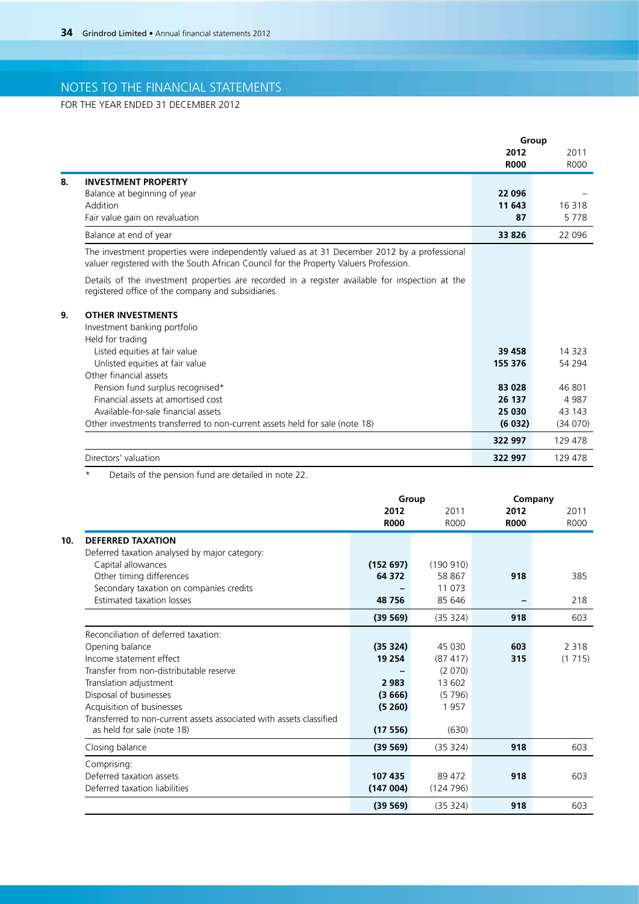FOR THE YEAR ENDED 31 DECEMBER 2012

|                                                                                                                                                                                       | Group       |         |
|---------------------------------------------------------------------------------------------------------------------------------------------------------------------------------------|-------------|---------|
|                                                                                                                                                                                       | 2012        | 2011    |
|                                                                                                                                                                                       | <b>R000</b> | R000    |
| <b>INVESTMENT PROPERTY</b>                                                                                                                                                            |             |         |
| Balance at beginning of year                                                                                                                                                          | 22 096      |         |
| Addition                                                                                                                                                                              | 11 643      | 16 318  |
| Fair value gain on revaluation                                                                                                                                                        | 87          | 5778    |
| Balance at end of year                                                                                                                                                                | 33 826      | 22 096  |
| The investment properties were independently valued as at 31 December 2012 by a professional<br>valuer registered with the South African Council for the Property Valuers Profession. |             |         |
| Details of the investment properties are recorded in a register available for inspection at the<br>registered office of the company and subsidiaries.                                 |             |         |
| <b>OTHER INVESTMENTS</b>                                                                                                                                                              |             |         |
| Investment banking portfolio                                                                                                                                                          |             |         |
| Held for trading                                                                                                                                                                      |             |         |
| Listed equities at fair value                                                                                                                                                         | 39 458      | 14 323  |
| Unlisted equities at fair value                                                                                                                                                       | 155 376     | 54 294  |
| Other financial assets                                                                                                                                                                |             |         |
| Pension fund surplus recognised*                                                                                                                                                      | 83 028      | 46 801  |
| Financial assets at amortised cost                                                                                                                                                    | 26 137      | 4 9 8 7 |
| Available-for-sale financial assets                                                                                                                                                   | 25 030      | 43 143  |
| Other investments transferred to non-current assets held for sale (note 18)                                                                                                           | (6032)      | (34070) |
|                                                                                                                                                                                       | 322 997     | 129 478 |
| Directors' valuation                                                                                                                                                                  | 322 997     | 129 478 |

\* Details of the pension fund are detailed in note 22.

|                                                                     | Group       |             | Company     |             |  |
|---------------------------------------------------------------------|-------------|-------------|-------------|-------------|--|
|                                                                     | 2012        | 2011        | 2012        | 2011        |  |
|                                                                     | <b>R000</b> | <b>ROOO</b> | <b>R000</b> | <b>ROOO</b> |  |
| <b>DEFERRED TAXATION</b>                                            |             |             |             |             |  |
| Deferred taxation analysed by major category:                       |             |             |             |             |  |
| Capital allowances                                                  | (152697)    | (190 910)   |             |             |  |
| Other timing differences                                            | 64 372      | 58 867      | 918         | 385         |  |
| Secondary taxation on companies credits                             |             | 11 073      |             |             |  |
| <b>Estimated taxation losses</b>                                    | 48756       | 85 646      |             | 218         |  |
|                                                                     | (39 569)    | (35 324)    | 918         | 603         |  |
| Reconciliation of deferred taxation:                                |             |             |             |             |  |
| Opening balance                                                     | (35324)     | 45 030      | 603         | 2 3 1 8     |  |
| Income statement effect                                             | 19 254      | (87417)     | 315         | (1715)      |  |
| Transfer from non-distributable reserve                             |             | (2070)      |             |             |  |
| Translation adjustment                                              | 2 9 8 3     | 13 602      |             |             |  |
| Disposal of businesses                                              | (3666)      | (5796)      |             |             |  |
| Acquisition of businesses                                           | (5260)      | 1957        |             |             |  |
| Transferred to non-current assets associated with assets classified |             |             |             |             |  |
| as held for sale (note 18)                                          | (17556)     | (630)       |             |             |  |
| Closing balance                                                     | (39 569)    | (35324)     | 918         | 603         |  |
| Comprising:                                                         |             |             |             |             |  |
| Deferred taxation assets                                            | 107 435     | 89 472      | 918         | 603         |  |
| Deferred taxation liabilities                                       | (147004)    | (124796)    |             |             |  |
|                                                                     | (39 569)    | (35324)     | 918         | 603         |  |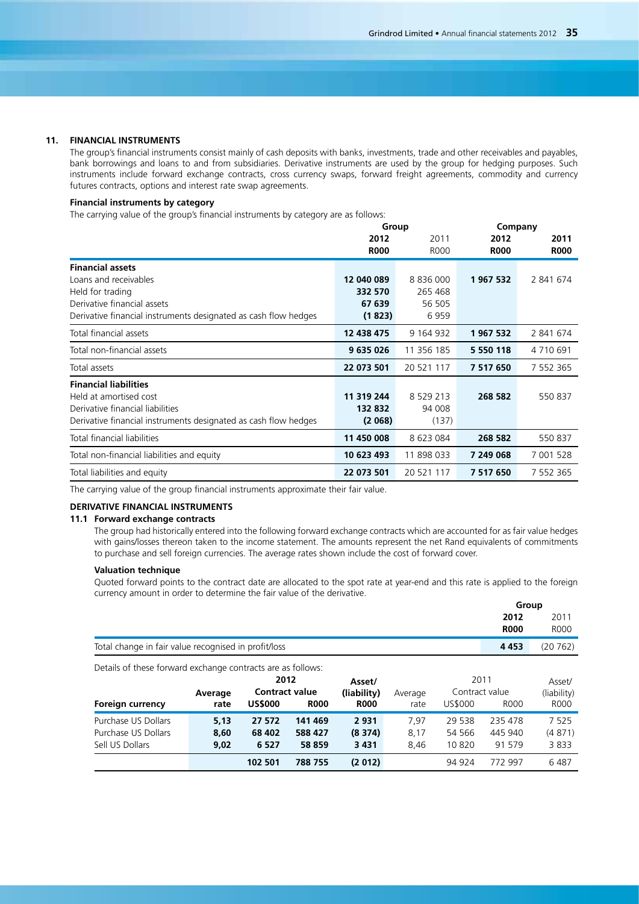### **11. FINANCIAL INSTRUMENTS**

The group's financial instruments consist mainly of cash deposits with banks, investments, trade and other receivables and payables, bank borrowings and loans to and from subsidiaries. Derivative instruments are used by the group for hedging purposes. Such instruments include forward exchange contracts, cross currency swaps, forward freight agreements, commodity and currency futures contracts, options and interest rate swap agreements.

## **Financial instruments by category**

The carrying value of the group's financial instruments by category are as follows:

|                                                                 | Group       |               | Company       |              |
|-----------------------------------------------------------------|-------------|---------------|---------------|--------------|
|                                                                 | 2012        | 2011          | 2012          | 2011         |
|                                                                 | <b>R000</b> | <b>R000</b>   | <b>R000</b>   | <b>R000</b>  |
| <b>Financial assets</b>                                         |             |               |               |              |
| Loans and receivables                                           | 12 040 089  | 8 8 3 6 0 0 0 | 1967532       | 2 841 674    |
| Held for trading                                                | 332 570     | 265 468       |               |              |
| Derivative financial assets                                     | 67 639      | 56 505        |               |              |
| Derivative financial instruments designated as cash flow hedges | (1823)      | 6959          |               |              |
| Total financial assets                                          | 12 438 475  | 9 164 932     | 1967532       | 2 841 674    |
| Total non-financial assets                                      | 9 635 026   | 11 356 185    | 5 5 5 0 1 1 8 | 4 7 10 6 9 1 |
| Total assets                                                    | 22 073 501  | 20 521 117    | 7 517 650     | 7 552 365    |
| <b>Financial liabilities</b>                                    |             |               |               |              |
| Held at amortised cost                                          | 11 319 244  | 8 5 29 213    | 268 582       | 550 837      |
| Derivative financial liabilities                                | 132 832     | 94 008        |               |              |
| Derivative financial instruments designated as cash flow hedges | (2068)      | (137)         |               |              |
| Total financial liabilities                                     | 11 450 008  | 8 623 084     | 268 582       | 550 837      |
| Total non-financial liabilities and equity                      | 10 623 493  | 11 898 033    | 7 249 068     | 7 001 528    |
| Total liabilities and equity                                    | 22 073 501  | 20 521 117    | 7 517 650     | 7 552 365    |

The carrying value of the group financial instruments approximate their fair value.

## **Derivative financial instruments**

### **11.1 Forward exchange contracts**

The group had historically entered into the following forward exchange contracts which are accounted for as fair value hedges with gains/losses thereon taken to the income statement. The amounts represent the net Rand equivalents of commitments to purchase and sell foreign currencies. The average rates shown include the cost of forward cover.

## **Valuation technique**

Quoted forward points to the contract date are allocated to the spot rate at year-end and this rate is applied to the foreign currency amount in order to determine the fair value of the derivative.

|                                                      | Group       |             |
|------------------------------------------------------|-------------|-------------|
|                                                      | 2012        | 2011        |
|                                                      | <b>R000</b> | <b>ROOO</b> |
| Total change in fair value recognised in profit/loss | 4 4 5 3     | (20762)     |

Details of these forward exchange contracts are as follows:

| <b>Foreign currency</b>                                       | Average<br>rate      | 2012<br><b>Contract value</b><br><b>US\$000</b> | <b>R000</b>                  | Asset/<br>(liability)<br><b>R000</b> | Average<br>rate      | 2011<br>Contract value<br>US\$000 | R000                         | Asset/<br>(liability)<br><b>R000</b> |
|---------------------------------------------------------------|----------------------|-------------------------------------------------|------------------------------|--------------------------------------|----------------------|-----------------------------------|------------------------------|--------------------------------------|
| Purchase US Dollars<br>Purchase US Dollars<br>Sell US Dollars | 5.13<br>8.60<br>9.02 | 27 572<br>68 402<br>6 5 2 7                     | 141 469<br>588 427<br>58 859 | 2931<br>(8374)<br>3 4 3 1            | 7.97<br>8,17<br>8.46 | 29 538<br>54 566<br>10820         | 235 478<br>445 940<br>91 579 | 7 525<br>(4871)<br>3833              |
|                                                               |                      | 102 501                                         | 788 755                      | (2012)                               |                      | 94 924                            | 772 997                      | 6487                                 |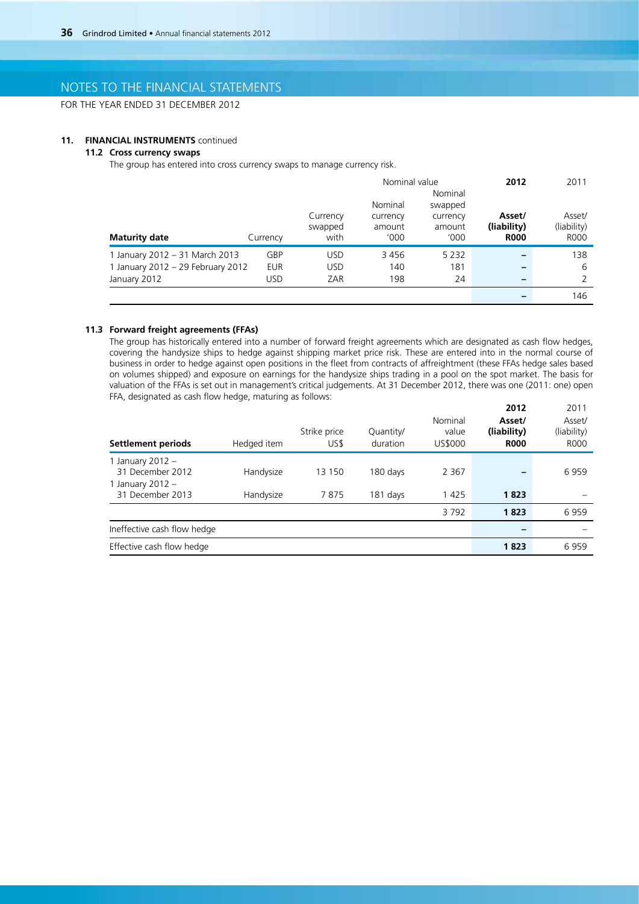FOR THE YEAR ENDED 31 DECEMBER 2012

### **11. FINANCIAL INSTRUMENTS** continued

## **11.2 Cross currency swaps**

The group has entered into cross currency swaps to manage currency risk.

|                                   |            |                     |                    | Nominal value      | 2012                  | 2011                  |
|-----------------------------------|------------|---------------------|--------------------|--------------------|-----------------------|-----------------------|
|                                   |            |                     |                    | Nominal            |                       |                       |
|                                   |            |                     | Nominal            | swapped            |                       |                       |
|                                   |            | Currency<br>swapped | currency<br>amount | currency<br>amount | Asset/<br>(liability) | Asset/<br>(liability) |
| <b>Maturity date</b>              | Currency   | with                | '000'              | '000               | <b>R000</b>           | <b>ROOO</b>           |
| 1 January 2012 - 31 March 2013    | GBP        | <b>USD</b>          | 3456               | 5 2 3 2            |                       | 138                   |
| 1 January 2012 - 29 February 2012 | <b>EUR</b> | <b>USD</b>          | 140                | 181                |                       | 6                     |
| January 2012                      | <b>USD</b> | ZAR                 | 198                | 24                 | -                     | $\mathcal{P}$         |
|                                   |            |                     |                    |                    |                       | 146                   |

## **11.3 Forward freight agreements (FFAs)**

The group has historically entered into a number of forward freight agreements which are designated as cash flow hedges, covering the handysize ships to hedge against shipping market price risk. These are entered into in the normal course of business in order to hedge against open positions in the fleet from contracts of affreightment (these FFAs hedge sales based on volumes shipped) and exposure on earnings for the handysize ships trading in a pool on the spot market. The basis for valuation of the FFAs is set out in management's critical judgements. At 31 December 2012, there was one (2011: one) open FFA, designated as cash flow hedge, maturing as follows: **2012** 2011

| <b>Settlement periods</b>                                  | Hedged item | Strike price<br>US\$ | Quantity/<br>duration | Nominal<br>value<br>US\$000 | <b>2012</b><br>Asset/<br>(liability)<br><b>R000</b> | 20 H<br>Asset/<br>(liability)<br><b>ROOO</b> |
|------------------------------------------------------------|-------------|----------------------|-----------------------|-----------------------------|-----------------------------------------------------|----------------------------------------------|
| 1 January 2012 $-$<br>31 December 2012<br>1 January 2012 - | Handysize   | 13 150               | 180 days              | 2 3 6 7                     |                                                     | 6959                                         |
| 31 December 2013                                           | Handysize   | 7875                 | 181 days              | 1425                        | 1823                                                |                                              |
|                                                            |             |                      |                       | 3792                        | 1823                                                | 6959                                         |
| Ineffective cash flow hedge                                |             |                      |                       |                             |                                                     |                                              |
| Effective cash flow hedge                                  |             |                      |                       |                             | 1823                                                | 6959                                         |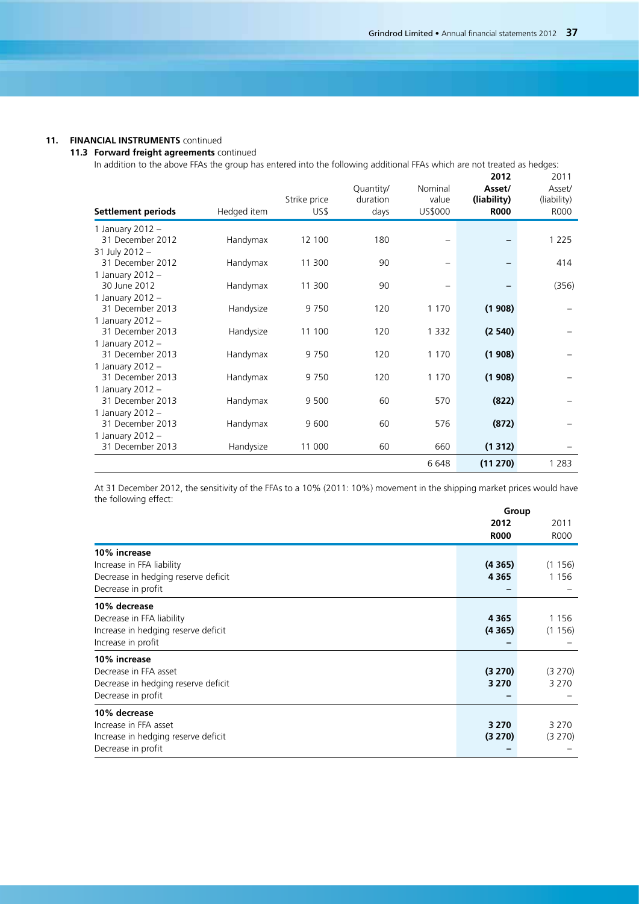### **11. FINANCIAL INSTRUMENTS** continued

### **11.3 Forward freight agreements** continued

In addition to the above FFAs the group has entered into the following additional FFAs which are not treated as hedges:

| <b>Settlement periods</b>              | Hedged item | Strike price<br>US\$ | Quantity/<br>duration<br>days | Nominal<br>value<br>US\$000 | 2012<br>Asset/<br>(liability)<br><b>R000</b> | 2011<br>Asset/<br>(liability)<br>R000 |
|----------------------------------------|-------------|----------------------|-------------------------------|-----------------------------|----------------------------------------------|---------------------------------------|
| 1 January 2012 -                       |             |                      |                               |                             |                                              |                                       |
| 31 December 2012                       | Handymax    | 12 100               | 180                           |                             |                                              | 1 2 2 5                               |
| 31 July 2012 -                         |             |                      | 90                            |                             |                                              |                                       |
| 31 December 2012                       | Handymax    | 11 300               |                               |                             |                                              | 414                                   |
| 1 January 2012 -<br>30 June 2012       | Handymax    | 11 300               | 90                            |                             |                                              | (356)                                 |
| 1 January 2012 -                       |             |                      |                               |                             |                                              |                                       |
| 31 December 2013                       | Handysize   | 9750                 | 120                           | 1 1 7 0                     | (1908)                                       |                                       |
| 1 January 2012 -                       |             |                      |                               |                             |                                              |                                       |
| 31 December 2013                       | Handysize   | 11 100               | 120                           | 1 3 3 2                     | (2540)                                       |                                       |
| 1 January 2012 $-$                     |             |                      |                               |                             |                                              |                                       |
| 31 December 2013                       | Handymax    | 9750                 | 120                           | 1 1 7 0                     | (1908)                                       |                                       |
| 1 January 2012 $-$                     |             |                      |                               |                             |                                              |                                       |
| 31 December 2013                       | Handymax    | 9750                 | 120                           | 1 1 7 0                     | (1908)                                       |                                       |
| 1 January 2012 $-$<br>31 December 2013 | Handymax    | 9 500                | 60                            | 570                         | (822)                                        |                                       |
| 1 January 2012 $-$                     |             |                      |                               |                             |                                              |                                       |
| 31 December 2013                       | Handymax    | 9600                 | 60                            | 576                         | (872)                                        |                                       |
| 1 January 2012 $-$                     |             |                      |                               |                             |                                              |                                       |
| 31 December 2013                       | Handysize   | 11 000               | 60                            | 660                         | (1312)                                       |                                       |
|                                        |             |                      |                               | 6648                        | (11 270)                                     | 1 2 8 3                               |

At 31 December 2012, the sensitivity of the FFAs to a 10% (2011: 10%) movement in the shipping market prices would have the following effect:

|                                                                                                        | Group              |                    |
|--------------------------------------------------------------------------------------------------------|--------------------|--------------------|
|                                                                                                        | 2012               | 2011               |
|                                                                                                        | <b>R000</b>        | <b>ROOO</b>        |
| 10% increase<br>Increase in FFA liability                                                              | (4365)             | (1156)             |
| Decrease in hedging reserve deficit                                                                    | 4 3 6 5            | 1 1 5 6            |
| Decrease in profit                                                                                     |                    |                    |
| 10% decrease<br>Decrease in FFA liability<br>Increase in hedging reserve deficit<br>Increase in profit | 4 3 6 5<br>(4365)  | 1 1 5 6<br>(1156)  |
| 10% increase<br>Decrease in FFA asset<br>Decrease in hedging reserve deficit<br>Decrease in profit     | (3 270)<br>3 2 7 0 | (3 270)<br>3 2 7 0 |
| 10% decrease<br>Increase in FFA asset<br>Increase in hedging reserve deficit<br>Decrease in profit     | 3 2 7 0<br>(3 270) | 3 2 7 0<br>(3 270) |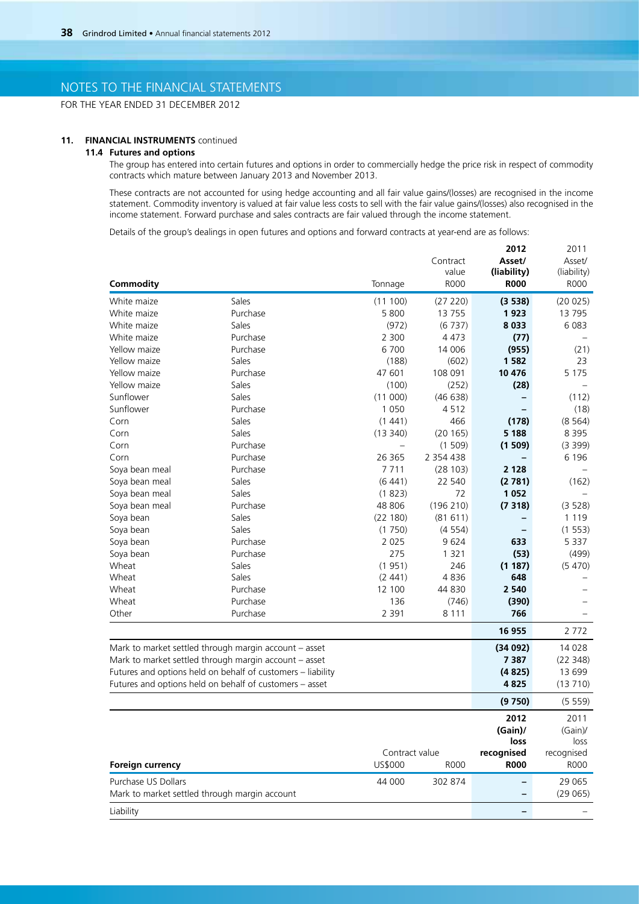FOR THE YEAR ENDED 31 DECEMBER 2012

### **11. FINANCIAL INSTRUMENTS** continued

### **11.4 Futures and options**

The group has entered into certain futures and options in order to commercially hedge the price risk in respect of commodity contracts which mature between January 2013 and November 2013.

These contracts are not accounted for using hedge accounting and all fair value gains/(losses) are recognised in the income statement. Commodity inventory is valued at fair value less costs to sell with the fair value gains/(losses) also recognised in the income statement. Forward purchase and sales contracts are fair valued through the income statement.

Details of the group's dealings in open futures and options and forward contracts at year-end are as follows:

|                                                       |                                                             |                   |               | 2012        | 2011        |
|-------------------------------------------------------|-------------------------------------------------------------|-------------------|---------------|-------------|-------------|
|                                                       |                                                             |                   | Contract      | Asset/      | Asset/      |
|                                                       |                                                             |                   | value         | (liability) | (liability) |
| Commodity                                             |                                                             | Tonnage           | <b>R000</b>   | <b>R000</b> | <b>R000</b> |
| White maize                                           | Sales                                                       | (11100)           | (27 220)      | (3538)      | (20 025)    |
| White maize                                           | Purchase                                                    | 5 800             | 13 7 5 5      | 1923        | 13 795      |
| White maize                                           | Sales                                                       | (972)             | (6737)        | 8 0 3 3     | 6 0 83      |
| White maize                                           | Purchase                                                    | 2 300             | 4 4 7 3       | (77)        |             |
| Yellow maize                                          | Purchase                                                    | 6 700             | 14 006        | (955)       | (21)        |
| Yellow maize                                          | Sales                                                       | (188)             | (602)         | 1 5 8 2     | 23          |
| Yellow maize                                          | Purchase                                                    | 47 601            | 108 091       | 10 476      | 5 1 7 5     |
| Yellow maize                                          | Sales                                                       | (100)             | (252)         | (28)        |             |
| Sunflower                                             | Sales                                                       | (11000)           | (46638)       | -           | (112)       |
| Sunflower                                             | Purchase                                                    | 1 0 5 0           | 4512          |             | (18)        |
| Corn                                                  | Sales                                                       | (1441)            | 466           | (178)       | (8564)      |
| Corn                                                  | Sales                                                       | (13340)           | (20165)       | 5 1 8 8     | 8 3 9 5     |
| Corn                                                  | Purchase                                                    | $\qquad \qquad -$ | (1509)        | (1509)      | (3 399)     |
| Corn                                                  | Purchase                                                    | 26 3 65           | 2 3 5 4 4 3 8 |             | 6 1 9 6     |
| Soya bean meal                                        | Purchase                                                    | 7711              | (28103)       | 2 1 2 8     |             |
| Soya bean meal                                        | Sales                                                       | (6441)            | 22 540        | (2781)      | (162)       |
| Soya bean meal                                        | Sales                                                       | (1823)            | 72            | 1052        |             |
| Soya bean meal                                        | Purchase                                                    | 48 806            | (196 210)     | (7318)      | (3 528)     |
| Soya bean                                             | Sales                                                       | (22 180)          | (81611)       |             | 1 1 1 9     |
| Soya bean                                             | Sales                                                       | (1750)            | (4554)        |             | (1553)      |
| Soya bean                                             | Purchase                                                    | 2 0 2 5           | 9624          | 633         | 5 3 3 7     |
| Soya bean                                             | Purchase                                                    | 275               | 1 3 2 1       | (53)        | (499)       |
| Wheat                                                 | Sales                                                       | (1951)            | 246           | (1187)      | (5470)      |
| Wheat                                                 | Sales                                                       | (2441)            | 4836          | 648         |             |
| Wheat                                                 | Purchase                                                    | 12 100            | 44 830        | 2 5 4 0     |             |
| Wheat                                                 | Purchase                                                    | 136               | (746)         | (390)       |             |
| Other                                                 | Purchase                                                    | 2 3 9 1           | 8 1 1 1       | 766         |             |
|                                                       |                                                             |                   |               | 16 955      | 2 7 7 2     |
|                                                       |                                                             |                   |               |             |             |
|                                                       | Mark to market settled through margin account - asset       |                   |               | (34092)     | 14 0 28     |
| Mark to market settled through margin account - asset |                                                             |                   |               | 7 3 8 7     | (22348)     |
|                                                       | Futures and options held on behalf of customers - liability |                   |               | (4825)      | 13 699      |
|                                                       | Futures and options held on behalf of customers - asset     |                   |               | 4825        | (13710)     |
|                                                       |                                                             |                   |               | (9750)      | (5559)      |
|                                                       |                                                             |                   |               | 2012        | 2011        |
|                                                       |                                                             |                   |               | $(Gain)$ /  | $(Gain)$ /  |
|                                                       |                                                             |                   |               | loss        | loss        |
|                                                       |                                                             | Contract value    |               | recognised  | recognised  |
| Foreign currency                                      |                                                             | US\$000           | <b>R000</b>   | <b>R000</b> | <b>ROOO</b> |
| Purchase US Dollars                                   |                                                             | 44 000            | 302 874       | -           | 29 065      |
| Mark to market settled through margin account         |                                                             |                   |               |             | (29065)     |
| Liability                                             |                                                             |                   |               | -           |             |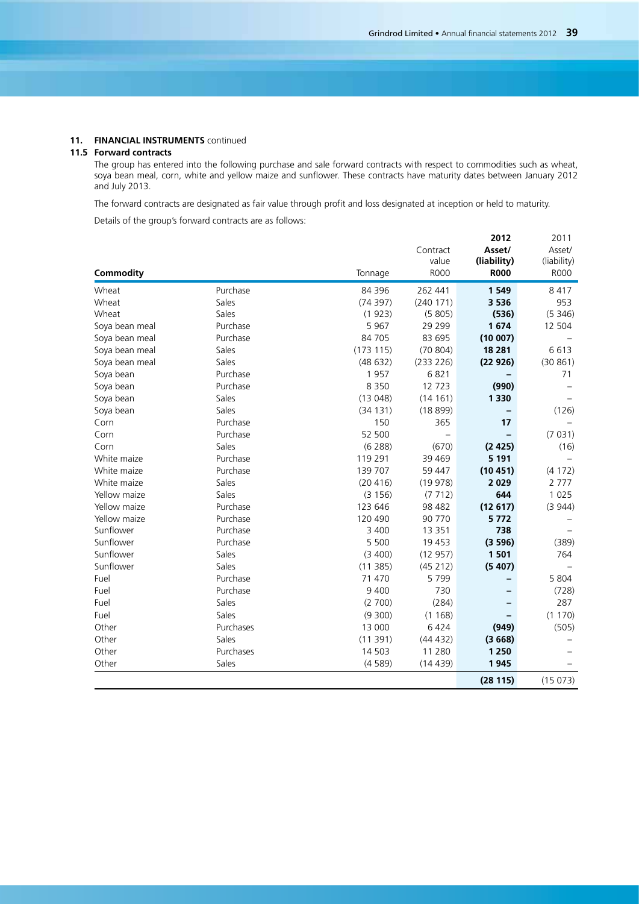### **11. FINANCIAL INSTRUMENTS** continued

### **11.5 Forward contracts**

The group has entered into the following purchase and sale forward contracts with respect to commodities such as wheat, soya bean meal, corn, white and yellow maize and sunflower. These contracts have maturity dates between January 2012 and July 2013.

The forward contracts are designated as fair value through profit and loss designated at inception or held to maturity.

Details of the group's forward contracts are as follows:

| Commodity      |           | Tonnage  | Contract<br>value<br><b>R000</b> | 2012<br>Asset/<br>(liability)<br><b>R000</b> | 2011<br>Asset/<br>(liability)<br><b>R000</b> |
|----------------|-----------|----------|----------------------------------|----------------------------------------------|----------------------------------------------|
| Wheat          | Purchase  | 84 396   | 262 441                          | 1549                                         | 8 4 1 7                                      |
| Wheat          | Sales     | (74397)  | (240 171)                        | 3 5 3 6                                      | 953                                          |
| Wheat          | Sales     | (1923)   | (5805)                           | (536)                                        | (5346)                                       |
| Soya bean meal | Purchase  | 5 9 6 7  | 29 2 9 9                         | 1674                                         | 12 504                                       |
| Soya bean meal | Purchase  | 84 705   | 83 695                           | (10007)                                      |                                              |
| Soya bean meal | Sales     | (173115) | (70804)                          | 18 281                                       | 6613                                         |
| Soya bean meal | Sales     | (48632)  | (233 226)                        | (22926)                                      | (30861)                                      |
| Soya bean      | Purchase  | 1957     | 6821                             |                                              | 71                                           |
| Soya bean      | Purchase  | 8 3 5 0  | 12723                            | (990)                                        |                                              |
| Soya bean      | Sales     | (13048)  | (14161)                          | 1 3 3 0                                      |                                              |
| Soya bean      | Sales     | (34131)  | (18899)                          |                                              | (126)                                        |
| Corn           | Purchase  | 150      | 365                              | 17                                           |                                              |
| Corn           | Purchase  | 52 500   |                                  |                                              | (7031)                                       |
| Corn           | Sales     | (6 288)  | (670)                            | (2425)                                       | (16)                                         |
| White maize    | Purchase  | 119 291  | 39 4 69                          | 5 1 9 1                                      |                                              |
| White maize    | Purchase  | 139 707  | 59 447                           | (10451)                                      | (4172)                                       |
| White maize    | Sales     | (20 416) | (19978)                          | 2029                                         | 2 7 7 7                                      |
| Yellow maize   | Sales     | (3156)   | (7712)                           | 644                                          | 1 0 2 5                                      |
| Yellow maize   | Purchase  | 123 646  | 98 482                           | (12617)                                      | (3944)                                       |
| Yellow maize   | Purchase  | 120 490  | 90 770                           | 5772                                         |                                              |
| Sunflower      | Purchase  | 3 400    | 13 3 5 1                         | 738                                          |                                              |
| Sunflower      | Purchase  | 5 500    | 19 453                           | (3596)                                       | (389)                                        |
| Sunflower      | Sales     | (3 400)  | (12957)                          | 1501                                         | 764                                          |
| Sunflower      | Sales     | (11385)  | (45 212)                         | (5407)                                       |                                              |
| Fuel           | Purchase  | 71 470   | 5799                             |                                              | 5 804                                        |
| Fuel           | Purchase  | 9 4 0 0  | 730                              |                                              | (728)                                        |
| Fuel           | Sales     | (2700)   | (284)                            |                                              | 287                                          |
| Fuel           | Sales     | (9300)   | (1168)                           |                                              | (1170)                                       |
| Other          | Purchases | 13 000   | 6 4 2 4                          | (949)                                        | (505)                                        |
| Other          | Sales     | (11391)  | (44432)                          | (3668)                                       |                                              |
| Other          | Purchases | 14 503   | 11 280                           | 1 2 5 0                                      |                                              |
| Other          | Sales     | (4589)   | (14439)                          | 1945                                         |                                              |
|                |           |          |                                  | (28115)                                      | (15073)                                      |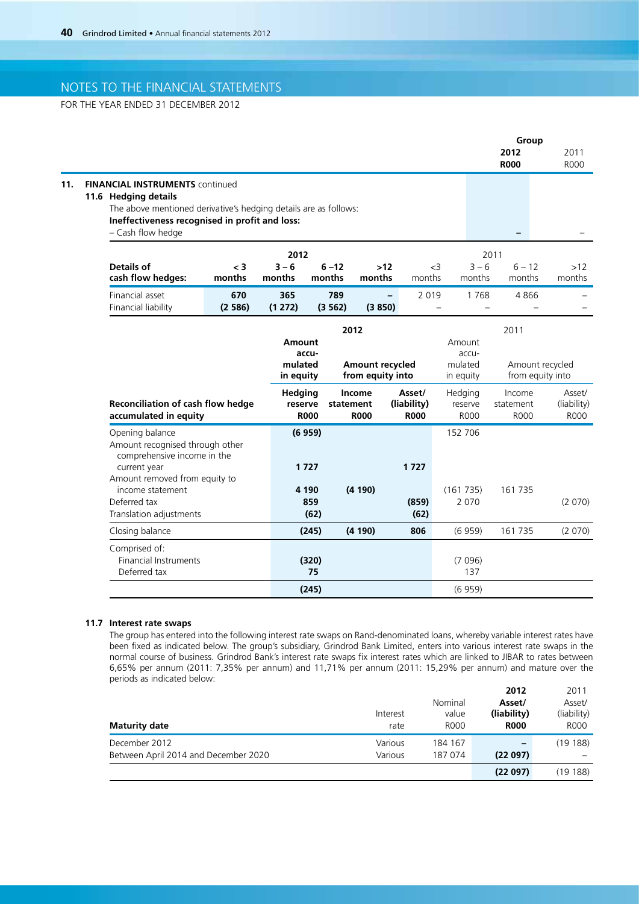FOR THE YEAR ENDED 31 DECEMBER 2012

|                                                               |               |                                                                                                                                                                                                                |                                                |                                                                                                                                                   |                                                                                                                             | Group                                                                |                                    |                                                                          |
|---------------------------------------------------------------|---------------|----------------------------------------------------------------------------------------------------------------------------------------------------------------------------------------------------------------|------------------------------------------------|---------------------------------------------------------------------------------------------------------------------------------------------------|-----------------------------------------------------------------------------------------------------------------------------|----------------------------------------------------------------------|------------------------------------|--------------------------------------------------------------------------|
|                                                               |               |                                                                                                                                                                                                                |                                                |                                                                                                                                                   |                                                                                                                             |                                                                      | 2012<br><b>R000</b>                | 2011<br><b>R000</b>                                                      |
| 11.6 Hedging details<br>- Cash flow hedge                     |               |                                                                                                                                                                                                                |                                                |                                                                                                                                                   |                                                                                                                             |                                                                      |                                    |                                                                          |
| Details of<br>cash flow hedges:                               | < 3<br>months | $3 - 6$<br>months                                                                                                                                                                                              | $6 - 12$<br>months                             | >12<br>months                                                                                                                                     |                                                                                                                             |                                                                      | $6 - 12$<br>months                 | >12<br>months                                                            |
| Financial asset<br>Financial liability                        | 670<br>(2586) | 365<br>(1 272)                                                                                                                                                                                                 | 789<br>(3562)                                  | Ξ.                                                                                                                                                |                                                                                                                             |                                                                      | 4866                               |                                                                          |
|                                                               |               |                                                                                                                                                                                                                |                                                |                                                                                                                                                   |                                                                                                                             | Amount<br>accu-<br>mulated<br>in equity                              | 2011                               |                                                                          |
|                                                               |               |                                                                                                                                                                                                                |                                                | <b>R000</b>                                                                                                                                       | Asset/<br><b>R000</b>                                                                                                       | Hedging<br>reserve<br><b>ROOO</b>                                    | Income<br>statement<br><b>ROOO</b> | Asset/<br>(liability)<br><b>R000</b>                                     |
| Opening balance                                               |               |                                                                                                                                                                                                                |                                                |                                                                                                                                                   |                                                                                                                             | 152 706                                                              |                                    |                                                                          |
| income statement<br>Deferred tax<br>Translation adjustments   |               |                                                                                                                                                                                                                | (62)                                           |                                                                                                                                                   | (859)<br>(62)                                                                                                               | (161735)<br>2 0 7 0                                                  | 161 735                            | (2 070)                                                                  |
| Closing balance                                               |               |                                                                                                                                                                                                                |                                                |                                                                                                                                                   | 806                                                                                                                         | (6959)                                                               | 161 735                            | (2 070)                                                                  |
| Comprised of:<br><b>Financial Instruments</b><br>Deferred tax |               |                                                                                                                                                                                                                | 75                                             |                                                                                                                                                   |                                                                                                                             | (7096)<br>137                                                        |                                    |                                                                          |
|                                                               |               |                                                                                                                                                                                                                |                                                |                                                                                                                                                   |                                                                                                                             |                                                                      |                                    |                                                                          |
|                                                               | current year  | <b>FINANCIAL INSTRUMENTS continued</b><br><b>Reconciliation of cash flow hedge</b><br>accumulated in equity<br>Amount recognised through other<br>comprehensive income in the<br>Amount removed from equity to | Ineffectiveness recognised in profit and loss: | 2012<br><b>Amount</b><br>accu-<br>mulated<br>in equity<br>Hedging<br>reserve<br><b>R000</b><br>(6959)<br>1727<br>4 1 9 0<br>859<br>(245)<br>(320) | The above mentioned derivative's hedging details are as follows:<br>2012<br><b>Income</b><br>statement<br>(4190)<br>(4 190) | (3850)<br>Amount recycled<br>from equity into<br>(liability)<br>1727 | <3<br>months<br>2 0 1 9            | 2011<br>$3 - 6$<br>months<br>1768<br>Amount recycled<br>from equity into |

### **11.7 Interest rate swaps**

The group has entered into the following interest rate swaps on Rand-denominated loans, whereby variable interest rates have been fixed as indicated below. The group's subsidiary, Grindrod Bank Limited, enters into various interest rate swaps in the normal course of business. Grindrod Bank's interest rate swaps fix interest rates which are linked to JIBAR to rates between 6,65% per annum (2011: 7,35% per annum) and 11,71% per annum (2011: 15,29% per annum) and mature over the periods as indicated below:

| <b>Maturity date</b>                                  | Interest<br>rate   | Nominal<br>value<br><b>ROOO</b> | 2012<br>Asset/<br>(liability)<br><b>R000</b> | 2011<br>Asset/<br>(liability)<br><b>ROOO</b> |
|-------------------------------------------------------|--------------------|---------------------------------|----------------------------------------------|----------------------------------------------|
| December 2012<br>Between April 2014 and December 2020 | Various<br>Various | 184 167<br>187 074              | $\overline{\phantom{0}}$<br>(22097)          | (19 188)                                     |
|                                                       |                    |                                 | (22097)                                      | (19 188)                                     |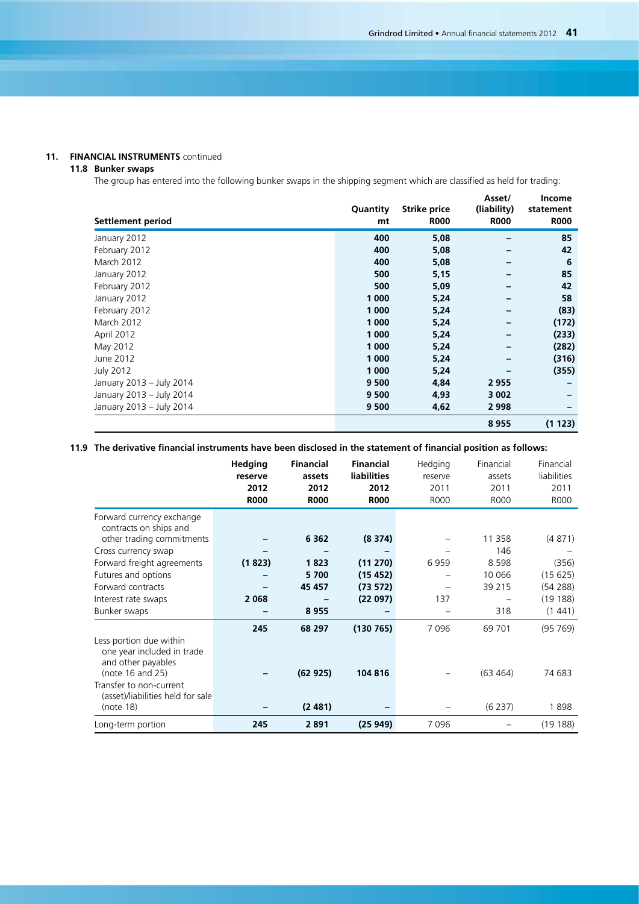## **11. FINANCIAL INSTRUMENTS** continued

### **11.8 Bunker swaps**

The group has entered into the following bunker swaps in the shipping segment which are classified as held for trading:

| Settlement period        | Quantity<br>mt | <b>Strike price</b><br><b>R000</b> | Asset/<br>(liability)<br><b>R000</b> | Income<br>statement<br><b>R000</b> |
|--------------------------|----------------|------------------------------------|--------------------------------------|------------------------------------|
| January 2012             | 400            | 5,08                               |                                      | 85                                 |
| February 2012            | 400            | 5,08                               |                                      | 42                                 |
| March 2012               | 400            | 5,08                               |                                      | -6                                 |
| January 2012             | 500            | 5,15                               |                                      | 85                                 |
| February 2012            | 500            | 5,09                               |                                      | 42                                 |
| January 2012             | 1 000          | 5,24                               |                                      | 58                                 |
| February 2012            | 1 0 0 0        | 5,24                               |                                      | (83)                               |
| March 2012               | 1 000          | 5,24                               |                                      | (172)                              |
| April 2012               | 1 000          | 5,24                               |                                      | (233)                              |
| May 2012                 | 1 000          | 5,24                               |                                      | (282)                              |
| June 2012                | 1 000          | 5,24                               |                                      | (316)                              |
| <b>July 2012</b>         | 1 000          | 5,24                               |                                      | (355)                              |
| January 2013 - July 2014 | 9 500          | 4,84                               | 2955                                 |                                    |
| January 2013 - July 2014 | 9 500          | 4,93                               | 3 0 0 2                              |                                    |
| January 2013 - July 2014 | 9 500          | 4,62                               | 2998                                 |                                    |
|                          |                |                                    | 8955                                 | (1 123)                            |

## **11.9 The derivative financial instruments have been disclosed in the statement of financial position as follows:**

|                                                                             | Hedging     | <b>Financial</b> | <b>Financial</b>   | Hedging | Financial | Financial   |
|-----------------------------------------------------------------------------|-------------|------------------|--------------------|---------|-----------|-------------|
|                                                                             | reserve     | assets           | <b>liabilities</b> | reserve | assets    | liabilities |
|                                                                             | 2012        | 2012             | 2012               | 2011    | 2011      | 2011        |
|                                                                             | <b>R000</b> | <b>R000</b>      | <b>R000</b>        | R000    | R000      | R000        |
| Forward currency exchange<br>contracts on ships and                         |             |                  |                    |         |           |             |
| other trading commitments                                                   |             | 6 3 6 2          | (8374)             |         | 11 358    | (4871)      |
| Cross currency swap                                                         |             |                  |                    |         | 146       |             |
| Forward freight agreements                                                  | (1823)      | 1823             | (11 270)           | 6959    | 8 5 9 8   | (356)       |
| Futures and options                                                         |             | 5 700            | (15452)            |         | 10 066    | (15625)     |
| Forward contracts                                                           |             | 45 457           | (73 572)           |         | 39 215    | (54288)     |
| Interest rate swaps                                                         | 2 0 6 8     |                  | (22097)            | 137     |           | (19188)     |
| Bunker swaps                                                                |             | 8955             |                    |         | 318       | (1441)      |
|                                                                             | 245         | 68 297           | (130765)           | 7096    | 69 701    | (95, 769)   |
| Less portion due within<br>one year included in trade<br>and other payables |             |                  |                    |         |           |             |
| (note 16 and 25)                                                            |             | (62925)          | 104 816            |         | (63 464)  | 74 683      |
| Transfer to non-current<br>(asset)/liabilities held for sale                |             |                  |                    |         |           |             |
| (note 18)                                                                   |             | (2481)           |                    |         | (6237)    | 1898        |
| Long-term portion                                                           | 245         | 2891             | (25949)            | 7096    |           | (19188)     |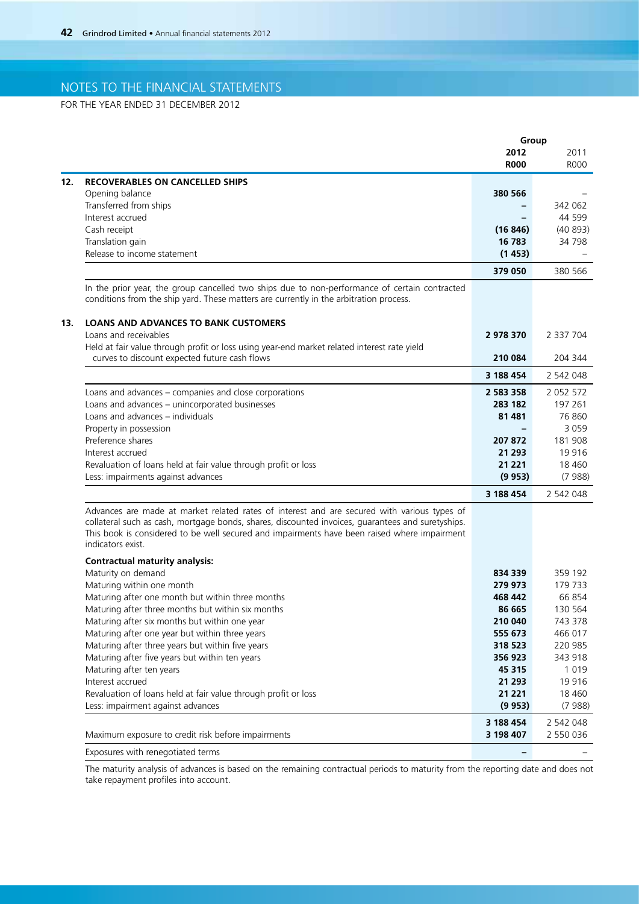FOR THE YEAR ENDED 31 DECEMBER 2012

| 2012<br>2011<br><b>R000</b><br>12.<br><b>RECOVERABLES ON CANCELLED SHIPS</b><br>Opening balance<br>380 566<br>Transferred from ships<br>44 599<br>Interest accrued<br>$\overline{\phantom{0}}$<br>Cash receipt<br>(40893)<br>(16846)<br>Translation gain<br>16 783<br>34 798<br>Release to income statement<br>(1453)<br>380 566<br>379 050<br>In the prior year, the group cancelled two ships due to non-performance of certain contracted<br>conditions from the ship yard. These matters are currently in the arbitration process.<br><b>LOANS AND ADVANCES TO BANK CUSTOMERS</b><br>13.<br>Loans and receivables<br>2978370<br>2 337 704<br>Held at fair value through profit or loss using year-end market related interest rate yield<br>curves to discount expected future cash flows<br>210 084<br>204 344<br>3 188 454<br>2 542 048<br>Loans and advances - companies and close corporations<br>2 583 358<br>2 0 5 2 5 7 2<br>Loans and advances - unincorporated businesses<br>283 182<br>197 261<br>Loans and advances - individuals<br>76 860<br>81 481<br>3 0 5 9<br>Property in possession<br>Preference shares<br>207 872<br>181 908<br>Interest accrued<br>21 293<br>19916<br>Revaluation of loans held at fair value through profit or loss<br>21 2 21<br>18 4 60<br>Less: impairments against advances<br>(9.953)<br>(7988)<br>3 188 454<br>2 542 048<br>Advances are made at market related rates of interest and are secured with various types of<br>collateral such as cash, mortgage bonds, shares, discounted invoices, guarantees and suretyships.<br>This book is considered to be well secured and impairments have been raised where impairment<br>indicators exist.<br><b>Contractual maturity analysis:</b><br>Maturity on demand<br>834 339<br>359 192<br>Maturing within one month<br>279 973<br>179 733<br>66 854<br>Maturing after one month but within three months<br>468 442<br>Maturing after three months but within six months<br>86 665<br>130 564<br>Maturing after six months but within one year<br>743 378<br>210 040<br>Maturing after one year but within three years<br>555 673<br>466 017<br>Maturing after three years but within five years<br>220 985<br>318 523<br>Maturing after five years but within ten years<br>356 923<br>343 918<br>Maturing after ten years<br>45 315<br>1 0 1 9<br>Interest accrued<br>19 9 16<br>21 293<br>Revaluation of loans held at fair value through profit or loss<br>21 221<br>18 4 60<br>Less: impairment against advances<br>(9953)<br>(7988)<br>3 188 454<br>2 542 048<br>Maximum exposure to credit risk before impairments<br>3 198 407<br>2 550 036<br>Exposures with renegotiated terms |  | Group                        |             |
|----------------------------------------------------------------------------------------------------------------------------------------------------------------------------------------------------------------------------------------------------------------------------------------------------------------------------------------------------------------------------------------------------------------------------------------------------------------------------------------------------------------------------------------------------------------------------------------------------------------------------------------------------------------------------------------------------------------------------------------------------------------------------------------------------------------------------------------------------------------------------------------------------------------------------------------------------------------------------------------------------------------------------------------------------------------------------------------------------------------------------------------------------------------------------------------------------------------------------------------------------------------------------------------------------------------------------------------------------------------------------------------------------------------------------------------------------------------------------------------------------------------------------------------------------------------------------------------------------------------------------------------------------------------------------------------------------------------------------------------------------------------------------------------------------------------------------------------------------------------------------------------------------------------------------------------------------------------------------------------------------------------------------------------------------------------------------------------------------------------------------------------------------------------------------------------------------------------------------------------------------------------------------------------------------------------------------------------------------------------------------------------------------------------------------------------------------------------------------------------------------------------------------------------------------------------------------------------------------------------------------------------------------------------------------------------|--|------------------------------|-------------|
|                                                                                                                                                                                                                                                                                                                                                                                                                                                                                                                                                                                                                                                                                                                                                                                                                                                                                                                                                                                                                                                                                                                                                                                                                                                                                                                                                                                                                                                                                                                                                                                                                                                                                                                                                                                                                                                                                                                                                                                                                                                                                                                                                                                                                                                                                                                                                                                                                                                                                                                                                                                                                                                                                        |  |                              |             |
|                                                                                                                                                                                                                                                                                                                                                                                                                                                                                                                                                                                                                                                                                                                                                                                                                                                                                                                                                                                                                                                                                                                                                                                                                                                                                                                                                                                                                                                                                                                                                                                                                                                                                                                                                                                                                                                                                                                                                                                                                                                                                                                                                                                                                                                                                                                                                                                                                                                                                                                                                                                                                                                                                        |  |                              | <b>ROOO</b> |
|                                                                                                                                                                                                                                                                                                                                                                                                                                                                                                                                                                                                                                                                                                                                                                                                                                                                                                                                                                                                                                                                                                                                                                                                                                                                                                                                                                                                                                                                                                                                                                                                                                                                                                                                                                                                                                                                                                                                                                                                                                                                                                                                                                                                                                                                                                                                                                                                                                                                                                                                                                                                                                                                                        |  |                              |             |
|                                                                                                                                                                                                                                                                                                                                                                                                                                                                                                                                                                                                                                                                                                                                                                                                                                                                                                                                                                                                                                                                                                                                                                                                                                                                                                                                                                                                                                                                                                                                                                                                                                                                                                                                                                                                                                                                                                                                                                                                                                                                                                                                                                                                                                                                                                                                                                                                                                                                                                                                                                                                                                                                                        |  |                              |             |
|                                                                                                                                                                                                                                                                                                                                                                                                                                                                                                                                                                                                                                                                                                                                                                                                                                                                                                                                                                                                                                                                                                                                                                                                                                                                                                                                                                                                                                                                                                                                                                                                                                                                                                                                                                                                                                                                                                                                                                                                                                                                                                                                                                                                                                                                                                                                                                                                                                                                                                                                                                                                                                                                                        |  |                              | 342 062     |
|                                                                                                                                                                                                                                                                                                                                                                                                                                                                                                                                                                                                                                                                                                                                                                                                                                                                                                                                                                                                                                                                                                                                                                                                                                                                                                                                                                                                                                                                                                                                                                                                                                                                                                                                                                                                                                                                                                                                                                                                                                                                                                                                                                                                                                                                                                                                                                                                                                                                                                                                                                                                                                                                                        |  |                              |             |
|                                                                                                                                                                                                                                                                                                                                                                                                                                                                                                                                                                                                                                                                                                                                                                                                                                                                                                                                                                                                                                                                                                                                                                                                                                                                                                                                                                                                                                                                                                                                                                                                                                                                                                                                                                                                                                                                                                                                                                                                                                                                                                                                                                                                                                                                                                                                                                                                                                                                                                                                                                                                                                                                                        |  |                              |             |
|                                                                                                                                                                                                                                                                                                                                                                                                                                                                                                                                                                                                                                                                                                                                                                                                                                                                                                                                                                                                                                                                                                                                                                                                                                                                                                                                                                                                                                                                                                                                                                                                                                                                                                                                                                                                                                                                                                                                                                                                                                                                                                                                                                                                                                                                                                                                                                                                                                                                                                                                                                                                                                                                                        |  |                              |             |
|                                                                                                                                                                                                                                                                                                                                                                                                                                                                                                                                                                                                                                                                                                                                                                                                                                                                                                                                                                                                                                                                                                                                                                                                                                                                                                                                                                                                                                                                                                                                                                                                                                                                                                                                                                                                                                                                                                                                                                                                                                                                                                                                                                                                                                                                                                                                                                                                                                                                                                                                                                                                                                                                                        |  |                              |             |
|                                                                                                                                                                                                                                                                                                                                                                                                                                                                                                                                                                                                                                                                                                                                                                                                                                                                                                                                                                                                                                                                                                                                                                                                                                                                                                                                                                                                                                                                                                                                                                                                                                                                                                                                                                                                                                                                                                                                                                                                                                                                                                                                                                                                                                                                                                                                                                                                                                                                                                                                                                                                                                                                                        |  |                              |             |
|                                                                                                                                                                                                                                                                                                                                                                                                                                                                                                                                                                                                                                                                                                                                                                                                                                                                                                                                                                                                                                                                                                                                                                                                                                                                                                                                                                                                                                                                                                                                                                                                                                                                                                                                                                                                                                                                                                                                                                                                                                                                                                                                                                                                                                                                                                                                                                                                                                                                                                                                                                                                                                                                                        |  |                              |             |
|                                                                                                                                                                                                                                                                                                                                                                                                                                                                                                                                                                                                                                                                                                                                                                                                                                                                                                                                                                                                                                                                                                                                                                                                                                                                                                                                                                                                                                                                                                                                                                                                                                                                                                                                                                                                                                                                                                                                                                                                                                                                                                                                                                                                                                                                                                                                                                                                                                                                                                                                                                                                                                                                                        |  |                              |             |
|                                                                                                                                                                                                                                                                                                                                                                                                                                                                                                                                                                                                                                                                                                                                                                                                                                                                                                                                                                                                                                                                                                                                                                                                                                                                                                                                                                                                                                                                                                                                                                                                                                                                                                                                                                                                                                                                                                                                                                                                                                                                                                                                                                                                                                                                                                                                                                                                                                                                                                                                                                                                                                                                                        |  |                              |             |
|                                                                                                                                                                                                                                                                                                                                                                                                                                                                                                                                                                                                                                                                                                                                                                                                                                                                                                                                                                                                                                                                                                                                                                                                                                                                                                                                                                                                                                                                                                                                                                                                                                                                                                                                                                                                                                                                                                                                                                                                                                                                                                                                                                                                                                                                                                                                                                                                                                                                                                                                                                                                                                                                                        |  |                              |             |
|                                                                                                                                                                                                                                                                                                                                                                                                                                                                                                                                                                                                                                                                                                                                                                                                                                                                                                                                                                                                                                                                                                                                                                                                                                                                                                                                                                                                                                                                                                                                                                                                                                                                                                                                                                                                                                                                                                                                                                                                                                                                                                                                                                                                                                                                                                                                                                                                                                                                                                                                                                                                                                                                                        |  |                              |             |
|                                                                                                                                                                                                                                                                                                                                                                                                                                                                                                                                                                                                                                                                                                                                                                                                                                                                                                                                                                                                                                                                                                                                                                                                                                                                                                                                                                                                                                                                                                                                                                                                                                                                                                                                                                                                                                                                                                                                                                                                                                                                                                                                                                                                                                                                                                                                                                                                                                                                                                                                                                                                                                                                                        |  |                              |             |
|                                                                                                                                                                                                                                                                                                                                                                                                                                                                                                                                                                                                                                                                                                                                                                                                                                                                                                                                                                                                                                                                                                                                                                                                                                                                                                                                                                                                                                                                                                                                                                                                                                                                                                                                                                                                                                                                                                                                                                                                                                                                                                                                                                                                                                                                                                                                                                                                                                                                                                                                                                                                                                                                                        |  |                              |             |
|                                                                                                                                                                                                                                                                                                                                                                                                                                                                                                                                                                                                                                                                                                                                                                                                                                                                                                                                                                                                                                                                                                                                                                                                                                                                                                                                                                                                                                                                                                                                                                                                                                                                                                                                                                                                                                                                                                                                                                                                                                                                                                                                                                                                                                                                                                                                                                                                                                                                                                                                                                                                                                                                                        |  |                              |             |
|                                                                                                                                                                                                                                                                                                                                                                                                                                                                                                                                                                                                                                                                                                                                                                                                                                                                                                                                                                                                                                                                                                                                                                                                                                                                                                                                                                                                                                                                                                                                                                                                                                                                                                                                                                                                                                                                                                                                                                                                                                                                                                                                                                                                                                                                                                                                                                                                                                                                                                                                                                                                                                                                                        |  |                              |             |
|                                                                                                                                                                                                                                                                                                                                                                                                                                                                                                                                                                                                                                                                                                                                                                                                                                                                                                                                                                                                                                                                                                                                                                                                                                                                                                                                                                                                                                                                                                                                                                                                                                                                                                                                                                                                                                                                                                                                                                                                                                                                                                                                                                                                                                                                                                                                                                                                                                                                                                                                                                                                                                                                                        |  |                              |             |
|                                                                                                                                                                                                                                                                                                                                                                                                                                                                                                                                                                                                                                                                                                                                                                                                                                                                                                                                                                                                                                                                                                                                                                                                                                                                                                                                                                                                                                                                                                                                                                                                                                                                                                                                                                                                                                                                                                                                                                                                                                                                                                                                                                                                                                                                                                                                                                                                                                                                                                                                                                                                                                                                                        |  |                              |             |
|                                                                                                                                                                                                                                                                                                                                                                                                                                                                                                                                                                                                                                                                                                                                                                                                                                                                                                                                                                                                                                                                                                                                                                                                                                                                                                                                                                                                                                                                                                                                                                                                                                                                                                                                                                                                                                                                                                                                                                                                                                                                                                                                                                                                                                                                                                                                                                                                                                                                                                                                                                                                                                                                                        |  |                              |             |
|                                                                                                                                                                                                                                                                                                                                                                                                                                                                                                                                                                                                                                                                                                                                                                                                                                                                                                                                                                                                                                                                                                                                                                                                                                                                                                                                                                                                                                                                                                                                                                                                                                                                                                                                                                                                                                                                                                                                                                                                                                                                                                                                                                                                                                                                                                                                                                                                                                                                                                                                                                                                                                                                                        |  |                              |             |
|                                                                                                                                                                                                                                                                                                                                                                                                                                                                                                                                                                                                                                                                                                                                                                                                                                                                                                                                                                                                                                                                                                                                                                                                                                                                                                                                                                                                                                                                                                                                                                                                                                                                                                                                                                                                                                                                                                                                                                                                                                                                                                                                                                                                                                                                                                                                                                                                                                                                                                                                                                                                                                                                                        |  |                              |             |
|                                                                                                                                                                                                                                                                                                                                                                                                                                                                                                                                                                                                                                                                                                                                                                                                                                                                                                                                                                                                                                                                                                                                                                                                                                                                                                                                                                                                                                                                                                                                                                                                                                                                                                                                                                                                                                                                                                                                                                                                                                                                                                                                                                                                                                                                                                                                                                                                                                                                                                                                                                                                                                                                                        |  |                              |             |
|                                                                                                                                                                                                                                                                                                                                                                                                                                                                                                                                                                                                                                                                                                                                                                                                                                                                                                                                                                                                                                                                                                                                                                                                                                                                                                                                                                                                                                                                                                                                                                                                                                                                                                                                                                                                                                                                                                                                                                                                                                                                                                                                                                                                                                                                                                                                                                                                                                                                                                                                                                                                                                                                                        |  |                              |             |
|                                                                                                                                                                                                                                                                                                                                                                                                                                                                                                                                                                                                                                                                                                                                                                                                                                                                                                                                                                                                                                                                                                                                                                                                                                                                                                                                                                                                                                                                                                                                                                                                                                                                                                                                                                                                                                                                                                                                                                                                                                                                                                                                                                                                                                                                                                                                                                                                                                                                                                                                                                                                                                                                                        |  |                              |             |
|                                                                                                                                                                                                                                                                                                                                                                                                                                                                                                                                                                                                                                                                                                                                                                                                                                                                                                                                                                                                                                                                                                                                                                                                                                                                                                                                                                                                                                                                                                                                                                                                                                                                                                                                                                                                                                                                                                                                                                                                                                                                                                                                                                                                                                                                                                                                                                                                                                                                                                                                                                                                                                                                                        |  |                              |             |
|                                                                                                                                                                                                                                                                                                                                                                                                                                                                                                                                                                                                                                                                                                                                                                                                                                                                                                                                                                                                                                                                                                                                                                                                                                                                                                                                                                                                                                                                                                                                                                                                                                                                                                                                                                                                                                                                                                                                                                                                                                                                                                                                                                                                                                                                                                                                                                                                                                                                                                                                                                                                                                                                                        |  |                              |             |
|                                                                                                                                                                                                                                                                                                                                                                                                                                                                                                                                                                                                                                                                                                                                                                                                                                                                                                                                                                                                                                                                                                                                                                                                                                                                                                                                                                                                                                                                                                                                                                                                                                                                                                                                                                                                                                                                                                                                                                                                                                                                                                                                                                                                                                                                                                                                                                                                                                                                                                                                                                                                                                                                                        |  |                              |             |
|                                                                                                                                                                                                                                                                                                                                                                                                                                                                                                                                                                                                                                                                                                                                                                                                                                                                                                                                                                                                                                                                                                                                                                                                                                                                                                                                                                                                                                                                                                                                                                                                                                                                                                                                                                                                                                                                                                                                                                                                                                                                                                                                                                                                                                                                                                                                                                                                                                                                                                                                                                                                                                                                                        |  |                              |             |
|                                                                                                                                                                                                                                                                                                                                                                                                                                                                                                                                                                                                                                                                                                                                                                                                                                                                                                                                                                                                                                                                                                                                                                                                                                                                                                                                                                                                                                                                                                                                                                                                                                                                                                                                                                                                                                                                                                                                                                                                                                                                                                                                                                                                                                                                                                                                                                                                                                                                                                                                                                                                                                                                                        |  |                              |             |
|                                                                                                                                                                                                                                                                                                                                                                                                                                                                                                                                                                                                                                                                                                                                                                                                                                                                                                                                                                                                                                                                                                                                                                                                                                                                                                                                                                                                                                                                                                                                                                                                                                                                                                                                                                                                                                                                                                                                                                                                                                                                                                                                                                                                                                                                                                                                                                                                                                                                                                                                                                                                                                                                                        |  |                              |             |
|                                                                                                                                                                                                                                                                                                                                                                                                                                                                                                                                                                                                                                                                                                                                                                                                                                                                                                                                                                                                                                                                                                                                                                                                                                                                                                                                                                                                                                                                                                                                                                                                                                                                                                                                                                                                                                                                                                                                                                                                                                                                                                                                                                                                                                                                                                                                                                                                                                                                                                                                                                                                                                                                                        |  |                              |             |
|                                                                                                                                                                                                                                                                                                                                                                                                                                                                                                                                                                                                                                                                                                                                                                                                                                                                                                                                                                                                                                                                                                                                                                                                                                                                                                                                                                                                                                                                                                                                                                                                                                                                                                                                                                                                                                                                                                                                                                                                                                                                                                                                                                                                                                                                                                                                                                                                                                                                                                                                                                                                                                                                                        |  |                              |             |
|                                                                                                                                                                                                                                                                                                                                                                                                                                                                                                                                                                                                                                                                                                                                                                                                                                                                                                                                                                                                                                                                                                                                                                                                                                                                                                                                                                                                                                                                                                                                                                                                                                                                                                                                                                                                                                                                                                                                                                                                                                                                                                                                                                                                                                                                                                                                                                                                                                                                                                                                                                                                                                                                                        |  |                              |             |
|                                                                                                                                                                                                                                                                                                                                                                                                                                                                                                                                                                                                                                                                                                                                                                                                                                                                                                                                                                                                                                                                                                                                                                                                                                                                                                                                                                                                                                                                                                                                                                                                                                                                                                                                                                                                                                                                                                                                                                                                                                                                                                                                                                                                                                                                                                                                                                                                                                                                                                                                                                                                                                                                                        |  |                              |             |
|                                                                                                                                                                                                                                                                                                                                                                                                                                                                                                                                                                                                                                                                                                                                                                                                                                                                                                                                                                                                                                                                                                                                                                                                                                                                                                                                                                                                                                                                                                                                                                                                                                                                                                                                                                                                                                                                                                                                                                                                                                                                                                                                                                                                                                                                                                                                                                                                                                                                                                                                                                                                                                                                                        |  |                              |             |
|                                                                                                                                                                                                                                                                                                                                                                                                                                                                                                                                                                                                                                                                                                                                                                                                                                                                                                                                                                                                                                                                                                                                                                                                                                                                                                                                                                                                                                                                                                                                                                                                                                                                                                                                                                                                                                                                                                                                                                                                                                                                                                                                                                                                                                                                                                                                                                                                                                                                                                                                                                                                                                                                                        |  |                              |             |
|                                                                                                                                                                                                                                                                                                                                                                                                                                                                                                                                                                                                                                                                                                                                                                                                                                                                                                                                                                                                                                                                                                                                                                                                                                                                                                                                                                                                                                                                                                                                                                                                                                                                                                                                                                                                                                                                                                                                                                                                                                                                                                                                                                                                                                                                                                                                                                                                                                                                                                                                                                                                                                                                                        |  |                              |             |
|                                                                                                                                                                                                                                                                                                                                                                                                                                                                                                                                                                                                                                                                                                                                                                                                                                                                                                                                                                                                                                                                                                                                                                                                                                                                                                                                                                                                                                                                                                                                                                                                                                                                                                                                                                                                                                                                                                                                                                                                                                                                                                                                                                                                                                                                                                                                                                                                                                                                                                                                                                                                                                                                                        |  |                              |             |
|                                                                                                                                                                                                                                                                                                                                                                                                                                                                                                                                                                                                                                                                                                                                                                                                                                                                                                                                                                                                                                                                                                                                                                                                                                                                                                                                                                                                                                                                                                                                                                                                                                                                                                                                                                                                                                                                                                                                                                                                                                                                                                                                                                                                                                                                                                                                                                                                                                                                                                                                                                                                                                                                                        |  |                              |             |
|                                                                                                                                                                                                                                                                                                                                                                                                                                                                                                                                                                                                                                                                                                                                                                                                                                                                                                                                                                                                                                                                                                                                                                                                                                                                                                                                                                                                                                                                                                                                                                                                                                                                                                                                                                                                                                                                                                                                                                                                                                                                                                                                                                                                                                                                                                                                                                                                                                                                                                                                                                                                                                                                                        |  |                              |             |
|                                                                                                                                                                                                                                                                                                                                                                                                                                                                                                                                                                                                                                                                                                                                                                                                                                                                                                                                                                                                                                                                                                                                                                                                                                                                                                                                                                                                                                                                                                                                                                                                                                                                                                                                                                                                                                                                                                                                                                                                                                                                                                                                                                                                                                                                                                                                                                                                                                                                                                                                                                                                                                                                                        |  |                              |             |
|                                                                                                                                                                                                                                                                                                                                                                                                                                                                                                                                                                                                                                                                                                                                                                                                                                                                                                                                                                                                                                                                                                                                                                                                                                                                                                                                                                                                                                                                                                                                                                                                                                                                                                                                                                                                                                                                                                                                                                                                                                                                                                                                                                                                                                                                                                                                                                                                                                                                                                                                                                                                                                                                                        |  |                              |             |
|                                                                                                                                                                                                                                                                                                                                                                                                                                                                                                                                                                                                                                                                                                                                                                                                                                                                                                                                                                                                                                                                                                                                                                                                                                                                                                                                                                                                                                                                                                                                                                                                                                                                                                                                                                                                                                                                                                                                                                                                                                                                                                                                                                                                                                                                                                                                                                                                                                                                                                                                                                                                                                                                                        |  | $\qquad \qquad \blacksquare$ |             |

The maturity analysis of advances is based on the remaining contractual periods to maturity from the reporting date and does not take repayment profiles into account.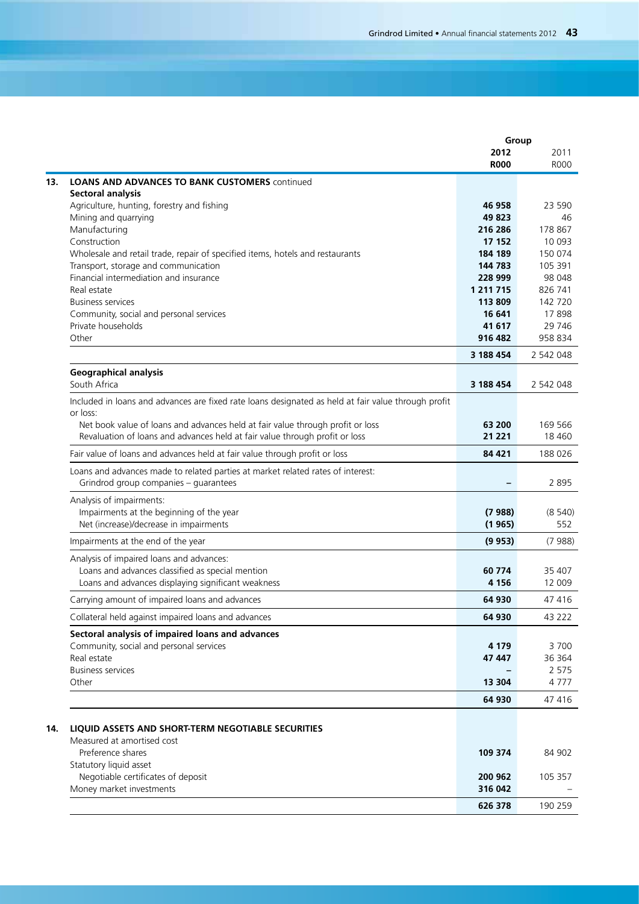|                                                                                                                                                               | Group               |                     |
|---------------------------------------------------------------------------------------------------------------------------------------------------------------|---------------------|---------------------|
|                                                                                                                                                               | 2012<br><b>R000</b> | 2011<br><b>ROOO</b> |
| <b>LOANS AND ADVANCES TO BANK CUSTOMERS continued</b>                                                                                                         |                     |                     |
| <b>Sectoral analysis</b>                                                                                                                                      |                     |                     |
| Agriculture, hunting, forestry and fishing                                                                                                                    | 46 958              | 23 590              |
| Mining and quarrying                                                                                                                                          | 49 823              |                     |
| Manufacturing                                                                                                                                                 | 216 286             | 178 867             |
| Construction                                                                                                                                                  | 17 152              | 10 093              |
| Wholesale and retail trade, repair of specified items, hotels and restaurants                                                                                 | 184 189             | 150 074             |
| Transport, storage and communication                                                                                                                          | 144 783             | 105 391             |
| Financial intermediation and insurance                                                                                                                        | 228 999             | 98 048              |
| Real estate                                                                                                                                                   | 1 2 1 7 1 5         | 826 741             |
| <b>Business services</b>                                                                                                                                      | 113 809             | 142 720             |
| Community, social and personal services                                                                                                                       | 16 641              | 17898               |
| Private households<br>Other                                                                                                                                   | 41 617<br>916 482   | 29 746<br>958 834   |
|                                                                                                                                                               |                     |                     |
|                                                                                                                                                               | 3 188 454           | 2 542 048           |
| <b>Geographical analysis</b><br>South Africa                                                                                                                  | 3 188 454           | 2 542 048           |
| Included in loans and advances are fixed rate loans designated as held at fair value through profit                                                           |                     |                     |
| or loss:                                                                                                                                                      |                     |                     |
| Net book value of loans and advances held at fair value through profit or loss<br>Revaluation of loans and advances held at fair value through profit or loss | 63 200<br>21 221    | 169 566<br>18 4 60  |
| Fair value of loans and advances held at fair value through profit or loss                                                                                    | 84 421              | 188 026             |
| Loans and advances made to related parties at market related rates of interest:<br>Grindrod group companies - guarantees                                      |                     | 2895                |
| Analysis of impairments:                                                                                                                                      |                     |                     |
| Impairments at the beginning of the year                                                                                                                      | (7988)              | (8540)              |
| Net (increase)/decrease in impairments                                                                                                                        | (1965)              | 552                 |
| Impairments at the end of the year                                                                                                                            | (9953)              | (7988)              |
| Analysis of impaired loans and advances:                                                                                                                      |                     |                     |
| Loans and advances classified as special mention                                                                                                              | 60 774              | 35 407              |
| Loans and advances displaying significant weakness                                                                                                            | 4 1 5 6             | 12 009              |
| Carrying amount of impaired loans and advances                                                                                                                | 64 930              | 47416               |
| Collateral held against impaired loans and advances                                                                                                           | 64 930              | 43 222              |
| Sectoral analysis of impaired loans and advances                                                                                                              |                     |                     |
| Community, social and personal services                                                                                                                       | 4 1 7 9             | 3700                |
| Real estate                                                                                                                                                   | 47 447              | 36 364              |
| <b>Business services</b>                                                                                                                                      |                     | 2 5 7 5             |
| Other                                                                                                                                                         | 13 304              | 4777                |
|                                                                                                                                                               | 64 930              | 47416               |
| LIQUID ASSETS AND SHORT-TERM NEGOTIABLE SECURITIES                                                                                                            |                     |                     |
| Measured at amortised cost                                                                                                                                    |                     |                     |
| Preference shares                                                                                                                                             | 109 374             | 84 902              |
| Statutory liquid asset                                                                                                                                        |                     |                     |
| Negotiable certificates of deposit                                                                                                                            | 200 962             | 105 357             |
| Money market investments                                                                                                                                      | 316 042             |                     |
|                                                                                                                                                               | 626 378             | 190 259             |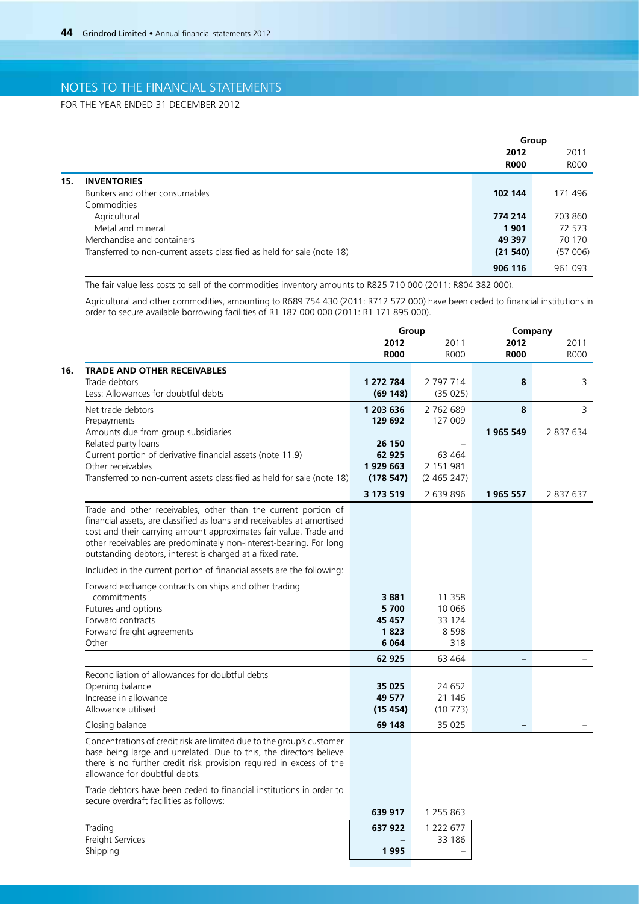FOR THE YEAR ENDED 31 DECEMBER 2012

|     |                                                                         | Group       |             |
|-----|-------------------------------------------------------------------------|-------------|-------------|
|     |                                                                         | 2012        | 2011        |
|     |                                                                         | <b>R000</b> | <b>ROOO</b> |
| 15. | <b>INVENTORIES</b>                                                      |             |             |
|     | Bunkers and other consumables                                           | 102 144     | 171 496     |
|     | Commodities                                                             |             |             |
|     | Agricultural                                                            | 774 214     | 703 860     |
|     | Metal and mineral                                                       | 1901        | 72 573      |
|     | Merchandise and containers                                              | 49 397      | 70 170      |
|     | Transferred to non-current assets classified as held for sale (note 18) | (21540)     | (57006)     |
|     |                                                                         | 906 116     | 961 093     |

The fair value less costs to sell of the commodities inventory amounts to R825 710 000 (2011: R804 382 000).

Agricultural and other commodities, amounting to R689 754 430 (2011: R712 572 000) have been ceded to financial institutions in order to secure available borrowing facilities of R1 187 000 000 (2011: R1 171 895 000).

|                                                                                                                                                                                                                                                                                                                                                  |                     | Group               | Company                  |                     |
|--------------------------------------------------------------------------------------------------------------------------------------------------------------------------------------------------------------------------------------------------------------------------------------------------------------------------------------------------|---------------------|---------------------|--------------------------|---------------------|
|                                                                                                                                                                                                                                                                                                                                                  | 2012<br><b>R000</b> | 2011<br><b>ROOO</b> | 2012<br><b>R000</b>      | 2011<br><b>ROOO</b> |
| <b>TRADE AND OTHER RECEIVABLES</b>                                                                                                                                                                                                                                                                                                               |                     |                     |                          |                     |
| Trade debtors                                                                                                                                                                                                                                                                                                                                    | 1 272 784           | 2 797 714           | 8                        | 3                   |
| Less: Allowances for doubtful debts                                                                                                                                                                                                                                                                                                              | (69148)             | (35025)             |                          |                     |
| Net trade debtors                                                                                                                                                                                                                                                                                                                                | 1 203 636           | 2 762 689           | 8                        | 3                   |
| Prepayments                                                                                                                                                                                                                                                                                                                                      | 129 692             | 127 009             |                          |                     |
| Amounts due from group subsidiaries                                                                                                                                                                                                                                                                                                              |                     |                     | 1965 549                 | 2 837 634           |
| Related party loans                                                                                                                                                                                                                                                                                                                              | 26 150              |                     |                          |                     |
| Current portion of derivative financial assets (note 11.9)                                                                                                                                                                                                                                                                                       | 62 925              | 63 4 64             |                          |                     |
| Other receivables                                                                                                                                                                                                                                                                                                                                | 1929 663            | 2 151 981           |                          |                     |
| Transferred to non-current assets classified as held for sale (note 18)                                                                                                                                                                                                                                                                          | (178547)            | (2465247)           |                          |                     |
|                                                                                                                                                                                                                                                                                                                                                  | 3 173 519           | 2 639 896           | 1965 557                 | 2 837 637           |
| Trade and other receivables, other than the current portion of<br>financial assets, are classified as loans and receivables at amortised<br>cost and their carrying amount approximates fair value. Trade and<br>other receivables are predominately non-interest-bearing. For long<br>outstanding debtors, interest is charged at a fixed rate. |                     |                     |                          |                     |
| Included in the current portion of financial assets are the following:                                                                                                                                                                                                                                                                           |                     |                     |                          |                     |
| Forward exchange contracts on ships and other trading                                                                                                                                                                                                                                                                                            |                     |                     |                          |                     |
| commitments                                                                                                                                                                                                                                                                                                                                      | 3881                | 11 3 5 8            |                          |                     |
| Futures and options                                                                                                                                                                                                                                                                                                                              | 5700                | 10 066              |                          |                     |
| Forward contracts                                                                                                                                                                                                                                                                                                                                | 45 457              | 33 124              |                          |                     |
| Forward freight agreements                                                                                                                                                                                                                                                                                                                       | 1823                | 8 5 9 8             |                          |                     |
| Other                                                                                                                                                                                                                                                                                                                                            | 6 0 64              | 318                 |                          |                     |
|                                                                                                                                                                                                                                                                                                                                                  | 62 925              | 63 4 64             |                          |                     |
| Reconciliation of allowances for doubtful debts                                                                                                                                                                                                                                                                                                  |                     |                     |                          |                     |
| Opening balance                                                                                                                                                                                                                                                                                                                                  | 35 025              | 24 652              |                          |                     |
| Increase in allowance                                                                                                                                                                                                                                                                                                                            | 49 577              | 21 14 6             |                          |                     |
| Allowance utilised                                                                                                                                                                                                                                                                                                                               | (15454)             | (10773)             |                          |                     |
| Closing balance                                                                                                                                                                                                                                                                                                                                  | 69 148              | 35 0 25             | $\overline{\phantom{0}}$ |                     |
| Concentrations of credit risk are limited due to the group's customer<br>base being large and unrelated. Due to this, the directors believe<br>there is no further credit risk provision required in excess of the<br>allowance for doubtful debts.                                                                                              |                     |                     |                          |                     |
| Trade debtors have been ceded to financial institutions in order to<br>secure overdraft facilities as follows:                                                                                                                                                                                                                                   |                     |                     |                          |                     |
|                                                                                                                                                                                                                                                                                                                                                  | 639 917             | 1 255 863           |                          |                     |
| Trading                                                                                                                                                                                                                                                                                                                                          | 637 922             | 1 222 677           |                          |                     |
| Freight Services                                                                                                                                                                                                                                                                                                                                 |                     | 33 186              |                          |                     |
| Shippina                                                                                                                                                                                                                                                                                                                                         | 1995                |                     |                          |                     |

Shipping **1 995** –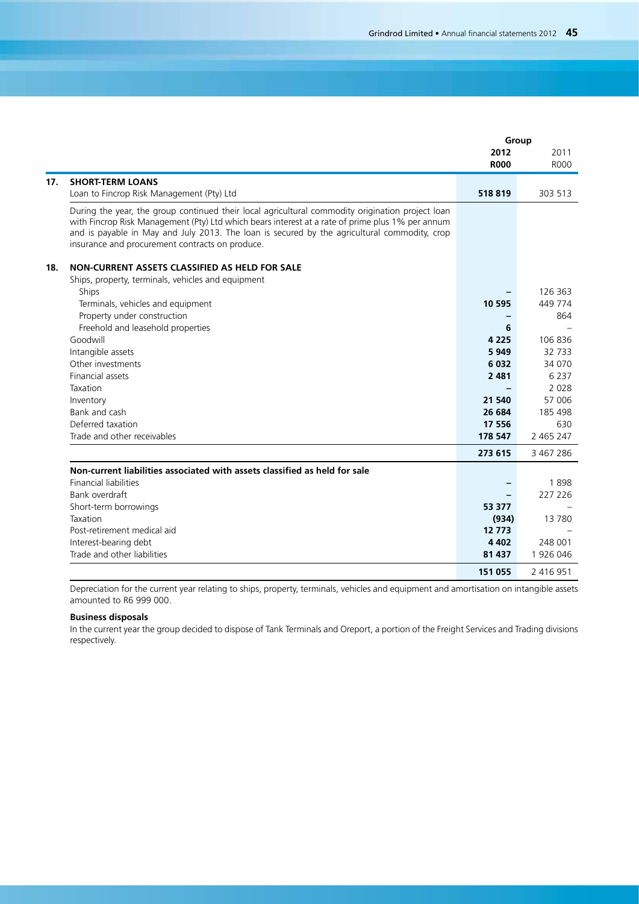|     |                                                                                                                                                                                                                                                                                                                                                         | Group       |           |
|-----|---------------------------------------------------------------------------------------------------------------------------------------------------------------------------------------------------------------------------------------------------------------------------------------------------------------------------------------------------------|-------------|-----------|
|     |                                                                                                                                                                                                                                                                                                                                                         | 2012        | 2011      |
|     |                                                                                                                                                                                                                                                                                                                                                         | <b>R000</b> | R000      |
| 17. | <b>SHORT-TERM LOANS</b>                                                                                                                                                                                                                                                                                                                                 |             |           |
|     | Loan to Fincrop Risk Management (Pty) Ltd                                                                                                                                                                                                                                                                                                               | 518819      | 303 513   |
|     | During the year, the group continued their local agricultural commodity origination project loan<br>with Fincrop Risk Management (Pty) Ltd which bears interest at a rate of prime plus 1% per annum<br>and is payable in May and July 2013. The loan is secured by the agricultural commodity, crop<br>insurance and procurement contracts on produce. |             |           |
| 18. | NON-CURRENT ASSETS CLASSIFIED AS HELD FOR SALE                                                                                                                                                                                                                                                                                                          |             |           |
|     | Ships, property, terminals, vehicles and equipment                                                                                                                                                                                                                                                                                                      |             |           |
|     | Ships                                                                                                                                                                                                                                                                                                                                                   |             | 126 363   |
|     | Terminals, vehicles and equipment                                                                                                                                                                                                                                                                                                                       | 10 595      | 449 774   |
|     | Property under construction                                                                                                                                                                                                                                                                                                                             |             | 864       |
|     | Freehold and leasehold properties                                                                                                                                                                                                                                                                                                                       | 6           |           |
|     | Goodwill                                                                                                                                                                                                                                                                                                                                                | 4 2 2 5     | 106836    |
|     | Intangible assets                                                                                                                                                                                                                                                                                                                                       | 5949        | 32 7 33   |
|     | Other investments                                                                                                                                                                                                                                                                                                                                       | 6 0 3 2     | 34 0 70   |
|     | <b>Financial assets</b>                                                                                                                                                                                                                                                                                                                                 | 2 4 8 1     | 6 2 3 7   |
|     | Taxation                                                                                                                                                                                                                                                                                                                                                |             | 2028      |
|     | Inventory                                                                                                                                                                                                                                                                                                                                               | 21 540      | 57 006    |
|     | Bank and cash                                                                                                                                                                                                                                                                                                                                           | 26 684      | 185 498   |
|     | Deferred taxation                                                                                                                                                                                                                                                                                                                                       | 17 556      | 630       |
|     | Trade and other receivables                                                                                                                                                                                                                                                                                                                             | 178 547     | 2 465 247 |
|     |                                                                                                                                                                                                                                                                                                                                                         | 273 615     | 3 467 286 |
|     | Non-current liabilities associated with assets classified as held for sale                                                                                                                                                                                                                                                                              |             |           |
|     | <b>Financial liabilities</b>                                                                                                                                                                                                                                                                                                                            |             | 1898      |
|     | Bank overdraft                                                                                                                                                                                                                                                                                                                                          |             | 227 226   |
|     | Short-term borrowings                                                                                                                                                                                                                                                                                                                                   | 53 377      |           |
|     | Taxation                                                                                                                                                                                                                                                                                                                                                | (934)       | 13780     |
|     | Post-retirement medical aid                                                                                                                                                                                                                                                                                                                             | 12 7 73     |           |
|     | Interest-bearing debt                                                                                                                                                                                                                                                                                                                                   | 4 4 0 2     | 248 001   |
|     | Trade and other liabilities                                                                                                                                                                                                                                                                                                                             | 81 437      | 1926046   |
|     |                                                                                                                                                                                                                                                                                                                                                         | 151 055     | 2 416 951 |

Depreciation for the current year relating to ships, property, terminals, vehicles and equipment and amortisation on intangible assets amounted to R6 999 000.

## **Business disposals**

In the current year the group decided to dispose of Tank Terminals and Oreport, a portion of the Freight Services and Trading divisions respectively.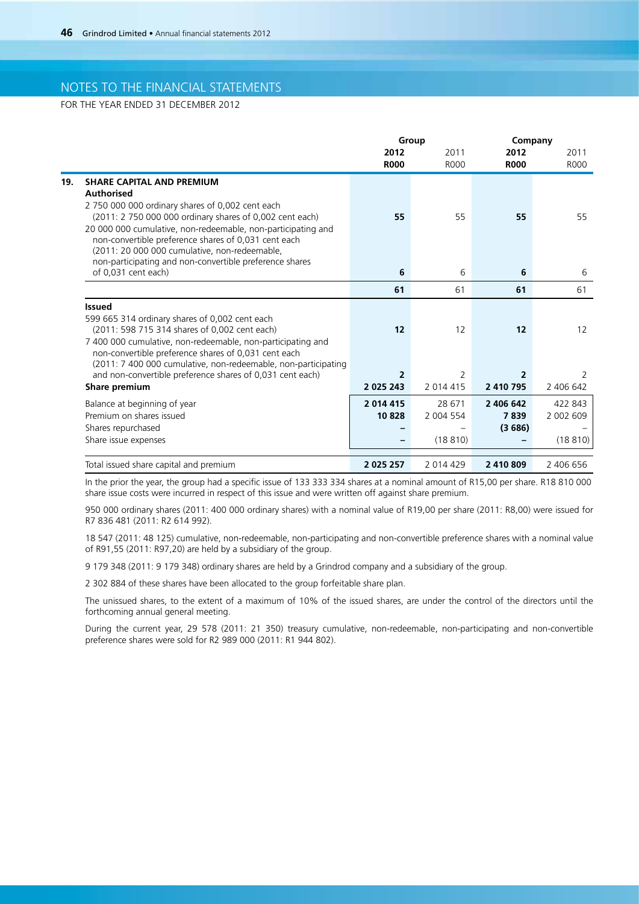FOR THE YEAR ENDED 31 DECEMBER 2012

| Group                                                          |                |                          | Company                   |  |
|----------------------------------------------------------------|----------------|--------------------------|---------------------------|--|
| 2012                                                           | 2011           | 2012                     | 2011                      |  |
| <b>R000</b>                                                    | <b>R000</b>    | <b>R000</b>              | <b>ROOO</b>               |  |
|                                                                |                |                          |                           |  |
|                                                                |                |                          |                           |  |
|                                                                |                |                          |                           |  |
|                                                                |                |                          | 55                        |  |
|                                                                |                |                          |                           |  |
|                                                                |                |                          |                           |  |
|                                                                |                |                          |                           |  |
| 6                                                              |                | 6                        | 6                         |  |
|                                                                |                |                          | 61                        |  |
|                                                                |                |                          |                           |  |
|                                                                |                |                          |                           |  |
|                                                                |                |                          |                           |  |
|                                                                |                |                          | $12 \overline{ }$         |  |
|                                                                |                |                          |                           |  |
|                                                                |                |                          |                           |  |
| $\overline{2}$                                                 |                | $\overline{2}$           | 2                         |  |
| 2 0 2 5 2 4 3                                                  | 2 014 415      | 2 410 795                | 2 406 642                 |  |
| 2014 415                                                       | 28 671         | 2 406 642                | 422 843                   |  |
| 10828                                                          | 2 004 554      | 7839                     | 2 002 609                 |  |
|                                                                |                | (3686)                   |                           |  |
|                                                                |                |                          | (18810)                   |  |
|                                                                |                |                          |                           |  |
| (2011: 7 400 000 cumulative, non-redeemable, non-participating | 55<br>61<br>12 | 55<br>6<br>61<br>12<br>2 | 55<br>61<br>12<br>(18810) |  |

In the prior the year, the group had a specific issue of 133 333 334 shares at a nominal amount of R15,00 per share. R18 810 000 share issue costs were incurred in respect of this issue and were written off against share premium.

950 000 ordinary shares (2011: 400 000 ordinary shares) with a nominal value of R19,00 per share (2011: R8,00) were issued for R7 836 481 (2011: R2 614 992).

18 547 (2011: 48 125) cumulative, non-redeemable, non-participating and non-convertible preference shares with a nominal value of R91,55 (2011: R97,20) are held by a subsidiary of the group.

9 179 348 (2011: 9 179 348) ordinary shares are held by a Grindrod company and a subsidiary of the group.

2 302 884 of these shares have been allocated to the group forfeitable share plan.

The unissued shares, to the extent of a maximum of 10% of the issued shares, are under the control of the directors until the forthcoming annual general meeting.

During the current year, 29 578 (2011: 21 350) treasury cumulative, non-redeemable, non-participating and non-convertible preference shares were sold for R2 989 000 (2011: R1 944 802).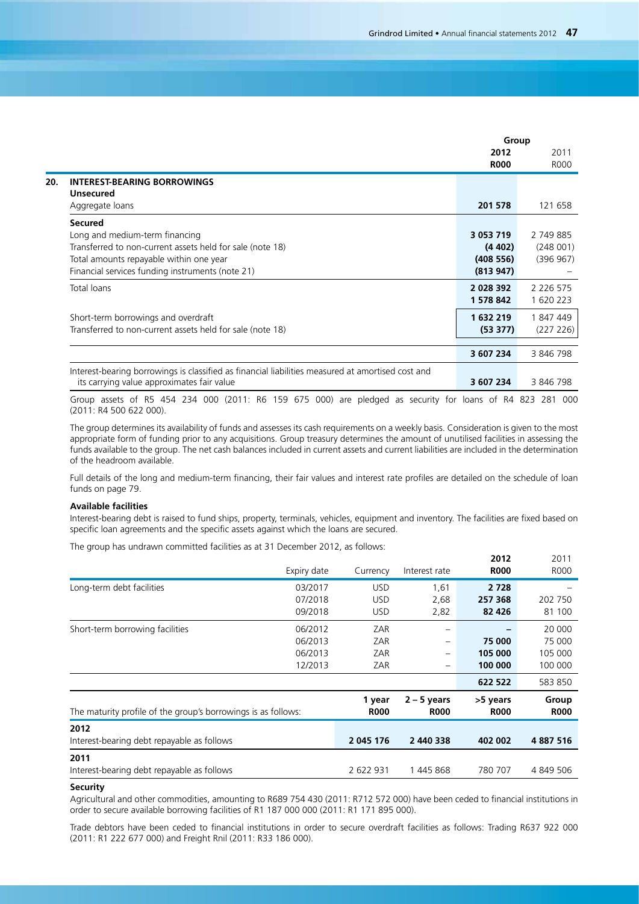|                                                                                                   | Group         |               |
|---------------------------------------------------------------------------------------------------|---------------|---------------|
|                                                                                                   | 2012          | 2011          |
|                                                                                                   | <b>R000</b>   | <b>R000</b>   |
| <b>INTEREST-BEARING BORROWINGS</b>                                                                |               |               |
| <b>Unsecured</b>                                                                                  |               |               |
| Aggregate loans                                                                                   | 201 578       | 121 658       |
| <b>Secured</b>                                                                                    |               |               |
| Long and medium-term financing                                                                    | 3 0 5 3 7 1 9 | 2 749 885     |
| Transferred to non-current assets held for sale (note 18)                                         | (4402)        | (248001)      |
| Total amounts repayable within one year                                                           | (408556)      | (396967)      |
| Financial services funding instruments (note 21)                                                  | (813947)      |               |
| Total loans                                                                                       | 2 0 28 3 9 2  | 2 2 2 6 5 7 5 |
|                                                                                                   | 1 578 842     | 1 620 223     |
| Short-term borrowings and overdraft                                                               | 1632219       | 1847449       |
| Transferred to non-current assets held for sale (note 18)                                         | (53 377)      | (227 226)     |
|                                                                                                   |               |               |
|                                                                                                   | 3 607 234     | 3 846 798     |
| Interest-bearing borrowings is classified as financial liabilities measured at amortised cost and |               |               |
| its carrying value approximates fair value                                                        | 3 607 234     | 3 846 798     |

Group assets of R5 454 234 000 (2011: R6 159 675 000) are pledged as security for loans of R4 823 281 000 (2011: R4 500 622 000).

The group determines its availability of funds and assesses its cash requirements on a weekly basis. Consideration is given to the most appropriate form of funding prior to any acquisitions. Group treasury determines the amount of unutilised facilities in assessing the funds available to the group. The net cash balances included in current assets and current liabilities are included in the determination of the headroom available.

Full details of the long and medium-term financing, their fair values and interest rate profiles are detailed on the schedule of loan funds on page 79.

### **Available facilities**

Interest-bearing debt is raised to fund ships, property, terminals, vehicles, equipment and inventory. The facilities are fixed based on specific loan agreements and the specific assets against which the loans are secured.

The group has undrawn committed facilities as at 31 December 2012, as follows:

|                                                               | Expiry date                              | Currency                               | Interest rate        | 2012<br><b>R000</b>           | 2011<br>R000                           |
|---------------------------------------------------------------|------------------------------------------|----------------------------------------|----------------------|-------------------------------|----------------------------------------|
| Long-term debt facilities                                     | 03/2017<br>07/2018<br>09/2018            | <b>USD</b><br><b>USD</b><br><b>USD</b> | 1,61<br>2,68<br>2,82 | 2 7 2 8<br>257 368<br>82 4 26 | 202 750<br>81 100                      |
| Short-term borrowing facilities                               | 06/2012<br>06/2013<br>06/2013<br>12/2013 | ZAR<br>ZAR<br>ZAR<br>ZAR               | -<br>-<br>-          | 75 000<br>105 000<br>100 000  | 20 000<br>75 000<br>105 000<br>100 000 |
|                                                               |                                          | 1 year                                 | $2 - 5$ years        | 622 522<br>>5 years           | 583 850<br>Group                       |
| The maturity profile of the group's borrowings is as follows: |                                          | <b>R000</b>                            | <b>R000</b>          | <b>R000</b>                   | <b>R000</b>                            |
| 2012<br>Interest-bearing debt repayable as follows            |                                          | 2 045 176                              | 2 440 338            | 402 002                       | 4 887 516                              |
| 2011<br>Interest-bearing debt repayable as follows            |                                          | 2 622 931                              | 1445868              | 780 707                       | 4 849 506                              |

#### **Security**

Agricultural and other commodities, amounting to R689 754 430 (2011: R712 572 000) have been ceded to financial institutions in order to secure available borrowing facilities of R1 187 000 000 (2011: R1 171 895 000).

Trade debtors have been ceded to financial institutions in order to secure overdraft facilities as follows: Trading R637 922 000 (2011: R1 222 677 000) and Freight Rnil (2011: R33 186 000).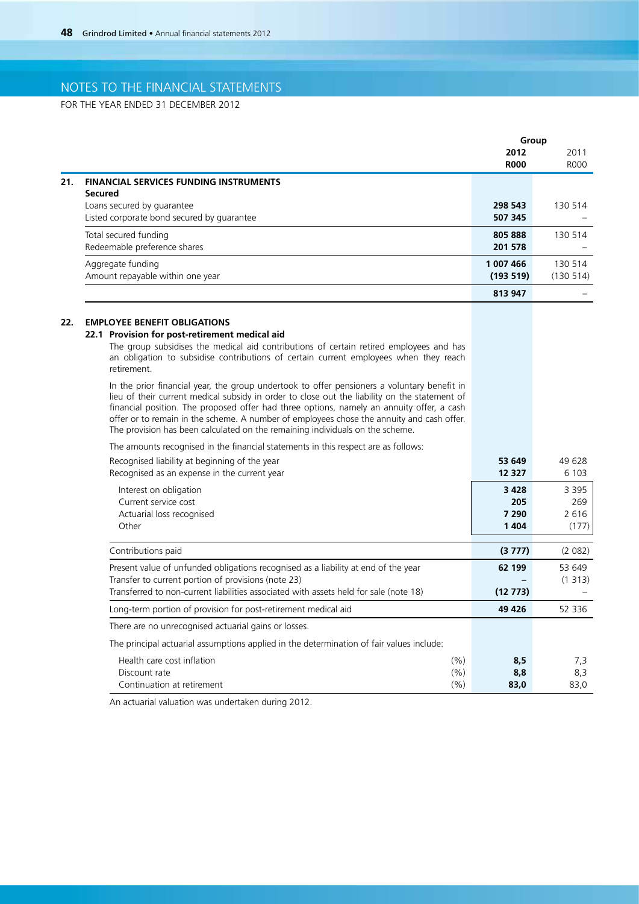FOR THE YEAR ENDED 31 DECEMBER 2012

|     |                                                                                                                                                                                                                                                                                                                                                                                                                                                                                                                                                                                                                                                                                                                                                                                                                                                                                                                                                                                                                                           | Group                                           |                                             |
|-----|-------------------------------------------------------------------------------------------------------------------------------------------------------------------------------------------------------------------------------------------------------------------------------------------------------------------------------------------------------------------------------------------------------------------------------------------------------------------------------------------------------------------------------------------------------------------------------------------------------------------------------------------------------------------------------------------------------------------------------------------------------------------------------------------------------------------------------------------------------------------------------------------------------------------------------------------------------------------------------------------------------------------------------------------|-------------------------------------------------|---------------------------------------------|
|     |                                                                                                                                                                                                                                                                                                                                                                                                                                                                                                                                                                                                                                                                                                                                                                                                                                                                                                                                                                                                                                           | 2012<br><b>R000</b>                             | 2011<br><b>ROOO</b>                         |
| 21. | <b>FINANCIAL SERVICES FUNDING INSTRUMENTS</b>                                                                                                                                                                                                                                                                                                                                                                                                                                                                                                                                                                                                                                                                                                                                                                                                                                                                                                                                                                                             |                                                 |                                             |
|     | <b>Secured</b><br>Loans secured by guarantee<br>Listed corporate bond secured by guarantee                                                                                                                                                                                                                                                                                                                                                                                                                                                                                                                                                                                                                                                                                                                                                                                                                                                                                                                                                | 298 543<br>507 345                              | 130 514                                     |
|     | Total secured funding<br>Redeemable preference shares                                                                                                                                                                                                                                                                                                                                                                                                                                                                                                                                                                                                                                                                                                                                                                                                                                                                                                                                                                                     | 805 888<br>201 578                              | 130 514                                     |
|     | Aggregate funding<br>Amount repayable within one year                                                                                                                                                                                                                                                                                                                                                                                                                                                                                                                                                                                                                                                                                                                                                                                                                                                                                                                                                                                     | 1 007 466<br>(193 519)                          | 130 514<br>(130 514)                        |
|     |                                                                                                                                                                                                                                                                                                                                                                                                                                                                                                                                                                                                                                                                                                                                                                                                                                                                                                                                                                                                                                           | 813 947                                         |                                             |
| 22. | <b>EMPLOYEE BENEFIT OBLIGATIONS</b><br>22.1 Provision for post-retirement medical aid<br>The group subsidises the medical aid contributions of certain retired employees and has<br>an obligation to subsidise contributions of certain current employees when they reach<br>retirement.<br>In the prior financial year, the group undertook to offer pensioners a voluntary benefit in<br>lieu of their current medical subsidy in order to close out the liability on the statement of<br>financial position. The proposed offer had three options, namely an annuity offer, a cash<br>offer or to remain in the scheme. A number of employees chose the annuity and cash offer.<br>The provision has been calculated on the remaining individuals on the scheme.<br>The amounts recognised in the financial statements in this respect are as follows:<br>Recognised liability at beginning of the year<br>Recognised as an expense in the current year<br>Interest on obligation<br>Current service cost<br>Actuarial loss recognised | 53 649<br>12 3 2 7<br>3 4 2 8<br>205<br>7 2 9 0 | 49 628<br>6 1 0 3<br>3 3 9 5<br>269<br>2616 |
|     | Other                                                                                                                                                                                                                                                                                                                                                                                                                                                                                                                                                                                                                                                                                                                                                                                                                                                                                                                                                                                                                                     | 1404                                            | (177)                                       |
|     | Contributions paid                                                                                                                                                                                                                                                                                                                                                                                                                                                                                                                                                                                                                                                                                                                                                                                                                                                                                                                                                                                                                        | (3777)                                          | (2 082)                                     |
|     | Present value of unfunded obligations recognised as a liability at end of the year<br>Transfer to current portion of provisions (note 23)<br>Transferred to non-current liabilities associated with assets held for sale (note 18)                                                                                                                                                                                                                                                                                                                                                                                                                                                                                                                                                                                                                                                                                                                                                                                                        | 62 199<br>(12773)                               | 53 649<br>(1313)                            |
|     | Long-term portion of provision for post-retirement medical aid                                                                                                                                                                                                                                                                                                                                                                                                                                                                                                                                                                                                                                                                                                                                                                                                                                                                                                                                                                            | 49 4 26                                         | 52 336                                      |
|     | There are no unrecognised actuarial gains or losses.                                                                                                                                                                                                                                                                                                                                                                                                                                                                                                                                                                                                                                                                                                                                                                                                                                                                                                                                                                                      |                                                 |                                             |
|     | The principal actuarial assumptions applied in the determination of fair values include:                                                                                                                                                                                                                                                                                                                                                                                                                                                                                                                                                                                                                                                                                                                                                                                                                                                                                                                                                  |                                                 |                                             |
|     | Health care cost inflation<br>(% )<br>Discount rate<br>(%)<br>Continuation at retirement<br>(%)                                                                                                                                                                                                                                                                                                                                                                                                                                                                                                                                                                                                                                                                                                                                                                                                                                                                                                                                           | 8,5<br>8,8<br>83,0                              | 7,3<br>8,3<br>83,0                          |

An actuarial valuation was undertaken during 2012.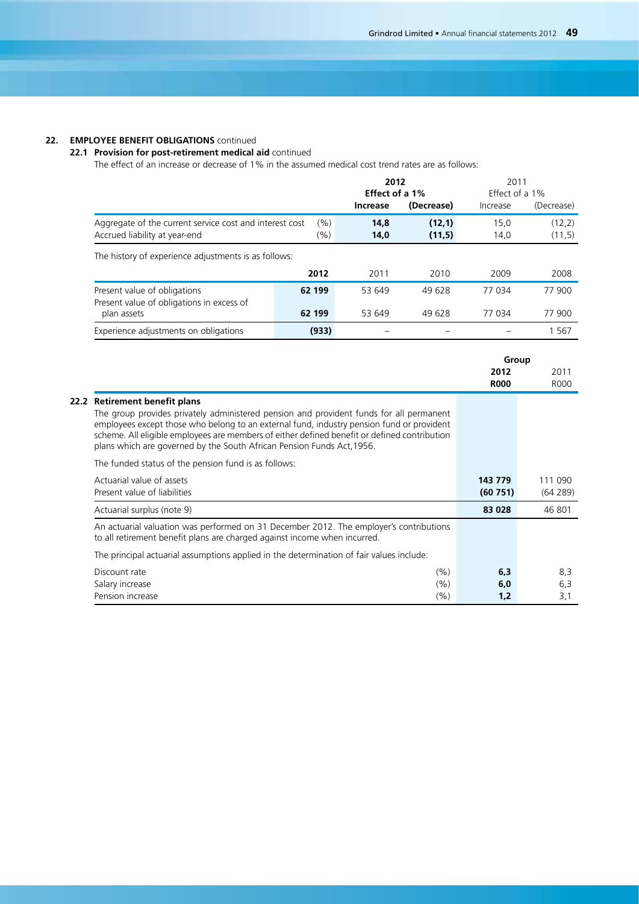## **22. EMPLOYEE BENEFIT OBLIGATIONS** continued

## **22.1 Provision for post-retirement medical aid** continued

The effect of an increase or decrease of 1% in the assumed medical cost trend rates are as follows:

|                                                                                          |                    | 2012<br>Effect of a 1% |                  | 2011         | Effect of a 1%   |
|------------------------------------------------------------------------------------------|--------------------|------------------------|------------------|--------------|------------------|
|                                                                                          |                    | Increase               | (Decrease)       | Increase     | (Decrease)       |
| Aggregate of the current service cost and interest cost<br>Accrued liability at year-end | $(\% )$<br>$(\% )$ | 14,8<br>14,0           | (12,1)<br>(11,5) | 15,0<br>14,0 | (12,2)<br>(11,5) |
| The history of experience adjustments is as follows:                                     |                    |                        |                  |              |                  |
|                                                                                          | 2012               | 2011                   | 2010             | 2009         | 2008             |
| Present value of obligations<br>Present value of obligations in excess of                | 62 199             | 53 649                 | 49 628           | 77 034       | 77 900           |
| plan assets                                                                              | 62 199             | 53 649                 | 49 628           | 77 034       | 77 900           |
| Experience adjustments on obligations                                                    | (933)              |                        |                  |              | 1 5 6 7          |

|                                                                                                                                                                                                                                                                                                                                                                                                 |                     | Group               |
|-------------------------------------------------------------------------------------------------------------------------------------------------------------------------------------------------------------------------------------------------------------------------------------------------------------------------------------------------------------------------------------------------|---------------------|---------------------|
|                                                                                                                                                                                                                                                                                                                                                                                                 | 2012<br><b>R000</b> | 2011<br><b>ROOO</b> |
| 22.2 Retirement benefit plans<br>The group provides privately administered pension and provident funds for all permanent<br>employees except those who belong to an external fund, industry pension fund or provident<br>scheme. All eligible employees are members of either defined benefit or defined contribution<br>plans which are governed by the South African Pension Funds Act, 1956. |                     |                     |
| The funded status of the pension fund is as follows:                                                                                                                                                                                                                                                                                                                                            |                     |                     |
| Actuarial value of assets<br>Present value of liabilities                                                                                                                                                                                                                                                                                                                                       | 143 779<br>(60751)  | 111 090<br>(64289)  |
| Actuarial surplus (note 9)                                                                                                                                                                                                                                                                                                                                                                      | 83 028              | 46 801              |
| An actuarial valuation was performed on 31 December 2012. The employer's contributions<br>to all retirement benefit plans are charged against income when incurred.                                                                                                                                                                                                                             |                     |                     |
| The principal actuarial assumptions applied in the determination of fair values include:                                                                                                                                                                                                                                                                                                        |                     |                     |
| Discount rate<br>(%)<br>Salary increase<br>(% )<br>Pension increase<br>(%)                                                                                                                                                                                                                                                                                                                      | 6,3<br>6,0<br>1,2   | 8,3<br>6,3<br>3,1   |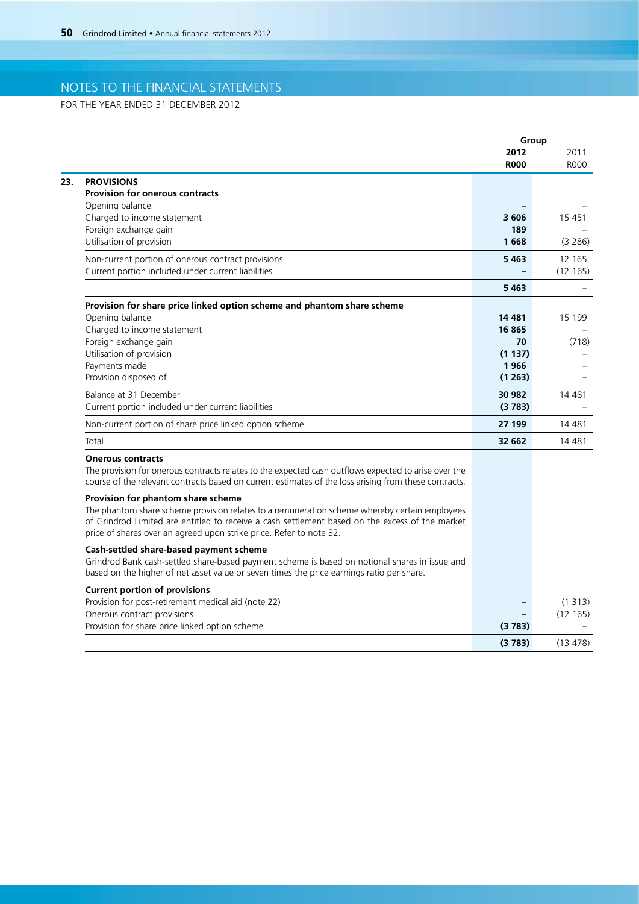FOR THE YEAR ENDED 31 DECEMBER 2012

|                                                                                                                                                                                                                                                                         |                     | Group               |
|-------------------------------------------------------------------------------------------------------------------------------------------------------------------------------------------------------------------------------------------------------------------------|---------------------|---------------------|
|                                                                                                                                                                                                                                                                         | 2012<br><b>R000</b> | 2011<br><b>ROOO</b> |
| <b>PROVISIONS</b><br><b>Provision for onerous contracts</b>                                                                                                                                                                                                             |                     |                     |
| Opening balance                                                                                                                                                                                                                                                         |                     |                     |
| Charged to income statement                                                                                                                                                                                                                                             | 3606                | 15 4 51             |
| Foreign exchange gain                                                                                                                                                                                                                                                   | 189                 |                     |
| Utilisation of provision                                                                                                                                                                                                                                                | 1668                | (3 286)             |
| Non-current portion of onerous contract provisions                                                                                                                                                                                                                      | 5463                | 12 165              |
| Current portion included under current liabilities                                                                                                                                                                                                                      |                     | (12165)             |
|                                                                                                                                                                                                                                                                         | 5463                |                     |
| Provision for share price linked option scheme and phantom share scheme                                                                                                                                                                                                 |                     |                     |
| Opening balance                                                                                                                                                                                                                                                         | 14 481              | 15 199              |
| Charged to income statement                                                                                                                                                                                                                                             | 16865               |                     |
| Foreign exchange gain                                                                                                                                                                                                                                                   | 70                  | (718)               |
| Utilisation of provision<br>Payments made                                                                                                                                                                                                                               | (1137)<br>1966      |                     |
| Provision disposed of                                                                                                                                                                                                                                                   | (1263)              |                     |
| Balance at 31 December                                                                                                                                                                                                                                                  | 30 982              | 14 481              |
| Current portion included under current liabilities                                                                                                                                                                                                                      | (3783)              |                     |
| Non-current portion of share price linked option scheme                                                                                                                                                                                                                 | 27 199              | 14 4 8 1            |
| Total                                                                                                                                                                                                                                                                   | 32 662              | 14 4 8 1            |
| <b>Onerous contracts</b>                                                                                                                                                                                                                                                |                     |                     |
| The provision for onerous contracts relates to the expected cash outflows expected to arise over the<br>course of the relevant contracts based on current estimates of the loss arising from these contracts.                                                           |                     |                     |
| Provision for phantom share scheme                                                                                                                                                                                                                                      |                     |                     |
| The phantom share scheme provision relates to a remuneration scheme whereby certain employees<br>of Grindrod Limited are entitled to receive a cash settlement based on the excess of the market<br>price of shares over an agreed upon strike price. Refer to note 32. |                     |                     |
| Cash-settled share-based payment scheme                                                                                                                                                                                                                                 |                     |                     |
| Grindrod Bank cash-settled share-based payment scheme is based on notional shares in issue and<br>based on the higher of net asset value or seven times the price earnings ratio per share.                                                                             |                     |                     |
| <b>Current portion of provisions</b>                                                                                                                                                                                                                                    |                     |                     |
| Provision for post-retirement medical aid (note 22)                                                                                                                                                                                                                     |                     | (1313)              |
| Onerous contract provisions                                                                                                                                                                                                                                             |                     | (12165)             |
| Provision for share price linked option scheme                                                                                                                                                                                                                          | (3783)              |                     |
|                                                                                                                                                                                                                                                                         | (3783)              | (13 478)            |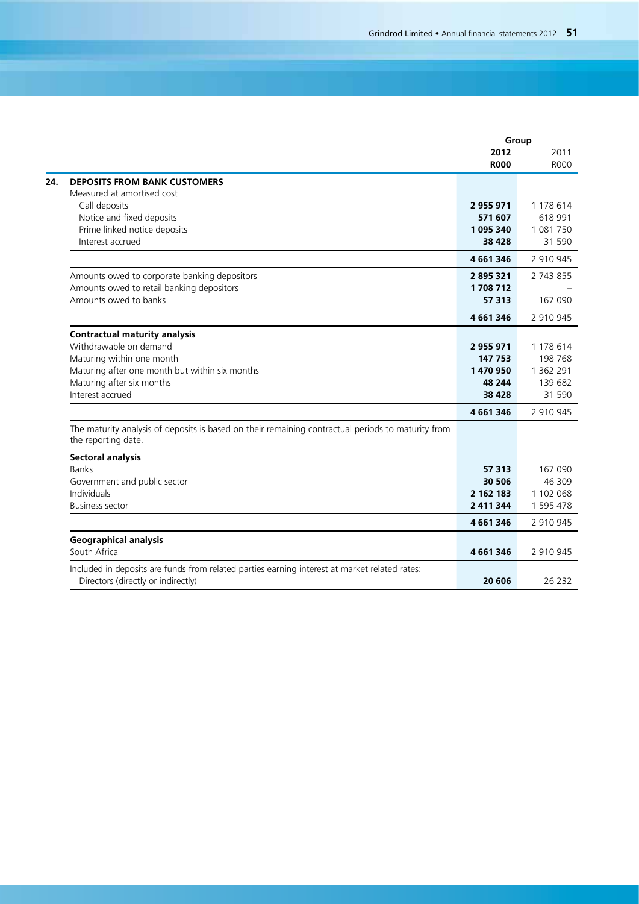|                                                                                                    | Group       |             |
|----------------------------------------------------------------------------------------------------|-------------|-------------|
|                                                                                                    | 2012        | 2011        |
|                                                                                                    | <b>R000</b> | <b>ROOO</b> |
| <b>DEPOSITS FROM BANK CUSTOMERS</b>                                                                |             |             |
| Measured at amortised cost                                                                         |             |             |
| Call deposits                                                                                      | 2955971     | 1 178 614   |
| Notice and fixed deposits                                                                          | 571 607     | 618 991     |
| Prime linked notice deposits                                                                       | 1 095 340   | 1 081 750   |
| Interest accrued                                                                                   | 38 4 28     | 31 590      |
|                                                                                                    | 4 661 346   | 2 910 945   |
| Amounts owed to corporate banking depositors                                                       | 2895321     | 2 743 855   |
| Amounts owed to retail banking depositors                                                          | 1708712     |             |
| Amounts owed to banks                                                                              | 57 313      | 167 090     |
|                                                                                                    | 4 661 346   | 2 910 945   |
| <b>Contractual maturity analysis</b>                                                               |             |             |
| Withdrawable on demand                                                                             | 2 955 971   | 1 178 614   |
| Maturing within one month                                                                          | 147 753     | 198 768     |
| Maturing after one month but within six months                                                     | 1 470 950   | 1 362 291   |
| Maturing after six months                                                                          | 48 244      | 139 682     |
| Interest accrued                                                                                   | 38 4 28     | 31 590      |
|                                                                                                    | 4 661 346   | 2 910 945   |
| The maturity analysis of deposits is based on their remaining contractual periods to maturity from |             |             |
| the reporting date.                                                                                |             |             |
| <b>Sectoral analysis</b>                                                                           |             |             |
| <b>Banks</b>                                                                                       | 57 313      | 167 090     |
| Government and public sector                                                                       | 30 506      | 46 309      |
| Individuals                                                                                        | 2 162 183   | 1 102 068   |
| <b>Business sector</b>                                                                             | 2 411 344   | 1 595 478   |
|                                                                                                    | 4 661 346   | 2 910 945   |
| <b>Geographical analysis</b>                                                                       |             |             |
| South Africa                                                                                       | 4 661 346   | 2 910 945   |
| Included in deposits are funds from related parties earning interest at market related rates:      |             |             |
| Directors (directly or indirectly)                                                                 | 20 606      | 26 232      |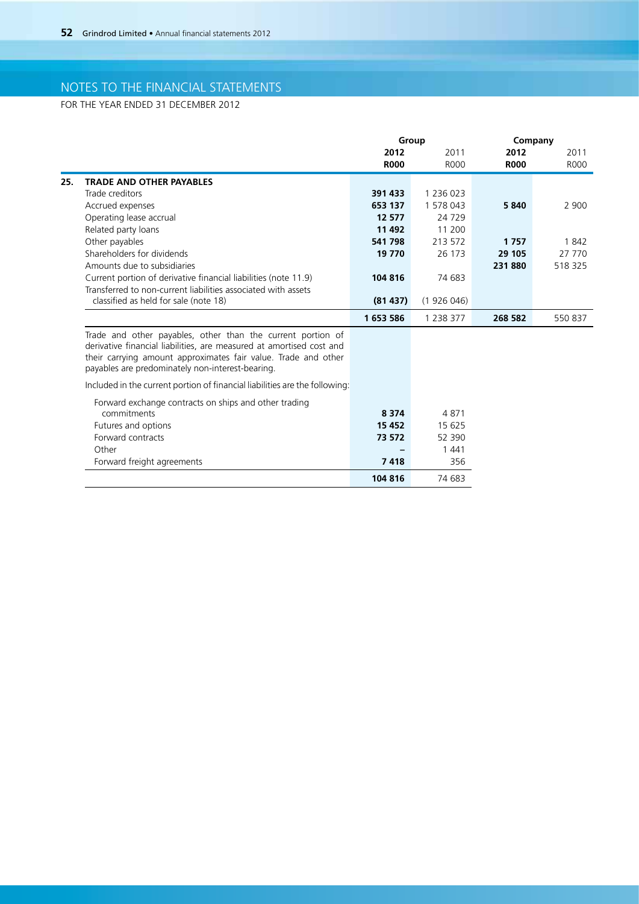FOR THE YEAR ENDED 31 DECEMBER 2012

|     |                                                                                                                                                                                                                                                           |             | Group     |             | Company     |  |
|-----|-----------------------------------------------------------------------------------------------------------------------------------------------------------------------------------------------------------------------------------------------------------|-------------|-----------|-------------|-------------|--|
|     |                                                                                                                                                                                                                                                           | 2012        | 2011      | 2012        | 2011        |  |
|     |                                                                                                                                                                                                                                                           | <b>R000</b> | R000      | <b>R000</b> | <b>ROOO</b> |  |
| 25. | <b>TRADE AND OTHER PAYABLES</b>                                                                                                                                                                                                                           |             |           |             |             |  |
|     | Trade creditors                                                                                                                                                                                                                                           | 391 433     | 1 236 023 |             |             |  |
|     | Accrued expenses                                                                                                                                                                                                                                          | 653 137     | 1 578 043 | 5840        | 2 900       |  |
|     | Operating lease accrual                                                                                                                                                                                                                                   | 12 577      | 24 7 29   |             |             |  |
|     | Related party loans                                                                                                                                                                                                                                       | 11 492      | 11 200    |             |             |  |
|     | Other payables                                                                                                                                                                                                                                            | 541 798     | 213 572   | 1757        | 1842        |  |
|     | Shareholders for dividends                                                                                                                                                                                                                                | 19 770      | 26 173    | 29 105      | 27 770      |  |
|     | Amounts due to subsidiaries                                                                                                                                                                                                                               |             |           | 231880      | 518 325     |  |
|     | Current portion of derivative financial liabilities (note 11.9)                                                                                                                                                                                           | 104 816     | 74 683    |             |             |  |
|     | Transferred to non-current liabilities associated with assets                                                                                                                                                                                             |             |           |             |             |  |
|     | classified as held for sale (note 18)                                                                                                                                                                                                                     | (81437)     | (1926046) |             |             |  |
|     |                                                                                                                                                                                                                                                           | 1653586     | 1 238 377 | 268 582     | 550 837     |  |
|     | Trade and other payables, other than the current portion of<br>derivative financial liabilities, are measured at amortised cost and<br>their carrying amount approximates fair value. Trade and other<br>payables are predominately non-interest-bearing. |             |           |             |             |  |

Included in the current portion of financial liabilities are the following:

| Forward exchange contracts on ships and other trading |         |        |
|-------------------------------------------------------|---------|--------|
| commitments                                           | 8 3 7 4 | 4871   |
| Futures and options                                   | 15 4 52 | 15 625 |
| Forward contracts                                     | 73 572  | 52 390 |
| Other                                                 |         | 1441   |
| Forward freight agreements                            | 7418    | 356    |
|                                                       | 104 816 | 74 683 |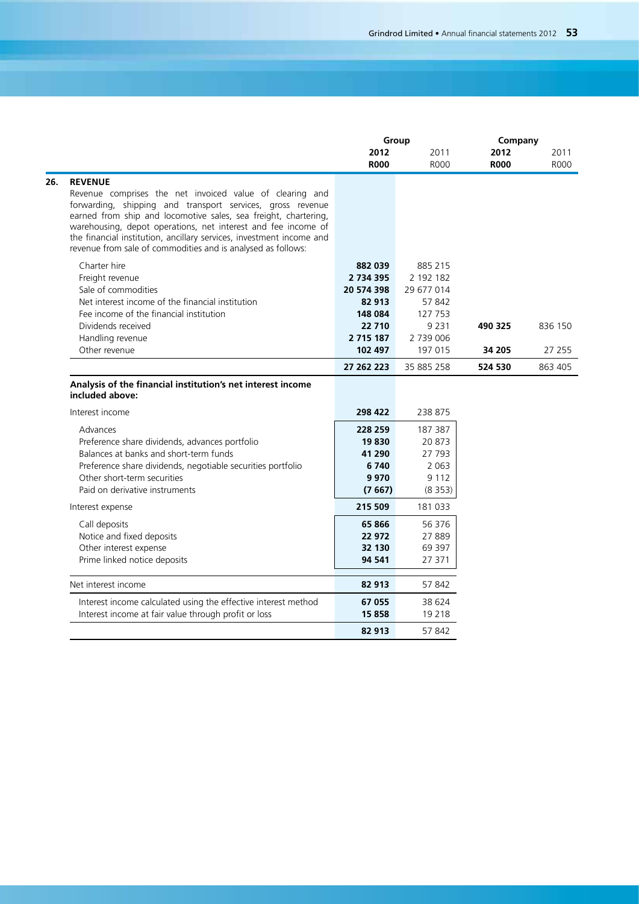|                                                                                                                                  | Group         |            | Company     |         |
|----------------------------------------------------------------------------------------------------------------------------------|---------------|------------|-------------|---------|
|                                                                                                                                  | 2012          | 2011       | 2012        | 2011    |
|                                                                                                                                  | <b>R000</b>   | R000       | <b>R000</b> | R000    |
| <b>REVENUE</b>                                                                                                                   |               |            |             |         |
| Revenue comprises the net invoiced value of clearing and                                                                         |               |            |             |         |
| forwarding, shipping and transport services, gross revenue                                                                       |               |            |             |         |
| earned from ship and locomotive sales, sea freight, chartering,<br>warehousing, depot operations, net interest and fee income of |               |            |             |         |
| the financial institution, ancillary services, investment income and                                                             |               |            |             |         |
| revenue from sale of commodities and is analysed as follows:                                                                     |               |            |             |         |
| Charter hire                                                                                                                     | 882 039       | 885 215    |             |         |
| Freight revenue                                                                                                                  | 2 734 395     | 2 192 182  |             |         |
| Sale of commodities                                                                                                              | 20 574 398    | 29 677 014 |             |         |
| Net interest income of the financial institution                                                                                 | 82 913        | 57 842     |             |         |
| Fee income of the financial institution                                                                                          | 148 084       | 127 753    |             |         |
| Dividends received                                                                                                               | 22 710        | 9 2 3 1    | 490 325     | 836 150 |
| Handling revenue                                                                                                                 | 2 7 1 5 1 8 7 | 2 739 006  |             |         |
| Other revenue                                                                                                                    | 102 497       | 197 015    | 34 205      | 27 255  |
|                                                                                                                                  | 27 262 223    | 35 885 258 | 524 530     | 863 405 |
| Analysis of the financial institution's net interest income<br>included above:                                                   |               |            |             |         |
| Interest income                                                                                                                  | 298 422       | 238 875    |             |         |
| Advances                                                                                                                         | 228 259       | 187 387    |             |         |
| Preference share dividends, advances portfolio                                                                                   | 19830         | 20873      |             |         |
| Balances at banks and short-term funds                                                                                           | 41 290        | 27 793     |             |         |
| Preference share dividends, negotiable securities portfolio                                                                      | 6740          | 2 0 6 3    |             |         |
| Other short-term securities                                                                                                      | 9970          | 9 1 1 2    |             |         |
| Paid on derivative instruments                                                                                                   | (7667)        | (8353)     |             |         |
| Interest expense                                                                                                                 | 215 509       | 181 033    |             |         |
| Call deposits                                                                                                                    | 65 866        | 56 376     |             |         |
| Notice and fixed deposits                                                                                                        | 22 972        | 27889      |             |         |
| Other interest expense                                                                                                           | 32 130        | 69 397     |             |         |
| Prime linked notice deposits                                                                                                     | 94 541        | 27 371     |             |         |
| Net interest income                                                                                                              | 82 913        | 57842      |             |         |
| Interest income calculated using the effective interest method                                                                   | 67 055        | 38 624     |             |         |
| Interest income at fair value through profit or loss                                                                             | 15858         | 19 2 18    |             |         |
|                                                                                                                                  | 82 913        | 57842      |             |         |
|                                                                                                                                  |               |            |             |         |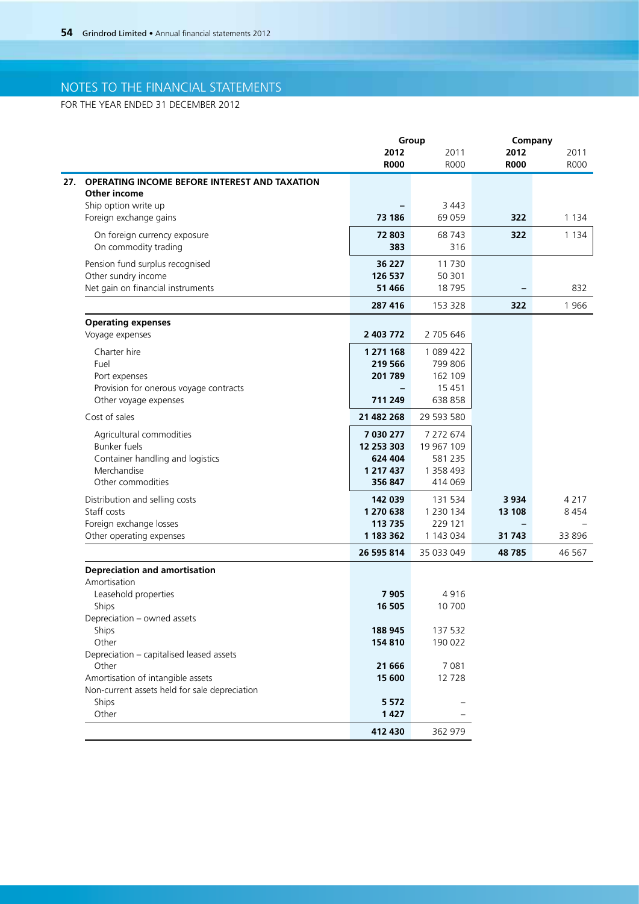FOR THE YEAR ENDED 31 DECEMBER 2012

|                                                                 |                                     | Group               |                          | Company             |  |
|-----------------------------------------------------------------|-------------------------------------|---------------------|--------------------------|---------------------|--|
|                                                                 | 2012<br><b>R000</b>                 | 2011<br><b>ROOO</b> | 2012<br><b>R000</b>      | 2011<br><b>ROOO</b> |  |
| <b>OPERATING INCOME BEFORE INTEREST AND TAXATION</b>            |                                     |                     |                          |                     |  |
| <b>Other income</b>                                             |                                     | 3 4 4 3             |                          |                     |  |
| Ship option write up<br>Foreign exchange gains                  | 73 186                              | 69 059              | 322                      | 1 1 3 4             |  |
| On foreign currency exposure                                    | 72 803                              | 68 743              | 322                      | 1 1 3 4             |  |
| On commodity trading                                            | 383                                 | 316                 |                          |                     |  |
| Pension fund surplus recognised                                 | 36 227                              | 11 7 30             |                          |                     |  |
| Other sundry income                                             | 126 537                             | 50 301              |                          |                     |  |
| Net gain on financial instruments                               | 51 466                              | 18 7 95             |                          | 832                 |  |
|                                                                 | 287 416                             | 153 328             | 322                      | 1966                |  |
| <b>Operating expenses</b>                                       |                                     |                     |                          |                     |  |
| Voyage expenses                                                 | 2 403 772                           | 2 705 646           |                          |                     |  |
| Charter hire                                                    | 1 271 168                           | 1 089 422           |                          |                     |  |
| Fuel                                                            | 219 566                             | 799 806             |                          |                     |  |
| Port expenses                                                   | 201 789                             | 162 109             |                          |                     |  |
| Provision for onerous voyage contracts<br>Other voyage expenses | $\overline{\phantom{0}}$<br>711 249 | 15 4 51<br>638 858  |                          |                     |  |
| Cost of sales                                                   | 21 482 268                          | 29 593 580          |                          |                     |  |
| Agricultural commodities                                        | 7 030 277                           | 7 272 674           |                          |                     |  |
| <b>Bunker fuels</b>                                             | 12 253 303                          | 19 967 109          |                          |                     |  |
| Container handling and logistics                                | 624 404                             | 581 235             |                          |                     |  |
| Merchandise                                                     | 1 217 437                           | 1 358 493           |                          |                     |  |
| Other commodities                                               | 356 847                             | 414 069             |                          |                     |  |
| Distribution and selling costs                                  | 142 039                             | 131 534             | 3 9 3 4                  | 4 2 1 7             |  |
| Staff costs                                                     | 1 270 638                           | 1 2 3 0 1 3 4       | 13 108                   | 8 4 5 4             |  |
| Foreign exchange losses                                         | 113 735                             | 229 121             | $\overline{\phantom{0}}$ |                     |  |
| Other operating expenses                                        | 1 183 362                           | 1 143 034           | 31 743                   | 33 896              |  |
|                                                                 | 26 595 814                          | 35 033 049          | 48 785                   | 46 567              |  |
| <b>Depreciation and amortisation</b><br>Amortisation            |                                     |                     |                          |                     |  |
| Leasehold properties                                            | 7 9 0 5                             | 4916                |                          |                     |  |
| Ships                                                           | 16 505                              | 10 700              |                          |                     |  |
| Depreciation - owned assets                                     |                                     |                     |                          |                     |  |
| Ships                                                           | 188 945                             | 137 532             |                          |                     |  |
| Other                                                           | 154 810                             | 190 022             |                          |                     |  |
| Depreciation - capitalised leased assets                        |                                     |                     |                          |                     |  |
| Other                                                           | 21 666                              | 7 0 8 1             |                          |                     |  |
| Amortisation of intangible assets                               | 15 600                              | 12 728              |                          |                     |  |
| Non-current assets held for sale depreciation                   |                                     |                     |                          |                     |  |
| Ships                                                           | 5 5 7 2                             |                     |                          |                     |  |
| Other                                                           | 1 4 2 7                             |                     |                          |                     |  |
|                                                                 | 412 430                             | 362 979             |                          |                     |  |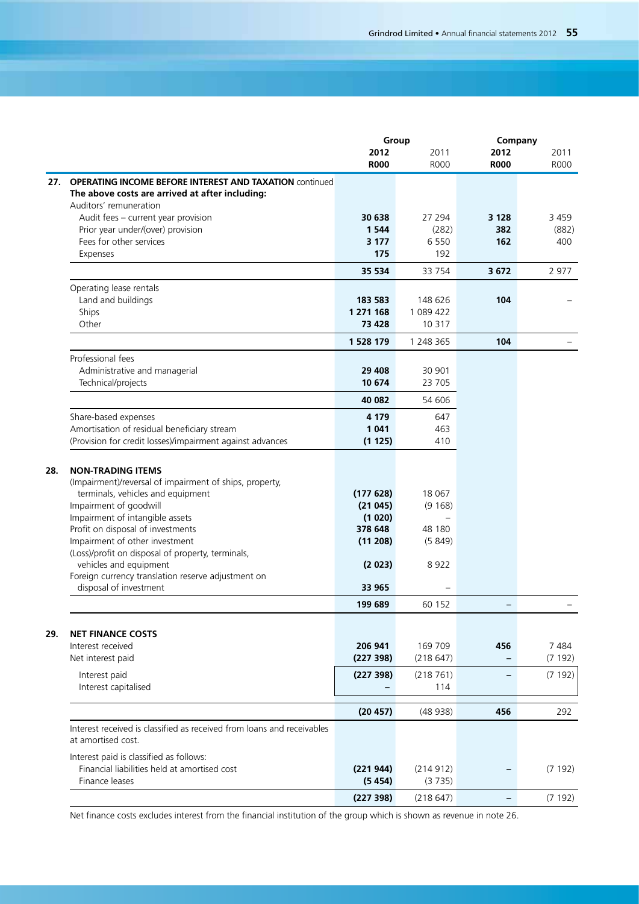|                                                                                              | Group               |                     | Company             |              |
|----------------------------------------------------------------------------------------------|---------------------|---------------------|---------------------|--------------|
|                                                                                              | 2012<br><b>R000</b> | 2011<br><b>R000</b> | 2012<br><b>R000</b> | 2011<br>R000 |
| <b>OPERATING INCOME BEFORE INTEREST AND TAXATION COntinued</b><br>27.                        |                     |                     |                     |              |
| The above costs are arrived at after including:                                              |                     |                     |                     |              |
| Auditors' remuneration                                                                       |                     |                     |                     |              |
| Audit fees - current year provision                                                          | 30 638              | 27 294              | 3 1 2 8             | 3 4 5 9      |
| Prior year under/(over) provision<br>Fees for other services                                 | 1 5 4 4             | (282)<br>6 5 5 0    | 382                 | (882)        |
| Expenses                                                                                     | 3 1 7 7<br>175      | 192                 | 162                 | 400          |
|                                                                                              | 35 534              | 33 754              | 3672                | 2 9 7 7      |
| Operating lease rentals                                                                      |                     |                     |                     |              |
| Land and buildings                                                                           | 183 583             | 148 626             | 104                 |              |
| Ships                                                                                        | 1 271 168           | 1 089 422           |                     |              |
| Other                                                                                        | 73 428              | 10 317              |                     |              |
|                                                                                              | 1 528 179           | 1 248 365           | 104                 |              |
| Professional fees                                                                            |                     |                     |                     |              |
| Administrative and managerial<br>Technical/projects                                          | 29 408<br>10 674    | 30 901<br>23 705    |                     |              |
|                                                                                              | 40 082              | 54 606              |                     |              |
| Share-based expenses                                                                         | 4 1 7 9             | 647                 |                     |              |
| Amortisation of residual beneficiary stream                                                  | 1041                | 463                 |                     |              |
| (Provision for credit losses)/impairment against advances                                    | (1125)              | 410                 |                     |              |
| 28.                                                                                          |                     |                     |                     |              |
| <b>NON-TRADING ITEMS</b>                                                                     |                     |                     |                     |              |
| (Impairment)/reversal of impairment of ships, property,<br>terminals, vehicles and equipment | (177628)            | 18 067              |                     |              |
| Impairment of goodwill                                                                       | (21045)             | (9168)              |                     |              |
| Impairment of intangible assets                                                              | (1020)              |                     |                     |              |
| Profit on disposal of investments                                                            | 378 648             | 48 180              |                     |              |
| Impairment of other investment                                                               | (11 208)            | (5849)              |                     |              |
| (Loss)/profit on disposal of property, terminals,                                            |                     |                     |                     |              |
| vehicles and equipment                                                                       | (2023)              | 8922                |                     |              |
| Foreign currency translation reserve adjustment on<br>disposal of investment                 | 33 965              |                     |                     |              |
|                                                                                              | 199 689             | 60 152              |                     |              |
|                                                                                              |                     |                     |                     |              |
| <b>NET FINANCE COSTS</b><br>Interest received                                                | 206 941             | 169 709             | 456                 | 7484         |
| Net interest paid                                                                            | (227398)            | (218647)            |                     | (7192)       |
| Interest paid                                                                                | (227 398)           | (218761)            |                     | (7192)       |
| Interest capitalised                                                                         |                     | 114                 |                     |              |
|                                                                                              |                     |                     |                     |              |
|                                                                                              | (20 457)            | (48938)             | 456                 | 292          |
| Interest received is classified as received from loans and receivables<br>at amortised cost. |                     |                     |                     |              |
| Interest paid is classified as follows:                                                      |                     |                     |                     |              |
| Financial liabilities held at amortised cost                                                 | (221944)            | (214912)            |                     | (7192)       |
| Finance leases                                                                               | (5454)              | (3735)              |                     |              |
|                                                                                              | (227 398)           | (218647)            |                     | (7192)       |

Net finance costs excludes interest from the financial institution of the group which is shown as revenue in note 26.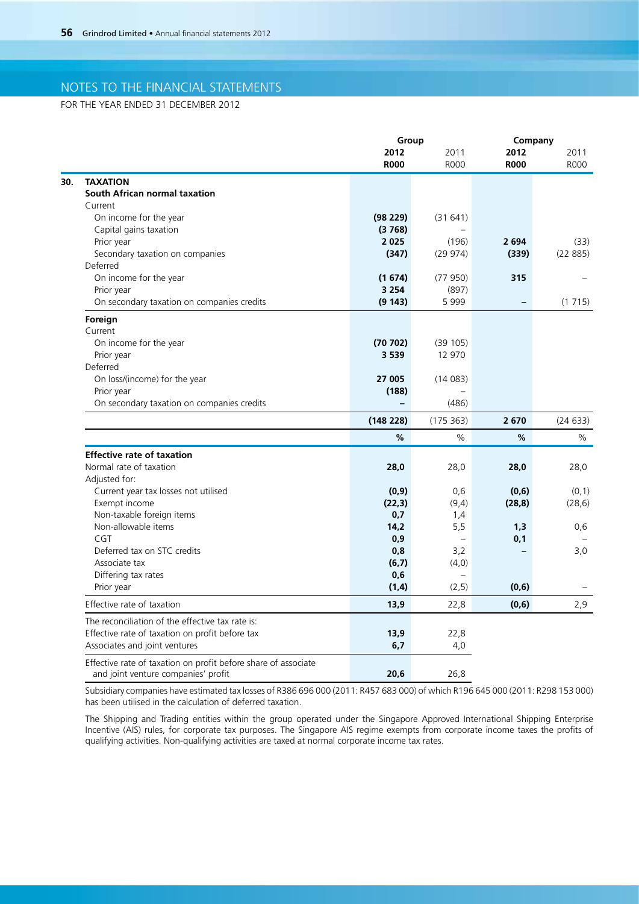FOR THE YEAR ENDED 31 DECEMBER 2012

|                                                                |             | Group         |                   | Company       |  |
|----------------------------------------------------------------|-------------|---------------|-------------------|---------------|--|
|                                                                | 2012        | 2011          | 2012              | 2011          |  |
|                                                                | <b>R000</b> | <b>R000</b>   | <b>R000</b>       | <b>ROOO</b>   |  |
| <b>TAXATION</b>                                                |             |               |                   |               |  |
| South African normal taxation                                  |             |               |                   |               |  |
| Current                                                        |             |               |                   |               |  |
| On income for the year                                         | (98 229)    | (31641)       |                   |               |  |
| Capital gains taxation                                         | (3768)      |               |                   |               |  |
| Prior year                                                     | 2025        | (196)         | 2 6 9 4           | (33)          |  |
| Secondary taxation on companies                                | (347)       | (29974)       | (339)             | (22885)       |  |
| Deferred                                                       |             |               |                   |               |  |
| On income for the year                                         | (1674)      | (77950)       | 315               |               |  |
| Prior year                                                     | 3 2 5 4     | (897)         |                   |               |  |
| On secondary taxation on companies credits                     | (9143)      | 5999          | $\qquad \qquad -$ | (1715)        |  |
| Foreign                                                        |             |               |                   |               |  |
| Current                                                        |             |               |                   |               |  |
| On income for the year                                         | (70702)     | (39105)       |                   |               |  |
| Prior year                                                     | 3 5 3 9     | 12 970        |                   |               |  |
| Deferred                                                       |             |               |                   |               |  |
| On loss/(income) for the year                                  | 27 005      | (14083)       |                   |               |  |
| Prior year                                                     | (188)       |               |                   |               |  |
| On secondary taxation on companies credits                     |             | (486)         |                   |               |  |
|                                                                | (148 228)   | (175363)      | 2670              | (24633)       |  |
|                                                                | %           | $\frac{0}{0}$ | $\%$              | $\frac{0}{0}$ |  |
| <b>Effective rate of taxation</b>                              |             |               |                   |               |  |
| Normal rate of taxation                                        | 28,0        | 28,0          | 28,0              | 28,0          |  |
| Adjusted for:                                                  |             |               |                   |               |  |
| Current year tax losses not utilised                           | (0,9)       | 0,6           | (0,6)             | (0,1)         |  |
| Exempt income                                                  | (22,3)      | (9,4)         | (28, 8)           | (28, 6)       |  |
| Non-taxable foreign items                                      | 0,7         | 1,4           |                   |               |  |
| Non-allowable items                                            | 14,2        | 5,5           | 1,3               | 0,6           |  |
| CGT                                                            | 0,9         |               | 0,1               |               |  |
| Deferred tax on STC credits                                    | 0,8         | 3,2           |                   | 3,0           |  |
| Associate tax                                                  | (6,7)       | (4,0)         |                   |               |  |
| Differing tax rates                                            | 0,6         |               |                   |               |  |
| Prior year                                                     | (1,4)       | (2, 5)        | (0, 6)            |               |  |
| Effective rate of taxation                                     | 13,9        | 22,8          | (0,6)             | 2,9           |  |
| The reconciliation of the effective tax rate is:               |             |               |                   |               |  |
| Effective rate of taxation on profit before tax                | 13,9        | 22,8          |                   |               |  |
| Associates and joint ventures                                  | 6,7         | 4,0           |                   |               |  |
| Effective rate of taxation on profit before share of associate |             |               |                   |               |  |
| and joint venture companies' profit                            | 20,6        | 26,8          |                   |               |  |

Subsidiary companies have estimated tax losses of R386 696 000 (2011: R457 683 000) of which R196 645 000 (2011: R298 153 000) has been utilised in the calculation of deferred taxation.

The Shipping and Trading entities within the group operated under the Singapore Approved International Shipping Enterprise Incentive (AIS) rules, for corporate tax purposes. The Singapore AIS regime exempts from corporate income taxes the profits of qualifying activities. Non-qualifying activities are taxed at normal corporate income tax rates.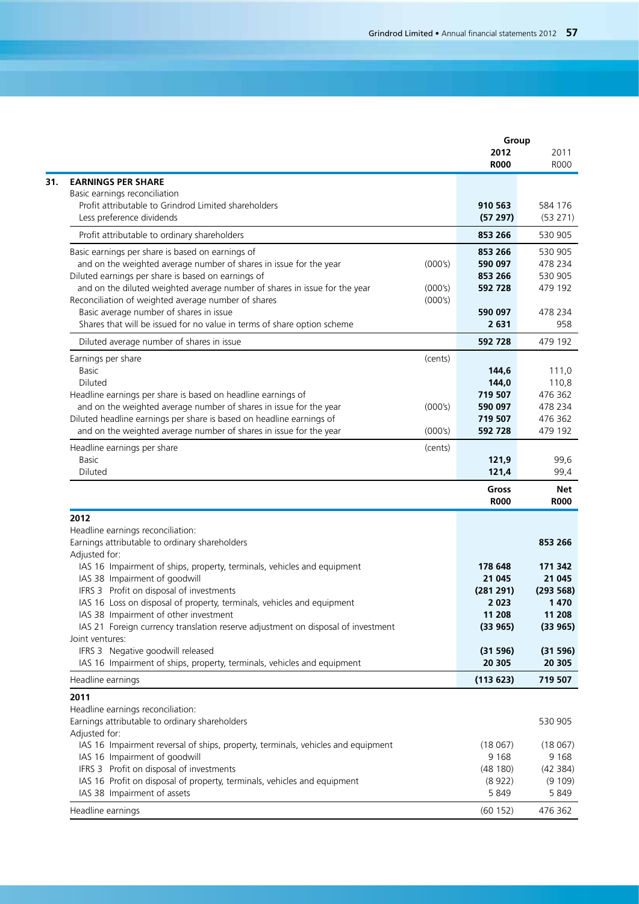|                                                                                                                                   | Group                |                                                                                                                                |
|-----------------------------------------------------------------------------------------------------------------------------------|----------------------|--------------------------------------------------------------------------------------------------------------------------------|
|                                                                                                                                   | 2012<br><b>R000</b>  | 2011<br>R000                                                                                                                   |
| <b>EARNINGS PER SHARE</b>                                                                                                         |                      |                                                                                                                                |
| Basic earnings reconciliation                                                                                                     |                      |                                                                                                                                |
| Profit attributable to Grindrod Limited shareholders                                                                              | 910 563              | 584 176                                                                                                                        |
| Less preference dividends                                                                                                         | (57297)              | (53 271)                                                                                                                       |
| Profit attributable to ordinary shareholders                                                                                      | 853 266              | 530 905                                                                                                                        |
| Basic earnings per share is based on earnings of                                                                                  | 853 266              | 530 905                                                                                                                        |
| and on the weighted average number of shares in issue for the year<br>(000's)                                                     | 590 097              | 478 234                                                                                                                        |
| Diluted earnings per share is based on earnings of                                                                                | 853 266              | 530 905                                                                                                                        |
| and on the diluted weighted average number of shares in issue for the year<br>(000's)                                             | 592 728              | 479 192                                                                                                                        |
| Reconciliation of weighted average number of shares<br>(000's)                                                                    |                      |                                                                                                                                |
| Basic average number of shares in issue<br>Shares that will be issued for no value in terms of share option scheme                | 590 097<br>2631      | 478 234<br>958                                                                                                                 |
|                                                                                                                                   |                      |                                                                                                                                |
| Diluted average number of shares in issue                                                                                         | 592 728              | 479 192                                                                                                                        |
| Earnings per share<br>(cents)<br><b>Basic</b>                                                                                     | 144,6                | 111,0                                                                                                                          |
| Diluted                                                                                                                           | 144,0                |                                                                                                                                |
| Headline earnings per share is based on headline earnings of                                                                      | 719 507              | 110,8<br>476 362                                                                                                               |
| and on the weighted average number of shares in issue for the year<br>(000's)                                                     | 590 097              | 478 234                                                                                                                        |
| Diluted headline earnings per share is based on headline earnings of                                                              | 719 507              | 476 362                                                                                                                        |
| and on the weighted average number of shares in issue for the year<br>(000's)                                                     | 592 728              | 479 192                                                                                                                        |
| Headline earnings per share<br>(cents)                                                                                            |                      |                                                                                                                                |
| <b>Basic</b>                                                                                                                      | 121,9                | 99,6                                                                                                                           |
| Diluted                                                                                                                           | 121,4                | 99,4                                                                                                                           |
|                                                                                                                                   | Gross<br><b>R000</b> | Net<br><b>R000</b>                                                                                                             |
| 2012                                                                                                                              |                      |                                                                                                                                |
| Headline earnings reconciliation:                                                                                                 |                      |                                                                                                                                |
| Earnings attributable to ordinary shareholders                                                                                    |                      | 853 266                                                                                                                        |
| Adjusted for:                                                                                                                     |                      |                                                                                                                                |
| IAS 16 Impairment of ships, property, terminals, vehicles and equipment                                                           | 178 648              | 171 342                                                                                                                        |
| IAS 38 Impairment of goodwill                                                                                                     | 21 045               | 21 045                                                                                                                         |
| IFRS 3 Profit on disposal of investments                                                                                          | (281 291)            | (293 568)                                                                                                                      |
|                                                                                                                                   | 2 0 2 3              |                                                                                                                                |
| IAS 16 Loss on disposal of property, terminals, vehicles and equipment                                                            |                      |                                                                                                                                |
| IAS 38 Impairment of other investment                                                                                             | 11 208               |                                                                                                                                |
| IAS 21 Foreign currency translation reserve adjustment on disposal of investment                                                  | (33965)              |                                                                                                                                |
|                                                                                                                                   |                      |                                                                                                                                |
| IFRS 3 Negative goodwill released                                                                                                 | (31596)              |                                                                                                                                |
| Joint ventures:<br>IAS 16 Impairment of ships, property, terminals, vehicles and equipment                                        | 20 305               |                                                                                                                                |
|                                                                                                                                   | (113623)             |                                                                                                                                |
|                                                                                                                                   |                      |                                                                                                                                |
|                                                                                                                                   |                      |                                                                                                                                |
|                                                                                                                                   |                      |                                                                                                                                |
|                                                                                                                                   | (18067)              |                                                                                                                                |
| IAS 16 Impairment reversal of ships, property, terminals, vehicles and equipment<br>IAS 16 Impairment of goodwill                 | 9 1 6 8              |                                                                                                                                |
| Headline earnings<br>2011<br>Headline earnings reconciliation:<br>Earnings attributable to ordinary shareholders<br>Adjusted for: | (48180)              |                                                                                                                                |
| IFRS 3 Profit on disposal of investments<br>IAS 16 Profit on disposal of property, terminals, vehicles and equipment              | (8922)               |                                                                                                                                |
| IAS 38 Impairment of assets                                                                                                       | 5 8 4 9              | 1470<br>11 208<br>(33 965)<br>(31 596)<br>20 305<br>719 507<br>530 905<br>(18067)<br>9 1 6 8<br>(42 384)<br>(9 109)<br>5 8 4 9 |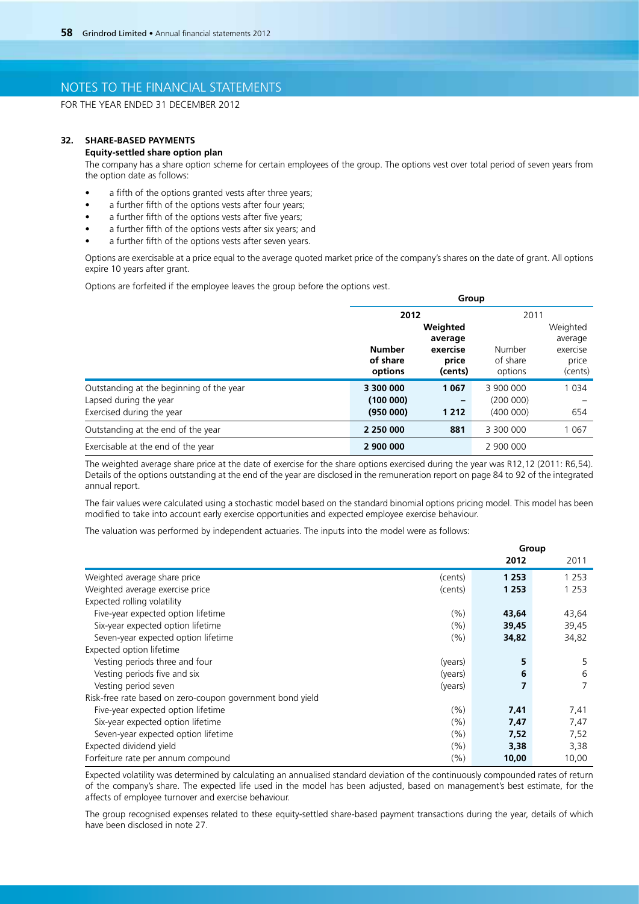FOR THE YEAR ENDED 31 DECEMBER 2012

### **32. SHARE-BASED PAYMENTS**

#### **Equity-settled share option plan**

The company has a share option scheme for certain employees of the group. The options vest over total period of seven years from the option date as follows:

- a fifth of the options granted vests after three years;
- a further fifth of the options vests after four years;
- a further fifth of the options vests after five years;
- a further fifth of the options vests after six years; and
- a further fifth of the options vests after seven years.

 Options are exercisable at a price equal to the average quoted market price of the company's shares on the date of grant. All options expire 10 years after grant.

**Group** 

Options are forfeited if the employee leaves the group before the options vest.

|                                          | ap                                   |         |           |          |  |
|------------------------------------------|--------------------------------------|---------|-----------|----------|--|
|                                          | 2012                                 |         |           | 2011     |  |
|                                          | Weighted                             |         |           | Weighted |  |
|                                          | average<br><b>Number</b><br>exercise |         |           | average  |  |
|                                          |                                      | Number  | exercise  |          |  |
|                                          | of share                             | price   | of share  | price    |  |
|                                          | options                              | (cents) | options   | (cents)  |  |
| Outstanding at the beginning of the year | 3 300 000                            | 1 0 6 7 | 3 900 000 | 1 0 3 4  |  |
| Lapsed during the year                   | (100000)                             |         | (200000)  |          |  |
| Exercised during the year                | (95000)                              | 1 2 1 2 | (400000)  | 654      |  |
| Outstanding at the end of the year       | 2 250 000                            | 881     | 3 300 000 | 1 0 6 7  |  |
| Exercisable at the end of the year       | 2 900 000                            |         | 2 900 000 |          |  |

The weighted average share price at the date of exercise for the share options exercised during the year was R12,12 (2011: R6,54). Details of the options outstanding at the end of the year are disclosed in the remuneration report on page 84 to 92 of the integrated annual report.

The fair values were calculated using a stochastic model based on the standard binomial options pricing model. This model has been modified to take into account early exercise opportunities and expected employee exercise behaviour.

The valuation was performed by independent actuaries. The inputs into the model were as follows:

|                                                           | Group   |         |         |
|-----------------------------------------------------------|---------|---------|---------|
|                                                           |         | 2012    | 2011    |
| Weighted average share price                              | (cents) | 1 2 5 3 | 1 2 5 3 |
| Weighted average exercise price                           | (cents) | 1 2 5 3 | 1 2 5 3 |
| Expected rolling volatility                               |         |         |         |
| Five-year expected option lifetime                        | (%)     | 43,64   | 43,64   |
| Six-year expected option lifetime                         | (%)     | 39,45   | 39,45   |
| Seven-year expected option lifetime                       | (%)     | 34,82   | 34,82   |
| Expected option lifetime                                  |         |         |         |
| Vesting periods three and four                            | (years) | 5       | 5       |
| Vesting periods five and six                              | (years) | 6       | 6       |
| Vesting period seven                                      | (years) | 7       | 7       |
| Risk-free rate based on zero-coupon government bond yield |         |         |         |
| Five-year expected option lifetime                        | (%)     | 7,41    | 7,41    |
| Six-year expected option lifetime                         | (%)     | 7,47    | 7,47    |
| Seven-year expected option lifetime                       | (%)     | 7,52    | 7,52    |
| Expected dividend yield                                   | (%)     | 3,38    | 3,38    |
| Forfeiture rate per annum compound                        | (%)     | 10,00   | 10,00   |

Expected volatility was determined by calculating an annualised standard deviation of the continuously compounded rates of return of the company's share. The expected life used in the model has been adjusted, based on management's best estimate, for the affects of employee turnover and exercise behaviour.

The group recognised expenses related to these equity-settled share-based payment transactions during the year, details of which have been disclosed in note 27.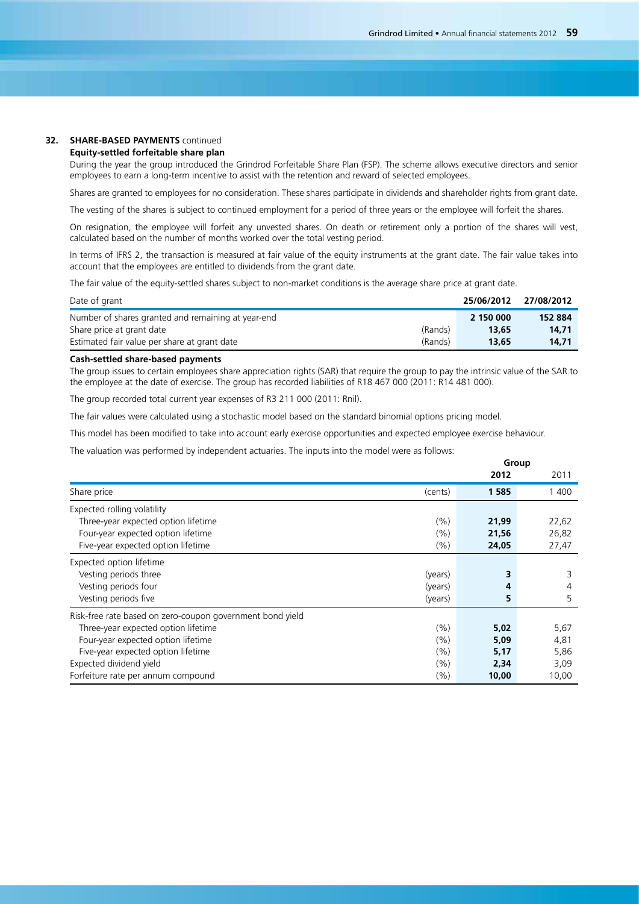### **32. SHARE-BASED PAYMENTS** continued

### **Equity-settled forfeitable share plan**

During the year the group introduced the Grindrod Forfeitable Share Plan (FSP). The scheme allows executive directors and senior employees to earn a long-term incentive to assist with the retention and reward of selected employees.

Shares are granted to employees for no consideration. These shares participate in dividends and shareholder rights from grant date.

The vesting of the shares is subject to continued employment for a period of three years or the employee will forfeit the shares.

 On resignation, the employee will forfeit any unvested shares. On death or retirement only a portion of the shares will vest, calculated based on the number of months worked over the total vesting period.

In terms of IFRS 2, the transaction is measured at fair value of the equity instruments at the grant date. The fair value takes into account that the employees are entitled to dividends from the grant date.

The fair value of the equity-settled shares subject to non-market conditions is the average share price at grant date.

| Date of grant                                           | 25/06/2012 | 27/08/2012 |
|---------------------------------------------------------|------------|------------|
| Number of shares granted and remaining at year-end      | 2 150 000  | 152 884    |
| (Rands)<br>Share price at grant date                    | 13,65      | 14.71      |
| Estimated fair value per share at grant date<br>(Rands) | 13.65      | 14.71      |

### **Cash-settled share-based payments**

The group issues to certain employees share appreciation rights (SAR) that require the group to pay the intrinsic value of the SAR to the employee at the date of exercise. The group has recorded liabilities of R18 467 000 (2011: R14 481 000).

The group recorded total current year expenses of R3 211 000 (2011: Rnil).

The fair values were calculated using a stochastic model based on the standard binomial options pricing model.

This model has been modified to take into account early exercise opportunities and expected employee exercise behaviour.

The valuation was performed by independent actuaries. The inputs into the model were as follows:

|                                                           | Group   |       |       |
|-----------------------------------------------------------|---------|-------|-------|
|                                                           |         | 2012  | 2011  |
| Share price                                               | (cents) | 1585  | 1 400 |
| Expected rolling volatility                               |         |       |       |
| Three-year expected option lifetime                       | (%)     | 21,99 | 22,62 |
| Four-year expected option lifetime                        | (%)     | 21,56 | 26,82 |
| Five-year expected option lifetime                        | (%)     | 24,05 | 27,47 |
| Expected option lifetime                                  |         |       |       |
| Vesting periods three                                     | (years) | 3     | 3     |
| Vesting periods four                                      | (years) | 4     | 4     |
| Vesting periods five                                      | (years) | 5     | 5     |
| Risk-free rate based on zero-coupon government bond yield |         |       |       |
| Three-year expected option lifetime                       | (%)     | 5,02  | 5,67  |
| Four-year expected option lifetime                        | (%)     | 5,09  | 4,81  |
| Five-year expected option lifetime                        | (%)     | 5,17  | 5,86  |
| Expected dividend yield                                   | (%)     | 2,34  | 3,09  |
| Forfeiture rate per annum compound                        | (%)     | 10,00 | 10,00 |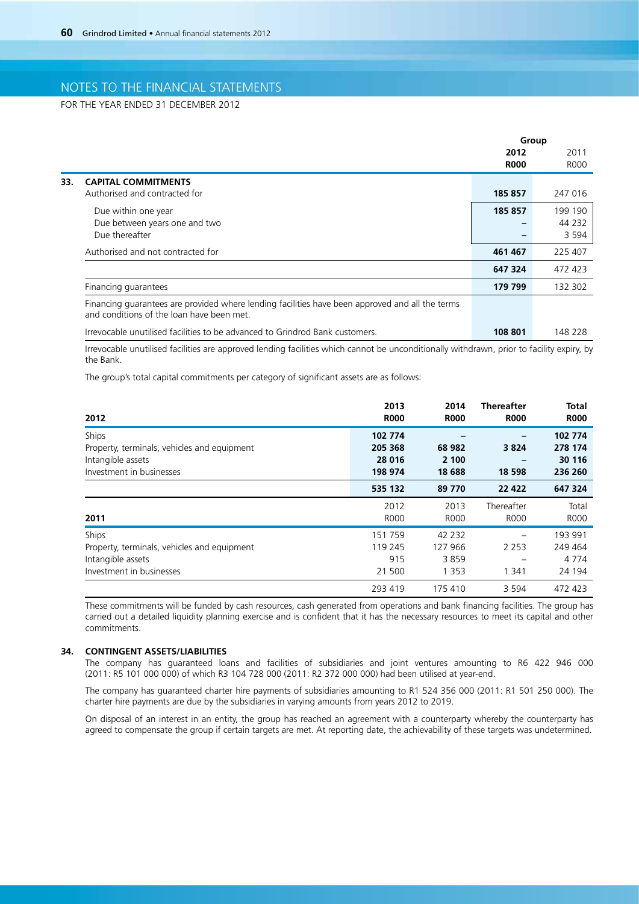FOR THE YEAR ENDED 31 DECEMBER 2012

|     |                                                                                                                                              |             | Group   |  |
|-----|----------------------------------------------------------------------------------------------------------------------------------------------|-------------|---------|--|
|     |                                                                                                                                              | 2012        | 2011    |  |
|     |                                                                                                                                              | <b>R000</b> | R000    |  |
| 33. | <b>CAPITAL COMMITMENTS</b>                                                                                                                   |             |         |  |
|     | Authorised and contracted for                                                                                                                | 185 857     | 247 016 |  |
|     | Due within one year                                                                                                                          | 185 857     | 199 190 |  |
|     | Due between years one and two                                                                                                                |             | 44 2 32 |  |
|     | Due thereafter                                                                                                                               |             | 3 5 9 4 |  |
|     | Authorised and not contracted for                                                                                                            | 461 467     | 225 407 |  |
|     |                                                                                                                                              | 647 324     | 472 423 |  |
|     | Financing guarantees                                                                                                                         | 179 799     | 132 302 |  |
|     | Financing quarantees are provided where lending facilities have been approved and all the terms<br>and conditions of the loan have been met. |             |         |  |
|     | Irrevocable unutilised facilities to be advanced to Grindrod Bank customers.                                                                 | 108 801     | 148 228 |  |

Irrevocable unutilised facilities are approved lending facilities which cannot be unconditionally withdrawn, prior to facility expiry, by the Bank.

The group's total capital commitments per category of significant assets are as follows:

| 2012                                                                                                  | 2013<br><b>R000</b>                      | 2014<br><b>R000</b>                   | <b>Thereafter</b><br><b>R000</b> | <b>Total</b><br><b>R000</b>             |
|-------------------------------------------------------------------------------------------------------|------------------------------------------|---------------------------------------|----------------------------------|-----------------------------------------|
| Ships<br>Property, terminals, vehicles and equipment<br>Intangible assets<br>Investment in businesses | 102 774<br>205 368<br>28 0 16<br>198 974 | 68 982<br>2 100<br>18 688             | 3824<br>18 5 98                  | 102 774<br>278 174<br>30 116<br>236 260 |
|                                                                                                       | 535 132                                  | 89 770                                | 22 4 22                          | 647 324                                 |
| 2011                                                                                                  | 2012<br><b>R000</b>                      | 2013<br><b>R000</b>                   | Thereafter<br><b>ROOO</b>        | Total<br>R000                           |
| Ships<br>Property, terminals, vehicles and equipment<br>Intangible assets<br>Investment in businesses | 151 759<br>119 245<br>915<br>21 500      | 42 2 32<br>127 966<br>3859<br>1 3 5 3 | 2 2 5 3<br>1 3 4 1               | 193 991<br>249 464<br>4 7 7 4<br>24 194 |
|                                                                                                       | 293 419                                  | 175 410                               | 3 5 9 4                          | 472 423                                 |

These commitments will be funded by cash resources, cash generated from operations and bank financing facilities. The group has carried out a detailed liquidity planning exercise and is confident that it has the necessary resources to meet its capital and other commitments.

### **34. CONTINGENT ASSETS/LIABILITIES**

The company has guaranteed loans and facilities of subsidiaries and joint ventures amounting to R6 422 946 000 (2011: R5 101 000 000) of which R3 104 728 000 (2011: R2 372 000 000) had been utilised at year-end.

The company has guaranteed charter hire payments of subsidiaries amounting to R1 524 356 000 (2011: R1 501 250 000). The charter hire payments are due by the subsidiaries in varying amounts from years 2012 to 2019.

On disposal of an interest in an entity, the group has reached an agreement with a counterparty whereby the counterparty has agreed to compensate the group if certain targets are met. At reporting date, the achievability of these targets was undetermined.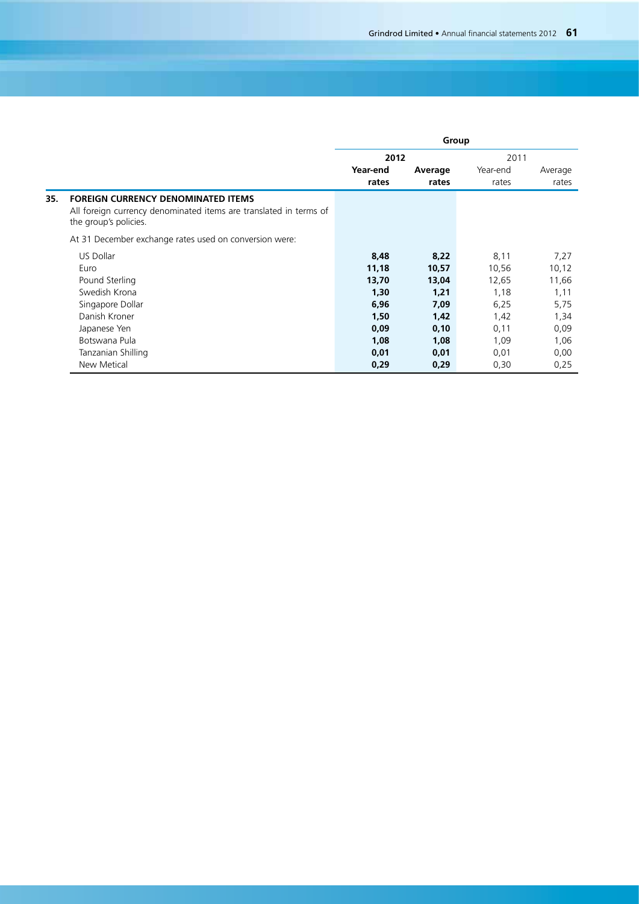|     |                                                                                                                                         | Group    |         |          |         |
|-----|-----------------------------------------------------------------------------------------------------------------------------------------|----------|---------|----------|---------|
|     |                                                                                                                                         | 2012     |         | 2011     |         |
|     |                                                                                                                                         | Year-end | Average | Year-end | Average |
|     |                                                                                                                                         | rates    | rates   | rates    | rates   |
| 35. | <b>FOREIGN CURRENCY DENOMINATED ITEMS</b><br>All foreign currency denominated items are translated in terms of<br>the group's policies. |          |         |          |         |
|     | At 31 December exchange rates used on conversion were:                                                                                  |          |         |          |         |
|     | <b>US Dollar</b>                                                                                                                        | 8,48     | 8,22    | 8,11     | 7,27    |
|     | Euro                                                                                                                                    | 11,18    | 10,57   | 10,56    | 10,12   |
|     | Pound Sterling                                                                                                                          | 13,70    | 13,04   | 12,65    | 11,66   |
|     | Swedish Krona                                                                                                                           | 1,30     | 1,21    | 1,18     | 1,11    |
|     | Singapore Dollar                                                                                                                        | 6,96     | 7,09    | 6,25     | 5,75    |
|     | Danish Kroner                                                                                                                           | 1,50     | 1,42    | 1,42     | 1,34    |
|     | Japanese Yen                                                                                                                            | 0,09     | 0,10    | 0,11     | 0,09    |
|     | Botswana Pula                                                                                                                           | 1,08     | 1,08    | 1,09     | 1,06    |
|     | Tanzanian Shilling                                                                                                                      | 0,01     | 0,01    | 0,01     | 0,00    |
|     | <b>New Metical</b>                                                                                                                      | 0,29     | 0,29    | 0,30     | 0,25    |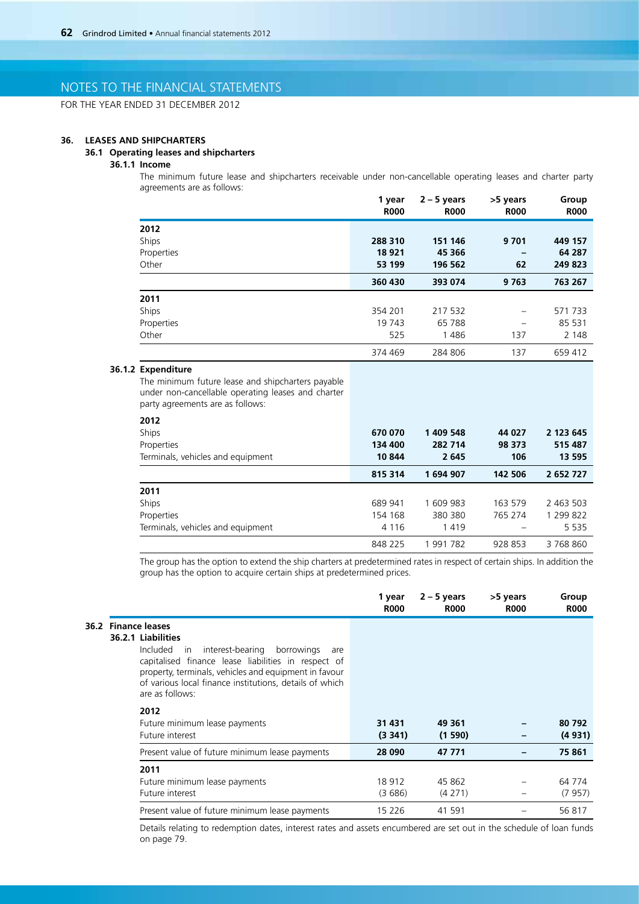FOR THE YEAR ENDED 31 DECEMBER 2012

#### **36. LEASES AND SHIPCHARTERS**

### **36.1 Operating leases and shipcharters**

## **36.1.1 Income**

The minimum future lease and shipcharters receivable under non-cancellable operating leases and charter party agreements are as follows:

|            | 1 year<br><b>R000</b> | $2 - 5$ years<br><b>R000</b> | >5 years<br><b>R000</b> | Group<br><b>R000</b> |
|------------|-----------------------|------------------------------|-------------------------|----------------------|
| 2012       |                       |                              |                         |                      |
| Ships      | 288 310               | 151 146                      | 9 7 0 1                 | 449 157              |
| Properties | 18 9 21               | 45 366                       |                         | 64 287               |
| Other      | 53 199                | 196 562                      | 62                      | 249 823              |
|            | 360 430               | 393 074                      | 9 7 6 3                 | 763 267              |
| 2011       |                       |                              |                         |                      |
| Ships      | 354 201               | 217 532                      |                         | 571733               |
| Properties | 19 743                | 65 788                       | -                       | 85 531               |
| Other      | 525                   | 1486                         | 137                     | 2 1 4 8              |
|            | 374 469               | 284 806                      | 137                     | 659 412              |

## **36.1.2 Expenditure**

The minimum future lease and shipcharters payable under non-cancellable operating leases and charter party agreements are as follows:

| 2012                              |         |           |         |           |
|-----------------------------------|---------|-----------|---------|-----------|
| Ships                             | 670 070 | 1 409 548 | 44 027  | 2 123 645 |
| Properties                        | 134 400 | 282 714   | 98 373  | 515 487   |
| Terminals, vehicles and equipment | 10 844  | 2645      | 106     | 13 595    |
|                                   | 815 314 | 1694907   | 142 506 | 2 652 727 |
| 2011                              |         |           |         |           |
| Ships                             | 689 941 | 1609983   | 163 579 | 2 463 503 |
| Properties                        | 154 168 | 380 380   | 765 274 | 1 299 822 |
| Terminals, vehicles and equipment | 4 1 1 6 | 1419      |         | 5 5 3 5   |
|                                   | 848 225 | 991 782   | 928 853 | 3768860   |

The group has the option to extend the ship charters at predetermined rates in respect of certain ships. In addition the group has the option to acquire certain ships at predetermined prices.

|                                                                                                                                                                                                                                                                                                     | 1 year<br><b>R000</b> | $2 - 5$ years<br><b>R000</b> | >5 years<br><b>R000</b> | Group<br><b>R000</b> |
|-----------------------------------------------------------------------------------------------------------------------------------------------------------------------------------------------------------------------------------------------------------------------------------------------------|-----------------------|------------------------------|-------------------------|----------------------|
| 36.2 Finance leases<br>36.2.1 Liabilities<br>Included<br>interest-bearing<br>borrowings<br>in.<br>are<br>capitalised finance lease liabilities in respect of<br>property, terminals, vehicles and equipment in favour<br>of various local finance institutions, details of which<br>are as follows: |                       |                              |                         |                      |
| 2012<br>Future minimum lease payments<br>Future interest                                                                                                                                                                                                                                            | 31 431<br>(3341)      | 49 361<br>(1590)             |                         | 80 792<br>(4931)     |
| Present value of future minimum lease payments                                                                                                                                                                                                                                                      | 28 090                | 47 771                       |                         | 75 861               |
| 2011<br>Future minimum lease payments<br>Future interest                                                                                                                                                                                                                                            | 18 9 12<br>(3686)     | 45 862<br>(4271)             |                         | 64 774<br>(7957)     |
| Present value of future minimum lease payments                                                                                                                                                                                                                                                      | 15 2 26               | 41 591                       |                         | 56 817               |

Details relating to redemption dates, interest rates and assets encumbered are set out in the schedule of loan funds on page 79.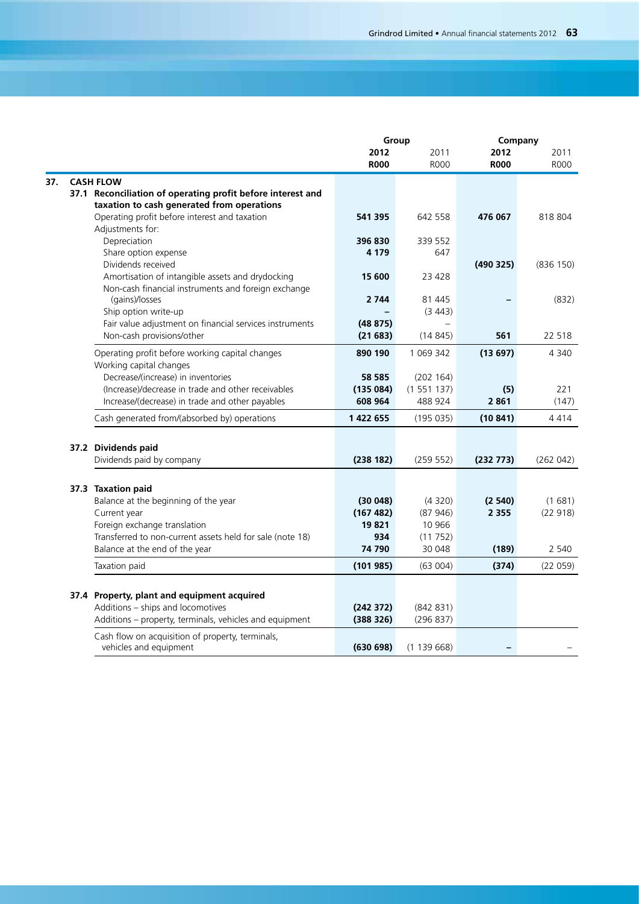|     |                                                                                                           |               | Group             | Company     |             |
|-----|-----------------------------------------------------------------------------------------------------------|---------------|-------------------|-------------|-------------|
|     |                                                                                                           | 2012          | 2011              | 2012        | 2011        |
|     |                                                                                                           | <b>R000</b>   | <b>R000</b>       | <b>R000</b> | <b>ROOO</b> |
| 37. | <b>CASH FLOW</b>                                                                                          |               |                   |             |             |
|     | 37.1 Reconciliation of operating profit before interest and<br>taxation to cash generated from operations |               |                   |             |             |
|     | Operating profit before interest and taxation<br>Adjustments for:                                         | 541 395       | 642 558           | 476 067     | 818 804     |
|     | Depreciation                                                                                              | 396 830       | 339 552           |             |             |
|     | Share option expense                                                                                      | 4 179         | 647               |             |             |
|     | Dividends received                                                                                        | 15 600        | 23 4 28           | (490325)    | (836 150)   |
|     | Amortisation of intangible assets and drydocking<br>Non-cash financial instruments and foreign exchange   |               |                   |             |             |
|     | (gains)/losses                                                                                            | 2 7 4 4       | 81 445            |             | (832)       |
|     | Ship option write-up                                                                                      |               | (3443)            |             |             |
|     | Fair value adjustment on financial services instruments                                                   | (48875)       |                   |             |             |
|     | Non-cash provisions/other                                                                                 | (21683)       | (14845)           | 561         | 22 5 18     |
|     | Operating profit before working capital changes<br>Working capital changes                                | 890 190       | 1 069 342         | (13697)     | 4 3 4 0     |
|     | Decrease/(increase) in inventories                                                                        | 58 585        | (202 164)         |             |             |
|     | (Increase)/decrease in trade and other receivables                                                        | (135084)      | (1551137)         | (5)         | 221         |
|     | Increase/(decrease) in trade and other payables                                                           | 608 964       | 488 924           | 2861        | (147)       |
|     | Cash generated from/(absorbed by) operations                                                              | 1 422 655     | (195035)          | (10841)     | 4414        |
|     | 37.2 Dividends paid                                                                                       |               |                   |             |             |
|     | Dividends paid by company                                                                                 | (238182)      | (259 552)         | (232 773)   | (262042)    |
|     |                                                                                                           |               |                   |             |             |
|     | 37.3 Taxation paid                                                                                        |               |                   |             |             |
|     | Balance at the beginning of the year                                                                      | (30048)       | (4320)            | (2540)      | (1681)      |
|     | Current year                                                                                              | (167 482)     | (87946)           | 2 3 5 5     | (22918)     |
|     | Foreign exchange translation                                                                              | 19821         | 10 966            |             |             |
|     | Transferred to non-current assets held for sale (note 18)<br>Balance at the end of the year               | 934<br>74 790 | (11752)<br>30 048 | (189)       | 2 540       |
|     |                                                                                                           |               |                   |             |             |
|     | Taxation paid                                                                                             | (101985)      | (63004)           | (374)       | (22059)     |
|     |                                                                                                           |               |                   |             |             |
|     | 37.4 Property, plant and equipment acquired<br>Additions - ships and locomotives                          | (242 372)     | (842 831)         |             |             |
|     | Additions - property, terminals, vehicles and equipment                                                   | (388326)      | (296 837)         |             |             |
|     | Cash flow on acquisition of property, terminals,                                                          |               |                   |             |             |
|     | vehicles and equipment                                                                                    | (630698)      | (1139668)         |             |             |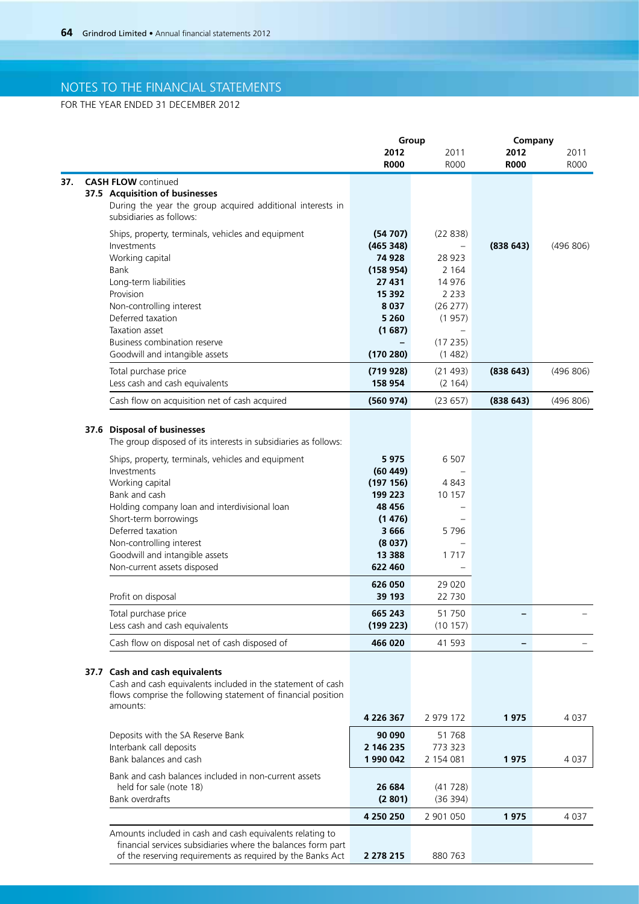FOR THE YEAR ENDED 31 DECEMBER 2012

|                                                                                                                             | Group                |                     | Company             |              |
|-----------------------------------------------------------------------------------------------------------------------------|----------------------|---------------------|---------------------|--------------|
|                                                                                                                             | 2012<br><b>R000</b>  | 2011<br><b>R000</b> | 2012<br><b>R000</b> | 2011<br>R000 |
| <b>CASH FLOW</b> continued                                                                                                  |                      |                     |                     |              |
| 37.5 Acquisition of businesses                                                                                              |                      |                     |                     |              |
| During the year the group acquired additional interests in<br>subsidiaries as follows:                                      |                      |                     |                     |              |
| Ships, property, terminals, vehicles and equipment                                                                          | (54707)              | (22838)             |                     |              |
| Investments                                                                                                                 | (465 348)            |                     | (838643)            | (496 806)    |
| Working capital                                                                                                             | 74 928               | 28 9 23             |                     |              |
| Bank                                                                                                                        | (158954)             | 2 1 6 4             |                     |              |
| Long-term liabilities                                                                                                       | 27 431               | 14 976              |                     |              |
| Provision                                                                                                                   | 15 392               | 2 2 3 3             |                     |              |
| Non-controlling interest<br>Deferred taxation                                                                               | 8 0 3 7<br>5 2 6 0   | (26 277)            |                     |              |
| Taxation asset                                                                                                              | (1687)               | (1957)              |                     |              |
| Business combination reserve                                                                                                |                      | (17235)             |                     |              |
| Goodwill and intangible assets                                                                                              | (170 280)            | (1482)              |                     |              |
| Total purchase price                                                                                                        | (719928)             | (21 493)            | (838643)            | (496 806)    |
| Less cash and cash equivalents                                                                                              | 158 954              | (2 164)             |                     |              |
| Cash flow on acquisition net of cash acquired                                                                               | (560974)             | (23657)             | (838643)            | (496 806)    |
| 37.6 Disposal of businesses                                                                                                 |                      |                     |                     |              |
| The group disposed of its interests in subsidiaries as follows:                                                             |                      |                     |                     |              |
| Ships, property, terminals, vehicles and equipment                                                                          | 5975                 | 6 5 0 7             |                     |              |
| Investments                                                                                                                 | (60449)              |                     |                     |              |
| Working capital                                                                                                             | (197156)             | 4 843               |                     |              |
| Bank and cash                                                                                                               | 199 223              | 10 157              |                     |              |
| Holding company loan and interdivisional loan                                                                               | 48 456               |                     |                     |              |
| Short-term borrowings                                                                                                       | (1476)               |                     |                     |              |
| Deferred taxation                                                                                                           | 3666                 | 5796                |                     |              |
| Non-controlling interest<br>Goodwill and intangible assets                                                                  | (8037)<br>13 3 8 8   | 1 7 1 7             |                     |              |
| Non-current assets disposed                                                                                                 | 622 460              |                     |                     |              |
|                                                                                                                             | 626 050              | 29 0 20             |                     |              |
| Profit on disposal                                                                                                          | 39 193               | 22 730              |                     |              |
| Total purchase price<br>Less cash and cash equivalents                                                                      | 665 243<br>(199 223) | 51 750<br>(10157)   |                     |              |
| Cash flow on disposal net of cash disposed of                                                                               | 466 020              | 41 593              |                     |              |
|                                                                                                                             |                      |                     |                     |              |
| 37.7 Cash and cash equivalents                                                                                              |                      |                     |                     |              |
| Cash and cash equivalents included in the statement of cash<br>flows comprise the following statement of financial position |                      |                     |                     |              |
| amounts:                                                                                                                    |                      |                     |                     |              |
|                                                                                                                             | 4 226 367            | 2 979 172           | 1975                | 4 0 3 7      |
| Deposits with the SA Reserve Bank                                                                                           | 90 090               | 51 768              |                     |              |
| Interbank call deposits                                                                                                     | 2 146 235            | 773 323             |                     |              |
| Bank balances and cash                                                                                                      | 1 990 042            | 2 154 081           | 1975                | 4 0 3 7      |
| Bank and cash balances included in non-current assets                                                                       |                      |                     |                     |              |
| held for sale (note 18)                                                                                                     | 26 684               | (41728)             |                     |              |
| Bank overdrafts                                                                                                             | (2801)               | (36 394)            |                     |              |
|                                                                                                                             | 4 250 250            | 2 901 050           | 1975                | 4 0 3 7      |
| Amounts included in cash and cash equivalents relating to                                                                   |                      |                     |                     |              |
| financial services subsidiaries where the balances form part                                                                |                      |                     |                     |              |
| of the reserving requirements as required by the Banks Act                                                                  | 2 278 215            | 880 763             |                     |              |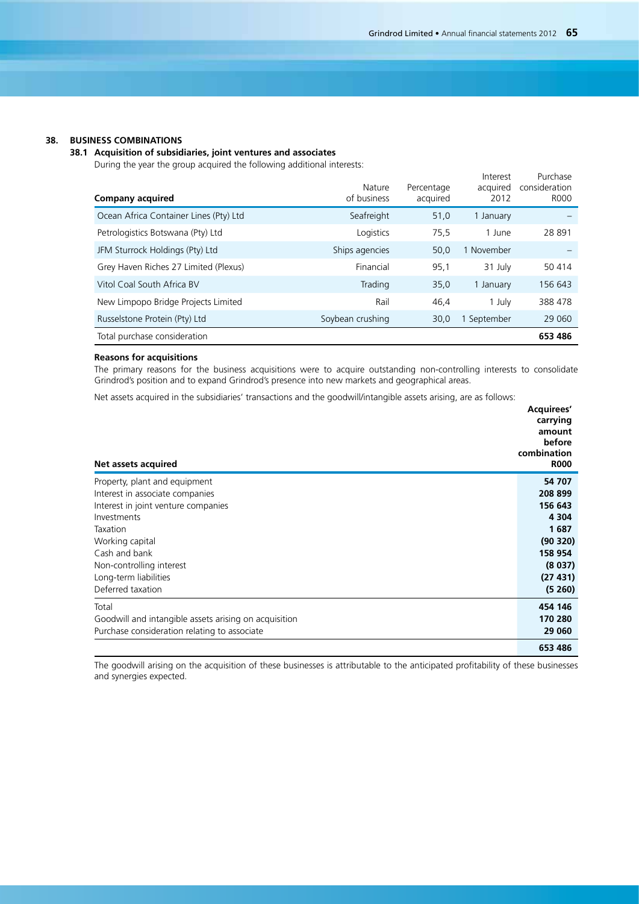### **38. BUSINESS COMBINATIONS**

### **38.1 Acquisition of subsidiaries, joint ventures and associates**

During the year the group acquired the following additional interests:

| <b>Company acquired</b>                | Nature<br>of business | Percentage<br>acquired | Interest<br>acquired<br>2012 | Purchase<br>consideration<br><b>R000</b> |
|----------------------------------------|-----------------------|------------------------|------------------------------|------------------------------------------|
| Ocean Africa Container Lines (Pty) Ltd | Seafreight            | 51,0                   | 1 January                    |                                          |
| Petrologistics Botswana (Pty) Ltd      | Logistics             | 75,5                   | 1 June                       | 28 891                                   |
| JFM Sturrock Holdings (Pty) Ltd        | Ships agencies        | 50,0                   | 1 November                   |                                          |
| Grey Haven Riches 27 Limited (Plexus)  | Financial             | 95,1                   | 31 July                      | 50 414                                   |
| Vitol Coal South Africa BV             | Trading               | 35,0                   | 1 January                    | 156 643                                  |
| New Limpopo Bridge Projects Limited    | Rail                  | 46,4                   | 1 July                       | 388 478                                  |
| Russelstone Protein (Pty) Ltd          | Soybean crushing      | 30,0                   | September                    | 29 0 60                                  |
| Total purchase consideration           |                       |                        |                              | 653 486                                  |

### **Reasons for acquisitions**

The primary reasons for the business acquisitions were to acquire outstanding non-controlling interests to consolidate Grindrod's position and to expand Grindrod's presence into new markets and geographical areas.

Net assets acquired in the subsidiaries' transactions and the goodwill/intangible assets arising, are as follows:

| Net assets acquired                                   | Acquirees'<br>carrying<br>amount<br>before<br>combination<br><b>R000</b> |
|-------------------------------------------------------|--------------------------------------------------------------------------|
| Property, plant and equipment                         | 54 707                                                                   |
| Interest in associate companies                       | 208 899                                                                  |
| Interest in joint venture companies                   | 156 643                                                                  |
| Investments                                           | 4 3 0 4                                                                  |
| Taxation                                              | 1687                                                                     |
| Working capital                                       | (90320)                                                                  |
| Cash and bank                                         | 158 954                                                                  |
| Non-controlling interest                              | (8037)                                                                   |
| Long-term liabilities                                 | (27431)                                                                  |
| Deferred taxation                                     | (5260)                                                                   |
| Total                                                 | 454 146                                                                  |
| Goodwill and intangible assets arising on acquisition | 170 280                                                                  |
| Purchase consideration relating to associate          | 29 060                                                                   |
|                                                       | 653 486                                                                  |

The goodwill arising on the acquisition of these businesses is attributable to the anticipated profitability of these businesses and synergies expected.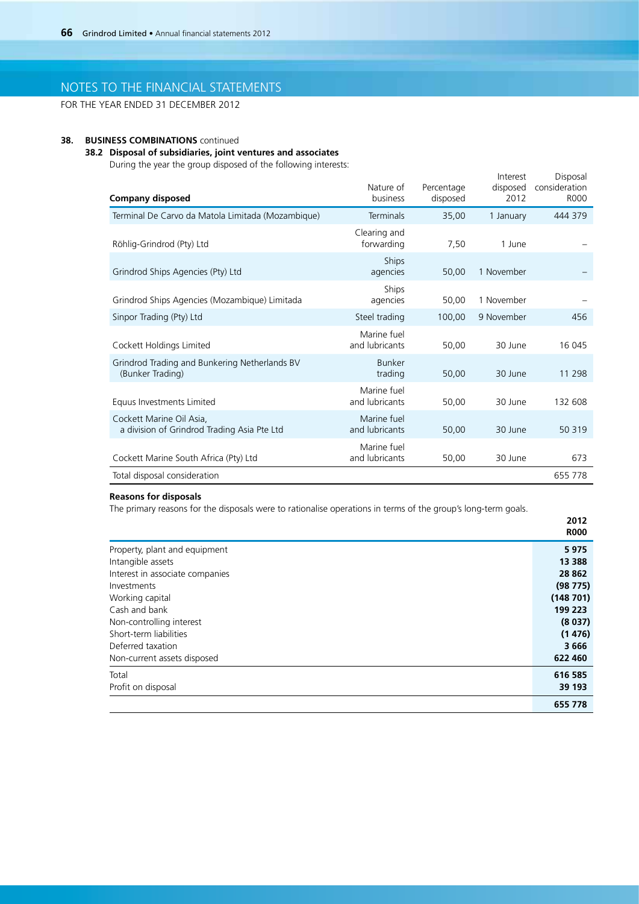FOR THE YEAR ENDED 31 DECEMBER 2012

## **38. BUSINESS COMBINATIONS** continued

### **38.2 Disposal of subsidiaries, joint ventures and associates**

During the year the group disposed of the following interests:

| <b>Company disposed</b>                                                 | Nature of<br>business         | Percentage<br>disposed | Interest<br>disposed<br>2012 | Disposal<br>consideration<br><b>ROOO</b> |
|-------------------------------------------------------------------------|-------------------------------|------------------------|------------------------------|------------------------------------------|
| Terminal De Carvo da Matola Limitada (Mozambique)                       | Terminals                     | 35,00                  | 1 January                    | 444 379                                  |
| Röhlig-Grindrod (Pty) Ltd                                               | Clearing and<br>forwarding    | 7,50                   | 1 June                       |                                          |
| Grindrod Ships Agencies (Pty) Ltd                                       | Ships<br>agencies             | 50,00                  | 1 November                   |                                          |
| Grindrod Ships Agencies (Mozambique) Limitada                           | Ships<br>agencies             | 50,00                  | 1 November                   |                                          |
| Sinpor Trading (Pty) Ltd                                                | Steel trading                 | 100,00                 | 9 November                   | 456                                      |
| Cockett Holdings Limited                                                | Marine fuel<br>and lubricants | 50,00                  | 30 June                      | 16 045                                   |
| Grindrod Trading and Bunkering Netherlands BV<br>(Bunker Trading)       | <b>Bunker</b><br>trading      | 50,00                  | 30 June                      | 11 298                                   |
| Equus Investments Limited                                               | Marine fuel<br>and lubricants | 50,00                  | 30 June                      | 132 608                                  |
| Cockett Marine Oil Asia.<br>a division of Grindrod Trading Asia Pte Ltd | Marine fuel<br>and lubricants | 50,00                  | 30 June                      | 50 319                                   |
| Cockett Marine South Africa (Pty) Ltd                                   | Marine fuel<br>and lubricants | 50,00                  | 30 June                      | 673                                      |
| Total disposal consideration                                            |                               |                        |                              | 655 778                                  |

### **Reasons for disposals**

The primary reasons for the disposals were to rationalise operations in terms of the group's long-term goals.

|                                 | 2012<br><b>R000</b> |
|---------------------------------|---------------------|
| Property, plant and equipment   | 5975                |
| Intangible assets               | 13 3 8 8            |
| Interest in associate companies | 28 862              |
| Investments                     | (98775)             |
| Working capital                 | (148701)            |
| Cash and bank                   | 199 223             |
| Non-controlling interest        | (8037)              |
| Short-term liabilities          | (1476)              |
| Deferred taxation               | 3 6 6 6             |
| Non-current assets disposed     | 622 460             |
| Total                           | 616 585             |
| Profit on disposal              | 39 193              |
|                                 | 655 778             |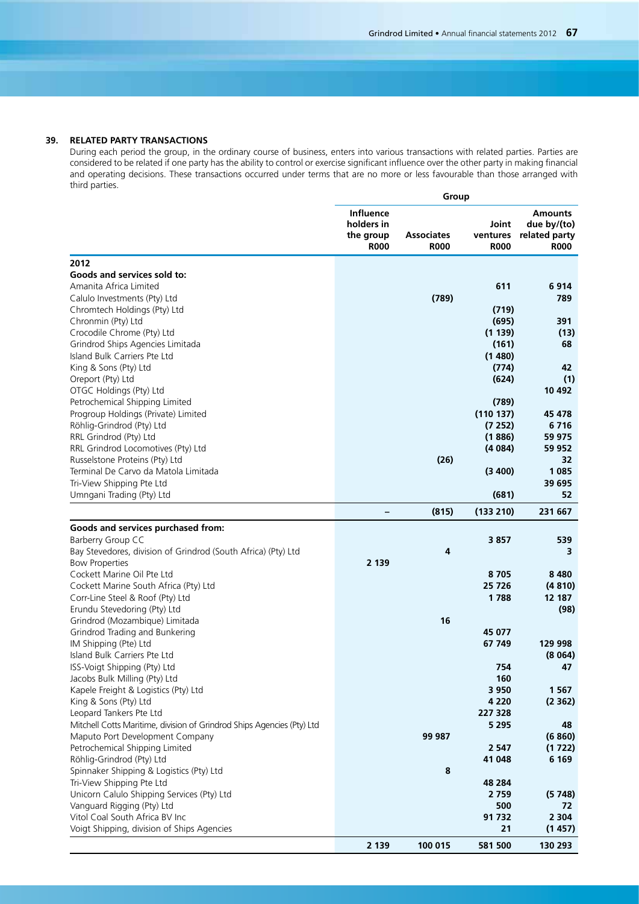### **39. RELATED PARTY TRANSACTIONS**

During each period the group, in the ordinary course of business, enters into various transactions with related parties. Parties are considered to be related if one party has the ability to control or exercise significant influence over the other party in making financial and operating decisions. These transactions occurred under terms that are no more or less favourable than those arranged with third parties.

|                                                                                        |                                                            | Group                            |                                  |                                                               |
|----------------------------------------------------------------------------------------|------------------------------------------------------------|----------------------------------|----------------------------------|---------------------------------------------------------------|
|                                                                                        | <b>Influence</b><br>holders in<br>the group<br><b>R000</b> | <b>Associates</b><br><b>R000</b> | Joint<br>ventures<br><b>R000</b> | <b>Amounts</b><br>due by/(to)<br>related party<br><b>R000</b> |
| 2012                                                                                   |                                                            |                                  |                                  |                                                               |
| Goods and services sold to:                                                            |                                                            |                                  |                                  |                                                               |
| Amanita Africa Limited                                                                 |                                                            |                                  | 611                              | 6914                                                          |
| Calulo Investments (Pty) Ltd                                                           |                                                            | (789)                            |                                  | 789                                                           |
| Chromtech Holdings (Pty) Ltd                                                           |                                                            |                                  | (719)                            |                                                               |
| Chronmin (Pty) Ltd                                                                     |                                                            |                                  | (695)                            | 391                                                           |
| Crocodile Chrome (Pty) Ltd                                                             |                                                            |                                  | (1139)                           | (13)                                                          |
| Grindrod Ships Agencies Limitada                                                       |                                                            |                                  | (161)                            | 68                                                            |
| Island Bulk Carriers Pte Ltd                                                           |                                                            |                                  | (1480)                           |                                                               |
| King & Sons (Pty) Ltd                                                                  |                                                            |                                  | (774)                            | 42                                                            |
| Oreport (Pty) Ltd                                                                      |                                                            |                                  | (624)                            | (1)                                                           |
| OTGC Holdings (Pty) Ltd                                                                |                                                            |                                  |                                  | 10 492                                                        |
| Petrochemical Shipping Limited<br>Progroup Holdings (Private) Limited                  |                                                            |                                  | (789)<br>(110137)                |                                                               |
| Röhlig-Grindrod (Pty) Ltd                                                              |                                                            |                                  | (7252)                           | 45 478<br>6716                                                |
| RRL Grindrod (Pty) Ltd                                                                 |                                                            |                                  | (1886)                           | 59 975                                                        |
| RRL Grindrod Locomotives (Pty) Ltd                                                     |                                                            |                                  | (4084)                           | 59 952                                                        |
| Russelstone Proteins (Pty) Ltd                                                         |                                                            | (26)                             |                                  | 32                                                            |
| Terminal De Carvo da Matola Limitada                                                   |                                                            |                                  | (3 400)                          | 1 0 8 5                                                       |
| Tri-View Shipping Pte Ltd                                                              |                                                            |                                  |                                  | 39 695                                                        |
| Umngani Trading (Pty) Ltd                                                              |                                                            |                                  | (681)                            | 52                                                            |
|                                                                                        |                                                            | (815)                            | (133 210)                        | 231 667                                                       |
|                                                                                        |                                                            |                                  |                                  |                                                               |
| Goods and services purchased from:                                                     |                                                            |                                  |                                  |                                                               |
| Barberry Group CC                                                                      |                                                            | 4                                | 3857                             | 539                                                           |
| Bay Stevedores, division of Grindrod (South Africa) (Pty) Ltd<br><b>Bow Properties</b> | 2 1 3 9                                                    |                                  |                                  | 3                                                             |
| Cockett Marine Oil Pte Ltd                                                             |                                                            |                                  | 8705                             | 8480                                                          |
| Cockett Marine South Africa (Pty) Ltd                                                  |                                                            |                                  | 25 7 26                          | (4810)                                                        |
| Corr-Line Steel & Roof (Pty) Ltd                                                       |                                                            |                                  | 1788                             | 12 187                                                        |
| Erundu Stevedoring (Pty) Ltd                                                           |                                                            |                                  |                                  | (98)                                                          |
| Grindrod (Mozambique) Limitada                                                         |                                                            | 16                               |                                  |                                                               |
| Grindrod Trading and Bunkering                                                         |                                                            |                                  | 45 077                           |                                                               |
| IM Shipping (Pte) Ltd                                                                  |                                                            |                                  | 67 749                           | 129 998                                                       |
| Island Bulk Carriers Pte Ltd                                                           |                                                            |                                  |                                  | (8064)                                                        |
| ISS-Voigt Shipping (Pty) Ltd                                                           |                                                            |                                  | 754                              | 47                                                            |
| Jacobs Bulk Milling (Pty) Ltd                                                          |                                                            |                                  | 160                              |                                                               |
| Kapele Freight & Logistics (Pty) Ltd                                                   |                                                            |                                  | 3 9 5 0                          | 1 5 6 7                                                       |
| King & Sons (Pty) Ltd                                                                  |                                                            |                                  | 4 2 2 0                          | (2362)                                                        |
| Leopard Tankers Pte Ltd                                                                |                                                            |                                  | 227 328                          |                                                               |
| Mitchell Cotts Maritime, division of Grindrod Ships Agencies (Pty) Ltd                 |                                                            |                                  | 5 2 9 5                          | 48                                                            |
| Maputo Port Development Company                                                        |                                                            | 99 987                           |                                  | (6860)                                                        |
| Petrochemical Shipping Limited                                                         |                                                            |                                  | 2 5 4 7                          | (1722)                                                        |
| Röhlig-Grindrod (Pty) Ltd<br>Spinnaker Shipping & Logistics (Pty) Ltd                  |                                                            | 8                                | 41 048                           | 6 1 6 9                                                       |
| Tri-View Shipping Pte Ltd                                                              |                                                            |                                  | 48 284                           |                                                               |
| Unicorn Calulo Shipping Services (Pty) Ltd                                             |                                                            |                                  | 2759                             | (5748)                                                        |
| Vanguard Rigging (Pty) Ltd                                                             |                                                            |                                  | 500                              | 72                                                            |
| Vitol Coal South Africa BV Inc                                                         |                                                            |                                  | 91 732                           | 2 3 0 4                                                       |
| Voigt Shipping, division of Ships Agencies                                             |                                                            |                                  | 21                               | (1457)                                                        |
|                                                                                        | 2 1 3 9                                                    | 100 015                          | 581 500                          | 130 293                                                       |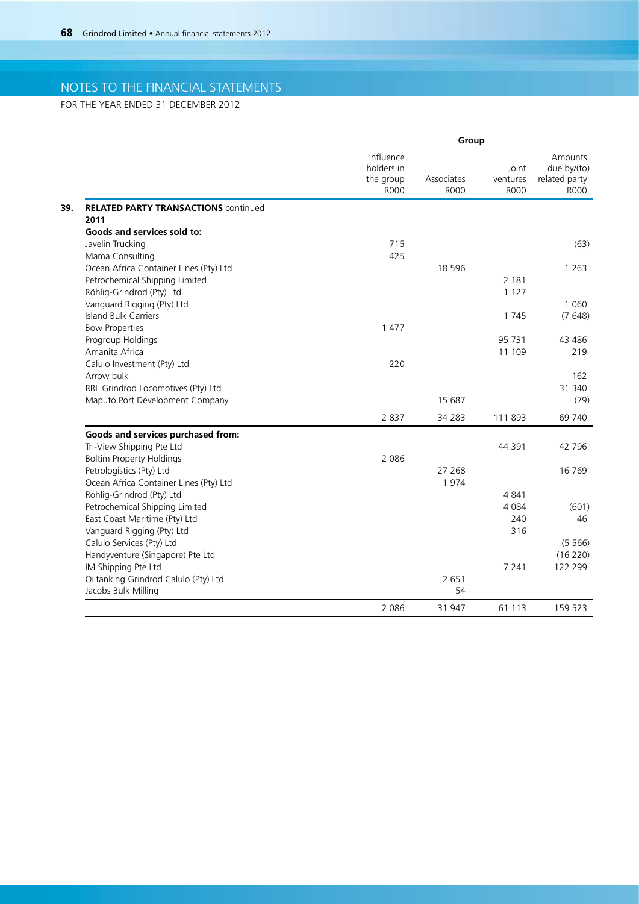FOR THE YEAR ENDED 31 DECEMBER 2012

|                                             | Group                                               |                           |                                  |                                                        |
|---------------------------------------------|-----------------------------------------------------|---------------------------|----------------------------------|--------------------------------------------------------|
|                                             | Influence<br>holders in<br>the group<br><b>R000</b> | Associates<br><b>R000</b> | Joint<br>ventures<br><b>R000</b> | Amounts<br>due by/(to)<br>related party<br><b>ROOO</b> |
| <b>RELATED PARTY TRANSACTIONS continued</b> |                                                     |                           |                                  |                                                        |
| 2011                                        |                                                     |                           |                                  |                                                        |
| Goods and services sold to:                 |                                                     |                           |                                  |                                                        |
| Javelin Trucking                            | 715                                                 |                           |                                  | (63)                                                   |
| Mama Consulting                             | 425                                                 |                           |                                  |                                                        |
| Ocean Africa Container Lines (Pty) Ltd      |                                                     | 18 5 9 6                  |                                  | 1 2 6 3                                                |
| Petrochemical Shipping Limited              |                                                     |                           | 2 1 8 1                          |                                                        |
| Röhlig-Grindrod (Pty) Ltd                   |                                                     |                           | 1 1 2 7                          |                                                        |
| Vanguard Rigging (Pty) Ltd                  |                                                     |                           |                                  | 1 0 6 0                                                |
| <b>Island Bulk Carriers</b>                 |                                                     |                           | 1 7 4 5                          | (7648)                                                 |
| <b>Bow Properties</b>                       | 1 477                                               |                           |                                  |                                                        |
| Progroup Holdings                           |                                                     |                           | 95 731                           | 43 4 8 6                                               |
| Amanita Africa                              |                                                     |                           | 11 109                           | 219                                                    |
| Calulo Investment (Pty) Ltd                 | 220                                                 |                           |                                  |                                                        |
| Arrow bulk                                  |                                                     |                           |                                  | 162                                                    |
| RRL Grindrod Locomotives (Pty) Ltd          |                                                     |                           |                                  | 31 340                                                 |
| Maputo Port Development Company             |                                                     | 15 687                    |                                  | (79)                                                   |
|                                             | 2 8 3 7                                             | 34 283                    | 111 893                          | 69 740                                                 |
| Goods and services purchased from:          |                                                     |                           |                                  |                                                        |
| Tri-View Shipping Pte Ltd                   |                                                     |                           | 44 391                           | 42 796                                                 |
| <b>Boltim Property Holdings</b>             | 2 0 8 6                                             |                           |                                  |                                                        |
| Petrologistics (Pty) Ltd                    |                                                     | 27 268                    |                                  | 16 769                                                 |
| Ocean Africa Container Lines (Pty) Ltd      |                                                     | 1974                      |                                  |                                                        |
| Röhlig-Grindrod (Pty) Ltd                   |                                                     |                           | 4841                             |                                                        |
| Petrochemical Shipping Limited              |                                                     |                           | 4 0 8 4                          | (601)                                                  |
| East Coast Maritime (Pty) Ltd               |                                                     |                           | 240                              | 46                                                     |
| Vanguard Rigging (Pty) Ltd                  |                                                     |                           | 316                              |                                                        |
| Calulo Services (Pty) Ltd                   |                                                     |                           |                                  | (5566)                                                 |
| Handyventure (Singapore) Pte Ltd            |                                                     |                           |                                  | (16 220)                                               |
| IM Shipping Pte Ltd                         |                                                     |                           | 7 2 4 1                          | 122 299                                                |
| Oiltanking Grindrod Calulo (Pty) Ltd        |                                                     | 2 6 5 1                   |                                  |                                                        |
| Jacobs Bulk Milling                         |                                                     | 54                        |                                  |                                                        |
|                                             | 2 0 8 6                                             | 31 947                    | 61 113                           | 159 523                                                |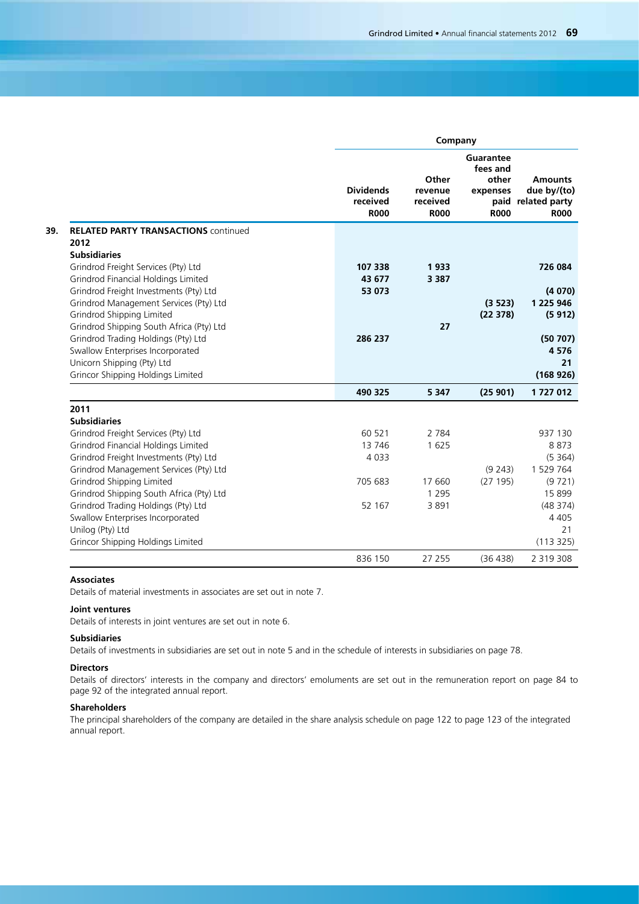**Company**

|                                                                                  | <b>Dividends</b><br>received<br><b>R000</b> | Other<br>revenue<br>received<br><b>R000</b> | Guarantee<br>fees and<br>other<br>expenses<br><b>R000</b> | <b>Amounts</b><br>due by/(to)<br>paid related party<br><b>R000</b> |
|----------------------------------------------------------------------------------|---------------------------------------------|---------------------------------------------|-----------------------------------------------------------|--------------------------------------------------------------------|
| <b>RELATED PARTY TRANSACTIONS COntinued</b>                                      |                                             |                                             |                                                           |                                                                    |
| 2012                                                                             |                                             |                                             |                                                           |                                                                    |
| <b>Subsidiaries</b>                                                              |                                             |                                             |                                                           |                                                                    |
| Grindrod Freight Services (Pty) Ltd                                              | 107 338                                     | 1933                                        |                                                           | 726 084                                                            |
| Grindrod Financial Holdings Limited                                              | 43 677                                      | 3 3 8 7                                     |                                                           |                                                                    |
| Grindrod Freight Investments (Pty) Ltd<br>Grindrod Management Services (Pty) Ltd | 53 073                                      |                                             | (3523)                                                    | (4070)<br>1 225 946                                                |
| Grindrod Shipping Limited                                                        |                                             |                                             | (22378)                                                   | (5912)                                                             |
| Grindrod Shipping South Africa (Pty) Ltd                                         |                                             | 27                                          |                                                           |                                                                    |
| Grindrod Trading Holdings (Pty) Ltd                                              | 286 237                                     |                                             |                                                           | (50707)                                                            |
| Swallow Enterprises Incorporated                                                 |                                             |                                             |                                                           | 4576                                                               |
| Unicorn Shipping (Pty) Ltd                                                       |                                             |                                             |                                                           | 21                                                                 |
| Grincor Shipping Holdings Limited                                                |                                             |                                             |                                                           | (168926)                                                           |
|                                                                                  | 490 325                                     | 5 3 4 7                                     | (25901)                                                   | 1727012                                                            |
| 2011                                                                             |                                             |                                             |                                                           |                                                                    |
| <b>Subsidiaries</b>                                                              |                                             |                                             |                                                           |                                                                    |
| Grindrod Freight Services (Pty) Ltd                                              | 60 521                                      | 2 7 8 4                                     |                                                           | 937 130                                                            |
| Grindrod Financial Holdings Limited                                              | 13746                                       | 1 6 2 5                                     |                                                           | 8873                                                               |
| Grindrod Freight Investments (Pty) Ltd                                           | 4 0 3 3                                     |                                             |                                                           | (5364)                                                             |
| Grindrod Management Services (Pty) Ltd                                           |                                             |                                             | (9 243)                                                   | 1 529 764                                                          |
| Grindrod Shipping Limited                                                        | 705 683                                     | 17 660                                      | (27195)                                                   | (9721)                                                             |
| Grindrod Shipping South Africa (Pty) Ltd                                         |                                             | 1 2 9 5                                     |                                                           | 15 8 99                                                            |
| Grindrod Trading Holdings (Pty) Ltd                                              | 52 167                                      | 3891                                        |                                                           | (48374)                                                            |
| Swallow Enterprises Incorporated                                                 |                                             |                                             |                                                           | 4 4 0 5                                                            |
| Unilog (Pty) Ltd                                                                 |                                             |                                             |                                                           | 21                                                                 |
| Grincor Shipping Holdings Limited                                                |                                             |                                             |                                                           | (113325)                                                           |
|                                                                                  | 836 150                                     | 27 255                                      | (36 438)                                                  | 2 3 1 9 3 0 8                                                      |
|                                                                                  |                                             |                                             |                                                           |                                                                    |

### **Associates**

Details of material investments in associates are set out in note 7.

## **Joint ventures**

Details of interests in joint ventures are set out in note 6.

### **Subsidiaries**

Details of investments in subsidiaries are set out in note 5 and in the schedule of interests in subsidiaries on page 78.

## **Directors**

Details of directors' interests in the company and directors' emoluments are set out in the remuneration report on page 84 to page 92 of the integrated annual report.

### **Shareholders**

The principal shareholders of the company are detailed in the share analysis schedule on page 122 to page 123 of the integrated annual report.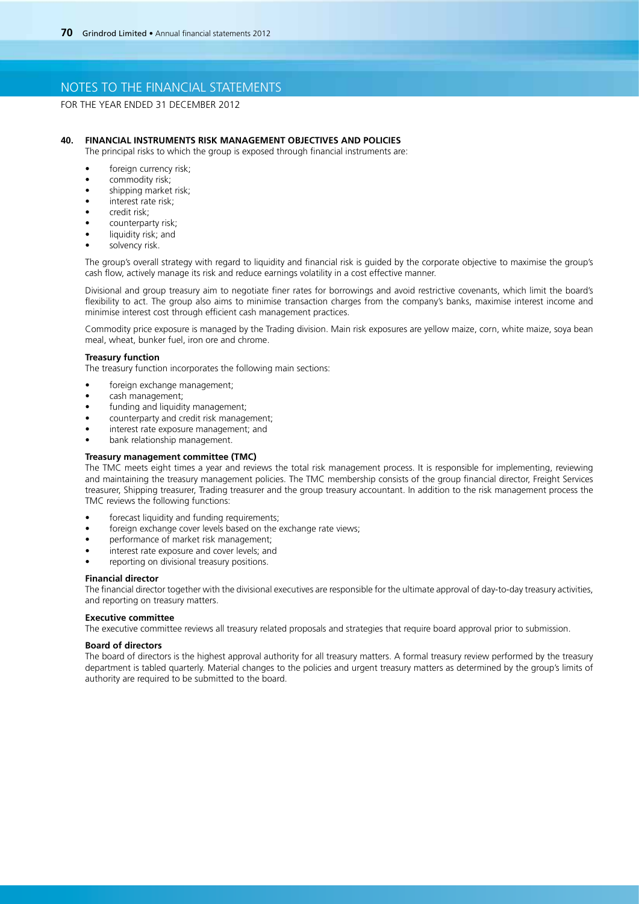FOR THE YEAR ENDED 31 DECEMBER 2012

### **40. FINANCIAL INSTRUMENTS RISK MANAGEMENT OBJECTIVES AND POLICIES**

The principal risks to which the group is exposed through financial instruments are:

- foreign currency risk;
- commodity risk;
- shipping market risk;
- interest rate risk;
- credit risk;
- counterparty risk:
- liquidity risk; and
- solvency risk.

The group's overall strategy with regard to liquidity and financial risk is guided by the corporate objective to maximise the group's cash flow, actively manage its risk and reduce earnings volatility in a cost effective manner.

Divisional and group treasury aim to negotiate finer rates for borrowings and avoid restrictive covenants, which limit the board's flexibility to act. The group also aims to minimise transaction charges from the company's banks, maximise interest income and minimise interest cost through efficient cash management practices.

Commodity price exposure is managed by the Trading division. Main risk exposures are yellow maize, corn, white maize, soya bean meal, wheat, bunker fuel, iron ore and chrome.

#### **Treasury function**

The treasury function incorporates the following main sections:

- foreign exchange management;
- cash management;
- funding and liquidity management:
- counterparty and credit risk management;
- interest rate exposure management; and
- bank relationship management.

### **Treasury management committee (TMC)**

The TMC meets eight times a year and reviews the total risk management process. It is responsible for implementing, reviewing and maintaining the treasury management policies. The TMC membership consists of the group financial director, Freight Services treasurer, Shipping treasurer, Trading treasurer and the group treasury accountant. In addition to the risk management process the TMC reviews the following functions:

- forecast liquidity and funding requirements;
- foreign exchange cover levels based on the exchange rate views;
- performance of market risk management;
- interest rate exposure and cover levels; and
- reporting on divisional treasury positions.

#### **Financial director**

The financial director together with the divisional executives are responsible for the ultimate approval of day-to-day treasury activities, and reporting on treasury matters.

### **Executive committee**

The executive committee reviews all treasury related proposals and strategies that require board approval prior to submission.

#### **Board of directors**

The board of directors is the highest approval authority for all treasury matters. A formal treasury review performed by the treasury department is tabled quarterly. Material changes to the policies and urgent treasury matters as determined by the group's limits of authority are required to be submitted to the board.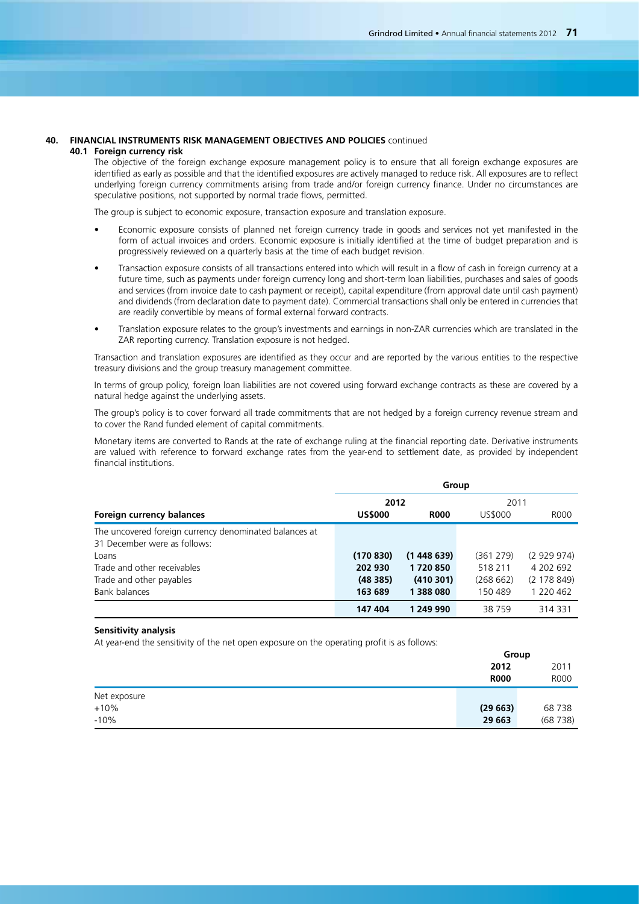**Group**

#### **40. FINANCIAL INSTRUMENTS RISK MANAGEMENT OBJECTIVES AND POLICIES** continued **40.1 Foreign currency risk**

The objective of the foreign exchange exposure management policy is to ensure that all foreign exchange exposures are identified as early as possible and that the identified exposures are actively managed to reduce risk. All exposures are to reflect underlying foreign currency commitments arising from trade and/or foreign currency finance. Under no circumstances are speculative positions, not supported by normal trade flows, permitted.

The group is subject to economic exposure, transaction exposure and translation exposure.

- Economic exposure consists of planned net foreign currency trade in goods and services not yet manifested in the form of actual invoices and orders. Economic exposure is initially identified at the time of budget preparation and is progressively reviewed on a quarterly basis at the time of each budget revision.
- Transaction exposure consists of all transactions entered into which will result in a flow of cash in foreign currency at a future time, such as payments under foreign currency long and short-term loan liabilities, purchases and sales of goods and services (from invoice date to cash payment or receipt), capital expenditure (from approval date until cash payment) and dividends (from declaration date to payment date). Commercial transactions shall only be entered in currencies that are readily convertible by means of formal external forward contracts.
- Translation exposure relates to the group's investments and earnings in non-ZAR currencies which are translated in the ZAR reporting currency. Translation exposure is not hedged.

Transaction and translation exposures are identified as they occur and are reported by the various entities to the respective treasury divisions and the group treasury management committee.

In terms of group policy, foreign loan liabilities are not covered using forward exchange contracts as these are covered by a natural hedge against the underlying assets.

The group's policy is to cover forward all trade commitments that are not hedged by a foreign currency revenue stream and to cover the Rand funded element of capital commitments.

Monetary items are converted to Rands at the rate of exchange ruling at the financial reporting date. Derivative instruments are valued with reference to forward exchange rates from the year-end to settlement date, as provided by independent financial institutions.

|                                                        | Group          |             |           |             |  |  |
|--------------------------------------------------------|----------------|-------------|-----------|-------------|--|--|
|                                                        | 2012           |             | 2011      |             |  |  |
| Foreign currency balances                              | <b>US\$000</b> | <b>R000</b> | US\$000   | R000        |  |  |
| The uncovered foreign currency denominated balances at |                |             |           |             |  |  |
| 31 December were as follows:                           |                |             |           |             |  |  |
| Loans                                                  | (170 830)      | (1448639)   | (361 279) | (2929974)   |  |  |
| Trade and other receivables                            | 202 930        | 1720850     | 518 211   | 4 202 692   |  |  |
| Trade and other payables                               | (48385)        | (410301)    | (268662)  | (2 178 849) |  |  |
| Bank balances                                          | 163 689        | 1 388 080   | 150 489   | 1 220 462   |  |  |
|                                                        | 147 404        | 1 249 990   | 38759     | 314 331     |  |  |

## **Sensitivity analysis**

At year-end the sensitivity of the net open exposure on the operating profit is as follows:

|              | uuuu        |             |
|--------------|-------------|-------------|
|              | 2012        | 2011        |
|              | <b>R000</b> | <b>ROOO</b> |
| Net exposure |             |             |
| $+10%$       | (29663)     | 68738       |
| $-10%$       | 29 663      | (68738)     |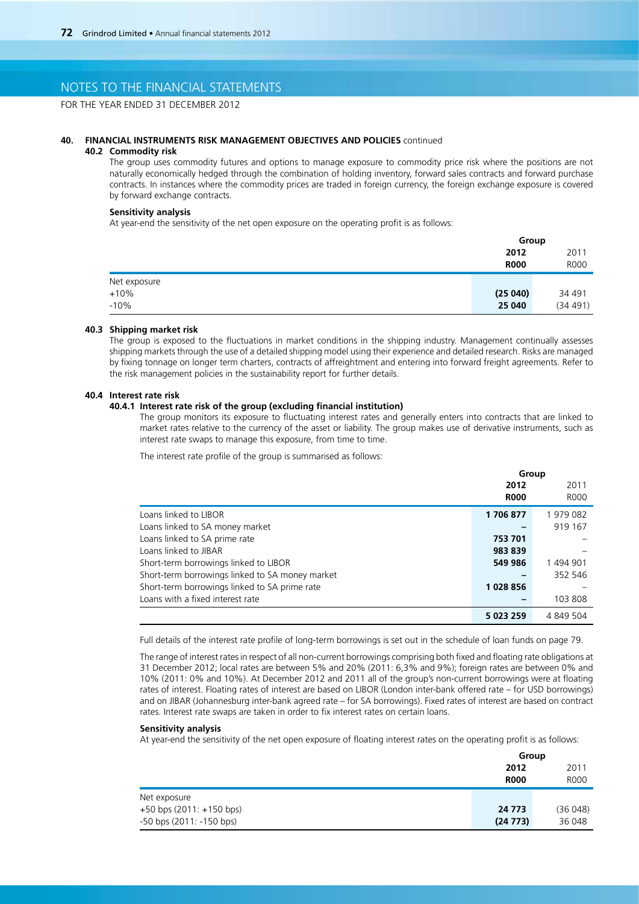FOR THE YEAR ENDED 31 DECEMBER 2012

### **40. FINANCIAL INSTRUMENTS RISK MANAGEMENT OBJECTIVES AND POLICIES** continued

### **40.2 Commodity risk**

The group uses commodity futures and options to manage exposure to commodity price risk where the positions are not naturally economically hedged through the combination of holding inventory, forward sales contracts and forward purchase contracts. In instances where the commodity prices are traded in foreign currency, the foreign exchange exposure is covered by forward exchange contracts.

### **Sensitivity analysis**

At year-end the sensitivity of the net open exposure on the operating profit is as follows:

|              | Group       |             |
|--------------|-------------|-------------|
|              | 2012        | 2011        |
|              | <b>R000</b> | <b>ROOO</b> |
| Net exposure |             |             |
| $+10%$       | (25040)     | 34 491      |
| $-10%$       | 25 040      | (34 491)    |

#### **40.3 Shipping market risk**

The group is exposed to the fluctuations in market conditions in the shipping industry. Management continually assesses shipping markets through the use of a detailed shipping model using their experience and detailed research. Risks are managed by fixing tonnage on longer term charters, contracts of affreightment and entering into forward freight agreements. Refer to the risk management policies in the sustainability report for further details.

### **40.4 Interest rate risk**

### **40.4.1 Interest rate risk of the group (excluding financial institution)**

The group monitors its exposure to fluctuating interest rates and generally enters into contracts that are linked to market rates relative to the currency of the asset or liability. The group makes use of derivative instruments, such as interest rate swaps to manage this exposure, from time to time.

**Group**

The interest rate profile of the group is summarised as follows:

|                                                 | uroup       |             |
|-------------------------------------------------|-------------|-------------|
|                                                 | 2012        | 2011        |
|                                                 | <b>R000</b> | <b>ROOO</b> |
| Loans linked to LIBOR                           | 1706877     | 1979082     |
| Loans linked to SA money market                 |             | 919 167     |
| Loans linked to SA prime rate                   | 753 701     |             |
| Loans linked to JIBAR                           | 983 839     |             |
| Short-term borrowings linked to LIBOR           | 549 986     | 1494901     |
| Short-term borrowings linked to SA money market |             | 352 546     |
| Short-term borrowings linked to SA prime rate   | 1028856     |             |
| Loans with a fixed interest rate                |             | 103 808     |
|                                                 | 5 023 259   | 4 849 504   |

Full details of the interest rate profile of long-term borrowings is set out in the schedule of loan funds on page 79.

The range of interest rates in respect of all non-current borrowings comprising both fixed and floating rate obligations at 31 December 2012; local rates are between 5% and 20% (2011: 6,3% and 9%); foreign rates are between 0% and 10% (2011: 0% and 10%). At December 2012 and 2011 all of the group's non-current borrowings were at floating rates of interest. Floating rates of interest are based on LIBOR (London inter-bank offered rate – for USD borrowings) and on JIBAR (Johannesburg inter-bank agreed rate – for SA borrowings). Fixed rates of interest are based on contract rates. Interest rate swaps are taken in order to fix interest rates on certain loans.

#### **Sensitivity analysis**

At year-end the sensitivity of the net open exposure of floating interest rates on the operating profit is as follows:

|                              | Group       |             |
|------------------------------|-------------|-------------|
|                              | 2012        | 2011        |
|                              | <b>R000</b> | <b>ROOO</b> |
| Net exposure                 |             |             |
| $+50$ bps (2011: $+150$ bps) | 24 773      | (36048)     |
| $-50$ bps (2011: $-150$ bps) | (24773)     | 36 048      |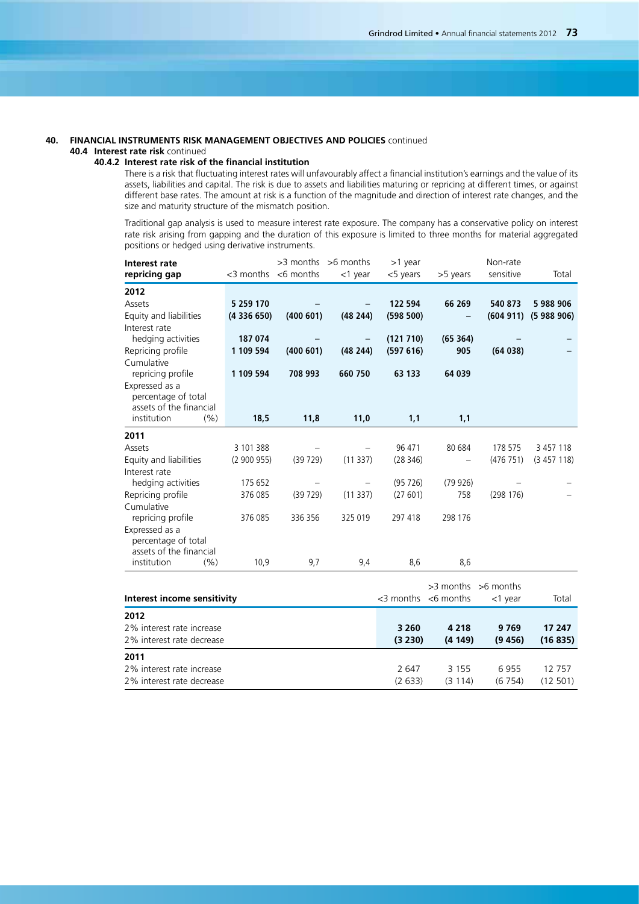### **40. FINANCIAL INSTRUMENTS RISK MANAGEMENT OBJECTIVES AND POLICIES** continued **40.4 Interest rate risk** continued

### **40.4.2 Interest rate risk of the financial institution**

There is a risk that fluctuating interest rates will unfavourably affect a financial institution's earnings and the value of its assets, liabilities and capital. The risk is due to assets and liabilities maturing or repricing at different times, or against different base rates. The amount at risk is a function of the magnitude and direction of interest rate changes, and the size and maturity structure of the mismatch position.

Traditional gap analysis is used to measure interest rate exposure. The company has a conservative policy on interest rate risk arising from gapping and the duration of this exposure is limited to three months for material aggregated positions or hedged using derivative instruments.

| Interest rate                                  |           |                           | $>3$ months $>6$ months | >1 year   |                           | Non-rate                |           |
|------------------------------------------------|-----------|---------------------------|-------------------------|-----------|---------------------------|-------------------------|-----------|
| repricing gap                                  |           | $<$ 3 months $<$ 6 months | $<$ 1 year              | <5 years  | >5 years                  | sensitive               | Total     |
| 2012                                           |           |                           |                         |           |                           |                         |           |
| Assets                                         | 5 259 170 |                           |                         | 122 594   | 66 269                    | 540 873                 | 5988906   |
| Equity and liabilities                         | (4336650) | (400601)                  | (48244)                 | (598 500) |                           | (604911)                | (5988906) |
| Interest rate                                  |           |                           |                         |           |                           |                         |           |
| hedging activities                             | 187 074   |                           |                         | (121 710) | (65364)                   |                         |           |
| Repricing profile                              | 1 109 594 | (400601)                  | (48244)                 | (597616)  | 905                       | (64038)                 |           |
| Cumulative                                     |           |                           |                         |           |                           |                         |           |
| repricing profile                              | 1 109 594 | 708 993                   | 660 750                 | 63 133    | 64 039                    |                         |           |
| Expressed as a                                 |           |                           |                         |           |                           |                         |           |
| percentage of total<br>assets of the financial |           |                           |                         |           |                           |                         |           |
| institution<br>(% )                            | 18,5      | 11,8                      | 11,0                    | 1,1       | 1,1                       |                         |           |
| 2011                                           |           |                           |                         |           |                           |                         |           |
| Assets                                         | 3 101 388 |                           |                         | 96 471    | 80 684                    | 178 575                 | 3 457 118 |
| Equity and liabilities                         | (2900955) | (39729)                   | (11337)                 | (28346)   |                           | (476751)                | (3457118) |
| Interest rate                                  |           |                           |                         |           |                           |                         |           |
| hedging activities                             | 175 652   |                           |                         | (95726)   | (79926)                   |                         |           |
| Repricing profile                              | 376 085   | (39729)                   | (11337)                 | (27601)   | 758                       | (298176)                |           |
| Cumulative                                     |           |                           |                         |           |                           |                         |           |
| repricing profile                              | 376 085   | 336 356                   | 325 019                 | 297 418   | 298 176                   |                         |           |
| Expressed as a                                 |           |                           |                         |           |                           |                         |           |
| percentage of total<br>assets of the financial |           |                           |                         |           |                           |                         |           |
| (9/6)<br>institution                           | 10,9      | 9,7                       | 9,4                     | 8,6       | 8,6                       |                         |           |
|                                                |           |                           |                         |           |                           |                         |           |
|                                                |           |                           |                         |           |                           | $>3$ months $>6$ months |           |
| Interest income sensitivity                    |           |                           |                         |           | $<$ 3 months $<$ 6 months | <1 year                 | Total     |
| 2012                                           |           |                           |                         |           |                           |                         |           |
| 2% interest rate increase                      |           |                           |                         | 3 2 6 0   | 4 2 1 8                   | 9769                    | 17 247    |
| 2% interest rate decrease                      |           |                           |                         | (3 230)   | (4149)                    | (9456)                  | (16835)   |
| 2011                                           |           |                           |                         |           |                           |                         |           |
| 2% interest rate increase                      |           |                           |                         | 2 647     | 3 1 5 5                   | 6955                    | 12757     |

2% interest rate decrease (2 633) (3 114) (6 754) (12 501)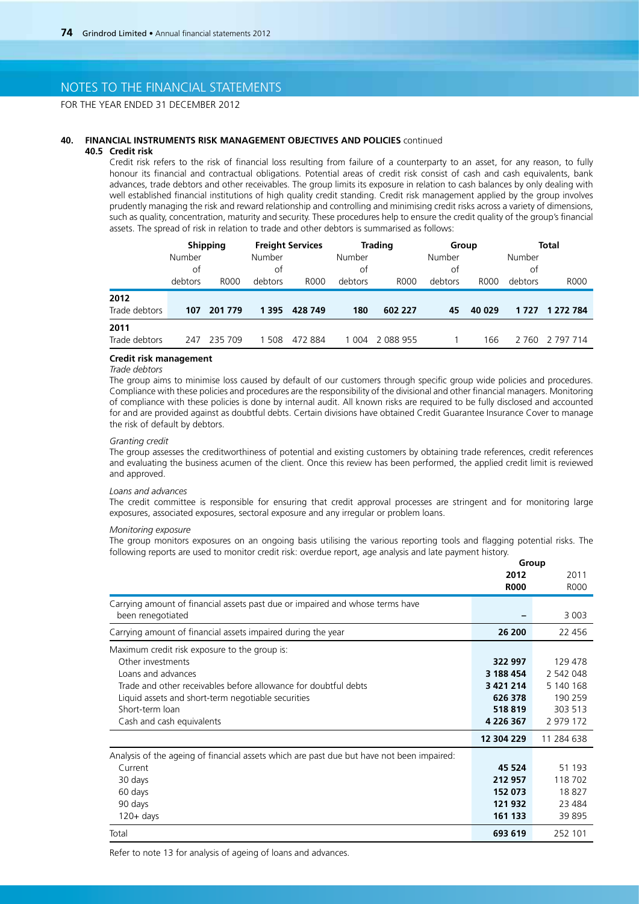# NOTES TO THE FINANCIAL STATEMENTS

FOR THE YEAR ENDED 31 DECEMBER 2012

### **40. FINANCIAL INSTRUMENTS RISK MANAGEMENT OBJECTIVES AND POLICIES** continued

### **40.5 Credit risk**

Credit risk refers to the risk of financial loss resulting from failure of a counterparty to an asset, for any reason, to fully honour its financial and contractual obligations. Potential areas of credit risk consist of cash and cash equivalents, bank advances, trade debtors and other receivables. The group limits its exposure in relation to cash balances by only dealing with well established financial institutions of high quality credit standing. Credit risk management applied by the group involves prudently managing the risk and reward relationship and controlling and minimising credit risks across a variety of dimensions, such as quality, concentration, maturity and security. These procedures help to ensure the credit quality of the group's financial assets. The spread of risk in relation to trade and other debtors is summarised as follows:

|               |         | <b>Shipping</b> |         | <b>Freight Services</b> |         | <b>Trading</b> | Group   |        |         | <b>Total</b> |
|---------------|---------|-----------------|---------|-------------------------|---------|----------------|---------|--------|---------|--------------|
|               | Number  |                 | Number  |                         | Number  |                | Number  |        | Number  |              |
|               | οt      |                 | of      |                         | of      |                | 0t      |        | οf      |              |
|               | debtors | R000            | debtors | R000                    | debtors | R000           | debtors | R000   | debtors | R000         |
| 2012          |         |                 |         |                         |         |                |         |        |         |              |
| Trade debtors | 107     | 201 779         | 1 3 9 5 | 428 749                 | 180     | 602 227        | 45      | 40 029 | 1 7 2 7 | 1 272 784    |
| 2011          |         |                 |         |                         |         |                |         |        |         |              |
| Trade debtors | 247     | 235 709         | 508     | 472 884                 | 1 0 0 4 | 2 088 955      |         | 166    | 2 7 6 0 | 2 797 714    |

## **Credit risk management**

### *Trade debtors*

The group aims to minimise loss caused by default of our customers through specific group wide policies and procedures. Compliance with these policies and procedures are the responsibility of the divisional and other financial managers. Monitoring of compliance with these policies is done by internal audit. All known risks are required to be fully disclosed and accounted for and are provided against as doubtful debts. Certain divisions have obtained Credit Guarantee Insurance Cover to manage the risk of default by debtors.

#### *Granting credit*

The group assesses the creditworthiness of potential and existing customers by obtaining trade references, credit references and evaluating the business acumen of the client. Once this review has been performed, the applied credit limit is reviewed and approved.

### *Loans and advances*

The credit committee is responsible for ensuring that credit approval processes are stringent and for monitoring large exposures, associated exposures, sectoral exposure and any irregular or problem loans.

### *Monitoring exposure*

The group monitors exposures on an ongoing basis utilising the various reporting tools and flagging potential risks. The following reports are used to monitor credit risk: overdue report, age analysis and late payment history. **Group**

|                                                                                           | unun          |             |
|-------------------------------------------------------------------------------------------|---------------|-------------|
|                                                                                           | 2012          | 2011        |
|                                                                                           | <b>R000</b>   | <b>ROOO</b> |
| Carrying amount of financial assets past due or impaired and whose terms have             |               |             |
| been renegotiated                                                                         |               | 3 0 0 3     |
| Carrying amount of financial assets impaired during the year                              | 26 200        | 22 456      |
| Maximum credit risk exposure to the group is:                                             |               |             |
| Other investments                                                                         | 322 997       | 129 478     |
| Loans and advances                                                                        | 3 188 454     | 2 542 048   |
| Trade and other receivables before allowance for doubtful debts                           | 3 421 214     | 5 140 168   |
| Liquid assets and short-term negotiable securities                                        | 626 378       | 190 259     |
| Short-term loan                                                                           | 518819        | 303 513     |
| Cash and cash equivalents                                                                 | 4 2 2 6 3 6 7 | 2 979 172   |
|                                                                                           | 12 304 229    | 11 284 638  |
| Analysis of the ageing of financial assets which are past due but have not been impaired: |               |             |
| Current                                                                                   | 45 524        | 51 193      |
| 30 days                                                                                   | 212 957       | 118 702     |
| 60 days                                                                                   | 152 073       | 18827       |
| 90 days                                                                                   | 121 932       | 23 4 84     |
| $120 + days$                                                                              | 161 133       | 39 895      |
| Total                                                                                     | 693 619       | 252 101     |

Refer to note 13 for analysis of ageing of loans and advances.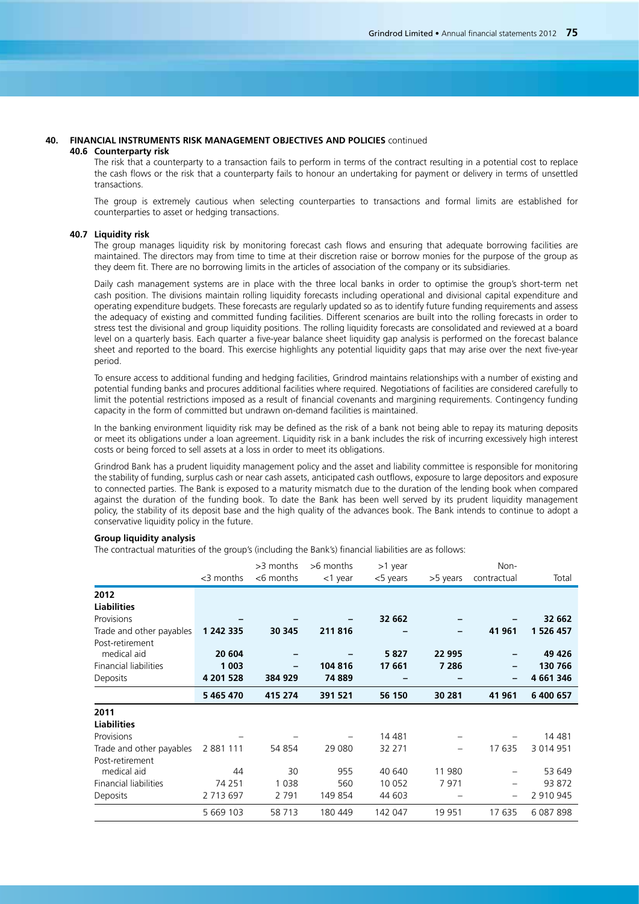#### **40. FINANCIAL INSTRUMENTS RISK MANAGEMENT OBJECTIVES AND POLICIES** continued **40.6 Counterparty risk**

The risk that a counterparty to a transaction fails to perform in terms of the contract resulting in a potential cost to replace the cash flows or the risk that a counterparty fails to honour an undertaking for payment or delivery in terms of unsettled transactions.

The group is extremely cautious when selecting counterparties to transactions and formal limits are established for counterparties to asset or hedging transactions.

#### **40.7 Liquidity risk**

The group manages liquidity risk by monitoring forecast cash flows and ensuring that adequate borrowing facilities are maintained. The directors may from time to time at their discretion raise or borrow monies for the purpose of the group as they deem fit. There are no borrowing limits in the articles of association of the company or its subsidiaries.

Daily cash management systems are in place with the three local banks in order to optimise the group's short-term net cash position. The divisions maintain rolling liquidity forecasts including operational and divisional capital expenditure and operating expenditure budgets. These forecasts are regularly updated so as to identify future funding requirements and assess the adequacy of existing and committed funding facilities. Different scenarios are built into the rolling forecasts in order to stress test the divisional and group liquidity positions. The rolling liquidity forecasts are consolidated and reviewed at a board level on a quarterly basis. Each quarter a five-year balance sheet liquidity gap analysis is performed on the forecast balance sheet and reported to the board. This exercise highlights any potential liquidity gaps that may arise over the next five-year period.

To ensure access to additional funding and hedging facilities, Grindrod maintains relationships with a number of existing and potential funding banks and procures additional facilities where required. Negotiations of facilities are considered carefully to limit the potential restrictions imposed as a result of financial covenants and margining requirements. Contingency funding capacity in the form of committed but undrawn on-demand facilities is maintained.

In the banking environment liquidity risk may be defined as the risk of a bank not being able to repay its maturing deposits or meet its obligations under a loan agreement. Liquidity risk in a bank includes the risk of incurring excessively high interest costs or being forced to sell assets at a loss in order to meet its obligations.

Grindrod Bank has a prudent liquidity management policy and the asset and liability committee is responsible for monitoring the stability of funding, surplus cash or near cash assets, anticipated cash outflows, exposure to large depositors and exposure to connected parties. The Bank is exposed to a maturity mismatch due to the duration of the lending book when compared against the duration of the funding book. To date the Bank has been well served by its prudent liquidity management policy, the stability of its deposit base and the high quality of the advances book. The Bank intends to continue to adopt a conservative liquidity policy in the future.

### **Group liquidity analysis**

The contractual maturities of the group's (including the Bank's) financial liabilities are as follows:

|                              | <3 months | >3 months<br><6 months | >6 months<br>$<$ 1 year | >1 year<br>$<$ 5 years | >5 years | Non-<br>contractual | Total     |
|------------------------------|-----------|------------------------|-------------------------|------------------------|----------|---------------------|-----------|
| 2012                         |           |                        |                         |                        |          |                     |           |
| <b>Liabilities</b>           |           |                        |                         |                        |          |                     |           |
| Provisions                   |           |                        |                         | 32 662                 |          |                     | 32 662    |
| Trade and other payables     | 1 242 335 | 30 345                 | 211816                  |                        | -        | 41 961              | 1 526 457 |
| Post-retirement              |           |                        |                         |                        |          |                     |           |
| medical aid                  | 20 604    |                        |                         | 5827                   | 22 995   |                     | 49 4 26   |
| <b>Financial liabilities</b> | 1 0 0 3   |                        | 104 816                 | 17 661                 | 7 286    |                     | 130 766   |
| Deposits                     | 4 201 528 | 384 929                | 74 889                  |                        |          |                     | 4 661 346 |
|                              | 5 465 470 | 415 274                | 391 521                 | 56 150                 | 30 281   | 41 961              | 6 400 657 |
| 2011                         |           |                        |                         |                        |          |                     |           |
| <b>Liabilities</b>           |           |                        |                         |                        |          |                     |           |
| Provisions                   |           |                        |                         | 14 4 8 1               |          |                     | 14 481    |
| Trade and other payables     | 2 881 111 | 54 854                 | 29 0 80                 | 32 271                 | -        | 17 635              | 3 014 951 |
| Post-retirement              |           |                        |                         |                        |          |                     |           |
| medical aid                  | 44        | 30                     | 955                     | 40 640                 | 11 980   |                     | 53 649    |
| Financial liabilities        | 74 251    | 1 0 3 8                | 560                     | 10 0 52                | 7971     | -                   | 93 872    |
| Deposits                     | 2 713 697 | 2 7 9 1                | 149 854                 | 44 603                 |          |                     | 2 910 945 |
|                              | 5 669 103 | 58 713                 | 180 449                 | 142 047                | 19 951   | 17 635              | 6 087 898 |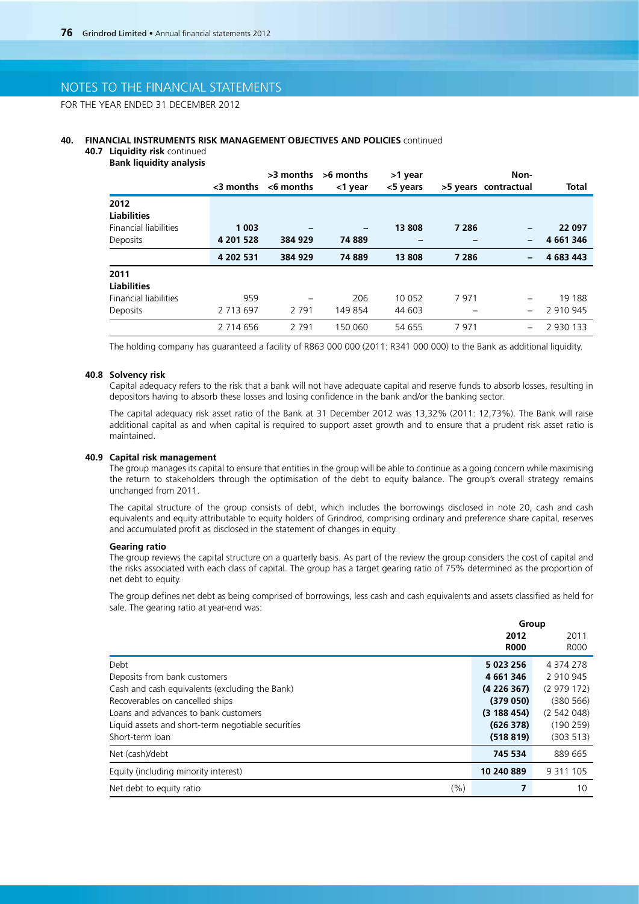# NOTES TO THE FINANCIAL STATEMENTS

FOR THE YEAR ENDED 31 DECEMBER 2012

### **40. FINANCIAL INSTRUMENTS RISK MANAGEMENT OBJECTIVES AND POLICIES** continued

**40.7 Liquidity risk** continued **Bank liquidity analysis**

|                              | <3 months | >3 months<br>$<$ 6 months | >6 months<br><1 year | >1 year<br><5 years |         | Non-<br>>5 years contractual | Total     |
|------------------------------|-----------|---------------------------|----------------------|---------------------|---------|------------------------------|-----------|
| 2012                         |           |                           |                      |                     |         |                              |           |
| <b>Liabilities</b>           |           |                           |                      |                     |         |                              |           |
| <b>Financial liabilities</b> | 1 0 0 3   |                           | -                    | 13 808              | 7 2 8 6 |                              | 22 097    |
| Deposits                     | 4 201 528 | 384 929                   | 74889                |                     |         | $\qquad \qquad$              | 4 661 346 |
|                              | 4 202 531 | 384 929                   | 74889                | 13 808              | 7 2 8 6 | $\overline{\phantom{0}}$     | 4 683 443 |
| 2011                         |           |                           |                      |                     |         |                              |           |
| <b>Liabilities</b>           |           |                           |                      |                     |         |                              |           |
| <b>Financial liabilities</b> | 959       |                           | 206                  | 10 0 52             | 7971    |                              | 19 188    |
| Deposits                     | 2 713 697 | 2 7 9 1                   | 149 854              | 44 603              |         | $\qquad \qquad -$            | 2 910 945 |
|                              | 2 714 656 | 2 7 9 1                   | 150 060              | 54 655              | 7971    |                              | 2 930 133 |

The holding company has guaranteed a facility of R863 000 000 (2011: R341 000 000) to the Bank as additional liquidity.

### **40.8 Solvency risk**

Capital adequacy refers to the risk that a bank will not have adequate capital and reserve funds to absorb losses, resulting in depositors having to absorb these losses and losing confidence in the bank and/or the banking sector.

The capital adequacy risk asset ratio of the Bank at 31 December 2012 was 13,32% (2011: 12,73%). The Bank will raise additional capital as and when capital is required to support asset growth and to ensure that a prudent risk asset ratio is maintained.

#### **40.9 Capital risk management**

The group manages its capital to ensure that entities in the group will be able to continue as a going concern while maximising the return to stakeholders through the optimisation of the debt to equity balance. The group's overall strategy remains unchanged from 2011.

The capital structure of the group consists of debt, which includes the borrowings disclosed in note 20, cash and cash equivalents and equity attributable to equity holders of Grindrod, comprising ordinary and preference share capital, reserves and accumulated profit as disclosed in the statement of changes in equity.

#### **Gearing ratio**

The group reviews the capital structure on a quarterly basis. As part of the review the group considers the cost of capital and the risks associated with each class of capital. The group has a target gearing ratio of 75% determined as the proportion of net debt to equity.

The group defines net debt as being comprised of borrowings, less cash and cash equivalents and assets classified as held for sale. The gearing ratio at year-end was:

**Group**

|                                                    | 2012        | 2011          |
|----------------------------------------------------|-------------|---------------|
|                                                    | <b>R000</b> | <b>ROOO</b>   |
| Debt                                               | 5 023 256   | 4 374 278     |
| Deposits from bank customers                       | 4 661 346   | 2 910 945     |
| Cash and cash equivalents (excluding the Bank)     | (4226367)   | (2979172)     |
| Recoverables on cancelled ships                    | (379050)    | (380 566)     |
| Loans and advances to bank customers               | (3188454)   | (2542048)     |
| Liquid assets and short-term negotiable securities | (626378)    | (190 259)     |
| Short-term loan                                    | (518819)    | (303 513)     |
| Net (cash)/debt                                    | 745 534     | 889 665       |
| Equity (including minority interest)               | 10 240 889  | 9 3 1 1 1 0 5 |
| (%)<br>Net debt to equity ratio                    | 7           | 10            |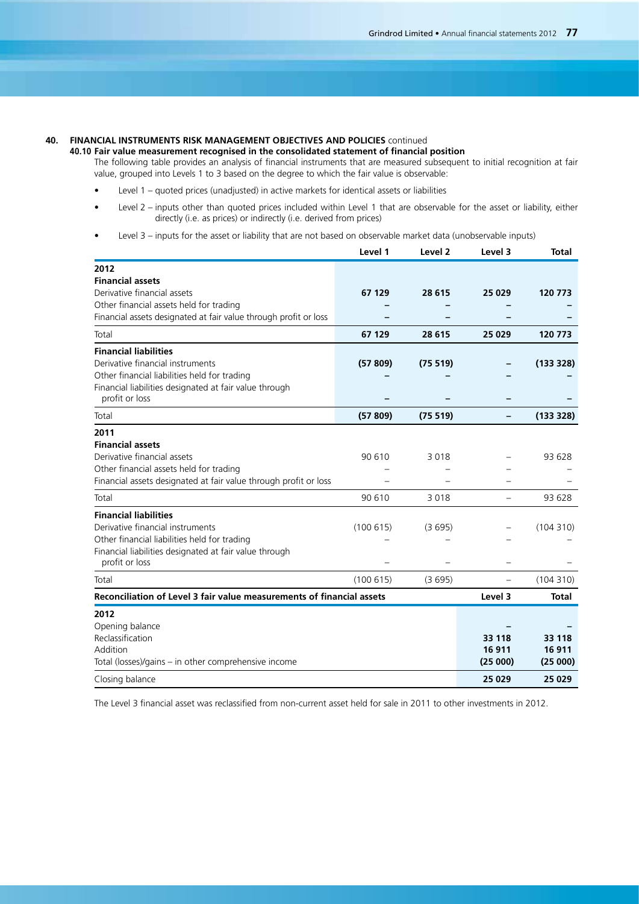## **40. FINANCIAL INSTRUMENTS RISK MANAGEMENT OBJECTIVES AND POLICIES** continued

**40.10 Fair value measurement recognised in the consolidated statement of financial position**

The following table provides an analysis of financial instruments that are measured subsequent to initial recognition at fair value, grouped into Levels 1 to 3 based on the degree to which the fair value is observable:

- Level 1 quoted prices (unadjusted) in active markets for identical assets or liabilities
- Level 2 inputs other than quoted prices included within Level 1 that are observable for the asset or liability, either directly (i.e. as prices) or indirectly (i.e. derived from prices)
- Level 3 inputs for the asset or liability that are not based on observable market data (unobservable inputs)

|                                                                       | Level 1  | Level <sub>2</sub> | Level 3                  | <b>Total</b> |
|-----------------------------------------------------------------------|----------|--------------------|--------------------------|--------------|
| 2012<br><b>Financial assets</b>                                       |          |                    |                          |              |
| Derivative financial assets                                           | 67 129   | 28 615             | 25 0 29                  | 120 773      |
| Other financial assets held for trading                               |          |                    |                          |              |
| Financial assets designated at fair value through profit or loss      |          |                    |                          |              |
| Total                                                                 | 67 129   | 28 615             | 25 0 29                  | 120 773      |
| <b>Financial liabilities</b>                                          |          |                    |                          |              |
| Derivative financial instruments                                      | (57809)  | (75519)            |                          | (133 328)    |
| Other financial liabilities held for trading                          |          |                    |                          |              |
| Financial liabilities designated at fair value through                |          |                    |                          |              |
| profit or loss                                                        |          |                    |                          |              |
| Total                                                                 | (57809)  | (75 519)           | —                        | (133 328)    |
| 2011                                                                  |          |                    |                          |              |
| <b>Financial assets</b>                                               |          |                    |                          |              |
| Derivative financial assets                                           | 90 610   | 3018               |                          | 93 628       |
| Other financial assets held for trading                               |          |                    |                          |              |
| Financial assets designated at fair value through profit or loss      |          |                    |                          |              |
| Total                                                                 | 90 610   | 3 0 1 8            | $\equiv$                 | 93 628       |
| <b>Financial liabilities</b>                                          |          |                    |                          |              |
| Derivative financial instruments                                      | (100615) | (3695)             |                          | (104310)     |
| Other financial liabilities held for trading                          |          |                    |                          |              |
| Financial liabilities designated at fair value through                |          |                    |                          |              |
| profit or loss                                                        |          |                    |                          |              |
| Total                                                                 | (100615) | (3695)             | $\overline{\phantom{0}}$ | (104310)     |
| Reconciliation of Level 3 fair value measurements of financial assets |          |                    | Level 3                  | <b>Total</b> |
| 2012                                                                  |          |                    |                          |              |
| Opening balance                                                       |          |                    |                          |              |
| Reclassification                                                      |          |                    | 33 118                   | 33 118       |
| Addition                                                              |          |                    | 16 911                   | 16 911       |
| Total (losses)/gains – in other comprehensive income                  |          |                    | (25000)                  | (25000)      |
| Closing balance                                                       |          |                    | 25 0 29                  | 25 0 29      |

The Level 3 financial asset was reclassified from non-current asset held for sale in 2011 to other investments in 2012.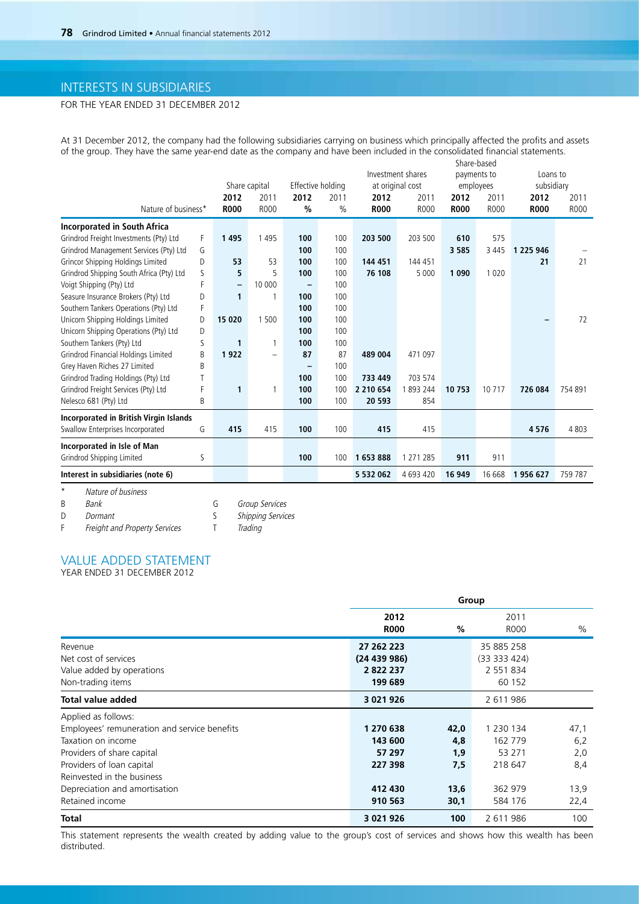# INTERESTS IN SUBSIDIARIES

# FOR THE YEAR ENDED 31 DECEMBER 2012

At 31 December 2012, the company had the following subsidiaries carrying on business which principally affected the profits and assets of the group. They have the same year-end date as the company and have been included in the consolidated financial statements. Share-based

|                                               |   | Share capital |                          | Effective holding |      |             | Investment shares<br>at original cost |             | payments to<br>employees |                              | Loans to<br>subsidiary |  |
|-----------------------------------------------|---|---------------|--------------------------|-------------------|------|-------------|---------------------------------------|-------------|--------------------------|------------------------------|------------------------|--|
|                                               |   | 2012          | 2011                     | 2012              | 2011 | 2012        | 2011                                  | 2012        | 2011                     | 2012                         | 2011                   |  |
| Nature of business*                           |   | <b>R000</b>   | R000                     | $\frac{0}{0}$     | $\%$ | <b>R000</b> | R000                                  | <b>R000</b> | R000                     | <b>R000</b>                  | R000                   |  |
| <b>Incorporated in South Africa</b>           |   |               |                          |                   |      |             |                                       |             |                          |                              |                        |  |
| Grindrod Freight Investments (Pty) Ltd        | F | 1495          | 1495                     | 100               | 100  | 203 500     | 203 500                               | 610         | 575                      |                              |                        |  |
| Grindrod Management Services (Pty) Ltd        | G |               |                          | 100               | 100  |             |                                       | 3 5 8 5     | 3 4 4 5                  | 1 225 946                    |                        |  |
| Grincor Shipping Holdings Limited             | D | 53            | 53                       | 100               | 100  | 144 451     | 144 451                               |             |                          | 21                           | 21                     |  |
| Grindrod Shipping South Africa (Pty) Ltd      | S | 5             | 5                        | 100               | 100  | 76 108      | 5 0 0 0                               | 1 0 9 0     | 1020                     |                              |                        |  |
| Voigt Shipping (Pty) Ltd                      | F | $\equiv$      | 10 000                   | -                 | 100  |             |                                       |             |                          |                              |                        |  |
| Seasure Insurance Brokers (Pty) Ltd           | D | 1             | $\mathbf{1}$             | 100               | 100  |             |                                       |             |                          |                              |                        |  |
| Southern Tankers Operations (Pty) Ltd         | F |               |                          | 100               | 100  |             |                                       |             |                          |                              |                        |  |
| Unicorn Shipping Holdings Limited             | D | 15 0 20       | 1 500                    | 100               | 100  |             |                                       |             |                          | $\qquad \qquad \blacksquare$ | 72                     |  |
| Unicorn Shipping Operations (Pty) Ltd         | D |               |                          | 100               | 100  |             |                                       |             |                          |                              |                        |  |
| Southern Tankers (Pty) Ltd                    | ς | 1             | 1                        | 100               | 100  |             |                                       |             |                          |                              |                        |  |
| Grindrod Financial Holdings Limited           | B | 1922          | $\overline{\phantom{0}}$ | 87                | 87   | 489 004     | 471 097                               |             |                          |                              |                        |  |
| Grey Haven Riches 27 Limited                  | B |               |                          |                   | 100  |             |                                       |             |                          |                              |                        |  |
| Grindrod Trading Holdings (Pty) Ltd           | T |               |                          | 100               | 100  | 733 449     | 703 574                               |             |                          |                              |                        |  |
| Grindrod Freight Services (Pty) Ltd           | F | 1             | $\mathbf{1}$             | 100               | 100  | 2 210 654   | 1893244                               | 10 753      | 10 7 1 7                 | 726 084                      | 754 891                |  |
| Nelesco 681 (Pty) Ltd                         | B |               |                          | 100               | 100  | 20 593      | 854                                   |             |                          |                              |                        |  |
| <b>Incorporated in British Virgin Islands</b> |   |               |                          |                   |      |             |                                       |             |                          |                              |                        |  |
| Swallow Enterprises Incorporated              | G | 415           | 415                      | 100               | 100  | 415         | 415                                   |             |                          | 4576                         | 4803                   |  |
| Incorporated in Isle of Man                   |   |               |                          |                   |      |             |                                       |             |                          |                              |                        |  |
| Grindrod Shipping Limited                     | ς |               |                          | 100               | 100  | 1653888     | 1 271 285                             | 911         | 911                      |                              |                        |  |
| Interest in subsidiaries (note 6)             |   |               |                          |                   |      | 5 532 062   | 4 693 420                             | 16 949      | 16 668                   | 1956 627                     | 759 787                |  |
| $^\star$<br>Nature of business                |   |               |                          |                   |      |             |                                       |             |                          |                              |                        |  |

B Bank G Group Services<br>
D Dormant S Shipping Services

D Dormant S Shipping Services

F Freight and Property Services T Trading

# VALUE ADDED STATEMENT

YEAR ENDED 31 DECEMBER 2012

|                                              |                     | Group |                     |      |  |  |
|----------------------------------------------|---------------------|-------|---------------------|------|--|--|
|                                              | 2012<br><b>R000</b> | %     | 2011<br><b>ROOO</b> | $\%$ |  |  |
| Revenue                                      | 27 262 223          |       | 35 885 258          |      |  |  |
| Net cost of services                         | (24439986)          |       | (33 333 424)        |      |  |  |
| Value added by operations                    | 2822237             |       | 2 551 834           |      |  |  |
| Non-trading items                            | 199 689             |       | 60 152              |      |  |  |
| <b>Total value added</b>                     | 3 021 926           |       | 2 611 986           |      |  |  |
| Applied as follows:                          |                     |       |                     |      |  |  |
| Employees' remuneration and service benefits | 1 270 638           | 42,0  | 1 2 3 0 1 3 4       | 47,1 |  |  |
| Taxation on income                           | 143 600             | 4,8   | 162 779             | 6,2  |  |  |
| Providers of share capital                   | 57 297              | 1,9   | 53 271              | 2,0  |  |  |
| Providers of loan capital                    | 227 398             | 7,5   | 218 647             | 8,4  |  |  |
| Reinvested in the business                   |                     |       |                     |      |  |  |
| Depreciation and amortisation                | 412 430             | 13,6  | 362 979             | 13,9 |  |  |
| Retained income                              | 910 563             | 30,1  | 584 176             | 22,4 |  |  |
| <b>Total</b>                                 | 3 0 2 1 9 2 6       | 100   | 2 611 986           | 100  |  |  |

This statement represents the wealth created by adding value to the group's cost of services and shows how this wealth has been distributed.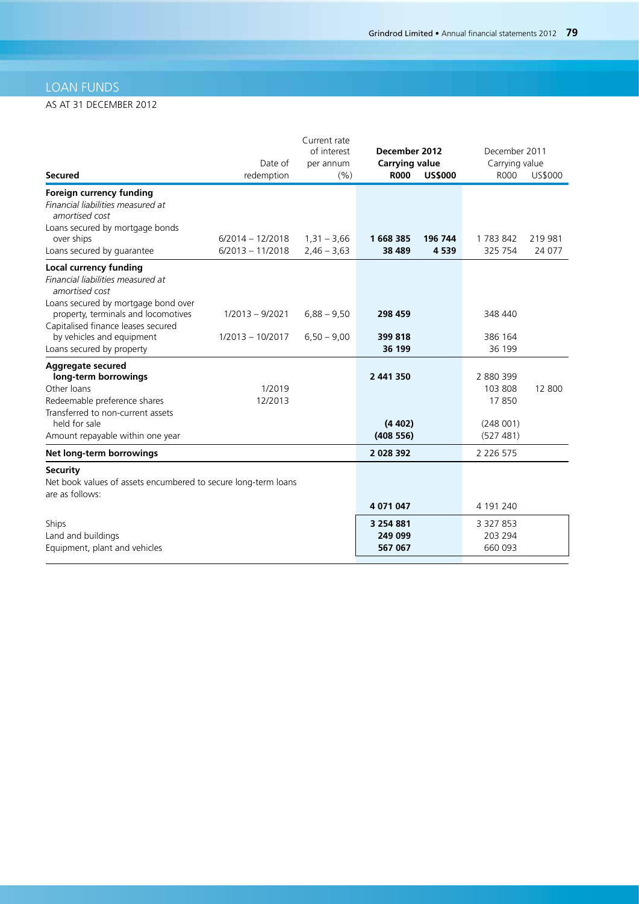# LOAN FUNDS

# AS AT 31 DECEMBER 2012

| <b>Secured</b>                                                                                                                                 | Date of<br>redemption                    | Current rate<br>of interest<br>per annum<br>(%) | December 2012<br><b>Carrying value</b><br><b>R000</b> | <b>US\$000</b>     | December 2011<br>Carrying value<br><b>ROOO</b> | US\$000           |
|------------------------------------------------------------------------------------------------------------------------------------------------|------------------------------------------|-------------------------------------------------|-------------------------------------------------------|--------------------|------------------------------------------------|-------------------|
| Foreign currency funding<br>Financial liabilities measured at<br>amortised cost                                                                |                                          |                                                 |                                                       |                    |                                                |                   |
| Loans secured by mortgage bonds<br>over ships<br>Loans secured by guarantee                                                                    | $6/2014 - 12/2018$<br>$6/2013 - 11/2018$ | $1,31 - 3,66$<br>$2,46 - 3,63$                  | 1668385<br>38 4 89                                    | 196 744<br>4 5 3 9 | 1783842<br>325 754                             | 219 981<br>24 077 |
| <b>Local currency funding</b><br>Financial liabilities measured at<br>amortised cost                                                           |                                          |                                                 |                                                       |                    |                                                |                   |
| Loans secured by mortgage bond over<br>property, terminals and locomotives<br>Capitalised finance leases secured                               | $1/2013 - 9/2021$                        | $6,88 - 9,50$                                   | 298 459                                               |                    | 348 440                                        |                   |
| by vehicles and equipment<br>Loans secured by property                                                                                         | $1/2013 - 10/2017$                       | $6,50 - 9,00$                                   | 399 818<br>36 199                                     |                    | 386 164<br>36 199                              |                   |
| Aggregate secured<br>long-term borrowings<br>Other loans<br>Redeemable preference shares<br>Transferred to non-current assets<br>held for sale | 1/2019<br>12/2013                        |                                                 | 2 441 350<br>(4402)                                   |                    | 2 880 399<br>103 808<br>17850<br>(248001)      | 12 800            |
| Amount repayable within one year                                                                                                               |                                          |                                                 | (408556)                                              |                    | (527 481)                                      |                   |
| Net long-term borrowings                                                                                                                       |                                          |                                                 | 2 0 28 3 9 2                                          |                    | 2 2 2 6 5 7 5                                  |                   |
| <b>Security</b><br>Net book values of assets encumbered to secure long-term loans<br>are as follows:                                           |                                          |                                                 |                                                       |                    |                                                |                   |
|                                                                                                                                                |                                          |                                                 | 4 071 047                                             |                    | 4 191 240                                      |                   |
| Ships                                                                                                                                          |                                          |                                                 | 3 2 5 4 8 8 1                                         |                    | 3 3 2 7 8 5 3                                  |                   |
| Land and buildings<br>Equipment, plant and vehicles                                                                                            |                                          |                                                 | 249 099<br>567 067                                    |                    | 203 294<br>660 093                             |                   |